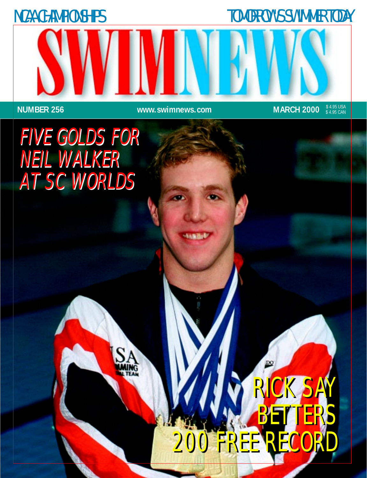

## FIVE GOLDS FOR FIVE GOLDS FOR NEIL WALKER NEIL WALKER AT SC WORLDS AT SC WORLDS

# RICK SAY RICK SAY BETTERS BETTERS 200 FREE RECORD 200 FREE RECORD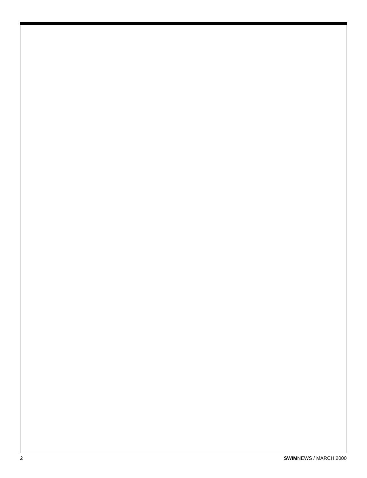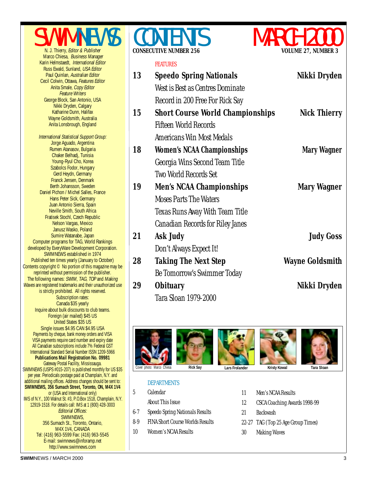Fratisek Stochl, Czech Republic Nelson Vargas, Mexico Janusz Wasko, Poland Sumire Watanabe, Japan Computer programs for TAG, World Rankings developed by EveryWare Development Corporation. SWIMNEWS established in 1974 Published ten times yearly (January to October) Contents copyright © No portion of this magazine may be reprinted without permission of the publisher. The following names: SWIM, TAG, TOP and Making Waves are registered trademarks and their unauthorized use is strictly prohibited. All rights reserved. Subscription rates: Canada \$35 yearly Inquire about bulk discounts to club teams. Foreign (air mailed) \$45 US United States \$35 US Single issues \$4.95 CAN \$4.95 USA Payments by cheque, bank money orders and VISA VISA payments require card number and expiry date All Canadian subscriptions include 7% Federal GST International Standard Serial Number ISSN 1209-5966 **Publications Mail Registration No. 09981** Gateway Postal Facility, Mississauga. SWIMNEWS (USPS #015-207) is published monthly for US \$35 per year. Periodicals postage paid at Champlain, N.Y. and additional mailing offices. Address changes should be sent to: **SWIMNEWS, 356 Sumach Street, Toronto, ON, M4X 1V4** or (USA and International only) IMS of N.Y., 100 Walnut St. #3, P.O.Box 1518, Champlain, N.Y. 12919-1518. For details call: IMS at 1 (800) 428-3003 Editorial Offices: SWIMNEWS, 356 Sumach St., Toronto, Ontario, M4X 1V4, CANADA Tel: (416) 963-5599 Fax: (416) 963-5545 E-mail: swimnews@inforamp.net

SWIMNEWS

Marco Chiesa, Business Manager Karin Helmstaedt, International Editor Russ Ewald, Sunland, USA Editor Paul Quinlan, Australian Editor Cecil Colwin, Ottawa, Features Editor Anita Smale, Copy Editor Feature Writers George Block, San Antonio, USA Nikki Dryden, Calgary Katharine Dunn, Halifax Wayne Goldsmith, Australia Anita Lonsbrough, England International Statistical Support Group: Jorge Aguado, Argentina Rumen Atanasov, Bulgaria Chaker Belhadj, Tunisia Young-Ryul Cho, Korea Szabolcs Fodor, Hungary Gerd Heydn, Germany Franck Jensen, Denmark Berth Johansson, Sweden Daniel Pichon / Michel Salles, France Hans Peter Sick, Germany Juan Antonio Sierra, Spain Neville Smith, South Africa



### **FEATURES**

| 13 | <b>Speedo Spring Nationals</b>          | Nikki Dryden           |
|----|-----------------------------------------|------------------------|
|    | West is Best as Centres Dominate        |                        |
|    | Record in 200 Free For Rick Say         |                        |
| 15 | <b>Short Course World Championships</b> | <b>Nick Thierry</b>    |
|    | Fifteen World Records                   |                        |
|    | <b>Americans Win Most Medals</b>        |                        |
| 18 | <b>Women's NCAA Championships</b>       | <b>Mary Wagner</b>     |
|    | Georgia Wins Second Team Title          |                        |
|    | <b>Two World Records Set</b>            |                        |
| 19 | <b>Men's NCAA Championships</b>         | <b>Mary Wagner</b>     |
|    | <b>Moses Parts The Waters</b>           |                        |
|    | Texas Runs Away With Team Title         |                        |
|    | <b>Canadian Records for Riley Janes</b> |                        |
| 21 | <b>Ask Judy</b>                         | <b>Judy Goss</b>       |
|    | Don't Always Expect It!                 |                        |
| 28 | <b>Taking The Next Step</b>             | <b>Wayne Goldsmith</b> |
|    | Be Tomorrow's Swimmer Today             |                        |
| 29 | <b>Obituary</b>                         | Nikki Dryden           |
|    | Tara Sloan 1979-2000                    |                        |



### DEPARTMENTS

- 5 Calendar [About This Issue](#page-4-0) [6-7 Speedo Spring Nationals Results](#page-5-0)
- [8-9 FINA Short Course Worlds Results](#page-7-0)
- [10 Women's NCAA Results](#page-9-0)
- [11 Men's NCAA Results](#page-10-0)
- [12 CSCA Coaching Awards 1998-99](#page-11-0)
- [21 Backwash](#page-20-0)
- [22-27 TAG \(Top 25 Age Group Times\)](#page-21-0)
- [30 Making Waves](#page-29-0)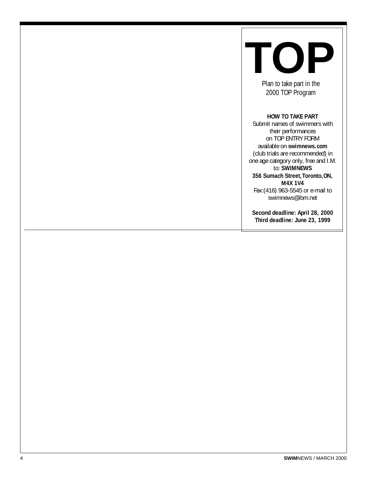# **TOP**

Plan to take part in the 2000 TOP Program

### **HOW TO TAKE PART**

Submit names of swimmers with their performances on TOP ENTRY FORM available on **swimnews.com** (club trials are recommended) in one age category only, free and I.M. to: **SWIMNEWS 356 Sumach Street,Toronto,ON, M4X 1V4** Fax:(416) 963-5545 or e-mail to swimnews@ibm.net

**Second deadline: April 28, 2000 Third deadline: June 23, 1999**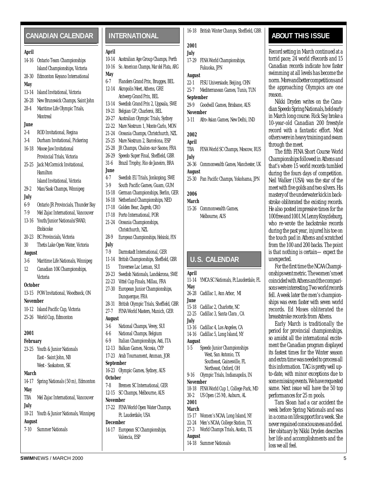### <span id="page-4-0"></span>**CANADIAN CALENDAR ABOUT THIS ISSUE**

### **April**

- 14-16 Ontario Team Championships Island Championships, Victoria
- 28-30 Edmonton Keyano International

### **May**

- 13-14 Island Invitational, Victoria
- 26-28 New Brunswick Champs, Saint John
- 28-4 Maritime Life Olympic Trials, **Montreal**

### **June**

- 2-4 ROD Invitational, Regina
- 3-4 Durham Invitational, Pickering
- 16-18 Moose Jaw Invitational Provincial Trials, Victoria
- 25-25 Jack McCormick Invitational, Hamilton Island Invitational, Victoria
- 29-2 Man/Sask Champs, Winnipeg

### **July**

- 6-9 Ontario JR Provincials, Thunder Bay
- 7-9 Mel Zajac International, Vancouver
- 13-16 Youth/Junior Nationals/SWAD, Etobicoke
- 20-23 BC Provincials, Victoria 30 Thetis Lake Open Water, Victoria

- **August**
- 3-6 Maritime Life Nationals, Winnipeg
- 12 Canadian 10K Championships, Victoria

### **October**

- 13-15 POW Invitational, Woodtsock, ON **November**
- 
- 10-12 Island Pacific Cup, Victoria
- 25-26 World Cup, Edmonton

### **2001**

### **February**

23-25 Youth & Junior Nationals East - Saint John, NB West - Saskatoon, SK

### **March**

- 14-17 Spring Nationals (50 m), Edmonton **May** TBA Mel Zajac International, Vancouver **July** 18-21 Youth & Junior Nationals, Winnipeg **August**
- 7-10 Summer Nationals

### **INTERNATIONAL**

### **April**

- 10-14 Australian Age Group Champs, Perth 10-16 So. American Champs, Mar del Plata, ARG **May**
- 6-7 Flanders Grand Prix, Brugges, BEL
- 12-14 Akropolis Meet, Athens, GRE
- Antwerp Grand Prix, BEL 13-14 Swedish Grand Prix 2, Uppsala, SWE
- 19-21 Belgian GP, Charleroi, BEL
- 20-27 Australian Olympic Trials, Sydney
- 22-22 Mare Nostrum 1, Monte Carlo, MON
- 21-24 Oceania Champs, Christchurch, NZL
- 25-25 Mare Nostrum 2, Barcelona, ESP
- 25-28 JR Champs, Chalon-sur-Saone, FRA 26-29 Speedo Super Final, Sheffield, GBR
- 31-6 Brazil Trophy, Rio de Janeiro, BRA

### **June**

- 4-7 Swedish EU Trials, Jonkoping, SWE
- 3-9 South Pacific Games, Guam, GUM
- 15-18 German Championships, Berlin, GER
- 16-18 Netherland Championships, NED
- 17-18 Golden Bear, Zagreb, CRO
- 17-18 Porto International, POR
- 21-24 Oceania Championships, Christchurch, NZL

28-9 European Championships, Helsinki, FIN **July**

- 7-9 Darmstadt International, GER
- 11-14 British Championships, Sheffield, GBR
- 15 Traversee Lac Leman, SUI
- 20-23 Swedish Nationals, Landskrona, SWE
- 22-23 Vittel Cup Finals, Millau, FRA
- 27-30 European Junior Championships, Dunquerque, FRA
- 28-31 British Olympic Trials, Sheffield, GBR
- 27-7 FINA World Masters, Munich, GER **August**
- 3-6 National Champs, Vevey, SUI
- 4-6 National Champs, Belgium
- 6-9 Italian Championships, Asti, ITA
- 12-13 Balkan Games, Nicosia, CYP
- 17-23 Arab Tournament, Amman, JOR

### **September**

16-23 Olympic Games, Sydney, AUS **October**

7-8 Bremen SC International, GER 12-15 SC Champs, Melbourne, AUS

### **November**

17-22 FINA World Open Water Champs, Ft. Lauderdale, USA

### **December**

14-17 European SC Championships, Valencia, ESP

British Winter Champs, Sheffield, GBR

### **2001**

- **July**
- 17-29 FINA World Championships, Fukuoka, JPN

### **August**

- 22-1 FISU Universiade, Beijing, CHN 25-7 Mediterranean Games, Tunis, TUN **September**
- 29-9 Goodwill Games, Brisbane, AUS

### **November**

3-11 Afro-Asian Games, New Delhi, IND

### **2002**

### **April**

- TBA FINA World SC Champs, Moscow, RUS **July**
- 26-36 Commonwealth Games, Manchester, UK **August**
- 25-30 Pan Pacific Champs, Yokohama, JPN

### **2006**

### **March**

15-26 Commonwealth Games, Melbourne, AUS

### **U.S. CALENDAR**

### **April**

- **June**<br>15-18 Cadillac 2, Charlotte, NC 11-14 YMCA SC Nationals, Ft.Lauderdale, FL **May** 26-28 Cadillac 1, Ann Arbor, MI **June** 22-25 Cadillac 3, Santa Clara , CA **July** 13-16 Cadillac 4, Los Angeles, CA 14-16 Cadillac 5, Long Island, NY **August** 1-5 Speedo Junior Championships West, San Antonio, TX Southeast, Gainesville, FL Northeast, Oxford, OH 9-16 Olympic Trials, Indianapolis, IN **November** 18-18 FINA World Cup 1, College Park, MD 30-2 US Open (25 M), Auburn, AL **2001 March** 15-17 Women's NCAA, Long Island, NY 22-24 Men's NCAA, College Station, TX 27-3 World Champs Trials, Austin, TX **August**
- 14-18 Summer Nationals

**SWIM**NEWS / MARCH 2000 5

Record setting in March continued at a torrid pace; 24 world rRecords and 15 Canadian records indicate how faster swimming at all levels has become the norm. More and better competitions and the approaching Olympics are one reason.

Nikki Dryden writes on the Canadian Speedo Spring Nationals, held early in March long course. Rick Say broke a 10-year-old Canadian 200 freestyle record with a fantastic effort. Most others were in heavy training and swam through the meet.

The fifth FINA Short Course World Championships followed in Athens and that's where 15 world records tumbled during the fours days of competition. Neil Walker (USA) was the star of the meet with five golds and two silvers. His mastery of the underwater kick in backstroke obliterated the existing records. He also posted impressive times for the 100 free and 100 I.M. Lenny Krayzleburg, who re-wrote the backstroke records during the past year, injured his toe on the touch pad in Athens and scratched from the 100 and 200 backs. The point is that nothing is certain—expect the

For the first time the NCAA Championships went metric. The women's meet coincided with Athens and the comparisons were interesting.Two world records fell. A week later the men's championships was even faster with seven world records. Ed Moses obliterated the breaststroke records from Athens. Early March is traditionally the period for provincial championships, so amidst all the international excitement the Canadian program displayed its fastest times for the Winter season and extra time was needed to process all this information. TAG is pretty well upto-date, with minor exceptions due to some missing events. We have requested same. Next issue will have the 50 top performances for 25 m pools.

Tara Sloan had a car accident the week before Spring Nationals and was in a coma on life support for a week. She never regained consciousness and died. Her obituary by Nikki Dryden describes her life and accomplishments and the

loss we all feel.

unexpected.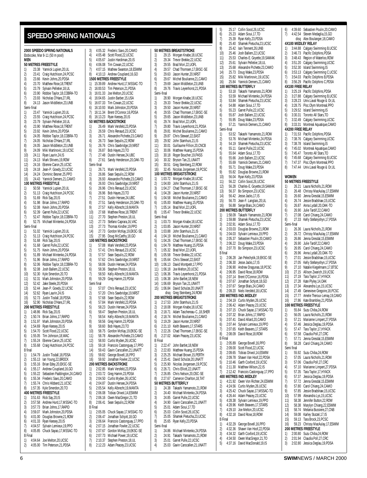### <span id="page-5-0"></span>**SPEEDO SPRING NATIONALS**

|                       |                    | 2000 SPEEDO SPRING NATIONALS                                                                |
|-----------------------|--------------------|---------------------------------------------------------------------------------------------|
|                       |                    | Etobicoke, Mar 8-11 (50 m pool)                                                             |
| MEN                   |                    | 50 METRES FREESTYLE                                                                         |
| 1)                    |                    | 23.38 Yannick Lupien, 20, UL                                                                |
| 2)                    |                    | 23.41 Craig Hutchison, 24, PCSC                                                             |
| 3)                    |                    | 23.66 Kevin Johns, 20, PDSA                                                                 |
| 4)                    |                    | 23.70 Matthew Rose, 18, TRENT                                                               |
| 5)<br>6)              |                    | 23.79 Sylvain Pelletier, 18, UL<br>23.90 Robbie Taylor, 18, COBRA-TO                        |
| 7)                    |                    | 23.93 Nicholas O'Hare, 27, IRL                                                              |
| 8)                    |                    | 24.13 Jason Middleton, 23, UNB                                                              |
|                       | Semi-final         |                                                                                             |
| 1)                    | 23.47              | Yannick Lupien, 20, UL                                                                      |
| 2)<br>3)              | 23.79              | 23.55 Craig Hutchison, 24, PCSC<br>Sylvain Pelletier, 18, UL                                |
| 4)                    |                    | 23.90 Matthew Rose, 18, TRENT                                                               |
| 5)                    |                    | 23.92 Kevin Johns, 20, PDSA                                                                 |
| 6)                    |                    | 24.05 Robbie Taylor, 18, COBRA-TO                                                           |
| 7)                    |                    | 24.05 Nicholas O'Hare, 27, IRL                                                              |
| 8)<br>9)              |                    | 24.05 Jason Middleton, 23, UNB                                                              |
| 10)                   |                    | 24.09 Miki Martinovic, 19, UCSC<br>24.11 Ryan Laurin, 24, IS<br>24.13 Mark Shivers, 19, ROW |
| 11)                   |                    |                                                                                             |
| 12)                   |                    | 24.16 Etienne Caron, 25, UCSC                                                               |
| 13)                   |                    | 24.18 Jean-P. Gowdy, 22, UCSC                                                               |
| 14)<br>15)            |                    | 24.24 Dominic Besner, 25, PPO<br>24.43 Yannick Demers, 21, CAN<br>Yannick Demers, 21, CAMO  |
|                       |                    | 100 METRES FREESTYLE                                                                        |
| 1)                    |                    | 50.58 Yannick Lupien, 20, UL                                                                |
| 2)                    |                    | 51.13 Craig Hutchison, 24, PCSC                                                             |
| 3)                    |                    | 51.69 Rick Say, 20, IS                                                                      |
| 4)<br>5)              |                    | 51.98 Brian Johns, 17, RAPID                                                                |
| 6)                    |                    | 52.08 Kevin Johns, 20, PDSA<br>52.39 Garret Pulle, 22, UCSC                                 |
| 7)                    |                    | 52.47 Robbie Taylor, 18, COBRA-TO                                                           |
| 8)                    |                    | 52.75 Michael Mintenko, 24, PDSA                                                            |
|                       | Semi-final         |                                                                                             |
| 1)<br>2)              | 51.02              | Yannick Lupien, 20, UL<br>51.13 Craig Hutchison, 24, PCSC                                   |
| 3)                    |                    |                                                                                             |
| 4)                    |                    | 51.68 Rick Say, 20, IS<br>51.68 Garret Pulle, 22, UCSC                                      |
| 5)                    |                    | 51.75 Kevin Johns, 20, PDSA<br>51.89 Michael Mintenko, 24, PDSA                             |
| 6)                    |                    |                                                                                             |
| 7)<br>8)              |                    | 51.96 Brian Johns, 17, RAPID                                                                |
| 9)                    |                    | 52.06 Robbie Taylor, 18, COBRA-TO<br>52.08 Josh Ballem, 22, UCSC                            |
| 10)                   |                    | 52.30 Kyle Smerdon, 20, TO                                                                  |
| 11)                   |                    | 52.31 Mark Johnston, 20, PDSA                                                               |
| 12)                   |                    | 52.42 Jake Steele, 20, PDSA                                                                 |
| 13)<br>14)            |                    | 52.44 Jean-P. Gowdy,22<br>52.62 Ryan Laurin,24,IS<br>Jean-P. Gowdy, 22, UCSC                |
| 15)                   | 52.73              | Justin Tisdall, 18, PDSA                                                                    |
| 16)                   |                    | 52.90 Nicholas O'Hare, 27, IRL                                                              |
|                       |                    | 200 METRES FREESTYLE                                                                        |
| 1)                    |                    | 1:48.86 Rick Say, 20, IS                                                                    |
| 2)<br>3)              |                    | 1:50.74 Brian Johns, 17, RAPID<br>1:51.97 Mark Johnston, 20, PDSA                           |
| 4)                    | 1:54.69            | Ryan Keesey, 20, IS                                                                         |
| 5)                    | 1:54.70            | Scott Flood, 22, UCSC                                                                       |
| 6)                    | 1:55.05            | Tim Johnson, 18, WAC                                                                        |
| 7)                    | 1:55.24            | Etienne Caron, 25, UCSC                                                                     |
| 8)<br><b>B</b> final  | 1:55.68            | Craig Hutchison, 24, PCSC                                                                   |
| 1)                    | 1:54.79            | Justin Tisdall.18.PDSA                                                                      |
| $\overline{2}$        | 1:55.13            | lan Young, 22, BROCK                                                                        |
| 3)                    | 1:55.16            | Brian Edey,20,EKSC-SE                                                                       |
| 4)                    | 1:55.17            | Andrew Coupland, 16, GO                                                                     |
| 5)<br>6)              | 1:55.22<br>1:55.34 | Sebastien Paddington, 24, CAMO<br>Frederic Savo, 20, CAMO                                   |
| 7)                    | 1:55.74            | Chris Hibberd, 21, UCSC                                                                     |
| 8)                    | 1:57.35            | Kyle Smerdon, 20, TO                                                                        |
|                       |                    | <b>400 METRES FREESTYLE</b>                                                                 |
| 1)                    | 3:51.63            | Rick Say, 20, IS                                                                            |
| $\overline{2})$<br>3) | 3:57.58<br>3:57.73 | Andrew Hurd, 17, MSSAC-TO<br>Brian Johns, 17, RAPID                                         |
| 4)                    | 3:59.07            | Mark Johnston, 20, PDSA                                                                     |
| 5)                    | 4:01.00            | Douglas Browne, 21, ROW                                                                     |
| 6)                    | 4:01.33            | Ryan Keesey, 20, IS                                                                         |
| 7)                    | 4:04.57            | Sylvain Lemieux, 19, PPO                                                                    |
| 8)<br><b>B</b> Final  | 4:05.85            | Chuck Sayao, 17, MSSAC-TO                                                                   |
| 1)                    | 4:04.64            | Joe Melton,20,UCSC                                                                          |
| 2)                    | 4:05.00            | Tim Peterson, 21, PDSA                                                                      |

| 3)        |                | 4:05.32 Frederic Savo, 20, CAMO<br>4:05.48 Scott Flood, 22, UCSC |
|-----------|----------------|------------------------------------------------------------------|
| 4)        |                |                                                                  |
| 5)        | 4:05.67        | Justin Hardiman, 20, IS                                          |
| 6)        | 4:06.08        | Tim Cowan, 22, UCSC                                              |
| 7)        |                | 4:07.15 Mathew Swanton, 18, ESWIM                                |
| 8)        | 4:10.13        | Andrew Coupland, 16, GO                                          |
|           |                | 1500 METRES FREESTYLE                                            |
| 1)        |                | 15:39.89 Andrew Hurd, 17, MSSAC-TO                               |
| 2)        | 16:00.53       | Tim Peterson, 21, PDSA                                           |
| 3)        | 16:01.33       | Joe Melton, 20, UCSC                                             |
| 4)        | 16:04.65       | Justin Barber, 15, USA                                           |
| 5)        | 16:07.33       | Tim Cowan, 22, UCSC                                              |
| 6)        | 16:10.93       | Mark Johnston, 20, PDSA                                          |
| 7)        | 16:11.34       | Brent O'Connor, 16, PDSA                                         |
| 8)        | 16:13.23       | Ryan Keesey, 20, IS                                              |
|           |                | 50 METRES BACKSTROKE                                             |
| 1)        | 26.49          | Mark Versfeld, 23, PDSA                                          |
| 2)        | 26.59          | Chris Renaud, 23, UCSC                                           |
| 3)        | 26.71          | Alexandre Pichette, 23, CAMO                                     |
| 4)        | 26.73          | Sean Sepulis, 22, ROW                                            |
| 5)        | 26.76          | Chris Sawbridge, 19, NRST                                        |
| 6)        |                | 26.87 Bob Hayes, 23, TO                                          |
| 7)        | 27.48          | Dustin Hersee, 24, UBC                                           |
| 8)        | 27.61          | Sandy Henderson, 20, OAK-TO                                      |
|           | Semi-final     |                                                                  |
|           |                |                                                                  |
| 1)        | 26.71          | Mark Versfeld, 23, PDSA                                          |
| 2)        | 26.86          | Sean Sepulis, 22, ROW                                            |
| 3)        |                | 26.93 Alexandre Pichette, 23, CAMO                               |
| 4)        |                | 26.93 Chris Sawbridge, 19, NRST                                  |
| 5)        |                | 26.96 Chris Renaud, 23, UCSC                                     |
| 6)        | 26.96          | Bob Hayes, 23, TO                                                |
| 7)        | 27.51          | Dustin Hersee, 24, UBC                                           |
| 8)        | 27.51          | Sandy Henderson, 20, OAK-TO                                      |
| 9)        | 27.57          | Kelly Albrecht, 19, MANTA                                        |
| 10)       | 27.68          | Matthew Rose, 18, TRENT                                          |
| 11)       | 27.70          | Stephen Preston,18,UL                                            |
| 12)       | 27.73          | Stefano Caprara,16,VAC                                           |
| 13)       | 27.73          | Thomas Kindler, 19, PPO                                          |
| 14)       | 27.73          | Gordon McKay, 19, EKSC-SE                                        |
| 15)       | 27.95          | Doug McCarthy, 18, GO                                            |
|           |                | 100 METRES BACKSTROKE                                            |
| 1)        | 57.08          | Mark Versfeld, 23, PDSA                                          |
| 2)        | 57.41          | Chris Renaud, 23, UCSC                                           |
| 3)        | 57.57          | Sean Sepulis,22,ROW                                              |
| 4)        | 57.62          | Chris Sawbridge, 19, NRST                                        |
| 5)        | 58.06          | Dustin Hersee, 24, PDSA                                          |
| 6)        | 58.36          | Stephen Preston,18,UL                                            |
| 7)        | 58.50          | Kelly Albrecht,19,MANTA                                          |
| 8)        | 59.29          | Greg Hamm, 23, PDSA                                              |
|           | Semi final     |                                                                  |
| 1)        | 57.07          | Chris Renaud, 23, UCSC                                           |
| 2)        | 57.20          | Chris Sawbridge, 19, NRST                                        |
| 3)        | 57.68          | Sean Sepulis, 22, ROW                                            |
| 4)        |                | 57.84 Mark Versfeld, 23, PDSA                                    |
|           |                | 58.23 Dustin Hersee, 24, PDSA                                    |
| 5)        |                |                                                                  |
| 6)<br>7)  | 58.47<br>58.54 | Stephen Preston, 18, UL<br>Kelly Albrecht, 19, MANTA             |
|           | 58.56          | Greg Hamm, 23, PDSA                                              |
| 8)        |                |                                                                  |
| 9)<br>10) | 58.60          | Bob Hayes,23,TO                                                  |
|           | 58.75          | Gordon McKay, 19, EKSC-SE                                        |
| 11)       | 58.78          | Alexandre Pichette, 23, CAMO                                     |
| 12)       | 58.93          | Curtis Myden,26,UCSC                                             |
| 13)       | 59.18          | Francois Castonguay, 17, PPO                                     |
| 14)       | 59.43          | Gavin Carscallen, 21, UNATT                                      |
| 15)       | 59.82          | George Bovell, 16, PPO                                           |
| 16)       | 59.92          | Jonathan Fowler,22,UCSC                                          |
|           |                | 200 METRES BACKSTROKE                                            |
| 1)        | 2:02.85        | Mark Versfeld,23,PDSA                                            |
| 2)        | 2:03.72        | Greg Hamm,23,PDSA                                                |
| 3)        | 2:04.50        | Curtis Myden,26,UCSC                                             |
| 4)        | 2:04.87        | Dustin Hersee.24.PDSA                                            |
| 5)        | 2:05.54        | Kelly Albrecht,19,MANTA                                          |
| 6)        | 2:06.08        | Tobias Oriwol, 14, ESWIM                                         |
| 7)        | 2:06.16        | Owen MacGregor,21,TO                                             |
| 8)        | 2:06.41        | Sean Sepulis,22,ROW                                              |
| B Final   |                |                                                                  |
| 1)        | 2:05.05        | Chuck Sayao, 17, MSSAC-TO                                        |
| 2)        | 2:06.47        | Jonathan Schjott, 18, GO                                         |
| 3)        | 2:06.64        | Francois Castonguay, 17, PPO                                     |
| 4)        | 2:07.15        | Jonathan Fowler, 22, UCSC                                        |
| 5)        | 2:07.67        | Gordon McKay,19,EKSC-SE                                          |
| 6)        | 2:07.73        | Michael Power,19,UCSC                                            |
| 7)        | 2:10.37        | Stephen Preston,18,UL                                            |
| 8)        | 2:12.23        | Adam Peacey,23,UCSC                                              |
|           |                |                                                                  |

|            |                    | 50 METRES BREASTSTROKE                                                                                                       |
|------------|--------------------|------------------------------------------------------------------------------------------------------------------------------|
| 1)         | 29.15<br>29.34     | Morgan Knabe, 18, UCSC                                                                                                       |
| 2)         |                    | Trevor Brekke, 22, UCSC                                                                                                      |
| 3)<br>4)   |                    | 29.55 Brad Mori, 22, UOFL<br>29.57 Chad Thomsen, 17, EKSC-SE<br>29.63 Jason Hunter, 20, NRST<br>50.63 Jason Hunter, 20, NRST |
| 5)         |                    |                                                                                                                              |
| 6)         |                    | 29.67 Michel Boulianne, 21, CAMO<br>29.69 Jason Middleton. 23 IINR                                                           |
| 7)         |                    |                                                                                                                              |
| 8)         | 29.76              | Travis Leyenhorst, 21, PDSA                                                                                                  |
| 1)         | Semi-final         |                                                                                                                              |
| 2)         | 28.90<br>29.33     | Morgan Knabe, 18, UCSC<br>Trevor Brekke, 22, UCSC                                                                            |
| 3)         |                    | 29.50 Jason Hunter, 20, NRST                                                                                                 |
| 4)         |                    | 29.55 Chad Thomsen, 17, EKSC-SE                                                                                              |
| 5)         |                    | 29.65 Jason Middleton, 23, UNB                                                                                               |
| 6)         |                    | 29.74 Brad Mori, 22, UOFL<br>29.80 Travis Leyenhorst, 21, PDSA                                                               |
| 7)<br>8)   |                    |                                                                                                                              |
| 9)         |                    | 29.81 Michel Boulianne, 21, CAMO<br>29.87 Chris Stewart, 22, EAST                                                            |
| 10)        |                    | Juewart, 22, EAS (1999)<br>29.92 John Stamhuis, 21, IS<br>30.01 Guillaums Fill                                               |
| 11)        |                    | 30.01 Guillaume Fillion, 20, CNCB                                                                                            |
| 12)        |                    | 30.06 Matthew Huang, 15, PDSA                                                                                                |
| 13)        |                    | 30.18 Roger Boucher, 19, PASS<br>30.32 Bryson Tan, 21, UNATT                                                                 |
| 14)<br>15) |                    | 30.51 Greg Steinberg,22,ROW                                                                                                  |
| 16)        | 32.45              | Nicolas Jorgensen, 19, PCSC                                                                                                  |
|            |                    | 100 METRES BREASTSTROKE                                                                                                      |
| 1)         |                    | 1:03.72 Morgan Knabe, 18, UCSC                                                                                               |
| 2)         |                    | 1:04.00 John Stamhuis, 21, IS                                                                                                |
| 3)<br>4)   |                    | 1:04.27 Chad Thomsen, 17, EKSC-SE<br>1:04.28 Jason Hunter, 20, NRST                                                          |
| 5)         |                    |                                                                                                                              |
| 6)         |                    | 1:04.58 Michel Boulianne, 21, CAMO<br>1:05.00 Matthew Huang, 15, PDSA                                                        |
| 7)         |                    | 1:05.14 Brad Mori, 22, UOFL<br>1:05.47 Trevor Brekke, 22, UO                                                                 |
| 8)         |                    | Trevor Brekke, 22, UCSC                                                                                                      |
|            | Semi-final         |                                                                                                                              |
| 1)<br>2)   |                    | 1:03.73 Morgan Knabe,18,UCSC<br>1:03.85 Jason Hunter, 20, NRST                                                               |
| 3)         |                    | 1:03.88 John Stamhuis, 21, IS                                                                                                |
| 4)         |                    | 1:04.19 Michel Boulianne, 21, CAMO                                                                                           |
| 5)         |                    | 1:04.26 Chad Thomsen, 17, EKSC-SE                                                                                            |
| 6)         |                    | 1:04.79 Matthew Huang, 15, PDSA                                                                                              |
| 7)         |                    | 1:05.32 Brad Mori, 22, UOFL                                                                                                  |
| 8)<br>9)   | 1:05.58            | Trevor Brekke, 22, UCSC<br>1:05.64 Chris Stewart, 22, EAST                                                                   |
| 10)        |                    | 1:06.13 David Montpetit, 17, PPO                                                                                             |
| 11)        | 1:06.18            | Joe Melton, 20, UCSC                                                                                                         |
| 12)        | 1:06.36            | Travis Leyenhorst, 21, PDSA                                                                                                  |
| 13)        | 1:06.38            | John Bartlet, 18, NEW                                                                                                        |
| 14)        |                    | 1:06.69 Bryson Tan, 21, UNATT<br>15) 1:06.84 David Schulze, 20, UNATT                                                        |
|            |                    | disq Greg Steinberg, 24, ROW                                                                                                 |
|            |                    | 200 METRES BREASTSTROKE                                                                                                      |
| 1)         |                    | 2:17.53 John Stamhuis, 21, IS                                                                                                |
| 2)         |                    | 2:18.08 Morgan Knabe, 18, UCSC                                                                                               |
| 3)<br>4)   | 2:18.74            | 2:18.71 Adam Taschereau-C., 18, SHER<br>Michel Boulianne, 21, CAMO                                                           |
| 5)         | 2:19.29            | Jason Hunter, 20, NRST                                                                                                       |
| 6)         | 2:21.10            | Keith Beavers, 17, STARS                                                                                                     |
| 7)         |                    | 2:22.26 Chad Thomsen, 17, EKSC-SE                                                                                            |
| 8)         | 2:27.02            | Adam Peacey, 23, UCSC                                                                                                        |
| B Final    |                    |                                                                                                                              |
| 1)<br>2)   | 2:22.47<br>2:22.83 | John Bartlet, 18, NEW<br>Matthew Huang, 15, PDSA                                                                             |
| 3)         | 2:25.25            | Michael Brown, 15, PERTH                                                                                                     |
| 4)         | 2:25.41            | David Schulze, 20, UNATT                                                                                                     |
| 5)         | 2:25.90            | Nicolas Jorgensen, 19, PCSC                                                                                                  |
| 6)         | 2:26.71            | Chris Elliott, 22, UNATT                                                                                                     |
| 7)         | 2:26.85            | Chris Nelson, 20, OSC-SE                                                                                                     |
| 8)         | 2:27.67            | Cameron Charlton, 18, TAT<br>50 METRES BUTTERFLY                                                                             |
| 1)         | 24.38              | Takashi Yamamoto, 21, ROW                                                                                                    |
| 2)         | 24.40              | Michael Mintenko, 24, PDSA                                                                                                   |
| 3)         |                    | 24.85 Garret Pulle, 22, UCSC                                                                                                 |
| 4)         |                    | 24.90 Gavin Carscallen, 21, UNATT                                                                                            |
| 5)         | 25.01              | Adam Sioui, 17, TD                                                                                                           |
| 6)         |                    | 25.03 Collin Sood, 26, UCSC<br>Shamek Pietucha, 23, UCSC                                                                     |
| 7)<br>8)   | 25.05<br>25.65     | Ryan Kelly, 23, PDSA                                                                                                         |
|            | Semi-final         |                                                                                                                              |
| 1)         | 24.86              | Michael Mintenko, 24, PDSA                                                                                                   |
| 2)         | 24.91              | Takashi Yamamoto, 21, ROW                                                                                                    |
| 3)         |                    | 25.01 Garret Pulle, 22, UCSC                                                                                                 |
| 4)         |                    | 25.03 Gavin Carscallen, 21, UNATT                                                                                            |

|                | 25.17              | Collin Sood, 26, UCSC                                    |
|----------------|--------------------|----------------------------------------------------------|
| 5)<br>6)       | 25.23              | Adam Sioui, 17, TD                                       |
| 7)             | 25.39              | Ryan Kelly, 23, PDSA                                     |
| 8)             | 25.40              | Shamek Pietucha,23,UCSC                                  |
| 9)             | 25.42              | lain Tennent, 26, UNB                                    |
| 10)<br>11)     | 25.46<br>25.53     | Josh Ballem, 22, UCSC<br>Charles-E. Goyette, 19, SAMAK   |
| 12)            | 25.61              | Sylvain Pelletier,18,UL                                  |
| 13)            | 25.68              | Alexandre Pichette, 23, CAMO                             |
| 14)            | 25.73              | Doug Wake, 23, PDSA                                      |
| 15)            | 25.82              | Miki Martinovic, 19, UCSC                                |
| 16)            | 25.84              | Yannick Demers, 21, CAMO                                 |
| 1)             | 53.18              | <b>100 METRES BUTTERFLY</b><br>Takashi Yamamoto, 21, ROW |
| 2)             | 53.59              | Michael Mintenko, 24, PDSA                               |
| 3)             | 53.84              | Shamek Pietucha, 23, UCSC                                |
| 4)             | 54.88              | Adam Sioui, 17, TD                                       |
| 5)             | 55.23              | Garret Pulle, 22, UCSC                                   |
| 6)             | 55.87              | Josh Ballem, 22, UCSC                                    |
| 7)<br>8)       | 55.95<br>57.21     | Doug Wake, 23, PDSA<br>Yannick Demers, 21, CAMO          |
|                | Semi-final         |                                                          |
| 1)             | 53.52              | Takashi Yamamoto, 21, ROW                                |
| 2)             | 53.76              | Michael Mintenko, 24, PDSA                               |
| 3)             | 54.19              | Shamek Pietucha, 23, UCSC                                |
| 4)             | 55.11              | Garret Pulle, 22, UCSC                                   |
| 5)             | 55.64<br>55.66     | Adam Sioui, 17, TD                                       |
| 6)<br>7)       | 55.69              | Josh Ballem,22,UCSC<br>Yannick Demers, 21, CAMO          |
| 8)             | 55.71              | Doug Wake, 23, PDSA                                      |
| 9)             | 55.82              | Douglas Browne, 21, ROW                                  |
| 10)            | 56.04              | Ryan Kelly, 23, PDSA                                     |
| 11)            | 56.22              | Collin Sood,26,UCSC                                      |
| 12)            | 56.28              | Charles-E. Goyette, 19, SAMAK                            |
| 13)<br>14)     | 56.37<br>56.42     | Bo Simpson, 23, UCSC<br>Jesse Jacks, 17, IS              |
| 15)            | 56.70              | Jean-F. Langlais, 20, UL                                 |
| 16)            | 56.88              | Serge Blais, 24, CAMO                                    |
|                |                    | 200 METRES BUTTERFLY                                     |
| 1)             | 1:58.09            | Takashi Yamamoto, 21, ROW                                |
| 2)<br>3)       | 1:59.88<br>2:02.91 | Shamek Pietucha,23,UCSC<br>Adam Sioui, 17, TD            |
| 4)             | 2:03.03            | Douglas Browne, 21, ROW                                  |
| 5)             | 2:04.03            | Sylvain Lemieux, 19, PPO                                 |
| 6)             | 2:05.37            | Sebastien Poulin, 20, CAMO                               |
| 7)             | 2:06.22            | Doug Wake, 23, PDSA                                      |
| 8)             | 2:07.70            | Bo Simpson,23,UCSC                                       |
| B final<br>1)  | 2:06.28            | Jan Pelechytik, 19, EKSC-SE                              |
| 2)             | 2:06.30            | Jesse Jacks, 17, IS                                      |
| 3)             | 2:06.90            | Andrew Dragunas, 18, PCSC                                |
| 4)             | 2:06.95            | David Rose, 18, ROW                                      |
| 5)             |                    | 2:07.14 Brent O'Connor, 16, PDSA                         |
| 6)             |                    |                                                          |
|                | 2:07.67            | Jonathan Schjott, 18, GO                                 |
| T)             | 2:07.67            | Serge Blais, 24, CAMO                                    |
| 8)             | 2:09.20            | Niels Versfeld, 18, UCSC<br>200 METRES IND.MEDLEY        |
|                |                    | 1) 2:04.19 Curtis Myden, 26, UCSC                        |
| 2)             | 2:06.42            | Adam Peacey, 23, UCSC                                    |
| 3)             | 2:07.15            | Chuck Sayao, 17, MSSAC-TO                                |
| 4)             | 2:07.32            | Brian Johns, 17, RAPID                                   |
| 5)<br>6)       | 2:07.41<br>2:07.44 | David Allard,20,CAMO<br>Sylvain Lemieux, 19, PPO         |
| 7)             | 2:07.65            | Keith Beavers, 17, STARS                                 |
| 8)             | 2:08.09            | David Rose, 18, ROW                                      |
| <b>B</b> Final |                    |                                                          |
| 1)             | 2:05.89            | George Bovell, 16, PPO                                   |
| 2)             | 2:09.00            | Scott Flood, 22, UCSC                                    |
| 3)<br>4)       | 2:09.65<br>2:09.78 | Tobias Oriwol, 14, ESWIM<br>Shawn Van Hoof, 22, PDSA     |
| 5)             | 2:10.46            | Garth Coxford, 19, UCSC                                  |
| 6)             | 2:11.30            | Matthew Wilson, 22, IS                                   |
| 7)             | 2:12.42            | Francois Castonguay, 17, PPO                             |
|                |                    | 400 METRES IND.MEDLEY                                    |
| 1)<br>2)       | 4:21.92<br>4:24.56 | Owen Von Richter, 24, ESWIM<br>Curtis Myden, 26, UCSC    |
| 3)             | 4:25.42            | Chuck Sayao, 17, MSSAC-TO                                |
| 4)             | 4:26.44            | Adam Peacey, 23, UCSC                                    |
| 5)             | 4:28.38            | Sylvain Lemieux, 19, PPO                                 |
| 6)             | 4:28.96            | Keith Beavers, 17, STARS                                 |
| 7)<br>8)       | 4:29.10<br>4:32.18 | Joe Melton, 20, UCSC<br>David Rose, 18, ROW              |
| <b>B</b> Final |                    |                                                          |
| 1)             | 4:32.29            | George Bovell, 16, PPO                                   |
| 2)             | 4:32.36            | Shawn Van Hoof,22,PDSA                                   |
| 3)<br>4)       | 4:34.32<br>4:34.50 | Garth Coxford, 19, UCSC<br>Owen MacGregor,21,TO          |

| 6)              |                    | 4:39.60 Sebastien Poulin, 20, CAMO                          |
|-----------------|--------------------|-------------------------------------------------------------|
| 7)              | 4:42.54<br>disa    | Steven Medaglia, 15, GO<br>Alex Boulanger, 18, CAMO         |
|                 |                    | 4X100 MEDLEY RELAY                                          |
| 1)              |                    | 3:44.88 Calgary Swimming B,UCSC                             |
| 2)              | 3:46.73            | Pacific Dolphins, PDSA                                      |
| 3)              | 3:48.43<br>3:51.20 | Region of Waterloo, ROW                                     |
| 4)<br>5)        | 3:52.30            | Calgary Swimming, UCSC<br>Island Swimming, IS               |
| 6)              | 3:53.13            | Calgary Swimming C, UCSC                                    |
| 7)              | 3:54.03            | Pacific Dolphins B, PDSA                                    |
| 8)              | 3:56.29            | Pacific Dolphins C, PDSA                                    |
|                 | 4X100 FREE RELAY   |                                                             |
| 1)<br>2)        | 3:25.19<br>3:27.88 | Pacific Dolphins, PDSA<br>Calgary Swimming B,UCSC           |
| 3)              | 3:28.23            | Univ.Laval Rouge & Or, UL                                   |
| 4)              | 3:28.75            | Pisc.Olym Montreal, PPO                                     |
| 5)              | 3:29.52            | Island Swimming, IS                                         |
| 6)              | 3:30.31            | Toronto All Stars, TO                                       |
| 7)<br>8)        | 3:32.49<br>3:33.31 | Calgary Swimming, UCSC<br>Montreal Aquatique, CAMO          |
|                 | 4X200 FREE RELAY   |                                                             |
| 1)              | 7:31.53            | Pacific Dolphins, PDSA                                      |
| 2)              | 7:38.76            | Calgary Swimming, UCSC                                      |
| 3)              | 7:38.78            | Island Swimming, IS                                         |
| 4)              | 7:45.02            | Montreal Aquatique, CAMO                                    |
| 5)<br>6)        | 7:45.47<br>7:45.68 | Toronto All Stars, TO<br>Calgary Swimming B,UCSC            |
| 7)              | 7:47.37            | Pisc.Olym Montreal, PPO                                     |
| 8)              | 7:47.44            | Univ.Laval Rouge & Or, UL                                   |
|                 |                    |                                                             |
|                 | WOMEN              |                                                             |
| 1)              |                    | 50 METRES FREESTYLE<br>26.21 Laura Nicholls, 21, ROW        |
| 2)              |                    | 26.48 Chrissy MacAulay, 17, ESWIM                           |
| 3)              | 26.60              | Jenna Gresdal, 15, ESWIM                                    |
| 4)              |                    | 26.74 Jessie Bradshaw, 15, UCSC                             |
| 5)              | 26.87              | Anna Lydall, 20, OAK-TO                                     |
| 6)              | 26.90              | Julie Tardif, 22, CAMO                                      |
| 7)<br>8)        | 27.33              | 27.08 Carol Chiang, 24, CAMO<br>Kelly Stefanyshyn, 17, PDSA |
|                 | Semi-final         |                                                             |
| 1)              | 26.36              | Laura Nicholls, 21, ROW                                     |
| 2)              | 26.72              | Chrissy MacAulay, 17, ESWIM                                 |
| 3)              | 26.86              | Jenna Gresdal, 15, ESWIM                                    |
| 4)              | 26.90              | Julie Tardif, 22, CAMO                                      |
| 5)<br>6)        | 26.95<br>26.96     | Carol Chiang, 24, CAMO<br>Anna Lydall, 20, OAK-TO           |
| 7)              | 27.01              | Jessie Bradshaw, 15, UCSC                                   |
| 8)              | 27.05              | Kelly Stefanyshyn, 17, PDSA                                 |
| 9)              |                    | 27.10 Natalie Kiegelmann, 17, BTSC                          |
| 10)             | 27.15              | Allison Zwarich, 19, UCSC                                   |
| 11)<br>12)      | 27.19              | Tara Taylor, 17, HYACK<br>27.28 Kate Plyley, 14, OAK        |
| 13)             |                    | 27.34 Alexandra Lys, 15, UCSC                               |
| 14)             |                    | 27.49 Genevieve Gregoire, 18, PCSC                          |
| 15)             | 27.77              | Amelie Theroux-Lemay, 19, CAMO                              |
| 16)             | 27.86              | Kate Brambley, 21, PDSA                                     |
| 1)              | 55.84              | 100 METRES FREESTYLE<br>Suzu Chiba, 24, ROW                 |
| 2)              | 56.05              | Laura Nicholls, 21, ROW                                     |
| 3)              | 57.21              | Marianne Limpert, 27, PDSA                                  |
| 4)              | 57.46              | Jessica Deglau, 19, PDSA                                    |
| 5)              | 57.47              | Tara Taylor, 17, HYACK                                      |
| 6)              | 57.58              | Claudia Poll, 27, CRC                                       |
| 7)<br>8)        | 57.71<br>58.28     | Jenna Gresdal, 15, ESWIM<br>Carol Chiang, 24, CAMO          |
|                 | Semi final         |                                                             |
| 1)              | 55.92              | Suzu Chiba, 24, ROW                                         |
| $\overline{2})$ | 57.05              | Laura Nicholls, 21, ROW                                     |
| 3)              | 57.06              | Claudia Poll, 27, CRC                                       |
| 4)<br>5)        | 57.10<br>57.35     | Marianne Limpert, 27, PDSA<br>Tara Taylor, 17, HYACK        |
| 6)              | 57.37              | Jessica Deglau, 19, PDSA                                    |
| 7)              | 57.72              | Jenna Gresdal, 15, ESWIM                                    |
| 8)              | 57.80              | Carol Chiang, 24, CAMO                                      |
| 9)              | 57.85              | Jessie Bradshaw, 15, UCSC                                   |
| 10)             | 57.99              | Alexandra Lys, 15, UCSC                                     |
| 11)<br>12)      | 58.38<br>58.38     | Jennifer Button, 22, ROW<br>Marylyn Chiang, 22, ESWIM       |
| 13)             | 58.74              | Melania Bussiere,27,CNB                                     |
| 14)             | 59.08              | Karley Stutzel, 17, IS                                      |
|                 |                    |                                                             |
| 15)             | 59.13              | Tara Brock,23,PCSC                                          |
| 16)             | 59.23              | Chrissy MacAulay, 17, ESWIM                                 |
|                 |                    | <b>200 METRES FREESTYLE</b>                                 |
| 1)<br>2)        | 2:00.80<br>2:01.94 | Suzu Chiba, 24, ROW<br>Claudia Poll, 27, CRC                |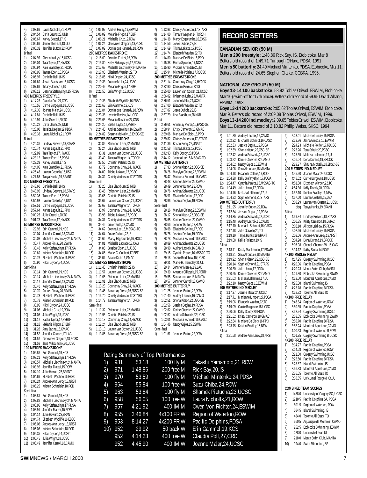4) 2:03.69 Laura Nicholls,21,ROW 5) 2:04.54 Carla Geurts,28,UNB 2:05.67 Karley Stutzel,17,IS 7) 2:05.69 Jaime Theriault,18,GO 8) 2:06.32 Jennifer Button,22,ROW B final 1) 2:04.97 Alexandra Lys,15,UCSC 2) 2:05.04 Tara Taylor,17,HYACK 3) 2:05.94 Kate Brambley 21 PDSA 4) 2:05.95 Tamee Ebert,16,PDSA 5) 2:05.97 Danielle Bell,16,IS 6) 2:07.69 Jessie Bradshaw,16,UCSC 7) 2:07.69 Tiffany Jones,19,IS 8) 2:08.12 Deanna Stefanyshyn,15,PDSA **400 METRES FREESTYLE** 1) 4:14.23 Claudia Poll,27,CRC 2) 4:15.55 Carrie Burgoyne, 18, UCSC<br>3) 4:17.35 Ioanne Malar 24 LICSC 3) 4:17.35 Joanne Malar,24,UCSC 4) 4:17.81 Danielle Bell,16,IS 5) 4:19.99 Julie Gravelle,20,TO 6) 4:20.22 Carla Geurts,28,UNB 7) 4:23.00 Jessica Deglau,19,PDSA 8) 4:23.33 Laura Nicholls,21,ROW B final 1) 4:20.36 Lindsay Beavers,18,STARS 2) 4:20.74 Karine Legault,21,PPO 4:22.89 Tara Taylor, 17, HYACK 4) 4:23.12 Tamee Ebert,16,PDSA 4:23.39 Karley Stutzel,17,IS 6) 4:24.05 Kate Brambley,21,PDSA 7) 4:25.45 Lauren Costella,15,USA 8) 4:27.86 Tanya Hunks,19,BRANT **800 METRES FREESTYLE** 1) 8:43.60 Danielle Bell,16,IS 2) 8:43.95 Lindsay Beavers,18,STARS 3) 8:52.36 Tamee Ebert,16,PDSA 4) 8:54.93 Lauren Costella,15,USA 5) 8:57.51 Carrie Burgoyne,18,UCSC 6) 8:57.64 Karine Legault,21,PPO 7) 9:00.25 Julie Gravelle,20,TO 8) 9:01.78 Tara Taylor,17,HYACK **50 METRES BACKSTROKE** 1) 29.92 Erin Gammel,19,KCS 2) 30.04 Jennifer Carroll,18,CAMO 3) 30.08 Michelle Lischinsky,24,MANTA 4) 30.47 Andrea Finlay, 20, ESWIM<br>5) 30.48 Kelly Stefanyshyn, 17, PDS 5) 30.48 Kelly Stefanyshyn,17,PDSA 6) 30.69 Kristen Schneider,18,ROD 7) 30.76 Elizabeth Wycliffe, 16, EBSC<br>8) 30.90 Nikki Dryden. 24. UCSC 8) 30.90 Nikki Dryden,24,UCSC Semi-final 1) 30.14 Erin Gammel,19,KCS 2) 30.14 Michelle Lischinsky, 24, MANTA<br>3) 30.17 Jennifer Carroll, 18, CAMO 3) 30.17 Jennifer Carroll,18,CAMO 4) 30.40 Kelly Stefanyshyn,17,PDSA 5) 30.70 Andrea Finlay, 20, ESWIM<br>6) 30.73 Elizabeth Wycliffe, 16, EBS 6) 30.73 Elizabeth Wycliffe,16,EBSC 7) 30.78 Kristen Schneider,18,ROD 8) 30.95 Nikki Dryden,24,UCSC 9) 31.06 Michelle Cruz, 19, ROW<br>10) 31.08 Julia Wright 18 UCSC 31.08 Julia Wright,18,UCSC 11) 31.17 Sasha Taylor,17,PERTH 12) 31.18 Melanie Frigon,17,BBF 13) 31.28 Amy Jacina,15,GMAC 14) 31.52 Jennifer Cooper,17,LAC 15) 31.57 Genevieve Gregoire,18,PCSC 16) 31.58 Jane Mikoultchik,20,UCSC **100 METRES BACKSTROKE** 1) 1:02.86 Erin Gammel,19,KCS 2) 1:03.21 Kelly Stefanyshyn,17,PDSA 3) 1:03.57 Michelle Lischinsky,24,MANTA 4) 1:03.92 Jennifer Fratesi,15,ROW 5) 1:04.10 Julie Howard,23,BRANT 6) 1:04.69 Elizabeth Wycliffe,16,EBSC 7) 1:05.24 Andree-Ann Leroy,18,NRST 8) 1:05.25 Kristen Schneider 18, ROD Semi-final 1) 1:03.81 Erin Gammel,19,KCS 2) 1:03.82 Michelle Lischinsky,24,MANTA 3) 1:03.86 Kelly Stefanyshyn, 17, PDSA<br>4) 1:03.91 Jennifer Fratesi 15, ROW 4) 1:03.91 Jennifer Fratesi,15,ROW 5) 1:04.14 Julie Howard,23,BRANT 6) 1:04.74 Elizabeth Wycliffe,16,EBSC 7) 1:05.08 Andree-Ann Leroy, 18, NRST<br>8) 1:05.08 Kristen Schneider 18 ROD 8) 1:05.08 Kristen Schneider, 18, ROD<br>9) 1:05.35 Nikki Dryden. 24. UCSC 9) 1:05.35 Nikki Dryden,24,UCSC 10) 1:05.45 Julia Wright,18,UCSC 11) 1:05.49 Jennifer Carroll,18,CAMO

12) 1:05.97 Andrea Finlay,19,ESWIM 13) 1:06.09 Melanie Frigon,17,BBF 14) 1:06.21 Michelle Cruz,19,ROW 15) 1:06.24 Genevieve Gregoire,18,PCSC 16) 1:07.02 Dominique Kennedy,18,ROW **200 METRES BACKSTROKE** 1) 2:15.69 Jennifer Fratesi,15,ROW 2) 2:15.80 Kelly Stefanyshyn,17,PDSA 3) 2:17.67 Michelle Lischinsky,24,MANTA 4) 2:17.95 Elizabeth Warden,22,TO 5) 2:18.86 Nikki Dryden,24,UCSC 6) 2:19.33 Joanne Malar,24,UCSC 7) 2:20.49 Melanie Frigon,17,BBF 8) 2:21.56 Julia Wright,18,UCSC B final 1) 2:19.38 Elizabeth Wycliffe,16,EBSC 2) 2:21.68 Erin Gammel,19,KCS 3) 2:21.84 Dominique Kennedy,18,ROW 4) 2:23.38 Lynette Bayliss,14,UCSC 5) 2:23.63 Melania Bussiere,27,CNB 6) 2:24.20 Sasha Taylor,17,PERTH 7) 2:24.46 Andrea Szewchuk,16,ESWIM 8) 2:24.89 Shauna McNally,18,EKSC-SE **50 METRES BREASTSTROKE** 1) 32.89 Rhiannon Leier, 22, MANTA<br>2) 33.24 Lisa Blackburn, 28.NKB 2) 33.24 Lisa Blackburn, 28, NKB<br>3) 33.31 Lauren van Oosten. 21.1 3) 33.31 Lauren van Oosten, 21, UCSC<br>4) 33.40 Tamara Wagner. 14. TORCH 4) 33.40 Tamara Wagner, 14, TORCH<br>5) 33.56 Christin Petelski 22.IS 5) 33.56 Christin Petelski,22,IS 6) 33.79 Courtenay Chuy, 14, HYACK<br>7) 34.09 Trisha Lakatos, 17, PCSC 7) 34.09 Trisha Lakatos,17,PCSC 34.32 Christy Anderson, 17, STARS<br>-final Semi-1) 33.26 Lisa Blackburn,28,NKB 2) 33.46 Rhiannon Leier, 22, MANTA<br>3) 33.66 Christin Petelski. 22. IS 3) 33.66 Christin Petelski, 22, IS<br>4) 33.67 Lauren van Oosten, 21, 4) 33.67 Lauren van Oosten,21,UCSC 5) 33.68 Tamara Wagner, 14, TORCH<br>6) 33.97 Courtenay Chuy, 14, HYACK 6) 33.97 Courtenay Chuy, 14, HYACK<br>7) 33.98 Trisha Lakatos, 17, PCSC 7) 33.98 Trisha Lakatos, 17, PCSC<br>8) 34.37 Christy Anderson, 17, STA 8) 34.37 Christy Anderson,17,STARS 9) 34.45 Julie Tardif, 22, CAMO<br>10) 34.62 Joanna Lee, 15, MSSA 34.62 Joanna Lee,15,MSSAC-TO 11) 34.64 Josee Dubois,22,IS 12) 34.66 Marcy Edgecumbe,16,EKSC 13) 34.81 Michelle Laprade, 18, CAG<br>14) 34.85 Jessica Sloan, 17, UCSC 14) 34.85 Jessica Sloan,17,UCSC 15) 34.86 Marie-C. Guilbert,17,BBF 16) 35.04 Ariane Kich,16,GMAC **100 METRES BREASTSTROKE** 1) 1:11.48 Christin Petelski,22,IS 2) 1:11.57 Lauren van Oosten,21,UCSC 3) 1:11.65 Rhiannon Leier, 22, MANTA<br>4) 1:11.91 Lisa Blackburn 28 NKB 4) 1:11.91 Lisa Blackburn,28,NKB 5) 1:13.23 Courtenay Chuy,14,HYACK 6) 1:13.45 Annamay Pierse,16,EKSC-SE 7) 1:13.70 Christy Anderson,17,STARS 8) 1:14.72 Tamara Wagner,14,TORCH Semi-final 1) 1:11.32 Rhiannon Leier,22,MANTA 2) 1:11.95 Christin Petelski,22,IS 3) 1:12.18 Courtenay Chuy,14,HYACK 4) 1:12.24 Lisa Blackburn,28,NKB 5) 1:13.10 Lauren van Oosten,21,UCSC 6) 1:13.85 Annamay Pierse,16,EKSC-SE Rating Summary of To 2) 971 1:48.86 3) 970 53.59 100 fly M Michael Mintenko,24,PDSA 4) 964 55.84 100 free W Suzu Chiba,24,ROW 5) 963 53.84 100 fly M Shamek Pietucha,23,UCSC 6) 958 56.05 100 free W Laura Nicholls,21,ROW

| 7 Andrea Finlay, 19, ESWIM<br>09 Melanie Frigon, 17, BBF<br>1 Michelle Cruz, 19, ROW | 1:13.93 Christy Anderson, 17, STARS<br>7)<br>8)<br>1:14.00 Tamara Wagner, 14, TORCH<br>9)<br>1:14.38 Marcy Edgecumbe, 16, EKSC | <b>RECORDS</b>                                             |
|--------------------------------------------------------------------------------------|--------------------------------------------------------------------------------------------------------------------------------|------------------------------------------------------------|
| !4 Genevieve Gregoire, 18, PCSC<br>2 Dominique Kennedy, 18, ROW                      | 10)<br>1:14.56 Josee Dubois, 22, IS<br>11)<br>1:14.69 Trisha Lakatos, 17, PCSC                                                 | <b>CANADIAN SENK</b>                                       |
| ES BACKSTROKE                                                                        | 12)<br>1:14.74 Elizabeth Warden, 22, TO                                                                                        |                                                            |
| 9 Jennifer Fratesi, 15, ROW                                                          | 13)<br>1:14.80 Marieve De Blois, 16, PPO                                                                                       | Men's 200 freest                                           |
| 0 Kelly Stefanyshyn, 17, PDSA                                                        | 14)<br>1:15.38 Emma Spooner, 17, NCSA                                                                                          | Betters old record o                                       |
| 7 Michelle Lischinsky,24,MANTA                                                       | 15)<br>1:15.90 Victoria Arrandale, 20, IS                                                                                      | Men's 50 butterfl                                          |
| 5 Elizabeth Warden, 22, TO                                                           | 16)<br>1:15.94 Michelle Poirier, 17, RDCSC                                                                                     | Betters old record o                                       |
| 86 Nikki Dryden,24,UCSC                                                              | <b>200 METRES BREASTSTROKE</b>                                                                                                 |                                                            |
| 13<br>Joanne Malar, 24, UCSC                                                         | 1)<br>2:31.14 Courtenay Chuy, 14, HYACK                                                                                        | NATIONAL AGE (                                             |
| 9 Melanie Frigon, 17, BBF                                                            | 2)<br>2:32.90 Christin Petelski, 22, IS<br>3)                                                                                  | Boys 13-14 100 b                                           |
| 6 Julia Wright,18,UCSC                                                               | 2:35.00 Lauren van Oosten, 21, UCSC<br>4)<br>2:36.02 Rhiannon Leier, 22, MANTA                                                 |                                                            |
| 8 Elizabeth Wycliffe,16,EBSC                                                         | 5)<br>2:36.61 Joanne Malar, 24, UCSC                                                                                           | Mar 10 (swim-off fo                                        |
| 8 Erin Gammel,19,KCS                                                                 | 6)<br>2:37.00 Elizabeth Warden, 22, TO                                                                                         | ESWIM, 1998.                                               |
| 4 Dominique Kennedy, 18, ROW                                                         | 7)<br>2:37.07 Josee Dubois, 22, IS                                                                                             | Boys 13-14 200 b                                           |
| 8 Lynette Bayliss, 14, UCSC                                                          | 8)<br>2:37.79 Lisa Blackburn, 28, NKB                                                                                          | Mar 9. Betters old r                                       |
| 3 Melania Bussiere,27,CNB                                                            | B final                                                                                                                        | Boys 13-14 200 in                                          |
| 0 Sasha Taylor,17,PERTH                                                              | 1)<br>2:36.61 Annamay Pierse, 16, EKSC-SE                                                                                      | Mar 11. Betters old                                        |
| 16 Andrea Szewchuk, 16, ESWIM                                                        | 2)<br>2:38.94 Kristy Cameron, 18, GMAC                                                                                         |                                                            |
| 9 Shauna McNally,18,EKSC-SE<br>S BREASTSTROKE                                        | 3)<br>2:39.06 Marieve De Blois, 16, PPO<br>4)<br>2:39.82 Christy Anderson, 17, STARS                                           | 1:01.80 Audrey Lacr<br>2)                                  |
| 9 Rhiannon Leier, 22, MANTA                                                          | 5)<br>2:41.36 Kristin Keery, 22, UNATT                                                                                         | 3)<br>1:02.22 Michaela Sc                                  |
| !4   Lisa Blackburn,28,NKB                                                           | 6)<br>2:41.58 Trisha Lakatos, 17, PCSC                                                                                         | 4)<br>1:02.33<br>Jessica Deq<br>5)<br>1:02.39 Shona Kitso  |
| 11 Lauren van Oosten, 21, UCSC                                                       | 7)<br>2:42.93 Kelly Doody, 20, PDSA                                                                                            | 6)<br>1:02.42 Andrea Schy                                  |
| 0 Tamara Wagner, 14, TORCH                                                           | 8)<br>2:44.12 Joanna Lee, 15, MSSAC-TO                                                                                         | 7)<br>1:03.22 Karine Chev                                  |
| 6 Christin Petelski, 22, IS                                                          | 50 METRES BUTTERFLY                                                                                                            | 8)<br>1:04.02 Nancy Gajos                                  |
| 9 Courtenay Chuy, 14, HYACK                                                          | 1)<br>27.93 Shona Kitson, 22, OSC-SE                                                                                           | 9)<br>1:04.06 Sara Alroub                                  |
| 09 Trisha Lakatos, 17, PCSC                                                          | 2)<br>28.26 Marylyn Chiang, 22, ESWIM                                                                                          | 10)<br>1:04.18 Elizabeth Co                                |
| 2 Christy Anderson, 17, STARS                                                        | 3)<br>28.47 Michaela Schmidt, 16, CASC<br>4)<br>28.48 Karine Chevrier, 22, CAMO                                                | 11)<br>1:04.38 Kelly Stefan                                |
| 6 Lisa Blackburn, 28, NKB                                                            | 5)<br>28.49 Jennifer Button, 22, ROW                                                                                           | 12)<br>1:04.47<br>Cynthia Pea                              |
| 16 Rhiannon Leier, 22, MANTA                                                         | 6)<br>28.76 Andrea Schwartz, 22, UCSC                                                                                          | 13)<br>1:04.49<br>Julie Unrau,<br>1:04.76 Melissa Lafl     |
| 6 Christin Petelski,22,IS                                                            | 7)<br>28.91 Elizabeth Collins, 17, ROD                                                                                         | (14)<br>15)<br>1:04.93 Sophie Emo                          |
| 7 Lauren van Oosten, 21, UCSC                                                        | 8)<br>28.96 Jessica Deglau, 19, PDSA                                                                                           | <b>200 METRES BUTTERFL</b>                                 |
| 8 Tamara Wagner, 14, TORCH                                                           | Semi-final                                                                                                                     | 1)<br>2:11.95 Jennifer But                                 |
| 7 Courtenay Chuy, 14, HYACK                                                          | 1)<br>28.16 Marylyn Chiang, 22, ESWIM                                                                                          | 2)<br>2:12.34 Jessica Deg                                  |
| 08 Trisha Lakatos, 17, PCSC<br>17 Christy Anderson, 17, STARS                        | 2)<br>28.17 Shona Kitson, 22, OSC-SE<br>3)<br>28.65 Karine Chevrier, 22, CAMO                                                  | 3)<br>2:14.35 Andrea Schy                                  |
| 5 Julie Tardif,22,CAMO                                                               | 4)<br>28.66 Jennifer Button, 22, ROW                                                                                           | 4)<br>2:15.48 Audrey Lacr                                  |
| 2 Joanna Lee,15,MSSAC-TO                                                             | 5)<br>28.68 Elizabeth Collins, 17, ROD                                                                                         | 5)<br>2:17.10 Michaela Sc                                  |
| Josee Dubois, 22, IS<br>ı4                                                           | 6)<br>28.76 Jessica Deglau, 19, PDSA                                                                                           | 6)<br>2:17.18 Julie Gravel<br>7)<br>2:19.19 Tanya Hunk     |
| 6 Marcy Edgecumbe, 16, EKSC                                                          | 7)<br>28.78 Michaela Schmidt, 16, CASC                                                                                         | 8)<br>2:19.68 Kellie Rolsto                                |
| 11 Michelle Laprade, 18, CAG                                                         | 8)<br>28.89 Andrea Schwartz, 22, UCSC                                                                                          | <b>B</b> final                                             |
| 15 Jessica Sloan,17,UCSC                                                             | 9)<br>28.90 Audrey Lacroix, 16, CAMO                                                                                           | 1)<br>2:18.71<br>Kristy MacL                               |
| 6 Marie-C. Guilbert, 17, BBF                                                         | 29.15 Cynthia Pearce, 16, MSSAC-TO<br>10)                                                                                      | 2)<br>2:18.91<br>Sara Alroub                               |
| 14 Ariane Kich, 16, GMAC<br>ES BREASTSTROKE                                          | 29.18 Jessie Bradshaw, 15, UCSC<br>11)<br>12)<br>29.21 Marie-H. Tremblay, 21, UL                                               | 3)<br>2:19.92 Shona Kitso                                  |
| 18 Christin Petelski,22,IS                                                           | 13)<br>29.34 Jennifer Manley, 19, LAC                                                                                          | 4)<br>2:20.14<br>Sophie Emo                                |
| 7 Lauren van Oosten, 21, UCSC                                                        | 29.39 Amanda Gillespie, 15, PERTH<br>14)                                                                                       | 5)<br>2:20.30<br>Julie Unrau,<br>6)<br>2:20.65 Karine Chev |
| 5 Rhiannon Leier,22,MANTA                                                            | 15)<br>29.55 Sara Alroubaie, 18, MANTA                                                                                         | 7)<br>2:21.03 Melissa Lafl                                 |
| <sup>1</sup> 1 Lisa Blackburn.28.NKB                                                 | 29.57 Jennifer Carroll, 18, CAMO<br>16)                                                                                        | 8)<br>2:22.10 Nancy Gajos                                  |
| '3 Courtenay Chuy, 14, HYACK                                                         | <b>100 METRES BUTTERFLY</b>                                                                                                    | 200 METRES IND.MEDL                                        |
| 5 Annamay Pierse, 16, EKSC-SE<br>0 Christy Anderson, 17, STARS                       | 1)<br>1:01.25 Jennifer Button, 22, ROW<br>2)                                                                                   | 1)<br>2:17.37 Joanne Mala                                  |
| 2 Tamara Wagner, 14, TORCH                                                           | 1:01.40 Audrey Lacroix, 16, CAMO<br>3)<br>1:02.51 Shona Kitson, 22, OSC-SE                                                     | 2)<br>2:17.71 Marianne Li                                  |
|                                                                                      | 1:02.56 Jessica Deglau, 19, PDSA<br>4)                                                                                         | 3)<br>2:19.06 Elizabeth Wa                                 |
| 2 Rhiannon Leier, 22, MANTA                                                          | 5)<br>1:02.62 Karine Chevrier, 22, CAMO                                                                                        | 4)<br>2:19.09 Carrie Burgo<br>2:20.06 Kelly Doody          |
| 05 Christin Petelski,22,IS                                                           | 1:02.62 Andrea Schwartz, 22, UCSC<br>6)                                                                                        | 5)<br>2:21.52<br>6)<br>Kristy Came                         |
| 8 Courtenay Chuy, 14, HYACK                                                          | 7)<br>1:03.01 Michaela Schmidt, 16, CASC                                                                                       | 7)<br>2:22.64<br>Marieve De                                |
| !4 Lisa Blackburn,28,NKB                                                             | 8)<br>1:04.46 Nancy Gajos, 15, ESWIM                                                                                           | 2:23.75 Kristen Brad<br>8)                                 |
| 0 Lauren van Oosten, 21, UCSC                                                        | Semi-final                                                                                                                     | B final                                                    |
| 85 Annamay Pierse, 16, EKSC-SE                                                       | 1:01.61 Jennifer Button, 22, ROW<br>1)                                                                                         | 1)<br>2:21.58 Andree-Ann                                   |
|                                                                                      |                                                                                                                                |                                                            |
| Rating Summary of Top Performances<br>981<br>53.18<br>1)                             | 100 fly M                                                                                                                      | Takashi Yamamoto, 21, ROW                                  |
| 2)<br>971<br>1:48.86                                                                 | 200 free M<br>Rick Say, 20, IS                                                                                                 |                                                            |

7) 957 4:21.92 400 IM M Owen Von Richter,24,ESWIM 8) 955 3:46.84 4x100 FR W Region of Waterloo,ROW 9) 953 8:14.27 4x200 FR W Pacific Dolphins,PDSA 10) 952 29.92 50 back W Erin Gammel,19,KCS 952 4:14.23 400 free W Claudia Poll,27,CRC 952 4:45.90 400 IM W Joanne Malar,24,UCSC

### **RECORD SETTERS**

### **CANADIAN SENIOR (50 M)**

**Men's 200 freestyle:** 1:48.86 Rick Say, IS, Etobicoke, Mar 8 s old record of 1:49.71 Turlough O'Hare, PDSA, 1991. **Men's 50 butterfly:** 24.40 Michael Mintenko, PDSA, Etobicoke, Mar 11. s old record of 24.65 Stephen Clarke, COBRA, 1996.

### **NONAL AGE GROUP (50 M)**

**Boys 13-14 100 backstroke:** 58.92 Tobias Oriwol, ESWIM, Etobicoke, 0 (swim-off for 17th place). Betters old record of 59.95 David Whang, M. 1998.

**Boys 13-14 200 backstroke:**2:05.62 Tobias Oriwol, ESWIM, Etobicoke, . Betters old record of 2:09.08 Tobias Oriwol, ESWIM, 1999. **Boys 13-14 200 ind.medley:**2:09.65 Tobias Oriwol, ESWIM, Etobicoke, 1. Betters old record of 2:10.82 Philip Weiss, SKSC, 1994.

| 2)             | 1:01.80 Audrey Lacroix, 16, CAMO     | 2)      | 2:23.01          | Michelle Landry, 15, PDSA          |
|----------------|--------------------------------------|---------|------------------|------------------------------------|
| 3)             | 1:02.22 Michaela Schmidt, 16, CASC   | 3)      |                  | 2:23.76 Jenna Gresdal, 15, ESWIM   |
| 4)             | 1:02.33 Jessica Deglau, 19, PDSA     | 4)      | 2:24.23          | Michelle Poirier, 17, RDCSC        |
| 5)             | 1:02.39 Shona Kitson, 22, OSC-SE     | 5)      |                  | 2:25.26 Tara Schulz, 20, PCSC      |
| 6)             | 1:02.42 Andrea Schwartz, 22, UCSC    | 6)      | 2:25.35          | Melissa Laflamme, 17, UL           |
| 7)             | 1:03.22 Karine Chevrier, 22, CAMO    | 7)      |                  | 2:26.04 Dena Durand, 19, BROCK     |
| 8)             | 1:04.02 Nancy Gajos, 15, ESWIM       | 8)      |                  | 2:29.27 Shauna McNally, 18, EKSC-  |
| 9)             | 1:04.06 Sara Alroubaie, 18, MANTA    |         |                  | 400 METRES IND.MEDLEY              |
| 10)            | 1:04.18 Elizabeth Collins, 17, ROD   | 1)      |                  | 4:45.90 Joanne Malar, 24, UCSC     |
| 11)            | 1:04.38 Kelly Stefanyshyn, 17, PDSA  | 2)      |                  | 4:48.62 Carrie Burgoyne, 18, UCSC  |
| 12)            | 1:04.47 Cynthia Pearce, 16, MSSAC-TO | 3)      |                  | 4:51.88 Elizabeth Warden, 22, TO   |
| 13)            | 1:04.49 Julie Unrau, 17, PDSA        | 4)      |                  | 4:54.36 Kelly Doody, 20, PDSA      |
| 14)            | 1:04.76 Melissa Laflamme, 17, UL     | 5)      | 4:57.10          | Kristen Bradley, 16, NEW           |
| 15)            | 1:04.93 Sophie Emond, 21, STARS      | 6)      |                  | 4:57.60 Lauren Costella, 15, USA   |
|                | 200 METRES BUTTERFLY                 | 7)      | 5:03.99          | Lauren van Oosten, 21, UCS         |
| 1)             | 2:11.95 Jennifer Button, 22, ROW     |         |                  | disq Tanya Hunks, 19, BRANT        |
| 2)             | 2:12.34 Jessica Deglau, 19, PDSA     | B final |                  |                                    |
| 3)             | 2:14.35 Andrea Schwartz, 22, UCSC    | 1)      | 4:59.34          | Lindsay Beavers, 18, STARS         |
| 4)             | 2:15.48 Audrey Lacroix, 16, CAMO     | 2)      |                  | 5:00.85 Kristy Cameron, 18, GMAC   |
| 5)             | 2:17.10 Michaela Schmidt, 16, CASC   | 3)      |                  | 5:02.18 Allison Laidlow, 15, PDSA  |
| 6)             | 2:17.18 Julie Gravelle, 20, TO       | 4)      | 5:02.66          | Michelle Landry, 15, PDSA          |
| 7)             | 2:19.19 Tanya Hunks, 19, BRANT       | 5)      |                  | 5:02.66 Andree-Ann Leroy, 18, NRS1 |
| 8)             | 2:19.68 Kellie Rolston, 19, IS       | 6)      |                  | 5:04.28 Dena Durand, 19, BROCK     |
| <b>B</b> final |                                      | 7)      |                  | 5:06.98 Chanell Charron-W., 15, CA |
| 1)             | 2:18.71 Kristy MacLennan, 17, ESWIM  | 8)      |                  | 5:14.12 Kathy Siuda, 14, ROW       |
| 2)             | 2:18.91 Sara Alroubaie, 18, MANTA    |         |                  | 4X100 MEDLEY RELAY                 |
| 3)             | 2:19.92 Shona Kitson, 22, OSC-SE     | 1)      |                  | 4:17.25 Calgary Swimming, UCSC     |
| 4)             | 2:20.14 Sophie Emond, 21, STARS      | 2)      |                  | 4:20.06 Pacific Dolphins, PDSA     |
| 5)             | 2:20.30 Julie Unrau, 17, PDSA        | 3)      |                  | 4:20.23 Manta Swim Club, MANTA     |
| 6)             | 2:20.65 Karine Chevrier, 22, CAMO    | 4)      |                  | 4:21.30 Etobicoke Swimming, ESWI   |
| 7)             | 2:21.03 Melissa Laflamme, 17, UL     | 5)      | 4:23.50          | Montreal Aquatique, CAMO           |
| 8)             | 2:22.10 Nancy Gajos, 15, ESWIM       | 6)      |                  | 4:25.58 Island Swimming, IS        |
|                | 200 METRES IND.MEDLEY                | 7)      | 4:25.78          | Pacific Dolphins B, PDSA           |
| 1)             | 2:17.37 Joanne Malar, 24, UCSC       | 8)      |                  | 4:28.72 Toronto All Stars, TO      |
| 2)             | 2:17.71 Marianne Limpert, 27, PDSA   |         | 4X100 FREE RELAY |                                    |
| 3)             | 2:19.06 Elizabeth Warden, 22, TO     | 1)      | 3:46.84          | Region of Waterloo, ROW            |
| 4)             | 2:19.09 Carrie Burgoyne, 18, UCSC    | 2)      | 3:50.35          | Pacific Dolphins, PDSA             |
| 5)             | 2:20.06 Kelly Doody, 20, PDSA        | 3)      | 3:52.94          | Calgary Swimming, UCSC             |
| 6)             | 2:21.52 Kristy Cameron, 18, GMAC     | 4)      | 3:53.65          | Etobicoke Swimming, ESWI           |
| 7)             | 2:22.64 Marieve De Blois, 16, PPO    | 5)      | 3:56.70          | Pacific Dolphins B, PDSA           |
| 8)             | 2:23.75 Kristen Bradley, 16, NEW     | 6)      | 3:57.24          | Montreal Aquatique, CAMO           |
| B final        |                                      | 7)      | 4:00.53          | Region of Waterloo B, ROW          |
| 1)             | 2:21.58 Andree-Ann Leroy, 18, NRST   | 8)      |                  | 4:01.95 Calgary Swimming B,UCSO    |
|                |                                      |         | 4X200 FREE RELAY |                                    |
|                |                                      | 1)      | 8:14.27          | Pacific Dolphins, PDSA             |
|                |                                      | 2)      | 8:14.58          | Region of Waterloo, ROW            |
|                |                                      |         |                  |                                    |

| 5)             | 2:25.26          | Tara Schulz,20,PCSC            |
|----------------|------------------|--------------------------------|
|                |                  |                                |
| 6)             | 2:25.35          | Melissa Laflamme, 17, UL       |
| 7)             | 2:26.04          | Dena Durand, 19, BROCK         |
| 8)             | 2:29.27          | Shauna McNally, 18, EKSC-SE    |
|                |                  | 400 METRES IND.MEDLEY          |
| 1)             | 4:45.90          | Joanne Malar, 24, UCSC         |
| 2)             | 4:48.62          | Carrie Burgoyne, 18, UCSC      |
| 3)             | 4:51.88          | Elizabeth Warden, 22, TO       |
| 4)             | 4:54.36          | Kelly Doody, 20, PDSA          |
| 5)             | 4:57.10          | Kristen Bradley, 16, NEW       |
| 6)             | 4:57.60          | Lauren Costella, 15, USA       |
| 7)             | 5:03.99          | Lauren van Oosten, 21, UCSC    |
|                | disq             | Tanya Hunks, 19, BRANT         |
| <b>B</b> final |                  |                                |
| 1)             | 4:59.34          | Lindsay Beavers, 18, STARS     |
| 2)             | 5:00.85          | Kristy Cameron, 18, GMAC       |
| 3)             | 5:02.18          | Allison Laidlow, 15, PDSA      |
| 4)             | 5:02.66          | Michelle Landry, 15, PDSA      |
| 5)             | 5:02.66          | Andree-Ann Leroy, 18, NRST     |
| 6)             | 5:04.28          | Dena Durand, 19, BROCK         |
| 7)             | 5:06.98          | Chanell Charron-W., 15, CAG    |
| 8)             | 5:14.12          | Kathy Siuda, 14, ROW           |
|                |                  | 4X100 MEDLEY RELAY             |
| 1)             | 4:17.25          | Calgary Swimming, UCSC         |
| 2)             | 4:20.06          | Pacific Dolphins, PDSA         |
| 3)             | 4:20.23          | Manta Swim Club, MANTA         |
| 4)             | 4:21.30          | Etobicoke Swimming, ESWIM      |
| 5)             | 4:23.50          | Montreal Aquatique, CAMO       |
| 6)             | 4:25.58          | Island Swimming, IS            |
| 7)             | 4:25.78          | Pacific Dolphins B, PDSA       |
| 8)             | 4:28.72          | Toronto All Stars, TO          |
|                | 4X100 FREE RELAY |                                |
| 1)             | 3:46.84          | Region of Waterloo, ROW        |
| 2)             | 3:50.35          | Pacific Dolphins, PDSA         |
| 3)             | 3:52.94          | Calgary Swimming, UCSC         |
| 4)             | 3:53.65          | Etobicoke Swimming, ESWIM      |
| 5)             | 3:56.70          | Pacific Dolphins B, PDSA       |
| 6)             | 3:57.24          | Montreal Aquatique, CAMO       |
| 7)             | 4:00.53          | Region of Waterloo B, ROW      |
| 8)             | 4:01.95          | Calgary Swimming B, UCSC       |
|                | 4X200 FREE RELAY |                                |
| 1)             | 8:14.27          | Pacific Dolphins, PDSA         |
| 2)             | 8:14.58          | Region of Waterloo, ROW        |
| 3)             | 8:21.80          | Calgary Swimming, UCSC         |
| 4)             | 8:25.50          | Pacific Dolphins B, PDSA       |
| 5)             | 8:28.87          | Island Swimming, IS            |
| 6)             | 8:36.33          | Montreal Aquatique, CAMO       |
| 7)             | 8:36.65          | Toronto All Stars, TO          |
| 8)             | 8:38.65          | Univ.Laval Rouge & Or, UL      |
|                |                  |                                |
|                |                  | COMBINED TEAM SCORES           |
| 1)             | 1468.0           | University of Calgary SC, UCSC |
|                |                  |                                |
| 2)             | 1218.5           | Pacific Dolphins SA, PDSA      |
| 3)             | 801.5            | Region of Waterloo, ROW        |
| 4)             | 584.5            | Island Swimming, IS            |
| 5)             | 434.0            | Toronto All Stars, TO          |
| 6)             | 360.5            | Aquatique de Montreal, CAMO    |
|                |                  |                                |
| 7)             | 252.5            | Etobicoke Swimming, ESWIM      |
| 8)             | 228.0            | Universite Laval, UL           |
| 9)             | 218.0            | Manta Swim Club, MANTA         |
| 10)            | 194.0            | Swim Edmonton, SE              |
|                |                  |                                |
|                |                  |                                |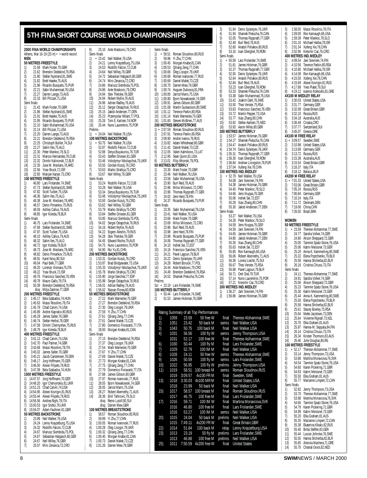### <span id="page-7-0"></span>**5TH FINA SHORT COURSE WORLD CHAMF**

|                                  | 2000 FINA WORLD CHAMPIONSHIPS<br>Athens, Mar 16-19 (25 m) • = world record                  |
|----------------------------------|---------------------------------------------------------------------------------------------|
| men                              |                                                                                             |
| 1)                               | 50 METRES FREESTYLE<br>21.58 Mark Foster, 70, GBR                                           |
| 2)                               | 21.62 Brendon Dedekind, 76, RSA                                                             |
| 3)                               | 21.80 Stefan Nystrand, 81, SWE<br>21.82 Brett Hawke, 75, AUS                                |
| 4)                               |                                                                                             |
| 5)<br>6)                         | 21.96 Ricardo Busquets, 75, PUR                                                             |
| 7)                               | 22.21 Sabir Muhammad, 76, USA<br>22.27 Darren Lange, 73, AUS<br>22.33 Bill Pilczuk, 71, USA |
| 8)                               |                                                                                             |
| Semi finals                      |                                                                                             |
| 1)<br>21.43<br>2)<br>21.86       | Mark Foster, 70, GBR<br>Stefan Nystrand, 81, SWE                                            |
| 3)                               | 21.91 Brett Hawke, 75, AUS                                                                  |
| 4)                               | 21.95 Ricardo Busquets, 75, PUR                                                             |
| 5)                               | 21.75 Kidardo Basquets, 75,1 6K                                                             |
| 6)<br>22.14<br>7)                | Bill Pilczuk, 71, USA                                                                       |
| 8)                               | 22.20 Darren Lange, 73, AUS<br>22.21 Brendon Dedekind, 76, RSA                              |
| 9)<br>22.25<br>22.27             | Christoph Buhler, 74, SUI                                                                   |
| 10)<br>22.27<br>11)              | Salim Iles, 75, ALG                                                                         |
| 22.30<br>12)<br>22.31            | Peter Mankoc, 78, SLO<br>Marcos Hernandez, 78, CUB                                          |
| 13)<br>22.32                     | Dimitri Kalinovski, 72, BLR                                                                 |
| (14)<br>22.35                    | Jose M. Meolans, 78, ARG                                                                    |
| 15)<br>22.56                     | Yoav Bruck,72,ISR                                                                           |
| 16)<br>22.65                     | Marijan Kanjer, 73, CRO<br>100 METRES FREESTYLE                                             |
| 1)<br>46.80                      | Lars Frolander, 74, SWE                                                                     |
| 2)<br>47.73                      | Stefan Nystrand,81,SWE                                                                      |
| 3)<br>47.82                      | Scott Tucker,75,USA                                                                         |
| 4)<br>48.36<br>5)<br>48.38       | Salim Iles,75,ALG<br>Jose M. Meolans, 78, ARG                                               |
| 48.57<br>6)                      | Denis Pimankov, 75, RUS                                                                     |
| 48.59<br>7)                      | Ashley Callus, 79, AUS                                                                      |
| 8)<br>48.85<br>Semi-finals       | lgor Koleda,78,BLR                                                                          |
| 1)<br>46.75                      | Lars Frolander, 74, SWE                                                                     |
| 2)<br>47.69                      | Stefan Nystrand, 81, SWE                                                                    |
| 3)<br>47.97                      | Scott Tucker,75,USA                                                                         |
| 4)<br>48.10<br>5)<br>48.32       | Ashley Callus,79,AUS                                                                        |
| 6)<br>48.72                      | Salim Iles,75,ALG<br>Igor Koleda, 78, BLR                                                   |
| 48.73<br>7)                      | Jose M. Meolans, 78, ARG                                                                    |
| 8)<br>48.82                      | Denis Pimankov, 75, RUS                                                                     |
| 9)<br>48.91<br>10)<br>49.04      | Karel Novy, 80, SUI<br>Paul Belk, 77, GBR                                                   |
| 11)<br>49.20                     | Lorenzo Vismara, 75, ITA                                                                    |
| 12)<br>49.22                     | Yoav Bruck, 72, ISR                                                                         |
| 13)                              | 49.76 Francisco Sanchez, 76, VEN                                                            |
| 14)<br>15)<br>50.39              | 49.78 Mauro Gallo, 79, ITA<br>Brendon Dedekind, 76, RSA                                     |
| disq                             | Mitja Zastrow,77,GER                                                                        |
|                                  | <b>200 METRES FREESTYLE</b>                                                                 |
| 1)<br>1:45.17<br>2)              | Bela Szabados, 74, HUN<br>1:45.63 Massi Rosolino, 78, ITA                                   |
| 3)                               | 1:45.79 Chad Carvin, 74, USA                                                                |
| 4)                               | 1:45.89 Andrei Kapralov, 80, RUS                                                            |
| 5)<br>1:46.29                    | James Salter, 76, GBR                                                                       |
| 6)<br>1:46.74<br>1:47.58<br>7)   | Stefan Herbst, 78, GER<br>Dimitri Chernyshev, 75, RUS                                       |
| 8)<br>1:49.79                    | Igor Koleda, 78, BLR                                                                        |
|                                  | <b>400 METRES FREESTYLE</b>                                                                 |
| 1)<br>3:41.13                    | Chad Carvin, 74, USA                                                                        |
| 2)<br>3:42.70<br>3)<br>3:43.68   | Paul Palmer, 74, GBR<br>Massi Rosolino, 78, ITA                                             |
| 4)<br>3:45.02                    | James Salter, 76, GBR                                                                       |
| 5)<br>3:45.21                    | Jacob Carstensen, 78, DEN                                                                   |
| 6)<br>3:46.17                    | Jorg Hoffmann, 70, GER                                                                      |
| 7)<br>3:46.50<br>8)<br>3:47.09   | Alexei Filipets, 78, RUS<br>Bela Szabados, 74, HUN                                          |
|                                  | <b>1500 METRES FREESTYLE</b>                                                                |
| 1)<br>14:47.57                   | Jorg Hoffmann, 70, GER                                                                      |
| 2)<br>14:48.20                   | Igor Chervynskiy,81,UKR                                                                     |
| 3)<br>14:51.23<br>4)<br>14:54.95 | Chad Carvin, 74, USA<br>Alexei Kovrigin, 81, RUS                                            |
| 5)<br>14:55.44                   | Alexei Filipets, 78, RUS                                                                    |
| 6)<br>14:56.56                   | Andrea Righi, 79, ITA                                                                       |
| 7)<br>15:00.53                   | lgor Snitko,78,UKR                                                                          |
| 8)<br>15:04.07                   | Adam Faulkner,81,GBR<br>50 METRES BACKSTROKE                                                |
| 1)<br>23.99                      | Neil Walker, 76, USA                                                                        |
| 2)<br>24.24                      | Lenny Krayzelburg, 75, USA                                                                  |
| 3)<br>24.32<br>4)<br>24.67       | Rodolfo Falcon, 72, CUB<br>Mariusz Siembida, 75, POL                                        |
| 5)<br>24.67                      | Sebastian Halgasch, 80, GER                                                                 |
| 6)<br>24.67                      | Neil Willey,76,GBR                                                                          |
| 25.07<br>7)                      | Miro Zeravica, 72, CRO                                                                      |

| 8)                                                     | 25.10                                      | Ante Maskovic, 79, CRO                                |
|--------------------------------------------------------|--------------------------------------------|-------------------------------------------------------|
|                                                        | Semi-finals                                |                                                       |
| 1)<br>2)                                               | $\cdot$ 23.42                              | Neil Walker, 76, USA                                  |
| 3)                                                     | 24.21<br>24.53                             | Lenny Krayzelburg, 75, USA<br>Rodolfo Falcon, 72, CUB |
| 4)                                                     | 24.64                                      | Neil Willey, 76, GBR                                  |
| 5)                                                     | 24.72                                      | Sebastian Halgasch,80,GER                             |
| 6)                                                     | 24.74                                      | Miro Zeravica,72,CRO                                  |
| 7)                                                     |                                            | 24.86 Mariusz Siembida, 75, POL                       |
| 8)                                                     | 24.86                                      | Ante Maskovic, 79, CRO                                |
| 9)<br>10)                                              | 24.94<br>24.94                             | Stev Theloke, 78, GER<br>Robert Wyllie, 76, AUS       |
| 11)                                                    | 24.96                                      | Adrian Radley, 76, AUS                                |
| 12)                                                    | 25.12                                      | Sergei Ostapchuk, 76, RUS                             |
| 13)                                                    | 25.15                                      | Jakob Andersen, 77, DEN                               |
| 14)                                                    | 25.23                                      | Przemyslav Wilant, 77, POL                            |
| 15)                                                    | 25.26                                      | Tom E. Karlsen, 74, NOR                               |
| 16)                                                    | 25.44                                      | Nuno Laurentino, 75, POR                              |
| Prelims                                                |                                            |                                                       |
| 1)                                                     | $\cdot$ 24.04                              | Neil Walker,76,USA<br>100 METRES BACKSTROKE           |
| 1)                                                     | • 50.75                                    | Neil Walker, 76, USA                                  |
| 2)                                                     | 52.87                                      | Rodolfo Falcon, 72, CUB                               |
| 3)                                                     |                                            | 52.88 Derya Buyukuncu,76,TUR                          |
| 4)                                                     | 53.43                                      | Steffen Driesen,81,GER                                |
| 5)                                                     | 53.46                                      | Volodymyr Nikolaychuk, 75, UKR                        |
| 6)<br>7)                                               |                                            | 53.55 Gordan Kozulj, 76, CRO                          |
| 8)                                                     | 53.63<br>53.67                             | Marko Strahija, 75, CRO                               |
|                                                        |                                            | Neil Willey, 76, GBR                                  |
|                                                        | Semi-finals<br>1)            53.2<br>53.24 | Rodolfo Falcon, 72, CUB                               |
| 2)                                                     | 53.28                                      | Neil Walker, 76, USA                                  |
| 3)                                                     | 53.34                                      | Derya Buyukuncu, 76, TUR                              |
| 4)                                                     | 53.48                                      | Volodymyr Nikolaychuk,75,UKR                          |
| 5)                                                     | 53.50<br>53.62                             | Gordan Kozulj,76,CRO                                  |
| 6)<br>7)                                               | 53.79                                      | Neil Willey,76,GBR<br>Marko Strahija, 75, CRO         |
| 8)                                                     | 53.84                                      | Steffen Driesen,81,GER                                |
| 9)                                                     | 53.85                                      | Mariusz Siembida,75,POL                               |
| 10)                                                    | 54.02                                      | Sergei Ostapchuk,76,RUS                               |
| 11)                                                    | 54.16                                      | Robert Wyllie, 76, AUS                                |
| 12)                                                    | 54.22                                      | Evgeni Aleshin, 79, RUS                               |
| 13)                                                    | 54.28                                      | Stev Theloke,78,GER                                   |
| 14)                                                    | 54.45                                      | Edward Roche, 79, AUS                                 |
|                                                        |                                            |                                                       |
| 15)                                                    | 54.75                                      | Nuno Laurentino, 75, POR                              |
| 16)                                                    | 54.90                                      | Rui Yu,81,CHN<br>200 METRES BACKSTROKE                |
| 1)                                                     | 1:53.31                                    | Gordan Kozulj, 76, CRO                                |
| 2)                                                     | 1:53.87                                    | Brad Bridgewater, 73, USA                             |
| 3)                                                     | 1:55.33                                    | Volodymyr Nikolaychuk, 75, UKR                        |
| 4)                                                     | 1:55.78                                    | Marko Strahija, 75, CRO                               |
|                                                        | 1:55.90                                    | Jorge Sanchez, 77, ESP                                |
| 5)<br>6)                                               | 1:55.99                                    | Sergei Ostapchuk,76,RUS<br>Adrian Radley, 76, AUS     |
| 7)<br>8)                                               | 1:56.01<br>1:56.62                         | Razvan Florea, 80, ROM                                |
|                                                        |                                            | 50 METRES BREASTSTROKE                                |
| 1)                                                     |                                            | 27.22 Mark Warnecke, 70, GER                          |
| 2)                                                     | 27.27                                      | Brendon Dedekind, 76, RSA                             |
|                                                        | 27.30                                      | Oleg Lisogor, 79, UKR                                 |
| 3)<br>4)                                               | 27.59                                      | Yi Zhu,77,CHN                                         |
|                                                        | 27.61<br>27.61                             | Qiliang Zeng, 77, CHN<br>Daniel Malek, 73, CZE        |
|                                                        | 27.80                                      | Domenico Fioravanti, 77, ITA                          |
|                                                        | 28.00                                      | Morgan Knabe,81,CAN                                   |
| 5)<br>6)<br>7)<br>8)                                   | Semi-finals                                |                                                       |
| .<br>1)                                                | 27.13                                      | Brendon Dedekind.76.RSA                               |
| 2)                                                     | 27.37                                      | Oleg Lisogor, 79, UKR                                 |
| 3)<br>4)                                               | 27.54<br>27.67                             | Mark Warnecke, 70, GER<br>Yi Zhu, 77, CHN             |
| 5)                                                     | 27.69                                      | Daniel Malek, 73, CZE                                 |
|                                                        | 27.73                                      | Morgan Knabe,81,CAN                                   |
| 6)<br>7)                                               | 27.75                                      | Qiliang Zeng, 77, CHN                                 |
| 8)                                                     | 27.79                                      | Domenico Fioravanti, 77, ITA                          |
| 9)                                                     | 27.88                                      | James Gibson, 80, GBR                                 |
| 10)                                                    | 27.97                                      | Roman Ivanovski, 77, RUS                              |
|                                                        | 28.05<br>28.05                             | Bjorn Nowakowski, 74, GER<br>Jarrod Marrs, 75, USA    |
|                                                        | 28.27                                      | Robert Abernethy, 71, AUS                             |
|                                                        | 28.36                                      | Emil Tahirovic, 79, SLO                               |
|                                                        | disa                                       | Remo Lutolf, 80, SUI                                  |
|                                                        | disq                                       | Darren Mew, GBR                                       |
|                                                        |                                            | 100 METRES BREASTSTROKE                               |
|                                                        | 58.57<br>59.99                             | Roman Sloudnov, 80, RUS<br>Yi Zhu,77,CHN              |
|                                                        | 1:00.05                                    | Roman Ivanovski, 77, RUS                              |
|                                                        | 1:00.28                                    | Oleg Lisogor, 79, UKR                                 |
| 11)<br>12)<br>13)<br>14)<br>1)<br>2)<br>3)<br>4)<br>5) | 1:00.32                                    | Qiliang Zeng, 77, CHN                                 |
| 6)                                                     | 1:00.40                                    | Morgan Knabe,81,CAN                                   |
| 7)<br>8)                                               | 1:00.73<br>1:01.26                         | Daniel Malek, 73, CZE<br>Darren Mew, 79, GBR          |

|                                               | PIONSHIPS                   |              |                                                                     |                                                     | 4)<br>5)       |             | 01.94 STRITTER PIELUCHA, 70, CAN<br>52.05 Thomas Rupprath, 77, GER    |
|-----------------------------------------------|-----------------------------|--------------|---------------------------------------------------------------------|-----------------------------------------------------|----------------|-------------|-----------------------------------------------------------------------|
|                                               |                             |              |                                                                     |                                                     | 6)<br>7)       |             | 52.49 Burl Reid, 78, AUS<br>52.60 Anatoli Poliakov, 80, RUS           |
| 1)                                            | Semi-finals<br>•58.51       |              | Roman Sloudnov, 80, RUS                                             |                                                     | 8)             |             | 53.16 Ioan Gherghel, 78, ROM                                          |
| $\overline{2}$                                |                             |              | 59.96 Yi Zhu, 77, CHN                                               |                                                     | 1)             | Semi-finals | • 50.59 Lars Frolander, 74, SWE                                       |
| 3)                                            |                             |              | 1:00.45 Morgan Knabe, 81, CAN                                       |                                                     | 2)             |             | 51.61 James Hickman, 76, GBR                                          |
| $\overline{4}$                                |                             |              | 1:00.53 Qiliang Zeng, 77, CHN                                       |                                                     | 3)             |             | 52.37 Thomas Rupprath, 77, GER                                        |
| $\begin{array}{c} 5 \choose 6 \end{array}$    |                             |              | 1:00.66 Oleg Lisogor, 79, UKR<br>1:00.66 Roman Ivanovski, 77, RUS   |                                                     | 4)<br>5)       |             | 52.50 Denis Sylantyev, 76, UKR<br>52.64 Anatoli Poliakov, 80, RUS     |
| 7)                                            |                             |              | 1:00.69 Daniel Malek, 73, CZE                                       |                                                     | 6)             |             | 52.84 Burl Reid, 78, AUS                                              |
| 8)<br>9)                                      |                             |              | 1:00.70 Darren Mew, 79, GBR<br>1:00.74 Hugues Duboscq,81,FRA        |                                                     | 7)             |             | 53.23 Ioan Gherghel, 78, ROM                                          |
| 10)                                           |                             |              |                                                                     |                                                     | 8)<br>9)       |             | 53.33 Shamek Pietucha, 76, CAN                                        |
| 11)                                           |                             |              | 1:00.85 Jarrod Marrs, 75, USA<br>1:00.90 Bjorn Nowakowski, 74, GER  |                                                     | 10)            |             | 53.38 Sabir Muhammad, 76, USA<br>53.42 Joakim Dahl, 76, SWE           |
| 12)<br>13)                                    |                             |              | 1:00.91 James Gibson, 80, GBR<br>1:01.08 Martin Gustavsson, 80, SWE |                                                     | 11)            |             | 53.50 Theo Verster, 75, RSA                                           |
| 14)                                           |                             |              | 1:01.12 Terence Parkin, 80, RSA                                     |                                                     | 12)            |             | 53.63 Francisco Sanchez, 76, VEI<br>53.72 Martin Pepper, 73, USA      |
| 15)                                           |                             |              | 1:01.14 Mark Warnecke, 70, GER                                      |                                                     | 13)<br>14)     |             | 53.77 Xiao Zhang, 80, CHN                                             |
| 16)                                           |                             |              | 1:01.60 Steven McBrien, 77, AUS<br><b>200 METRES BREASTSTROKE</b>   |                                                     | 15)            |             | 53.92 Stefan Aartsen, 75, NED                                         |
| 1)                                            |                             |              | • 2:07.59 Roman Sloudnov, 80, RUS                                   |                                                     | 16)            |             | 53.93 Aaron Wiles, 80, GBR<br><b>200 METRES BUTTERFLY</b>             |
| $\overline{2}$                                |                             |              | 2:07.91 Terence Parkin, 80, RSA                                     |                                                     | 1)             |             | 1:53.57 James Hickman, 76, GBR                                        |
| 3)<br>4)                                      |                             |              | 2:09.90 Andrei Ivanov, 76, RUS<br>2:10.82 Adam Whitehead, 80, GBR   |                                                     | 2)             |             | 1:54.27 Shamek Pietucha, 76, CAN<br>1:54.47 Anatoli Poliakov, 80, RUS |
| 5)                                            |                             |              | 2:11.42 Daniel Malek, 73, CZE                                       |                                                     | 3)<br>4)       |             | 1:54.74 Denis Sylantyev, 76, UKR                                      |
| 6)                                            |                             |              | 2:12.05 Valeri Kalmikovs, 73, LAT                                   |                                                     | 5)             |             | 1:55.31 Thomas Rupprath, 77, GER                                      |
| 7)<br>8)                                      |                             |              | 2:12.95 Sean Quinn, 81, USA<br>2:13.01 Filip Wronski, 79, POL       |                                                     | 6)             |             | 1:56.30 Ioan Gherghel, 78, ROM                                        |
|                                               | 50 METRES BUTTERFLY         |              |                                                                     |                                                     | 7)<br>8)       |             | 1:56.84 Andrew Livingston, 78, PU<br>1:57.04 Xufeng Xie, 78, CHN      |
| 1)                                            |                             |              | 23.30 Mark Foster, 70, GBR                                          |                                                     |                |             | 100 METRES IND. MEDLEY                                                |
| $\overline{2}$<br>3)                          |                             |              | 23.46 Neil Walker, 76, USA<br>23.56 Sabir Muhammad, 76, USA         |                                                     | 1)             |             | • 52.79 Neil Walker, 76, USA                                          |
| 4)                                            |                             |              | 23.90 Burl Reid, 78, AUS                                            |                                                     | 2)<br>3)       |             | 54.08 Jani Sievinen, 74, FIN                                          |
| 5)                                            |                             |              | 23.96 Milos Milosevic, 72, CRO                                      |                                                     | 4)             |             | 54.38 James Hickman, 76, GBR<br>54.45 Peter Mankoc, 78, SLO           |
| 6)<br>7)                                      |                             |              | 23.96 Thomas Rupprath, 77, GER<br>24.02 Jere Hard, 78, FIN          |                                                     | 5)             |             | 54.66 Jens Kruppa, 76, GER                                            |
| 8)                                            |                             |              | 24.37 Ricardo Busquets, 75, PUR                                     |                                                     | 6)<br>7)       |             | 55.06 Indrek Sei, 72, EST<br>55.29 Xiao Zhang, 80, CHN                |
|                                               | Semi-finals                 |              |                                                                     |                                                     | 8)             |             | 55.30 Jakob Andersen, 77, DEN                                         |
| 1)<br>2)                                      |                             |              | 23.35 Sabir Muhammad, 76, USA<br>23.41 Neil Walker, 76, USA         |                                                     |                | Semi-finals |                                                                       |
| 3)                                            |                             |              | 23.66 Mark Foster, 70, GBR                                          |                                                     | 1)<br>2)       |             | 53.27 Neil Walker, 76, USA<br>54.28 Peter Mankoc, 78, SLO             |
| $\overline{4}$                                |                             |              | 23.69 Milos Milosevic, 72, CRO                                      |                                                     | 3)             |             | 54.59 Jens Kruppa, 76, GER                                            |
| $\begin{array}{c} 5 \choose 6 \end{array}$    |                             |              | 23.96 Burl Reid, 78, AUS<br>23.98 Jere Hard, 78, FIN                |                                                     | 4)             |             | 54.59 Jani Sievinen, 74, FIN<br>54.65 James Hickman, 76, GBR          |
| 7)                                            |                             |              | 23.98 Ricardo Busquets, 75, PUR                                     |                                                     | 5)<br>6)       |             | 54.80 Jakob Andersen, 77, DEN                                         |
| 8)                                            |                             |              | 24.06 Thomas Rupprath, 77, GER                                      |                                                     | 7)             |             | 55.30 Xiao Zhang, 80, CHN                                             |
| 9)<br>10)                                     |                             |              | 24.10 Indrek Sei, 72, EST<br>24.16 Francisco Sanchez, 76, VEN       |                                                     | 8)             |             | 55.63 Indrek Sei, 72, EST                                             |
| 11)                                           |                             |              | 24.21 Pavel Lagoun, 79, BLR                                         |                                                     | 9)<br>10)      |             | 55.85 Ron Karnaugh, 66, USA<br>56.06 Robert Abernethy, 71, AUS        |
| 12)                                           |                             |              | 24.22 Denis Sylantyev, 76, UKR<br>24.28 Robert Borucki, 77, POL     |                                                     | 11)            |             | 56.36 Lorenz Liechti, 75, SUI                                         |
| 13)<br>14)                                    |                             |              | 24.44 Ante Maskovic, 79, CRO                                        |                                                     | 12)            |             | 56.67 Theo Verster, 75, RSA                                           |
| 15)                                           |                             |              | 24.49 Brendon Dedekind, 76, RSA                                     |                                                     | 13)<br>14)     |             | 56.68 Pavel Lagoun, 79, BLR<br>56.71 Orel Oral, 79, TUR               |
| 16)<br>Prelims                                |                             |              | 24.53 Shamek Pietucha, 76, CAN                                      |                                                     | 15)            |             | 57.14 Nuno Laurentino, 75, POR                                        |
|                                               |                             |              | Scr • 23.19 Lars Frolander, 74, SWE                                 |                                                     | 16)            |             | 57.21 Kresimir Cac, 76, CRO<br>200 METRES IND.MEDLEY                  |
|                                               | <b>100 METRES BUTTERFLY</b> |              |                                                                     |                                                     | 1)             |             | 1:56.27 Jani Sievinen, 74, FIN                                        |
| 1)<br>2)                                      |                             |              | • 50.44 Lars Frolander, 74, SWE<br>51.53 James Hickman, 76, GBR     |                                                     | 2)             |             | 1:56.86 James Hickman, 76, GBR                                        |
|                                               |                             |              |                                                                     |                                                     |                |             |                                                                       |
|                                               |                             |              |                                                                     |                                                     |                |             |                                                                       |
|                                               |                             | 1059         | 23.59                                                               | Rating Summary of all Top Performances<br>50 free W | final          |             | Therese Alshammar, SWE                                                |
| $\begin{array}{c} 1) \\ 2) \\ 3) \end{array}$ |                             | 1051         | 23.42                                                               | 50 back M                                           | semis          |             | Neil Walker, USA                                                      |
|                                               |                             | 1043         | 50.75                                                               | 100 back M                                          | final          |             | Neil Walker, USA                                                      |
| 4)                                            |                             | 1031         | 56.56                                                               | 100 fly W                                           | semis          |             | Jenny Thompson, USA                                                   |
|                                               |                             | 1031         | 52.17                                                               | 100 free W                                          | final          |             | Therese Aslhammar, SWE                                                |
| 6)                                            |                             | 1030         | 50.44                                                               | 100 fly M                                           | final          |             | Lars Frolander, SWE                                                   |
| 7)<br>$\overline{8}$                          |                             | 1029         | 52.79<br>24.11                                                      | 100 IM M<br>50 free W                               | final<br>semis |             | Neil Walker, USA<br>Therese Alshammar, SWE                            |
| 9)                                            |                             | 1028<br>1026 | 50.59                                                               | 100 fly M                                           | semis          |             | Lars Frolander, SWE                                                   |
| 10)                                           |                             | 1022         | 56.95                                                               | 100 fly W                                           | prelims        |             | Jenny Thompson, USA                                                   |
| 11)                                           |                             | 1019         | 58.51                                                               | 100 breast M                                        | semis          |             | Roman Sloudnov, RUS                                                   |
|                                               |                             | 1019         | 3:09.57                                                             | 4x100 FR M                                          | final          |             | Sweden, SWE                                                           |
| 13)                                           |                             | 1018         | 3:30.03                                                             | 4x100 MR M                                          | final          |             | United States, USA                                                    |
|                                               |                             | 1018         | 23.99                                                               | 50 back M                                           | final          |             | Neil Walker, USA                                                      |
| 15)                                           |                             | 1017         | 58.57                                                               | 100 breast M                                        | final          |             | Roman Sloudnov, RUS                                                   |
| 17)                                           |                             | 1017<br>1016 | 46.75<br>59.71                                                      | 100 free M<br>100 IM W                              | final<br>final |             | Lars Frolander, SWE<br>Martina Moravcova, SVK                         |
|                                               |                             | 1016         | 46.80                                                               | 100 free M                                          | final          |             | Lars Frolander, SWE                                                   |
|                                               |                             | 1016         | 53.27                                                               | 100 IM M                                            | semis          |             | Neil Walker,USA                                                       |
| 20)                                           |                             | 1015         | 24.04                                                               | 50 back M                                           | prelims        |             | Neil Walker, USA                                                      |
|                                               |                             | 1015         | 7:49.11                                                             | 4x200 FR W                                          | final          |             | Great Britain,GBR                                                     |

| ັ<br>ц<br>u             | ш            |                                                                                 |                                        | 5)<br>6)           | 52.05 Thomas Rupprath, 77, GER<br>52.49 Burl Reid, 78, AUS                                                                     |
|-------------------------|--------------|---------------------------------------------------------------------------------|----------------------------------------|--------------------|--------------------------------------------------------------------------------------------------------------------------------|
| ni-finals               |              |                                                                                 |                                        | 7)                 | 52.60 Anatoli Poliakov, 80, RUS                                                                                                |
| •58.51                  |              | Roman Sloudnov, 80, RUS                                                         |                                        | 8)<br>Semi-finals  | 53.16 Ioan Gherghel, 78, ROM                                                                                                   |
|                         |              | 59.96 Yi Zhu, 77, CHN                                                           |                                        | 1)                 | • 50.59 Lars Frolander, 74, SWE                                                                                                |
|                         |              | 1:00.45 Morgan Knabe,81,CAN<br>1:00.53 Qiliang Zeng, 77, CHN                    |                                        | 2)                 | 51.61 James Hickman, 76, GBR                                                                                                   |
|                         |              | 1:00.66 Oleg Lisogor, 79, UKR                                                   |                                        | 3)<br>4)           | 52.37 Thomas Rupprath, 77, GER<br>52.50 Denis Sylantyev, 76, UKR                                                               |
|                         |              | 1:00.66 Roman Ivanovski, 77, RUS<br>1:00.69 Daniel Malek, 73, CZE               |                                        | 5)                 | 52.64 Anatoli Poliakov, 80, RUS<br>52.84 Burl Reid, 78, AUS                                                                    |
|                         |              | 1:00.70 Darren Mew, 79, GBR                                                     |                                        | 6)                 |                                                                                                                                |
|                         |              | 1:00.74 Hugues Duboscq,81,FRA                                                   |                                        | 7)<br>8)           | 53.23 Ioan Gherghel, 78, ROM<br>53.33 Shamek Pietucha, 76, CAN<br>53.38 Sabir Muhammad, 76, CAN<br>53.38 Sabirin Dahl 76, CIVE |
|                         |              | 1:00.85 Jarrod Marrs, 75, USA                                                   |                                        | 9)                 |                                                                                                                                |
|                         |              | 1:00.90 Bjorn Nowakowski, 74, GER<br>1:00.91 James Gibson, 80, GBR              |                                        | 10)<br>11)         | 53.42 Joakim Dahl, 76, SWE<br>53.50 Theo Verster, 75, RSA                                                                      |
|                         |              | 1:01.08 Martin Gustavsson, 80, SWE                                              |                                        | 12)                | 53.63 Francisco Sanchez, 76, VEN                                                                                               |
|                         |              | 1:01.12 Terence Parkin, 80, RSA<br>1:01.14 Mark Warnecke, 70, GER               |                                        | 13)                | 53.72 Martin Pepper, 73, USA                                                                                                   |
|                         |              | 1:01.60 Steven McBrien, 77, AUS                                                 |                                        | 14)<br>15)         |                                                                                                                                |
|                         |              | <b>INETRES BREASTSTROKE</b>                                                     |                                        | 16)                | 53.77 Xiao Zhang, 80, CHN<br>53.92 Stefan Aartsen, 75, NED<br>53.93 Aaron Wiles, 80, GBR                                       |
|                         |              | • 2:07.59 Roman Sloudnov, 80, RUS<br>2:07.91 Terence Parkin, 80, RSA            |                                        | 1)                 | 200 METRES BUTTERFLY                                                                                                           |
|                         |              | 2:09.90 Andrei Ivanov, 76, RUS                                                  |                                        | 2)                 | 1:53.57 James Hickman, 76, GBR<br>1:54.27 Shamek Pietucha, 76, CAN                                                             |
|                         |              | 2:10.82 Adam Whitehead, 80, GBR<br>2:11.42 Daniel Malek, 73, CZE                |                                        | 3)                 | 1:54.47 Anatoli Poliakov, 80, RUS<br>1:54.74 Denis Sylantyev, 76, UKR                                                          |
|                         |              | 2:12.05 Valeri Kalmikovs, 73, LAT                                               |                                        | 4)<br>5)           | 1:55.31 Thomas Rupprath, 77, GER                                                                                               |
|                         |              | 2:12.95 Sean Quinn, 81, USA<br>2:13.01 Filip Wronski, 79, POL                   |                                        | 6)                 | 1:56.30 Ioan Gherghel, 78, ROM                                                                                                 |
| METRES BUTTERFLY        |              |                                                                                 |                                        | 7)                 | 1:56.84 Andrew Livingston, 78, PUR                                                                                             |
|                         |              | 23.30 Mark Foster, 70, GBR                                                      |                                        | 8)                 | 1:57.04 Xufeng Xie, 78, CHN<br>100 METRES IND. MEDLEY                                                                          |
|                         |              | 23.46 Neil Walker, 76, USA                                                      |                                        | 1)                 | • 52.79 Neil Walker, 76, USA                                                                                                   |
|                         |              | 23.56 Sabir Muhammad, 76, USA<br>23.90 Burl Reid, 78, AUS                       |                                        | 2)                 | 54.08 Jani Sievinen, 74, FIN                                                                                                   |
|                         |              | 23.96 Milos Milosevic, 72, CRO                                                  |                                        | 3)<br>4)           | 54.38 James Hickman, 76, GBR<br>54.45 Peter Mankoc, 78, SLO                                                                    |
|                         |              | 23.96 Thomas Rupprath, 77, GER                                                  |                                        | 5)                 | 54.66 Jens Kruppa, 76, GER                                                                                                     |
|                         |              | 24.02 Jere Hard, 78, FIN<br>24.37 Ricardo Busquets<br>Ricardo Busquets, 75, PUR |                                        | 6)                 | 55.06 Indrek Sei, 72, EST<br>55.29 Xiao Zhang, 80, CHN                                                                         |
| ni-finals               |              |                                                                                 |                                        | 7)<br>8)           | 55.30 Jakob Andersen, 77, DEN                                                                                                  |
|                         |              | 23.35 Sabir Muhammad, 76, USA<br>23.41 Neil Walker, 76, USA                     |                                        | Semi-finals        |                                                                                                                                |
|                         |              | 23.66 Mark Foster, 70, GBR                                                      |                                        | 1)                 | 53.27 Neil Walker, 76, USA                                                                                                     |
|                         |              | 23.69 Milos Milosevic, 72, CRO                                                  |                                        | 2)<br>3)           | 54.28 Peter Mankoc, 78, SLO                                                                                                    |
|                         |              | 23.96 Burl Reid, 78, AUS                                                        |                                        | 4)                 | 54.59 Jens Kruppa, 76, GER<br>54.59 Jani Sievinen, 74, FIN<br>54.65 James Hickman, 76, GBR<br>54.80 Jakob Andersen, 77, DEN    |
|                         |              | 23.98 Jere Hard, 78, FIN<br>23.98 Ricardo Busquets, 75, PUR                     |                                        | 5)<br>6)           |                                                                                                                                |
|                         |              | 24.06 Thomas Rupprath, 77, GER                                                  |                                        | 7)                 |                                                                                                                                |
|                         |              | 24.10 Indrek Sei, 72, EST<br>24.16 Francisco Sanchez, 76, VEN                   |                                        | 8)                 | 55.30 Xiao Zhang, 80, CHN<br>55.63 Indrek Sei, 72, EST<br>55.85 Ron Karnaugh, 66, USA                                          |
|                         |              | 24.21 Pavel Lagoun, 79, BLR<br>24.22 Denis Sylantyev, 76, UKR                   |                                        | 9)<br>10)          |                                                                                                                                |
|                         |              |                                                                                 |                                        | 11)                | 56.06 Robert Abernethy, 71, AUS<br>56.36 Lorenz Liechti, 75, SUI                                                               |
|                         |              | 24.28 Robert Borucki, 77, POL<br>24.44 Ante Maskovic, 79, CRO                   |                                        | 12)                | 56.67 Theo Verster, 75, RSA                                                                                                    |
|                         |              | 24.49 Brendon Dedekind, 76, RSA                                                 |                                        | 13)<br>14)         | 56.68 Pavel Lagoun, 79, BLR<br>56.71 Orel Oral, 79, TUR                                                                        |
| lims                    |              | 24.53 Shamek Pietucha, 76, CAN                                                  |                                        | 15)                | 57.14 Nuno Laurentino, 75, POR                                                                                                 |
|                         |              | • 23.19 Lars Frolander, 74, SWE                                                 |                                        | 16)                | 57.21 Kresimir Cac, 76, CRO                                                                                                    |
| <b>METRES BUTTERFLY</b> |              |                                                                                 |                                        | 1)                 | 200 METRES IND. MEDLEY<br>1:56.27 Jani Sievinen, 74, FIN                                                                       |
|                         |              | • 50.44 Lars Frolander, 74, SWE<br>51.53 James Hickman, 76, GBR                 |                                        | 2)                 | 1:56.86 James Hickman, 76, GBR                                                                                                 |
|                         |              |                                                                                 |                                        |                    |                                                                                                                                |
|                         |              |                                                                                 |                                        |                    |                                                                                                                                |
|                         |              |                                                                                 | Rating Summary of all Top Performances |                    |                                                                                                                                |
| 1)<br>2)<br>3)<br>4)    | 1059<br>1051 | 23.59<br>23.42                                                                  | 50 free W<br>50 back M                 | final<br>semis     | Therese Alshammar, SWE<br>Neil Walker, USA                                                                                     |
|                         | 1043         | 50.75                                                                           | 100 back M                             | final              | Neil Walker,USA                                                                                                                |
|                         | 1031         | 56.56                                                                           | 100 fly W                              | semis              | Jenny Thompson,USA                                                                                                             |
|                         | 1031         | 52.17                                                                           | 100 free W                             | final              | Therese Aslhammar, SWE                                                                                                         |
| 6)                      | 1030         | 50.44                                                                           | 100 fly M                              | final              | Lars Frolander, SWE                                                                                                            |
| 7)                      | 1029         | 52.79<br>24.11                                                                  | 100 IM M                               | final              | Neil Walker, USA<br>Therese Alshammar, SWE                                                                                     |
| 8)<br>9)                | 1028<br>1026 | 50.59                                                                           | 50 free W<br>100 fly M                 | semis<br>semis     | Lars Frolander, SWE                                                                                                            |
| 10)                     | 1022         | 56.95                                                                           | 100 fly W                              | prelims            | Jenny Thompson, USA                                                                                                            |
| 11)                     | 1019         | 58.51                                                                           | 100 breast M                           | semis              | Roman Sloudnov, RUS                                                                                                            |
|                         | 1019         | 3:09.57                                                                         | 4x100 FR M                             | final              | Sweden, SWE                                                                                                                    |
| 13)                     | 1018         | 3:30.03                                                                         | 4x100 MR M                             | final              | United States, USA                                                                                                             |
|                         | 1018         | 23.99                                                                           | 50 back M                              | final              | Neil Walker, USA                                                                                                               |
| 15)                     | 1017         | 58.57<br>46.75                                                                  | 100 breast M                           | final<br>final     | Roman Sloudnov, RUS                                                                                                            |
| 17)                     | 1017<br>1016 | 59.71                                                                           | 100 free M<br>100 IM W                 | final              | Lars Frolander, SWE<br>Martina Moravcova, SVK                                                                                  |
|                         | 1016         | 46.80                                                                           | 100 free M                             | final              | Lars Frolander, SWE                                                                                                            |
|                         | 1016         | 53.27                                                                           | 100 IM M                               | semis              | Neil Walker,USA                                                                                                                |
| 20)                     | 1015         | 24.04                                                                           | 50 back M                              | prelims            | Neil Walker, USA                                                                                                               |
|                         | 1015         | 7:49.11                                                                         | 4x200 FR W                             | final              | Great Britain, GBR                                                                                                             |
| 22)                     | 1014         | 51.84                                                                           | 100 back M                             | relay              | Lenny Krayzelburg, USA                                                                                                         |
| 23)                     | 1013<br>1013 | 23.19<br>46.88                                                                  | 50 fly M<br>100 free M                 | prelims<br>prelims | Lars Frolander, SWE<br>Neil Walker,USA                                                                                         |
| 25)                     | 1011         | 7:50.59                                                                         | 4x200 free W                           | final              | <b>United States</b>                                                                                                           |
|                         |              |                                                                                 |                                        |                    |                                                                                                                                |

3) 51.84 Denis Sylantyev,76,UKR 4) 51.94 Shamek Pietucha,76,CAN

| 3)<br>1:58.05                | Massi Rosolino, 78, ITA                                                                                                               |
|------------------------------|---------------------------------------------------------------------------------------------------------------------------------------|
| 4)<br>1:59.00                | Ron Karnaugh, 66, USA                                                                                                                 |
| 5)                           | 1:59.39 Peter Mankoc, 78, SLO                                                                                                         |
| 6)<br>7)<br>2:01.34          | 2:01.10 Michael Halika, 78, ISR<br>Xufeng Xie, 78, CHN                                                                                |
| 8)<br>2:02.96                | Kresimir Cac, 76, CRO                                                                                                                 |
|                              | 400 METRES IND.MEDLEY                                                                                                                 |
| 1)<br>2)<br>4:10.56          | 4:09.54 Jani Sievinen, 74, FIN<br>Terence Parkin, 80, RSA                                                                             |
| 3)                           | 4:10.90 Michael Halika, 78, ISR                                                                                                       |
| 4)                           | 4:14.58 Ron Karnaugh, 66, USA                                                                                                         |
| 5)                           | 4:15.50 Xufeng Xie, 78, CHN<br>4:15.69 Alexei Kovrigin, 81, RUS                                                                       |
| 6)<br>7)<br>4:17.89          | Yves Platel, 79, SUI                                                                                                                  |
| 8)                           | 4:19.12 Ioannis Kokkodis, 81, GRE                                                                                                     |
|                              | 4X100 M MEDLEY RELAY                                                                                                                  |
| 1)<br>3:30.03<br>2)          | United States, USA<br>3:31.77 Germany, GER                                                                                            |
| 3)                           | 3:32.08 Great Britain, GBR                                                                                                            |
| 4)                           | 3:32.10 Russia, RUS<br>3:34.18 Australia, AUS                                                                                         |
| 5)                           |                                                                                                                                       |
| 6)<br>7)                     | 3:36.49 Croatia, CRO<br>3:37.77 Switzerland, SUI                                                                                      |
| 8)<br>3:45.07                | Greece, GRE                                                                                                                           |
| 4X100 M FREE RELAY           |                                                                                                                                       |
| 1)                           | • 3:09.57 Sweden, SWE                                                                                                                 |
| 2)<br>3)                     | 3:10.98 United States, USA<br>3:13.69 Germany, GER                                                                                    |
| 4)                           |                                                                                                                                       |
| 5)                           | 3:13.72 Russia,RUS<br>3:15.38 Australia,AUS<br>3:15.54 Great Britain,GBR                                                              |
| 6)                           |                                                                                                                                       |
| 7)<br>8)                     | 3:16.37 Italy, ITA<br>3:18.12 Belarus, BLR                                                                                            |
| 4X200 M FREE RELAY           |                                                                                                                                       |
| 1)                           | • 7:01.33 United States, USA                                                                                                          |
| 2)<br>3)                     | 7:03.06 Great Britain.GBR                                                                                                             |
| 4)                           |                                                                                                                                       |
| 5)                           |                                                                                                                                       |
| 6)                           | 7:05.24 Russia, RUS<br>7:06.84 Germany, GER<br>7:10.24 Italy, ITA<br>7:11.72 Denmark, DEN<br>7:19.06 China, CHN<br>7:19.06 China, CHN |
| 7)<br>8)                     | 7:26.50 Brazil, BRA                                                                                                                   |
|                              |                                                                                                                                       |
| WOMEN                        |                                                                                                                                       |
| 1)<br>$\cdot$ 23.59          | 50 METRES FREESTYLE<br>Therese Alshammar, 77, SWE                                                                                     |
| 2)<br>24.77                  | Sandra Volker, 74, GER                                                                                                                |
|                              |                                                                                                                                       |
| 3)<br>24.80                  | Alison Sheppard, 72, GBR                                                                                                              |
| 4)<br>25.00                  | Tammie Spatz-Stone, 76, USA                                                                                                           |
| 5)                           | 25.06 Katrin Meissner, 73, GER                                                                                                        |
| 6)<br>7)                     | 25.20 Anna-K. Kammerling, 80, SWE<br>25.32 Elena Poptchenko, 79, BLR                                                                  |
| 8)                           | 25.58 Hanna Shcherba, 82, BLR                                                                                                         |
| 9)                           | 26.16 Cristina Chiuso, 73, ITA                                                                                                        |
| Semi-finals                  | Therese Alshammar, 77, SWE                                                                                                            |
| 1)<br>24.11<br>24.91<br>2)   | Sandra Volker, 74, GER                                                                                                                |
| 25.06<br>3)                  | Alison Sheppard, 72, GBR                                                                                                              |
| 4)<br>25.23                  | Tammie Spatz-Stone, 76, USA                                                                                                           |
| 5)<br>6)                     | 25.30 Katrin Meissner, 73, GER<br>25.44 Anna-K. Kammerling, 80, SWE                                                                   |
| 25.50<br>7)                  | Elena Poptchenko, 79, BLR                                                                                                             |
| 8)<br>25.58                  | Hanna Shcherba, 82, BLR                                                                                                               |
| 9)<br>25.61<br>10)           | Stacey Bowley, 75, RSA                                                                                                                |
| 25.64<br>25.64<br>11)        | Mette Jacobsen, 73, DEN<br>Vivienne Rignall, 73, NZL                                                                                  |
| 12)<br>25.70                 | Elka Graham,81,AUS                                                                                                                    |
| 13)<br>25.97                 | Hanna-M. Seppala, 84, FIN                                                                                                             |
| 14)<br>26.14<br>15)<br>26.34 | Cristina Chiuso, 73, ITA<br>Kirsten Thomson,83,AUS                                                                                    |
| 16)<br>26.46                 | Julie Douglas, 80, IRL                                                                                                                |
|                              | <b>100 METRES FREESTYLE</b>                                                                                                           |
| 1)<br>• 52.17<br>2)<br>53.14 | Therese Alshammar, 77, SWE<br>Jenny Thompson, 73, USA                                                                                 |
| 3)<br>53.88                  | Martina Moravcova, 76, SVK                                                                                                            |
| 4)<br>54.54                  | Tammie Spatz-Stone, 76, USA                                                                                                           |
| 5)<br>54.60<br>6)<br>54.93   | Karen Pickering, 71, GBR                                                                                                              |
| 7)<br>55.50                  | Katrin Meissner, 73, GER<br>Elka Graham,81,AUS                                                                                        |
| 8)<br>55.77                  | Marianne Limpert, 72, CAN                                                                                                             |
| Semi-finals<br>1)<br>52.92   |                                                                                                                                       |
| 2)<br>53.70                  | Jenny Thompson, 73, USA<br>Therese Alshammar, 77, SWE                                                                                 |
| 3)<br>53.98                  | Martina Moravcova, 76, SVK                                                                                                            |
| 4)<br>54.66                  | Tammie Spatz-Stone, 76, USA                                                                                                           |
| 5)<br>54.79<br>6)<br>54.99   | Karen Pickering, 71, GBR<br>Katrin Meissner, 73, GER                                                                                  |
| 7)<br>55.20                  | Elka Graham, 81, AUS                                                                                                                  |
| 8)<br>55.35                  | Marianne Limpert, 72, CAN                                                                                                             |
| 9)<br>55.38<br>10)<br>55.40  | Ekaterina Kibalo,82,RUS<br>Britta Steffen, 83, GER                                                                                    |
| 11)<br>55.44                 | Louise Johncke, 76, SWE                                                                                                               |
| 12)<br>55.55<br>13)<br>55.65 | Hanna Shcherba, 82, BLR<br>Antonia Machera, 71, GRE                                                                                   |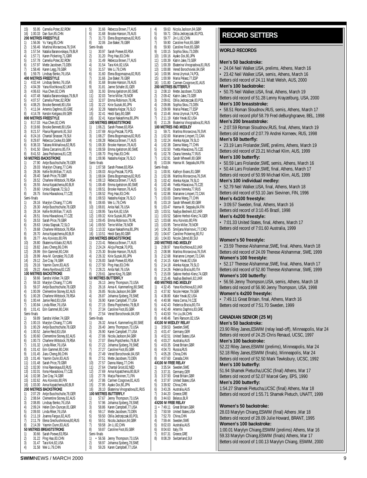15) 55.95 Camelia Potec,82,ROM<br>16) 1:00.33 Dan Sun 85 CHN 1:00.33 Dan Sun,85,CHN **200 METRES FREESTYLE** 1) 1:56.06 Yu Yang,85,CHN 2) 1:56.46 Martina Moravcova,76,SVK 3) 1:57.54 Natalia Baranovskaya,79,BLR 4) 1:57.71 Karen Pickering,71,GBR 5) 1:57.78 Camelia Potec,82,ROM 6) 1:57.97 Mette Jacobsen,73,DEN 7) 1:58.46 Karen Legg,78,GBR 8) 1:59.75 Lindsay Benko,76,USA **400 METRES FREESTYLE** 1) 4:02.44 Lindsay Benko,76,USA 2) 4:04.39 Yana Klochkova,82,UKR 3) 4:06.63 Hua Chen,82,CHN 4) 4:07.48 Natalia Baranovskaya,79,BLR<br>5) 4:07.57 Camelia Potec.82.ROM 5) 4:07.57 Camelia Potec,82,ROM 6) 4:08.25 Brooke Bennett,80,USA 7) 4:11.04 Artemis Daphnis,83,GRE 8) 4:14.78 Kerstin Kielgass,69,GER **800 METRES FREESTYLE** 1) 8:17.03 Hua Chen, 82, CHN<br>2) 8:19.66 Brooke Bennett, 80<br>3) 8:21.57 Flavia Rigamonti 8 2) 8:19.66 Brooke Bennett,80,USA 3) 8:21.57 Flavia Rigamonti,81,SUI 4) 8:24.16 Chantal Strasser, 78, SUI<br>5) 8:29.87 Rebecca Cooke, 83, GBR 8:29.87 Rebecca Cooke, 83, GBR 6) 8:38.33 Tatiana Mikhailova,82,RUS 8:41.50 Elena Carcarino,85,ITA 8:41.53 Jana Pechanova, 81, CZE **50 METRES BACKSTROKE** 1) 27.90 Antje Buschschulte, 78, GER<br>2) 28.03 Marylyn Chiang, 77.CAN 28.03 Marylyn Chiang, 77, CAN 3) 28.06 Kellie McMillan, 77, AUS<br>4) 28.40 Sarah Price 79 GRR 28.40 Sarah Price, 79, GBR 5) 28.52 Charlene Wittstock, 78, RSA<br>6) 28.55 Anna Kopatchenia, 80, BLR 6) 28.55 Anna Kopatchenia,80,BLR<br>7) 28.60 Urska Slapsak,72,SLO 28.60 Urska Slapsak, 72, SLO 28.75 Ilona Hlavackova,77,CZE 8) 28.7<br>Semi-finals 1) 28.16 Marylyn Chiang,77,CAN 2) 28.30 Antje Buschschulte, 78, GER<br>3) 28.34 Kellie McMillan, 77, AUS 3) 28.34 Kellie McMillan,77,AUS<br>4) 28.51 Ilona Hlavackova,77,CZE<br>5) 28.53 Sarah Price.79,GBR 28.51 Ilona Hlavackova, 77, CZE 5) 28.53 Sarah Price,79,GBR<br>6) 28.63 Urska Slapsak,72,SI<br>7) 28.68 Charlene Wittstock, 6) 28.63 Urska Slapsak,72,SLO 7) 28.68 Charlene Wittstock, 78, RSA<br>8) 28.70 Anna Kopatchenia, 80, BLR 8) 28.70 Anna Kopatchenia,80,BLR<br>9) 28.77 Anu Koivisto,80,FIN<br>10) 28.80 Ekaterina Kibalo,82,RUS 28.77 Anu Koivisto,80,FIN 10) 28.80 Ekaterina Kibalo, 82, RUS<br>11) 28.82 Jiaru Cheng. 86. CHN 11) 28.82 Jiaru Cheng, 86, CHN<br>12) 28.99 Erin Gammel, 80, CAN 12) 28.99 Erin Gammel,80,CAN 28.99 Ana-M. Gonzalez,76,CUB 14) 29.12 Zoe Cray,74,GBR 15) 29.16 Yasmin Dunn,83,AUS 16) 29.22 Alena Nyvltova,82,CZE **100 METRES BACKSTROKE** 1) 58.66 Sandra Volker,74,GER 2) 59.33 Marylyn Chiang,77,CAN 3) 59.37 Antje Buschschulte,78,GER 4) 1:00.09 Clementine Stoney,82,AUS 5) 1:00.28 Charlene Wittstock,78,RSA 6) 1:00.44 Jamie Reid,83,USA 7) 1:00.84 Linda Riker,76,USA 8) 1:01.41 Erin Gammel,80,CAN Semi-finals<br>1) 59.8 1) 59.89 Sandra Volker,74,GER 2) 1:00.15 Marylyn Chiang,77,CAN 3) 1:00.29 Antje Buschschulte,78,GER<br>4) 1:00.52 Jamie Reid 83 USA 4) 1:00.52 Jamie Reid,83,USA 5) 1:00.60 Clementine Stoney, 82, AUS<br>6) 1:00.73 Charlene Wittstock 78 RSA 6) 1:00.73 Charlene Wittstock,78,RSA 7) 1:01.32 Linda Riker,76,USA 8) 1:01.42 Erin Gammel,80,CAN<br>9) 1:01.45 Jiaru Cheng 86 CHN 9) 1:01.45 Jiaru Cheng,86,CHN 10) 1:01.46 Yasmin Dunn,83,AUS<br>11) 1:01.48 Sarah Price 79 GRR 11) 1:01.48 Sarah Price,79,GBR 12) 1:02.00 Irina Raevskaya,83,RUS 13) 1:02.01 Ilona Hlavackova, 77, CZE<br>14) 1:02.08 Zoe Cray, 74, GBR 14) 1:02.08 Zoe Cray,74,GBR 15) 1:02.62 Anu Koivisto,80,FIN 1:03.00 Anna Kopatchenia,80,BLR **200 METRES BACKSTROKE** 1) 2:07.29 Antje Buschschulte,78,GER 2) 2:08.64 Clementine Stoney,82,AUS 3) 2:08.85 Lindsay Benko, 76, USA<br>4) 2:09.24 Helen Don-Duncan 81.0 4) 2:09.24 Helen Don-Duncan,81,GBR 5) 2:09.93 Linda Riker,76,USA 6) 2:11.19 Joanna Fargus, 82, AUS<br>7) 2:11.79 Flena Grechushnikova I 7) 2:11.79 Elena Grechushnikova,80,RUS 8) 2:14.39 Yasmin Dunn,83,AUS **50 METRES BREASTSTROKE** 1) 30.66 Sarah Poewe,83,RSA 2) 31.22 Ping Hao, 83, CHN<br>3) 31.47 Tara Kirk 82 USA 3) 31.47 Tara Kirk,82,USA 4) 31.58 Wei Li,79,CHN

5) 31.66 Rebecca Brown,77,AUS 6) 31.68 Brooke Hanson,78,AUS 7) 31.73 Elena Bogomazova,82,RUS<br>8) 32.06 Zoe Baker 76 GBR 8) 32.06 Zoe Baker,76,GBR Semi-finals<br>1) 30.9 1) 30.97 Sarah Poewe, 83, RSA<br>2) 31.20 Ping Hao. 83. CHN 2) 31.20 Ping Hao, 83, CHN<br>3) 31.49 Rebecca Brown, 77<br>4) 31.54 Tara Kirk. 82. USA 31.49 Rebecca Brown, 77, AUS 4) 31.54 Tara Kirk,82,USA 5) 31.57 Wei Li,79,CHN 6) 31.60 Elena Bogomazova,82,RUS<br>7) 31.66 Zoe Baker,76,GBR 7) 31.66 Zoe Baker, 76, GBR<br>8) 31.68 Brooke Hanson, 78<br>9) 31.81 Janne Schafer. 81. ( 8) 31.68 Brooke Hanson,78,AUS 31.81 Janne Schafer, 81, GER 10) 31.93 Emma Igelstrom,80,SWE 11) 32.03 Terrie Miller, 78, NOR<br>12) 32.07 Emma Robinson, 78, II 12) 32.07 Emma Robinson,78, IRL<br>13) 32.22 Kirie Suzuki, 80, JPN<br>14) 32.28 Natasha Keizar. 76. SLO 32.22 Kirie Suzuki,80,JPN 14) 32.28 Natasha Kejzar,76,SLO 15) 32.41 Heidi Earp, 80, GBR<br>16) 32.41 Kazue Nakashima. 8 Kazue Nakashima,80,JPN **100 METRES BREASTSTROKE**<br>
1) 1:06.21 Sarah Poewe,83,RS<br>
2) 1:07.69 Alicia Peczak,70,PO 1) 1:06.21 Sarah Poewe,83,RSA 2) 1:07.69 Alicja Peczak,70,POL 3) 1:08.27 Elena Bogomazova,82,RUS 4) 1:08.28 Rebecca Brown,77,AUS 5) 1:08.30 Brooke Hanson,78,AUS 6) 1:08.59 Emma Igelstrom,80,SWE 7) 1:08.70 Ping Hao,83,CHN 8) 1:08.96 Natasha Kejzar,76,SLO Semi-finals<br>1) 1:07.5 1) 1:07.58 Sarah Poewe,83,RSA 2) 1:08.03 Alicja Peczak,70,POL 3) 1:08.04 Elena Bogomazova,82,RUS 4) 1:08.13 Rebecca Brown, 77, AUS<br>5) 1:08.49 Emma lgelstrom, 80, SWE 5) 1:08.49 Emma Igelstrom,80,SWE 6) 1:08.51 Brooke Hanson,78,AUS<br>7) 1:08.52 Ping Hao,83,CHN<br>8) 1:08.53 Natasha Keizar.76.SLO 7) 1:08.52 Ping Hao,83,CHN 8) 1:08.53 Natasha Kejzar,76,SLO<br>9) 1:08.65 Wei Li.79.CHN 9) 1:08.65 Wei Li,79,CHN<br>10) 1:08.81 Anita Nall,76,U. 10) 1:08.81 Anita Nall,76,USA 11) 1:08.95 Tara Kirk,82,USA<br>12) 1:09.32 Kirie Suzuki,80,JI<br>13) 1:09.45 Emma Robinson. 12) 1:09.32 Kirie Suzuki,80,JPN 13) 1:09.45 Emma Robinson,78,IRL 14) 1:09.50 Terrie Miller,78,NOR 1:10.32 Kazue Nakashima,80,JPN 16) 1:10.51 Heidi Earp,80,GBR **200 METRES BREASTSTROKE**<br>
1) 2:23.41 Rebecca Brown, 77,<br>
2) 2:24.24 Alicja Peczak, 70, PC<br>
3) 2:25.30 Brooke Hanson, 78, 2:23.41 Rebecca Brown.77.AUS 2) 2:24.24 Alicja Peczak,70,POL 3) 2:25.30 Brooke Hanson,78,AUS 2:26.32 Kirie Suzuki,80,JPN 5) 2:26.83 Sarah Poewe,83,RSA 6) 2:27.50 Ping Hao,83,CHN<br>
7) 2:28.21 Anita Nall,76,USA<br>
8) 2:29.61 Jaime King 76,GRI 7) 2:28.21 Anita Nall,76,USA 8) 2:29.61 Jaime King,76,GBR **50 METRES BUTTERFLY** 1) 26.13 Jenny Thompson,73,USA<br>2) 26.16 Anna-K. Kammerling,80,SWE 3) 26.85 Nicola Jackson,84,GBR<br>4) 26.87 Johanna Sjoberg,78,SW 4) 26.87 Johanna Sjoberg, 78, SWE<br>5) 26.90 Karen Campbell 77 USA 26.90 Karen Campbell, 77, USA 6) 27.15 Elena Poptchenko,79,BLR 7) 27.34 Caroline Foot, 65, GBR<br>8) 27.54 Vered Borochovski, 84, 27.54 Vered Borochovski,84,ISR Semi-finals 1) 26.32 Anna-K. Kammerling,80,SWE 2) 26.40 Jenny Thompson,73,USA<br>3) 26.90 Karen Campbell,77,USA 4) 27.06 Nicola Jackson, 84, GBR<br>5) 27.07 Elena Poptchenko, 79, BI 5) 27.07 Elena Poptchenko, 79, BLR<br>6) 27.22 Johanna Sjoberg, 78, SWE 27.22 Johanna Sjoberg,78,SWE 7) 27.27 Caroline Foot, 65, GBR<br>8) 27.49 Vered Borochovski.84 8) 27.49 Vered Borochovski,84,ISR<br>9) 27.51 Mette Jacobsen,73,DEN<br>10) 27.57 Danna Wang.77.CHN 27.51 Mette Jacobsen,73,DEN 27.57 Danna Wang, 77, CHN 11) 27.64 Chantal Groot,82,NED 12) 27.69 Anna Kopatchenia,80,BLR<br>13) 27.78 Marja Paivinen,71,FIN 13) 27.78 Marja Paivinen, 71, FIN<br>14) 27.86 Carmen Cosgrove, 81, 14) 27.86 Carmen Cosgrove,81,AUS 15) 27.95 Ayako Doi,80,JPN 16) 28.10 Ekaterina Vinogradova,81,RUS **100 METRES BUTTERFLY**<br>1) 57.67 Jenny Thomps 57.67 Jenny Thompson,73,USA 2) 57.96 Johanna Sjoberg,78,SWE 3) 58.86 Karen Campbell,77,USA 4) 59.17 Mette Jacobsen, 73, DEN 5) 59.50 Otilia Jedrzejczak, 83, POL<br>6) 59.51 Nicola Jackson, 84, GBR 6) 59.51 Nicola Jackson,84,GBR 7) 59.58 Jin Li,82,CHN 8) 59.87 Caroline Foot,65,GBR Semi-finals<br>1) • 56.5 • 56.56 Jenny Thompson,73,USA 2) 58.97 Johanna Sjoberg, 78, SWE<br>3) 59.26 Karen Campbell, 77, USA 59.26 Karen Campbell, 77, USA

| 4)                         | 59.63              | Nicola Jackson,84,GBR          |
|----------------------------|--------------------|--------------------------------|
| 5)                         | 59.71              | Otilia Jedrzejczak, 83, POL    |
| 6)                         | 59.77              | Jin Li,82,CHN                  |
| 7)                         | 59.90              | Caroline Foot,65,GBR           |
| 8)                         | 59.90              | Caroline Foot,65,GBR           |
| 9)                         | 1:00.15            | Sophia Skou, 73, DEN           |
| 10)                        | 1:00.16            | Ayako Doi,80,JPN               |
| 11)                        | 1:00.39            | Katrin Jake,73,GER             |
| 12)                        | 1:00.39            | Ekaterina Vinogradova,81,RUS   |
| 13)                        | 1:00.88            | Vered Borochovski, 84, ISR     |
| 14)                        | 1:00.96            | Anna Uryniuk, 74, POL          |
| 15)                        | 1:00.99            | Maria Pelaez, 77, ESP          |
| 16)                        | 1:01.80            | Carmen Cosgrove,81,AUS         |
|                            |                    | 200 METRES BUTTERFLY           |
| 1)                         | 2:08.10            | Mette Jacobsen, 73, DEN        |
| 2)                         | 2:09.42            | Katrin Jake,73,GER             |
| 3)                         | 2:09.61            | Otilia Jedrzejczak,83,POL      |
| 4)                         | 2:09.86            | Sophia Skou,73,DEN             |
| 5)                         | 2:09.99            | Maria Pelaez, 77, ESP          |
| 6)                         | 2:10.46            | Anna Uryniuk, 74, POL          |
| 7)                         | 2:11.19            | Katie Yevak, 82, USA           |
| 8)                         | 2:11.26            | Ekaterina Vinogradova, 81, RUS |
|                            |                    | 100 METRES IND.MEDLEY          |
| $\left(\frac{1}{2}\right)$ | 59.71              | Martina Moravcova, 76, SVK     |
| 2)                         | 1:02.00            | Marianne Limpert, 72, CAN      |
| 3)                         | 1:02.24            | Alenka Kejzar, 79, SLO         |
| 4)                         | 1:02.38            | Danna Wang, 77, CHN            |
| 5)                         | 1:02.50            | Yvetta Hlavacova, 75, CZE      |
| 6)                         | 1:02.78            | Oxana Verevka, 77, RUS         |
| 7)                         | 1:02.91            | Sarah Whewell, 80, GBR         |
| 8)                         | 1:03.84            | Hanna-M. Seppala,84,FIN        |
|                            | Semi-finals        |                                |
| 1)                         | 1:00.91            | Kathryn Evans,81,GBR           |
| 2)                         | 1:02.06            | Martina Moravcova, 76, SVK     |
| 3)                         | 1:02.42            | Alenka Kejzar, 79, SLO         |
| 4)                         | 1:02.46            | Yvetta Hlavacova, 75, CZE      |
| 5)                         | 1:02.86            | Oxana Verevka, 77, RUS         |
| 6)                         | 1:02.86            | Marianne Limpert, 72, CAN      |
| 7)                         | 1:03.03            | Danna Wang, 77, CHN            |
| 8)                         | 1:03.19            | Sarah Whewell, 80, GBR         |
| 9)                         | 1:03.47            | Hanna-M. Seppala, 84, FIN      |
| 10)                        | 1:03.51            | Nadiya Beshevli,82,UKR         |
| 11)                        | 1:03.52            | Sabine Herbst-Klenz, 74, GER   |
| 12)                        | 1:03.68            | Anu Koivisto,80,FIN            |
| 13)                        | 1:03.95            | Terrie Miller,78,NOR           |
| 14)                        |                    |                                |
|                            |                    |                                |
|                            | 1:04.35            | Smiljana Marinovic,77,CRO      |
| 15)                        | 1:04.67            | Caroline Pickering, 80, FIJ    |
| 16)                        | 1:04.83            | Nicole Zahnd,80,SUI            |
|                            |                    | 200 METRES IND.MEDLEY          |
| 1)                         | 2:08.97            | Yana Klochkova,82,UKR          |
| 2)                         | 2:08.98            | Martina Moravcova, 76, SVK     |
| 3)                         | 2:12.68            | Marianne Limpert, 72, CAN      |
| 4)                         | 2:14.15            | Katie Yevak,82,USA             |
| 5)                         | 2:14.18            | Alenka Kejzar, 79, SLO         |
| 6)                         | 2:14.26            | Federica Biscia,80,ITA         |
| 7)                         | 2:15.09            | Sabine Herbst-Klenz, 74, GER   |
| 8)                         | 2:15.46            | Nadiya Beshevli,82,UKR         |
|                            |                    | 400 METRES IND.MEDLEY          |
| 1)                         | 4:32.45            | Yana Klochkova, 82, UKR        |
| 2)                         | 4:37.92            | Nicole Hetzer,79,GER           |
| 3)                         | 4:38.80            | Katie Yevak, 82, USA           |
| 4)                         | 4:40.98            | Hana Cerna, 74, CZE            |
| 5)                         | 4:42.43            | Federica Biscia,80,ITA         |
| 6)                         | 4:42.49            | Artemis Daphnis, 83, GRE       |
| 7)                         | 4:43.50            | Yin Liu,84,CHN                 |
| 8)                         | 4:48.46            | Tami Ransom,82,USA             |
|                            |                    | 4X100 M MEDLEY RELAY           |
| 1)                         | 3:59.53            | Sweden, SWE                    |
| 2)                         | 4:01.47            | Germany, GER                   |
| 3)                         | 4:02.51            | United States, USA             |
| 4)                         | 4:03.27            | Australia, AUS                 |
| 5)                         | 4:03.35            | Great Britain, GBR             |
| 6)                         | 4:04.73            | Russia,RUS                     |
| 7)                         | 4:05.28            | China,CHN                      |
| 8)                         | 4:07.60            | Canada.CAN                     |
|                            |                    | 4X100 M FREE RELAY             |
| 1)                         | 3:35.54            | Sweden, SWE                    |
| 2)                         | 3:37.31            | Germany, GER                   |
| 3)                         | 3:37.93            | Great Britain, GBR             |
| 4)                         | 3:37.97            | United States, USA             |
| 5)                         | 3:39.92            | China, CHN                     |
| 6)                         | 3:43.26            | Australia,AUS                  |
| 7)                         | 3:44.20            | Greece, GRE                    |
| 8)                         | 3:44.63            | Belarus, BLR                   |
|                            |                    | 4X200 M FREE RELAY             |
| 1)                         | 7:49.11            | Great Britain, GBR             |
| 2)                         | 7:50.59            | United States, USA             |
| 3)                         | 7:52.70            | China,CHN                      |
| 4)                         | 7:59.44            | Sweden, SWE                    |
| 5)                         | 8:02.03            | Australia, AUS                 |
| 6)                         | 8:04.63            | Italy, ITA                     |
|                            |                    | Greece, GRE                    |
| 7)<br>8)                   | 8:07.31<br>8:08.29 | Switzerland, SUI               |

### **RECORD SETTERS**

### **WORLD RECORDS**

### **Men's 50 backstroke:**

• 24.04 Neil Walker,USA, prelims, Athens, March 16

• 23.42 Neil Walker,USA, semis, Athens, March 16

Betters old record of 24.11 Matt Welsh, AUS, 2000 **Men's 100 backstroke:**

• 50.75 Neil Walker,USA, final, Athens, March 19 Betters old record of 51.28 Lenny Krayzelburg, USA, 2000

### **Men's 100 breaststroke:**

• 58.51 Roman Sloudnov,RUS, semis, Athens, March 17 Betters old record pfof 58.79 Fred deBurghgraeve, BEL, 1998 **Men's 200 breaststroke:**

• 2:07.59 Roman Sloudnov,RUS, final, Athens, March 19

Betters old record of 2:07.79 Andrei Korneev, RUS, 1998 **Men's 50 butterfly:**

• 23.19 Lars Frolander,SWE, prelims, Athens, March 19 Betters old record of 23.21 Michael Klim, AUS, 1999

### **Men's 100 butterfly:**

• 50.59 Lars Frolander,SWE, semis, Athens, March 16 • 50.44 Lars Frolander,SWE, final, Athens, March 17 Betters old record of 50.99 Michael Klim, AUS, 1999

**Men's 100 individual medley:**

• 52.79 Neil Walker,USA, final, Athens, March 18 Betters old record of 53.10 Jani Sievinen, FIN, 1996 **Men's 4x100 freestyle:**

• 3:09.57 Sweden, final, Athens, March 16 Betters old record of 3:10.45 Brazil, 1998

**Men's 4x200 freestyle:**

• 7:01.33 United States, final, Athens, March 17 Betters old record of 7:01.60 Australia, 1999

### **Women's 50 freestyle:**

• 23.59 Therese Alshammar,SWE, final, Athens, March 18 Betters old record of 24.09 Therese Alshammar, SWE, 1999

### **Women's 100 freestyle:**

• 52.17 Therese Alshammar,SWE, final, Athens, March 17 Betters old record of 52.80 Therese Alshammar, SWE, 1999

### **Women's 100 butterfly:**

• 56.56 Jenny Thompson,USA, semis, Athens, March 18 Betters old record of 56.90 Jenny Thompson, USA, 1998 **Women's 4x200 freestyle:**

• 7:49.11 Great Britain, final, Athens, March 16

Betters old record of 7:51.70 Sweden, 1999

### **CANADIAN SENIOR (25 M) Men's 50 backstroke:**

23.90 Riley Janes,ESWIM (relay lead-off), Minneapolis, Mar 24 Betters old record of 24.25 Chris Renaud, UCSC, 1997

### **Men's 100 backstroke:**

52.22 Riley Janes,ESWIM (prelims), Minneapolis, Mar 24 52.18 Riley Janes,ESWIM (finals), Minneapolis, Mar 24 Betters old record of 52.50 Mark Tewksbury, UCSC, 1992 **Men's 100 butterfly:**

51.94 Shamek Pietucha,UCSC (final) Athens, Mar 17 Betters old record of 52.07 Marcel Gery, EPS, 1990 **Men's 200 butterfly:**

1:54.27 Shamek Pietucha,UCSC (final) Athens, Mar 18 Betters old record of 1:55.71 Shamek Pietuch, UNATT, 1999

### **Women's 50 backstroke:**

28.03 Marylyn Chiang,ESWIM (final) Athens ,Mar 18 Betters old record of 28.09 Julie Howard, BRANT, 1995 **Women's 100 backstroke:**

1:00.01 Marylyn Chiang,ESWIM (prelims) Athens, Mar 16 59.33 Marylyn Chiang,ESWIM (finals) Athens, Mar 17 Betters old record of 1:00.13 Marylyn Chiang, ESWIM, 2000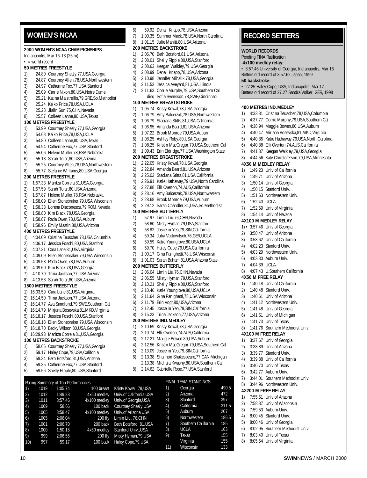### <span id="page-9-0"></span>**2000 WOMEN'S NCAA CHAMPIONSHIPS**

Indianapolis, Mar 16-18 (25 m)

• = world record

### **50 METRES FREESTYLE**

- 1) 24.80 Courtney Shealy,77,USA,Georgia
- 2) 24.87 Courtney Allen,78,USA,Northwestern
- 3) 24.97 Catherine Fox,77,USA,Stanford
- 4) 25.09 Carrie Nixon,80,USA,Notre Dame
- 5) 25.21 Katina Maistrellis,79,GRE,So.Methodist
- 6) 25.24 Keiko Price,78,USA,UCLA 7) 25.28 Jialin Sun,75,CHN,Nevada
- 
- 8) 25.57 Colleen Lanne,80,USA,Texas

### **100 METRES FREESTYLE**

- 1) 53.99 Courtney Shealy,77,USA,Georgia
- 2) 54.68 Keiko Price,78,USA,UCLA
- 3) 54.80 Colleen Lanne,80,USA,Texas
- 4) 54.94 Catherine Fox,77,USA,Stanford
- 5) 55.06 Helene Muller,78,RSA,Nebraska
- 6) 55.13 Sarah Tolar,80,USA,Arizona
- 7) 55.25 Courtney Allen,78,USA,Northwestern
- 8) 55.77 Stefanie Williams,80,USA,Georgia
- **200 METRES FREESTYLE** 1) 1:57.33 Maritza Correia,81,USA,Georgia 2) 1:57.59 Sarah Tolar,80,USA,Arizona 3) 1:57.87 Helene Muller,78,RSA,Nebraska 4) 1:58.09 Ellen Stonebraker,79,USA,Wisconsin 5) 1:58.38 Lorena Diaconescu,79,ROM,Nevada 6) 1:58.80 Kim Black,78,USA,Georgia 7) 1:58.87 Rada Owen,78,USA,Auburn 8) 1:58.96 Emily Mastin,80,USA,Arizona **400 METRES FREESTYLE** 1) 4:04.09 Cristina Teuscher,78,USA,Columbia 2) 4:06.17 Jessica Foschi,80,USA,Stanford 3) 4:07.31 Cara Lane,81,USA,Virginia 4) 4:09.09 Ellen Stonebraker,79,USA,Wisconsin 5) 4:09.53 Rada Owen,78,USA,Auburn 6) 4:09.60 Kim Black,78,USA,Georgia 7) 4:10.79 Trina Jackson,77,USA,Arizona 8) 4:13.58 Sarah Tolar,80,USA,Arizona **1500 METRES FREESTYLE** 1) 16:03.59 Cara Lane,81,USA,Virginia 2) 16:14.50 Trina Jackson,77,USA.Arizona 3) 16:14.77 Asa Sandlund,79,SWE,Southern Cal 4) 16:14.79 Mirjana Bosevska,81,MKD,Virginia 5) 16:18.17 Jessica Foschi,80,USA,Stanford 6) 16:18.18 Ellen Stonebraker,79,USA,Wisconsin 7) 16:18.70 Becky Wilson,80,USA,Georgia 8) 16:29.93 Maritza Correia,81,USA,Georgia **100 METRES BACKSTROKE**
- 1) 58.66 Courtney Shealy,77,USA,Georgia
- 2) 59.17 Haley Cope,79,USA,Califonia
- 3) 59.34 Beth Botsford,81,USA,Arizona
- 4) 59.35 Catherine Fox,77,USA,Stanford
- 5) 59.56 Shelly Ripple,80,USA,Stanford
- 6) 59.92 Denali Knapp,78,USA,Arizona
- 7) 1:00.35 Summer Mack,78,USA,North Carolina
- 8) 1:01.15 Julie Manitt,80,USA,Arizona

### **200 METRES BACKSTROKE**

- 1) 2:06.70 Beth Botsford,81,USA,Arizona
- 2) 2:08.01 Shelly Ripple,80,USA,Stanford
- 3) 2:08.63 Keegan Walkley,79,USA,Georgia
- 4) 2:08.99 Denali Knapp,78,USA,Arizona
- 5) 2:10.98 Jennifer Mihalik,78,USA,Georgia
- 6) 2:11.53 Jessica Aveyard,81,USA,Illinois 7) 2:11.63 Corrie Murphy,79,USA,Southern Cal
- disq Sofia Svensson,78,SWE,Cincinnati

### **100 METRES BREASTSTROKE**

- 1) 1:05.74 Kristy Kowal,78,USA,Georgia
- 2) 1:06.79 Amy Balcerzak,78,USA,Northwestern
- 3) 1:06.79 Staciana Stitts,81,USA,California
- 4) 1:06.95 Amanda Beard,81,USA,Arizona
- 5) 1:07.22 Brook Monroe,79,USA,Auburn
- 6) 1:08.25 Ashley Roby,80,USA,Georgia
- 7) 1:08.25 Kristin MacGregor,79,USA,Southern Cal
- 8) 1:09.43 Erin Eldridge,77,USA,Washington State

### **200 METRES BREASTSTROKE**

- 1) 2:22.05 Kristy Kowal,78,USA,Georgia 2) 2:22.84 Amanda Beard,81,USA,Arizona 3) 2:25.02 Staciana Stitts,81,USA,California
- 4) 2:26.91 Katie Hathaway,79,USA,North Carolina
- 5) 2:27.88 Elli Overton,74,AUS,California
- 6) 2:28.16 Amy Balcerzak,78,USA,Northwestern
- 7) 2:28.68 Brook Monroe,79,USA,Auburn
- 8) 2:29.12 Sarah Chandler,81,USA,So.Methodist

### **100 METRES BUTTERFLY**

- 1) 57.97 Limin Liu,76,CHN,Nevada 2) 58.60 Misty Hyman,79,USA,Stanford 3) 58.82 Joscelin Yeo,79,SIN,California 4) 59.34 Julia Voitowitsch,76,GER,UCLA 5) 59.59 Katie Younglove,80,USA,UCLA 6) 59.70 Haley Cope,79,USA,California 7) 1:00.17 Gina Panighetti,78,USA,Wisconsin 8) 1:01.03 Sarah Baham,81,USA,Arizona State **200 METRES BUTTERFLY** 1) 2:06.04 Limin Liu,76,CHN,Nevada 2) 2:06.55 Misty Hyman,79,USA,Stanford 3) 2:10.21 Shelly Ripple,80,USA,Stanford 4) 2:10.46 Katie Younglove,80,USA,UCLA 5) 2:11.64 Gina Panighetti,78,USA,Wisconsin 6) 2:11.79 Erin Vogt,80,USA,Arizona 7) 2:12.45 Joscelin Yeo,79,SIN,California
- 8) 2:15.23 Trina Jackson,77,USA,Arizona

### **200 METRES IND.MEDLEY**

- 1) 2:10.69 Kristy Kowal,78,USA,Georgia
- 2) 2:10.74 Elli Overton,74,AUS,California
- 3) 2:12.21 Maggie Bowen,80,USA,Auburn
- 4) 2:12.56 Kristin MacGregor,79,USA,Southern Cal
- 5) 2:13.09 Joscelin Yeo,79,SIN,California
- 6) 2:13.38 Shannon Shakespeare,77,CAN,Michigan
- 2:13.38 Michala Kwasny,80,USA,Southern Cal
- 8) 2:14.62 Gabrielle Rose,77,USA,Stanford

| FINAL TEAM STANDINGS<br>Rating Summary of Top Performances |      |         |              |                         |     |                     |       |
|------------------------------------------------------------|------|---------|--------------|-------------------------|-----|---------------------|-------|
| 1)                                                         | 1019 | 1:05.74 | 100 breast   | Kristy Kowal, 78, USA   | 1)  | Georgia             | 490.5 |
| 2)                                                         | 1012 | 1:49.23 | 4x50 medley  | Univ.of California, USA | 2)  | Arizona             | 472   |
| 3)                                                         | 1011 | 3:57.46 | 4x100 medley | Univ.of Georgia, USA    | 3)  | Stanford            | 397   |
| $\left(4\right)$                                           | 1009 | 58.66   | 100 back     | Courtney Shealy, USA    | 4)  | California          | 311.5 |
| 5)                                                         | 1005 | 3:58.47 | 4x100 medley | Univ.of Arizona, USA    | 5)  | Auburn              | 207   |
| 6)                                                         | 1005 | 2:06.04 | 200 fly      | Limin Liu, 76, CHN      | 6)  | Northwestern        | 186.5 |
| $\vert$ 7)                                                 | 1001 | 2:06.70 | 200 back     | Beth Botsford, 81, USA  | 7)  | Southern California | 185   |
| 8)                                                         | 1000 | 1:50.15 | 4x50 medley  | Stanford Univ., USA     | 8)  | <b>UCLA</b>         | 163   |
| 9)                                                         | 999  | 2:06.55 | $200$ fly    | Misty Hyman, 79, USA    | 9)  | Texas               | 155   |
| 10)                                                        | 997  | 59.17   | 100 back     | Haley Cope, 79, USA     |     | Virginia            | 155   |
|                                                            |      |         |              |                         | 11) | Wisconsin           | 133   |

### **RECORD SETTERS**

### **WORLD RECORDS**

- Pending FINA Ratification
- **4x100 medley relay:**

• 3:57.46 University of Georgia, Indianapolis, Mar 16 Betters old record of 3:57.62 Japan, 1999

**50 backstroke:**

• 27.25 Haley Cope, USA, Indianapolis, Mar 17 Betters old record of 27.27 Sandra Volker, GER, 1998

### **400 METRES IND.MEDLEY**

|          |                   | 400 METRES IND. MEDLET                                                                     |
|----------|-------------------|--------------------------------------------------------------------------------------------|
|          |                   | 1) 4:33.81 Cristina Teuscher, 78, USA, Columbia                                            |
|          |                   | 2) 4:37.77 Corrie Murphy, 79, USA, Southern Cal                                            |
|          |                   | 3) 4:38.94 Maggie Bowen, 80, USA, Auburn<br>4) 4:40.47 Mirjana Bosevska, 81, MKD, Virginia |
|          |                   |                                                                                            |
| 5)       |                   | 4:40.85 Katie Hathaway, 79, USA, North Carolina                                            |
| 6)       |                   | 4:40.88 Elli Overton, 74, AUS, California                                                  |
| 7)       |                   | 4:41.87 Keegan Walkley, 79, USA, Georgia                                                   |
| 8)       |                   | 4:44.56 Katy Christoferson, 79, USA, Minnesota                                             |
|          |                   | 4X50 M MEDLEY RELAY                                                                        |
| 1)       |                   | 1:49.23 Univ.of California                                                                 |
|          |                   | 2) 1:49.71 Univ.of Arizona                                                                 |
|          |                   | 3) 1:50.14 Univ.of Georgia                                                                 |
|          |                   |                                                                                            |
|          |                   | 4) 1:50.15 Stanford Univ.<br>5) 1:51.63 Northwestern Univ.                                 |
|          | $6)$ 1:52.40 UCLA |                                                                                            |
|          |                   | 7) 1:52.69 Univ.of Virginia                                                                |
|          |                   | 8) 1:54.14 Univ.of Nevada                                                                  |
|          |                   | 4X100 M MEDLEY RELAY                                                                       |
|          |                   | 1) • 3:57.46 Univ.of Georgia                                                               |
|          |                   | 2) 3:58.47 Univ.of Arizona                                                                 |
|          |                   | 3) 3:58.62 Univ.of California                                                              |
|          |                   | $4)$ 4:02.23 Stanford Univ.                                                                |
|          |                   | 5) 4:03.29 Northwestern Univ.<br>6) 4:03.30 Auburn Univ.                                   |
|          |                   |                                                                                            |
|          | 7) 4:04.39 UCLA   |                                                                                            |
| 8)       |                   | 4:07.43 U.Southern California                                                              |
|          |                   | 4X50 M FREE RELAY                                                                          |
|          |                   | 1) 1:40.18 Univ.of California                                                              |
|          |                   | 2) 1:40.48 Stanford Univ.                                                                  |
|          |                   | 3) 1:40.61 Univ.of Arizona<br>4) 1:41.12 Northwestern Univ.                                |
|          |                   |                                                                                            |
| 5)       |                   | 1:41.48 Univ.of Georgia                                                                    |
| 6)       |                   | 1:41.51 Univ.of Michigan                                                                   |
| 7)       |                   | 1:41.73 Univ.of Texas                                                                      |
| 8)       |                   | 1:41.76 Southern Methodist Univ.                                                           |
|          |                   | 4X100 M FREE RELAY                                                                         |
|          |                   | 1) 3:37.67 Univ.of Georgia                                                                 |
|          |                   | 2) 3:38.89 Univ.of Arizona                                                                 |
|          |                   | 3) 3:39.77 Stanford Univ.                                                                  |
|          |                   | 4) 3:39.88 Univ.of California<br>5) 3:40.70 Univ.of Texas                                  |
|          |                   |                                                                                            |
|          |                   | 6) 3:42.77 Auburn Univ.                                                                    |
| 7)       |                   | 3:44.01 Southern Methodist Univ.                                                           |
| 8)       |                   | 3:44.96 Northwestern Univ.                                                                 |
|          |                   | 4X200 M FREE RELAY                                                                         |
| 1)       |                   | 7:55.51 Univ.of Arizona                                                                    |
| 2)       |                   | 7:58.87 Univ.of Wisconsin                                                                  |
| 3)       |                   | 7:59.53 Auburn Univ.                                                                       |
| 4)       |                   | 8:00.45 Stanford Univ.                                                                     |
| 5)       |                   |                                                                                            |
|          |                   | 8:00.46 Univ.of Georgia                                                                    |
| 6)<br>7) |                   | 8:02.95 Southern Methodist Univ.<br>8:03.40 Univ.of Texas                                  |

8) 8:05.54 Univ.of Virginia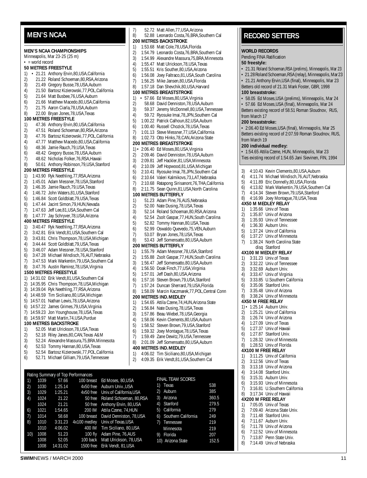| <b>MEN'S NCAA CHAMPIONSHIPS</b>                                                               | 1:5.<br>1)<br>2)<br>1:5       |
|-----------------------------------------------------------------------------------------------|-------------------------------|
| Minneapolis, Mar 23-25 (25 m)                                                                 | 3)<br>1:5                     |
| $\bullet$ = world record                                                                      | 4)<br>1:5!                    |
| 50 METRES FREESTYLE                                                                           | 5)<br>1:5!                    |
| 1)<br>• 21.21 Anthony Ervin, 80, USA, California                                              | 6)<br>1:5                     |
| 2)<br>21.22 Roland Schoeman, 80, RSA, Arizona                                                 | 7)<br>1:5                     |
| 3)<br>21.49 Gregory Busse, 78, USA, Auburn                                                    | 8)<br>1:5                     |
| 21.50 Bartosz Kizierowski, 77, POL, California<br>4)                                          | 100 ME                        |
| 5)<br>21.64 Matt Busbee, 76, USA, Auburn                                                      | 1)<br>$\bullet$ 5             |
| 21.66 Matthew Macedo, 80, USA, California<br>6)<br>7)<br>21.75 Aaron Ciarla, 78, USA, Auburn  | 2)<br>5                       |
| 8)<br>22.00 Bryan Jones, 78, USA, Texas                                                       | 3)<br>5                       |
| <b>100 METRES FREESTYLE</b>                                                                   | 4)<br>5                       |
| 1)<br>47.36 Anthony Ervin, 80, USA, California                                                | 5)<br>1:00                    |
| 2)<br>47.51 Roland Schoeman, 80, RSA, Arizona                                                 | 6)<br>1:00<br>7)<br>$1:0^{-}$ |
| 3)<br>47.76 Bartosz Kizierowski, 77, POL, California                                          | 8)<br>1:0.                    |
| 4)<br>47.77 Matthew Macedo, 80, USA, California                                               | 200 ME                        |
| 5)<br>48.36 Jamie Rauch, 79, USA, Texas                                                       | $1) \cdot 2:0$                |
| 6)<br>48.42 Gregory Busse, 78, USA, Auburn                                                    | 2)<br>$2:0^{\circ}$           |
| 48.62 Nicholas Folker, 76, RSA, Hawaii<br>7)                                                  | 3)<br>$2:0^{\circ}$           |
| 50.61 Anthony Robinson, 79, USA, Stanford<br>8)                                               | 4)<br>2:10                    |
| 200 METRES FREESTYLE                                                                          | 5)<br>2:11                    |
| 1)<br>1:43.90 Ryk Neethling, 77, RSA, Arizona                                                 | 6)<br>2:11                    |
| 2)<br>1:45.01 Adam Messner, 78, USA, Stanford                                                 | 7)<br>2:10                    |
| 1:46.35 Jamie Rauch, 79, USA, Texas<br>3)                                                     | 8)<br>2:1                     |
| 4)<br>1:46.72 John Waters, 81, USA, Stanford<br>1:46.84 Scott Goldblatt, 79, USA, Texas<br>5) | <b>100 ME</b>                 |
| 6)<br>1:47.44 Jacint Simon, 79, HUN, Nevada                                                   | 1)<br>5.                      |
| 1:47.63 Jeff Lee, 81, USA, Southern Cal<br>7)                                                 | 5<br>2)                       |
| 1:47.77 Jay Schryver, 78, USA, Arizona<br>8)                                                  | 3)<br>5.                      |
| <b>400 METRES FREESTYLE</b>                                                                   | 4)<br>5.<br>5)<br>5.          |
| 1)<br>3:40.47 Ryk Neethling, 77, RSA, Arizona                                                 | 6)<br>5.                      |
| 2)<br>3:42.81 Erik Vendt, 81, USA, Southern Cal                                               | 7)<br>5.                      |
| 3)<br>3:43.81 Chris Thompson, 78, USA, Michigan                                               | 8)<br>5.                      |
| 4)<br>3:44.44 Scott Goldblatt, 79, USA, Texas                                                 | <b>200 ME</b>                 |
| 5)<br>3:46.07 Adam Messner, 78, USA, Stanford                                                 | 1)<br>1:5!                    |
| 3:47.28 Michael Windisch, 76, AUT, Nebraska<br>6)                                             | 2)<br>1:5!                    |
| 3:47.53 Mark Warkentin, 79, USA, Southern Cal<br>7)                                           | 3)<br>1:5                     |
| 8)<br>3:47.76 Austin Ramirez, 78, USA, Virginia<br><b>1500 METRES FREESTYLE</b>               | 4)<br>1:5                     |
| 14:31.02 Erik Vendt,81,USA,Southern Cal<br>1)                                                 | 5)<br>1:5                     |
| 2)<br>14:35.95 Chris Thompson, 78, USA, Michigan                                              | 6)<br>1:5                     |
| 3)<br>14:39.04 Ryk Neethling, 77, RSA, Arizona                                                | 7)<br>1:5                     |
| 4) 14:48.59 Tim Siciliano, 80, USA, Michigan                                                  | 8)<br>1:58<br>200 ME          |
| 5)<br>14:57.01 Nathan Lewis, 78, USA, Arizona                                                 | 1)<br>1:5                     |
| 6)<br>14:57.22 James Grimes, 79, USA, Virginia                                                | 2)<br>1:5                     |
| 14:59.23 Jon Younghouse, 78, USA, Texas<br>7)                                                 | 3)<br>1:5                     |
| 8)<br>14:59.97<br>Matt Martin, 74, USA, Purdue                                                | 1:5<br>4)                     |
| <b>100 METRES BACKSTROKE</b>                                                                  | 5)<br>1:58                    |
| 1)<br>52.05 Matt Ulrickson, 78, USA, Texas                                                    | 6)<br>$1:5^{\circ}$           |
| 2)<br>52.18 Riley Janes, 80, CAN, Texas A&M                                                   | 7)<br>$1:5^{\circ}$           |
| 3)<br>52.24 Alexandre Massura, 75, BRA. Minnesota<br>4)<br>52.53 Tommy Hannan, 80, USA, Texas | 8)<br>$2:0^{-}$               |
| 5)<br>52.54 Bartosz Kizierowski, 77, POL, California                                          | 400 ME                        |
| 6)<br>52.71<br>Michael Gilliam, 79, USA, Tennessee                                            | 1)<br>4:0                     |
|                                                                                               | 2)<br>$4:0^{\circ}$           |
|                                                                                               |                               |
| Rating Summary of Top Performances                                                            |                               |
| 1)<br>1039<br>57.66<br>100 breast<br>Ed Moses, 80, USA                                        |                               |
| 2)<br>1030<br>1:25.14<br>4x50 free<br>Auburn Univ., USA                                       |                               |
| 3)<br>1029<br>1:25.21<br>4x50 free<br>Univ.of California, USA                                 |                               |
| 4)<br>1024<br>50 free<br>Roland Schoeman, 80, RSA<br>21.22                                    |                               |
| 1024<br>21.21<br>50 free<br>Anthony Ervin, 80, USA                                            |                               |
| 1021<br>1:54.65<br>6)<br>200 IM<br>Attila Czene, 74, HUN                                      |                               |
| 7)<br>1014<br>58.68<br>100 breast<br>David Denniston, 78, USA                                 |                               |

| 5)<br>48.36 Jamie Rauch, 79, USA, Texas                    | 1) • 2:06.40 Ed Moses, 80, USA, Virginia               | zuu murviuuai meuley:                                    |
|------------------------------------------------------------|--------------------------------------------------------|----------------------------------------------------------|
| 48.42 Gregory Busse, 78, USA, Auburn<br>6)                 | 2:09.46 David Denniston, 78, USA, Auburn               | • 1:54.65 Attila Czene, HUN, Minneapolis, Mar 23         |
| 7)<br>48.62 Nicholas Folker, 76, RSA, Hawaii               | 3)<br>2:09.81 Jeff Hackler, 81, USA, Minnesota         | Ties existing record of 1:54.65 Jani Sievinen, FIN, 1994 |
| 8)<br>50.61 Anthony Robinson, 79, USA, Stanford            | 4)<br>2:10.09 Jeff Hopwood, 81, USA, Michigan          |                                                          |
| <b>200 METRES FREESTYLE</b>                                | 5)<br>2:10.41 Ryosuke Imai, 78, JPN, Southern Cal      | 4:10.43 Kevin Clements, 80, USA, Auburn<br>3)            |
| 1)<br>1:43.90 Ryk Neethling, 77, RSA, Arizona              | 6)<br>2:10.64 Valeri Kalmikovs, 73, LAT, Nebraska      | 4)<br>4:11.74 Michael Windisch, 76, AUT, Nebraska        |
| 2)<br>1:45.01 Adam Messner, 78, USA, Stanford              | 7)<br>2:10.68 Ratapong Sirisanont, 76, THA, California | 5)<br>4:11.89 Eric Donnelly, 80, USA, Florida            |
| 3)<br>1:46.35 Jamie Rauch, 79, USA, Texas                  | 8)<br>2:11.75 Sean Quinn, 81, USA, North Carolina      | 6)<br>4:13.82 Mark Warkentin, 79, USA, Southern Cal      |
| 4)<br>1:46.72 John Waters, 81, USA, Stanford               |                                                        | 7)<br>4:14.34 Steven Brown, 79, USA, Stanford            |
| 5)<br>1:46.84 Scott Goldblatt, 79, USA, Texas              | <b>100 METRES BUTTERFLY</b>                            | 8)<br>4:16.99 Joey Montague, 78, USA, Texas              |
| 6)<br>1:47.44 Jacint Simon, 79, HUN, Nevada                | 1)<br>51.23 Adam Pine, 76, AUS, Nebraska               | 4X50 M MEDLEY RELAY                                      |
| 7)<br>1:47.63 Jeff Lee, 81, USA, Southern Cal              | 2)<br>52.00 Nate Dusing, 78, USA, Texas                | 1)<br>1:35.66 Univ.of Texas                              |
| 1:47.77 Jay Schryver, 78, USA, Arizona<br>8)               | 3)<br>52.14 Roland Schoeman, 80, RSA, Arizona          | 2)<br>1:35.87 Univ.of Arizona                            |
| <b>400 METRES FREESTYLE</b>                                | 4)<br>52.54 Zsolt Gaspar, 77, HUN, South Carolina      | 3)<br>1:35.93 Univ.of Tennessee                          |
| 3:40.47 Ryk Neethling, 77, RSA, Arizona<br>1)              | 5)<br>52.82 Tommy Hannan, 80, USA, Texas               | 4)<br>1:36.30 Auburn Univ.                               |
| 3:42.81 Erik Vendt, 81, USA, Southern Cal                  | 6)<br>52.99 Oswaldo Quevedo, 75, VEN, Auburn           | 5)<br>1:37.24 Univ.of California                         |
| 2)                                                         | 7)<br>53.07 Bryan Jones, 78, USA, Texas                | 1:37.27 Univ.of Minnesota<br>6)                          |
| 3)<br>3:43.81 Chris Thompson, 78, USA, Michigan            | 8)<br>53.43 Jeff Somensatto, 80, USA, Auburn           | 7)<br>1:38.24 North Carolina State                       |
| 3:44.44 Scott Goldblatt, 79, USA, Texas<br>4)              | <b>200 METRES BUTTERFLY</b>                            | disq Stanford                                            |
| 5)<br>3:46.07 Adam Messner, 78, USA, Stanford              | 1:55.79 Adam Messner, 78, USA, Stanford<br>1)          | 4X100 M MEDLEY RELAY                                     |
| 3:47.28 Michael Windisch, 76, AUT, Nebraska<br>6)          | 2)<br>1:55.88 Zsolt Gaspar, 77, HUN, South Carolina    | 1)<br>3:31.23 Univ.of Texas                              |
| 7)<br>3:47.53 Mark Warkentin, 79, USA, Southern Cal        | 3)<br>1:56.47 Jeff Somensatto,80,USA,Auburn            | 2)<br>3:32.22 Univ.of Tennessee                          |
| 8)<br>3:47.76 Austin Ramirez, 78, USA, Virginia            | 4)<br>1:56.50 Doak Finch, 77, USA, Virginia            | 3)<br>3:32.69 Auburn Univ.                               |
| <b>1500 METRES FREESTYLE</b>                               | 5)<br>1:57.01 Jeff Dash, 80, USA, Arizona              | 4)<br>3:33.47 Univ.of Virginia                           |
| 1) 14:31.02 Erik Vendt, 81, USA, Southern Cal              | 6)<br>1:57.16 Steven Brown, 79, USA, Stanford          | 5)<br>3:33.85 U.Southern California                      |
| 2) 14:35.95 Chris Thompson, 78, USA, Michigan              | 7)<br>1:57.24 Duncan Sherrard, 79, USA, Florida        | 6)<br>3:35.06 Stanford Univ.                             |
| 3)<br>14:39.04 Ryk Neethling, 77, RSA, Arizona             | 8)<br>1:58.09 Marcin Kaczmarek, 77, POL, Central Conn  | 7)<br>3:35.48 Univ.of Arizona                            |
| 4) 14:48.59 Tim Siciliano, 80, USA, Michigan               | 200 METRES IND.MEDLEY                                  | 8)<br>3:38.24 Univ.of Minnesota                          |
| 5) 14:57.01 Nathan Lewis, 78, USA, Arizona                 | 1:54.65 Attila Czene, 74, HUN, Arizona State<br>1)     | 4X50 M FREE RELAY                                        |
| 6) 14:57.22 James Grimes, 79, USA, Virginia                | 2)<br>1:56.84 Nate Dusing, 78, USA, Texas              | $1) \cdot 1:25.14$ Auburn Univ.                          |
| 7) 14:59.23 Jon Younghouse, 78, USA, Texas                 | 3)<br>1:57.86 Beau Wiebel, 78, USA, Georgia            | 2)<br>1:25.21 Univ.of California                         |
| 8) 14:59.97 Matt Martin, 74, USA, Purdue                   | 4)<br>1:58.06 Kevin Clements, 80, USA, Auburn          | 3)<br>1:26.74 Univ.of Arizona                            |
| <b>100 METRES BACKSTROKE</b>                               | 5)<br>1:58.52 Steven Brown, 79, USA, Stanford          | 1:27.09 Univ.of Texas<br>4)                              |
| 52.05 Matt Ulrickson, 78, USA, Texas<br>1)                 | 1:59.32 Joey Montague, 78, USA, Texas<br>6)            | 5)<br>1:27.37 Univ.of Hawaii                             |
| 2)<br>52.18 Riley Janes, 80, CAN, Texas A&M                | 7)<br>1:59.49 Zane Dewitz, 79, USA, Tennessee          | 1:27.87 Stanford Univ.<br>6)                             |
| 3)<br>52.24 Alexandre Massura, 75, BRA. Minnesota          |                                                        | 7)<br>1:28.32 Univ.of Minnesota                          |
| 4)<br>52.53 Tommy Hannan, 80, USA, Texas                   | 8)<br>2:01.09 Jeff Somensatto, 80, USA, Auburn         | 8)<br>1:28.53 Univ.of Florida                            |
| 5)<br>52.54 Bartosz Kizierowski, 77, POL, California       | 400 METRES IND.MEDLEY                                  | 4X100 M FREE RELAY                                       |
| 6)<br>52.71 Michael Gilliam, 79, USA, Tennessee            | 4:06.02 Tim Siciliano, 80, USA, Michigan<br>1)         | 1)<br>3:11.25 Univ.of California                         |
|                                                            | 2)<br>4:09.35 Erik Vendt,81,USA,Southern Cal           | 2)<br>3:12.56 Univ.of Texas                              |
|                                                            |                                                        | 3)<br>3:13.18 Univ.of Arizona                            |
| Rating Summary of Top Performances                         |                                                        | 4)<br>3:14.08 Stanford Univ.                             |
| 100 breast Ed Moses, 80, USA<br>1)<br>1039<br>57.66        | FINAL TEAM SCORES                                      | 5)<br>3:15.31 Auburn Univ.                               |
| 2)<br>1030<br>1:25.14<br>4x50 free Auburn Univ., USA       | 1) Texas<br>538                                        | 6)<br>3:15.93 Univ.of Minnesota                          |
|                                                            | 385<br>Auburn<br>2)                                    | 7)<br>3:16.81 U.Southern California                      |
| 3)<br>1029<br>1:25.21<br>4x50 free Univ.of California, USA | Arizona                                                | 8)<br>3:17.34 Univ.of Hawaii                             |
| 4)<br>1024<br>21.22<br>50 free Roland Schoeman, 80, RSA    | 360.5<br>3)                                            | 4X200 M FREE RELAY                                       |
| 1024<br>21.21<br>50 free Anthony Ervin, 80, USA            | 279.5<br>4)<br>Stanford                                | 1)<br>7:05.05 Univ.of Texas                              |
| 6)<br>1021<br>1:54.65<br>200 IM Attila Czene, 74, HUN      | 279<br>California<br>5)                                | 2)<br>7:09.40 Arizona State Univ.                        |
| 7)<br>1014<br>58.68<br>100 breast David Denniston, 78, USA | 249<br>6) Southern California                          | 3)<br>7:11.48 Stanford Univ.                             |
| $\{8\}$<br>1010<br>3:31.23 4x100 medley Univ.of Texas, USA | 219<br>7) Tennessee                                    | 4)<br>7:11.67 Auburn Univ.                               |
| 1010<br>4:06.02<br>400 IM Tim Siciliano, 80, USA           | Minnesota<br>219                                       | 7:11.78 Univ.of Arizona<br>5)                            |
| 51.23<br>100 fly Adam Pine, 76, AUS<br>1008<br>10)         | 9) Florida<br>207                                      | 7:12.52 Univ.of Minnesota<br>6)                          |
| 52.05<br>1008<br>100 back Matt Ulrickson, 78, USA          | 10) Arizona State<br>152.5                             | 7:13.87 Penn State Univ.<br>7)                           |
| 1008<br>14:31.02<br>1500 free Erik Vendt, 81, USA          |                                                        | 7:14.49 Univ.of Nebraska<br>8)                           |
|                                                            |                                                        |                                                          |
| SWIMNEWS / MARCH 2000                                      |                                                        | 11                                                       |
|                                                            |                                                        |                                                          |
|                                                            |                                                        |                                                          |

<span id="page-10-0"></span>

| <b>MEN'S NCAA</b>                              | 7)<br>52.72 Matt Allen, 77, USA, Arizona<br>8)<br>52.88 Leonardo Costa, 76, BRA, Southern Cal | <b>RECORD SETTERS</b>               |
|------------------------------------------------|-----------------------------------------------------------------------------------------------|-------------------------------------|
|                                                | <b>200 METRES BACKSTROKE</b>                                                                  |                                     |
| //////EN/S NCAA CHAMPIONSHIPS                  | 1)<br>1:53.68 Matt Cole, 78, USA, Florida                                                     | <b>WORLD RECORDS</b>                |
| /linneapolis, Mar 23-25 (25 m)                 | 2)<br>1:54.79 Leonardo Costa, 76, BRA, Southern Cal                                           | Pending FINA Ratification           |
| $=$ world record                               | 3)<br>1:54.99 Alexandre Massura, 75, BRA, Minnesota                                           | 50 freestyle:                       |
| O METRES FREESTYLE                             | 4)<br>1:55.47 Matt Ulrickson, 78, USA, Texas                                                  |                                     |
| • 21.21 Anthony Ervin, 80, USA, California     | 5)<br>1:55.51 Kris Souther, 80, USA, Arizona                                                  | • 21.31 Roland Schoeman, RSA (prel  |
|                                                | 6)<br>1:56.08 Joey Faltraco, 81, USA, South Carolina                                          | • 21.28 Roland Schoeman, RSA (re    |
| 21.22 Roland Schoeman, 80, RSA, Arizona        | 7)<br>1:56.25 Mike Jansen, 80, USA, Florida                                                   | • 21.21 Anthony Ervin, USA (final)  |
| 21.49 Gregory Busse, 78, USA, Auburn           | 8)<br>1:57.18 Dan Shevchik, 80, USA, Harvard                                                  | Betters old record of 21.31 Mark F  |
| 21.50 Bartosz Kizierowski, 77, POL, California | <b>100 METRES BREASTSTROKE</b>                                                                | 100 breaststroke:                   |
| 21.64 Matt Busbee, 76, USA, Auburn             | 1)<br>• 57.66 Ed Moses, 80, USA, Virginia                                                     | • 58.05 Ed Moses, USA (prelims)     |
| 21.66 Matthew Macedo, 80, USA, California      | 2)<br>58.68 David Denniston, 78, USA, Auburn                                                  | • 57.66 Ed Moses, USA (final), M    |
| 21.75 Aaron Ciarla, 78, USA, Auburn            | 3)<br>59.37 Jeremy McDonnell, 80, USA, Tennessee                                              | Betters existing record of 58.51 Ro |
| 22.00 Bryan Jones, 78, USA, Texas              | 4)<br>59.72 Ryosuke Imai, 78, JPN, Southern Cal                                               | from March 17                       |
| <b>00 METRES FREESTYLE</b>                     | 5)<br>1:00.22 Patrick Calhoun, 82, USA, Auburn                                                | 200 breaststroke:                   |
| 47.36 Anthony Ervin, 80, USA, California       | 6)<br>1:00.40 Russell Chozick, 78, USA, Texas                                                 |                                     |
| 47.51 Roland Schoeman, 80, RSA, Arizona        | 7)<br>1:01.13 Steve Messner, 77, USA, California                                              | • 2:06.40 Ed Moses, USA (final), I  |
| 47.76 Bartosz Kizierowski, 77, POL, California | 8)                                                                                            | Betters existing record of 2:07.59  |
| 47.77 Matthew Macedo, 80, USA, California      | 1:02.73 Otto Hinks, 78, CAN, Arizona State                                                    | from March 19                       |
| 48.36 Jamie Rauch, 79, USA, Texas              | <b>200 METRES BREASTSTROKE</b>                                                                | 200 individual medley:              |
| 48.42 Gregory Busse, 78, USA, Auburn           | 1) • 2:06.40 Ed Moses, 80, USA, Virginia                                                      | • 1:54.65 Attila Czene, HUN, Min    |
| 48.62 Nicholas Folker, 76, RSA, Hawaii         | 2)<br>2:09.46 David Denniston, 78, USA, Auburn                                                | Ties existing record of 1:54.65 Jar |
| 50.61 Anthony Robinson, 79, USA, Stanford      | 3)<br>2:09.81 Jeff Hackler, 81, USA, Minnesota                                                |                                     |
|                                                | 4)<br>2:10.09 Jeff Hopwood, 81, USA, Michigan                                                 |                                     |
| <b>00 METRES FREESTYLE</b>                     | 5)<br>2:10.41 Ryosuke Imai, 78, JPN, Southern Cal                                             | 3)<br>4:10.43 Kevin Clements, 80, l |
| 1:43.90 Ryk Neethling, 77, RSA, Arizona        | 2:10.64 Valeri Kalmikovs, 73, LAT, Nebraska<br>6)                                             | 4)<br>4:11.74 Michael Windisch,7    |
| 1:45.01 Adam Messner, 78, USA, Stanford        | 7)<br>2:10.68 Ratapong Sirisanont, 76, THA, California                                        | 5)<br>4:11.89 Eric Donnelly, 80, US |
| 1:46.35 Jamie Rauch, 79, USA, Texas            | 8)<br>2:11.75 Sean Quinn, 81, USA, North Carolina                                             | 6)<br>4:13.82 Mark Warkentin, 79,   |
| 1:46.72 John Waters,81, USA, Stanford          | <b>100 METRES BUTTERFLY</b>                                                                   | 7)<br>4:14.34 Steven Brown, 79, US  |
| 1:46.84 Scott Goldblatt, 79, USA, Texas        | 1)<br>51.23 Adam Pine, 76, AUS, Nebraska                                                      | 8)<br>4:16.99 Joey Montague, 78, L  |
| 1:47.44 Jacint Simon, 79, HUN, Nevada          | 2)<br>52.00 Nate Dusing, 78, USA, Texas                                                       | 4X50 M MEDLEY RELAY                 |
| 1:47.63 Jeff Lee, 81, USA, Southern Cal        | 3)<br>52.14 Roland Schoeman, 80, RSA, Arizona                                                 | 1)<br>1:35.66 Univ.of Texas         |
| 1:47.77 Jay Schryver, 78, USA, Arizona         | 4)<br>52.54 Zsolt Gaspar, 77, HUN, South Carolina                                             | 2)<br>1:35.87 Univ.of Arizona       |
| 00 METRES FREESTYLE                            | 5)<br>52.82 Tommy Hannan, 80, USA, Texas                                                      | 3)<br>1:35.93 Univ.of Tennessee     |
| 3:40.47 Ryk Neethling, 77, RSA, Arizona        |                                                                                               | 4)<br>1:36.30 Auburn Univ.          |
| 3:42.81 Erik Vendt,81,USA,Southern Cal         | 6)<br>52.99 Oswaldo Quevedo, 75, VEN, Auburn                                                  | 5)<br>1:37.24 Univ.of California    |
| 3:43.81 Chris Thompson, 78, USA, Michigan      | 7)<br>53.07 Bryan Jones, 78, USA, Texas                                                       | 6)<br>1:37.27 Univ.of Minnesota     |
| 3:44.44 Scott Goldblatt, 79, USA, Texas        | 8)<br>53.43 Jeff Somensatto, 80, USA, Auburn                                                  | 7)<br>1:38.24 North Carolina State  |
| 3:46.07 Adam Messner, 78, USA, Stanford        | <b>200 METRES BUTTERFLY</b>                                                                   | disq Stanford                       |
| 3:47.28 Michael Windisch, 76, AUT, Nebraska    | 1)<br>1:55.79 Adam Messner, 78, USA, Stanford                                                 | 4X100 M MEDLEY RELAY                |
|                                                | 2)<br>1:55.88 Zsolt Gaspar, 77, HUN, South Carolina                                           | 1)<br>3:31.23 Univ.of Texas         |
| 3:47.53 Mark Warkentin, 79, USA, Southern Cal  | 3)<br>1:56.47 Jeff Somensatto, 80, USA, Auburn                                                | 2)<br>3:32.22 Univ.of Tennessee     |
| 3:47.76 Austin Ramirez, 78, USA, Virginia      | 4)<br>1:56.50 Doak Finch, 77, USA, Virginia                                                   | 3)<br>3:32.69 Auburn Univ.          |
| 500 METRES FREESTYLE                           | 5)<br>1:57.01 Jeff Dash, 80, USA, Arizona                                                     | 4)<br>3:33.47 Univ.of Virginia      |
| 14:31.02 Erik Vendt,81,USA,Southern Cal        | 6)<br>1:57.16 Steven Brown, 79, USA, Stanford                                                 | 5)<br>3:33.85 U.Southern Californ   |
| 14:35.95 Chris Thompson, 78, USA, Michigan     | 7)<br>1:57.24 Duncan Sherrard, 79, USA, Florida                                               | 6)<br>3:35.06 Stanford Univ.        |
| 14:39.04 Ryk Neethling, 77, RSA, Arizona       | 8)<br>1:58.09 Marcin Kaczmarek, 77, POL, Central Conn                                         | 7)<br>3:35.48 Univ.of Arizona       |
| 14:48.59 Tim Siciliano, 80, USA, Michigan      | 200 METRES IND.MEDLEY                                                                         | 3:38.24 Univ.of Minnesota<br>8)     |
| 14:57.01 Nathan Lewis, 78, USA, Arizona        | 1)<br>1:54.65 Attila Czene, 74, HUN, Arizona State                                            | 4X50 M FREE RELAY                   |
| 14:57.22 James Grimes, 79, USA, Virginia       | 2)<br>1:56.84 Nate Dusing, 78, USA, Texas                                                     | 1) • 1:25.14 Auburn Univ.           |
| 14:59.23 Jon Younghouse, 78, USA, Texas        | 3)<br>1:57.86 Beau Wiebel, 78, USA, Georgia                                                   | 1:25.21 Univ.of California<br>2)    |
| 14:59.97 Matt Martin, 74, USA, Purdue          | 1:58.06 Kevin Clements, 80, USA, Auburn                                                       | 1:26.74 Univ.of Arizona<br>3)       |
| 00 METRES BACKSTROKE                           | 4)                                                                                            | 1:27.09 Univ.of Texas<br>4)         |
| 52.05 Matt Ulrickson, 78, USA, Texas           | 1:58.52 Steven Brown, 79, USA, Stanford<br>5)                                                 | 5)<br>1:27.37 Univ.of Hawaii        |
| 52.18 Riley Janes, 80, CAN, Texas A&M          | 1:59.32 Joey Montague, 78, USA, Texas<br>6)                                                   | 1:27.87 Stanford Univ.<br>6)        |
| 52.24 Alexandre Massura, 75, BRA. Minnesota    | 1:59.49 Zane Dewitz, 79, USA, Tennessee<br>7)                                                 | 7)<br>1:28.32 Univ.of Minnesota     |
|                                                | 2:01.09 Jeff Somensatto, 80, USA, Auburn<br>8)                                                | 8)<br>1:28.53 Univ.of Florida       |
| 52.53 Tommy Hannan, 80, USA, Texas             | 400 METRES IND.MEDLEY                                                                         | 4X100 M FREE RELAY                  |
| 52.54 Bartosz Kizierowski, 77, POL, California | 4:06.02 Tim Siciliano, 80, USA, Michigan<br>1)                                                | 3:11.25 Univ.of California<br>1)    |
| 52.71 Michael Gilliam, 79, USA, Tennessee      | 4:09.35 Erik Vendt, 81, USA, Southern Cal<br>2)                                               | 2)<br>3:12.56 Univ.of Texas         |
|                                                |                                                                                               | 3)<br>3:13.18 Univ.of Arizona       |
|                                                |                                                                                               |                                     |

### **WORLD RECORDS**

### Pending FINA Ratification

### **50 freestyle:**

- 21.31 Roland Schoeman,RSA (prelims), Minneapolis, Mar 23
- 21.28 Roland Schoeman,RSA (relay), Minneapolis, Mar 23
- 21.21 Anthony Ervin,USA (final), Minneapolis, Mar 23
- Betters old record of 21.31 Mark Foster, GBR, 1998

### **100 breaststroke:**

• 58.05 Ed Moses,USA (prelims), Minneapolis, Mar 24 • 57.66 Ed Moses,USA (final), Minneapolis, Mar 24 Betters existing record of 58.51 Roman Sloudnov, RUS, from March 17

### **200 breaststroke:**

• 2:06.40 Ed Moses,USA (final), Minneapolis, Mar 25 Betters existing record of 2:07.59 Roman Sloudnov, RUS, from March 19

### **200 individual medley:**

| 3)              | 4:10.43 Kevin Clements, 80, USA, Auburn                                                                                                                                                                                                          |
|-----------------|--------------------------------------------------------------------------------------------------------------------------------------------------------------------------------------------------------------------------------------------------|
| 4)              | 4:11.74 Michael Windisch, 76, AUT, Nebraska                                                                                                                                                                                                      |
| 5)              | 4:11.89 Eric Donnelly, 80, USA, Florida                                                                                                                                                                                                          |
| 6)              | 4:13.82 Mark Warkentin, 79, USA, Southern Cal                                                                                                                                                                                                    |
| 7)              | 4:14.34 Steven Brown, 79, USA, Stanford                                                                                                                                                                                                          |
| 8)              | 4:16.99 Joey Montague, 78, USA, Texas                                                                                                                                                                                                            |
|                 | 4X50 M MEDLEY RELAY                                                                                                                                                                                                                              |
| 1)              |                                                                                                                                                                                                                                                  |
| $\mathbf{2}$    | 1:35.66 Univ.of Texas<br>1:35.87 Univ.of Arizona                                                                                                                                                                                                 |
| 3)              |                                                                                                                                                                                                                                                  |
| 4)              |                                                                                                                                                                                                                                                  |
| 5)              | 1:35.87 Univ.of Arizona<br>1:35.93 Univ.of Tennessee<br>1:36.30 Auburn Univ.<br>1:37.24 Univ.of California<br>1:37.27 Univ.of Minnesota                                                                                                          |
| 6)              |                                                                                                                                                                                                                                                  |
| 7)              | 1:38.24 North Carolina State                                                                                                                                                                                                                     |
|                 | disq Stanford                                                                                                                                                                                                                                    |
|                 | 4X100 M MEDLEY RELAY                                                                                                                                                                                                                             |
| 1)              | 3:31.23 Univ.of Texas                                                                                                                                                                                                                            |
| $\overline{2)}$ |                                                                                                                                                                                                                                                  |
| 3)              |                                                                                                                                                                                                                                                  |
| 4)              |                                                                                                                                                                                                                                                  |
| 5)              |                                                                                                                                                                                                                                                  |
| 6)              |                                                                                                                                                                                                                                                  |
| 7)              |                                                                                                                                                                                                                                                  |
| 8)              | 3.32.22 Univ.of Temissoco<br>3.32.29 Auburn Univ.<br>3.33.47 Univ.of Virginia<br>3.33.85 U.Southern California<br>3.35.06 Stanford Univ.<br>3.35.48 Univ.of Arizona<br>3:38.24 Univ.of Minnesota                                                 |
|                 | 4X50 M FREE RELAY                                                                                                                                                                                                                                |
| 1)              | • 1:25.14 Auburn Univ.                                                                                                                                                                                                                           |
| 2)              | 1:25.21 Univ.of California                                                                                                                                                                                                                       |
| 3)              |                                                                                                                                                                                                                                                  |
| 4)              | 1:26.74 Univ.of Arizona<br>1:27.09 Univ.of Texas<br>1:27.37 Univ.of Hawaii<br>1:27.87 Stanford Univ.                                                                                                                                             |
| 5)              |                                                                                                                                                                                                                                                  |
| 6)              |                                                                                                                                                                                                                                                  |
| 7)              | 1:28.32 Univ.of Minnesota                                                                                                                                                                                                                        |
| 8)              | 1.20.32 Univ.of Florida                                                                                                                                                                                                                          |
|                 | 4X100 M FREE RELAY                                                                                                                                                                                                                               |
| 1)              |                                                                                                                                                                                                                                                  |
| 2)              |                                                                                                                                                                                                                                                  |
| 3)              |                                                                                                                                                                                                                                                  |
| 4)              |                                                                                                                                                                                                                                                  |
| 5)              |                                                                                                                                                                                                                                                  |
| 6)              |                                                                                                                                                                                                                                                  |
| 7)              |                                                                                                                                                                                                                                                  |
| 8)              | THE RELATE STATE STATES TO STATE STATES UNIVERSED STATES 3.11.25 Univ. of Texas<br>3.13.18 Univ. of Texas<br>3.13.18 Univ. of Arizona<br>3.14.08 Stanford Univ.<br>3.15.31 Auburn Univ.<br>3.15.93 Univ. of Minnesota<br>3.16.81 U. Southern Cal |
|                 | 4X200 M FREE RELAY                                                                                                                                                                                                                               |
| 1)              | 7:05.05 Univ.of Texas                                                                                                                                                                                                                            |
| $\overline{2)}$ | 7:09.40 Arizona State Univ.                                                                                                                                                                                                                      |
| 3)              |                                                                                                                                                                                                                                                  |
| 4)              | 7:09.40 Arizona State Univ<br>7:11.48 Stanford Univ.<br>7:11.67 Auburn Univ.<br>7:11.78 Univ.0f Arizona<br>7:12.52 Univ.0f Minnesota<br>7:13.87 Penn State Univ.<br>7:14.49 Univ.0f Nebraska                                                     |
| 5)              |                                                                                                                                                                                                                                                  |
| 6)              |                                                                                                                                                                                                                                                  |
| 7)              |                                                                                                                                                                                                                                                  |
| 8)              |                                                                                                                                                                                                                                                  |
|                 |                                                                                                                                                                                                                                                  |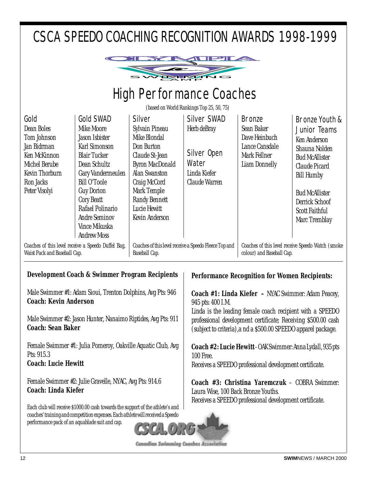## <span id="page-11-0"></span>**CSCA SPEEDO COACHING RECOGNITION AWARDS 1998-1999**



## High Performance Coaches

(based on World Rankings Top 25, 50, 75)

| Gold                                                                               | <b>Gold SWAD</b>     | <b>Silver</b>                                                                                                                                            | <b>Silver SWAD</b> | <b>Bronze</b>  | <b>Bronze Youth &amp;</b> |
|------------------------------------------------------------------------------------|----------------------|----------------------------------------------------------------------------------------------------------------------------------------------------------|--------------------|----------------|---------------------------|
| Dean Boles                                                                         | Mike Moore           | Sylvain Pineau                                                                                                                                           | Herb deBray        | Sean Baker     | <b>Junior Teams</b>       |
| Tom Johnson                                                                        | Jason Isbister       | Mike Blondal                                                                                                                                             |                    | Dave Heinbuch  | Ken Anderson              |
| Jan Bidrman                                                                        | <b>Karl Simonson</b> | Don Burton                                                                                                                                               |                    | Lance Cansdale | Shauna Nolden             |
| <b>Ken McKinnon</b>                                                                | <b>Blair Tucker</b>  | Claude St-Jean                                                                                                                                           | <b>Silver Open</b> | Mark Fellner   | <b>Bud McAllister</b>     |
| Michel Berube                                                                      | Dean Schultz         | <b>Byron MacDonald</b>                                                                                                                                   | <b>Water</b>       | Liam Donnelly  | Claude Picard             |
| Kevin Thorburn                                                                     | Gary Vandermeulen    | Alan Swanston                                                                                                                                            | Linda Kiefer       |                | <b>Bill Humby</b>         |
| Ron Jacks                                                                          | Bill O'Toole         | Craig McCord                                                                                                                                             | Claude Warren      |                |                           |
| Peter Visolyi                                                                      | <b>Guy Dorion</b>    | Mark Temple                                                                                                                                              |                    |                | <b>Bud McAllister</b>     |
|                                                                                    | <b>Cory Beatt</b>    | <b>Randy Bennett</b>                                                                                                                                     |                    |                | <b>Derrick Schoof</b>     |
|                                                                                    | Rafael Polinario     | Lucie Hewitt                                                                                                                                             |                    |                | <b>Scott Faithful</b>     |
|                                                                                    | Andre Seminov        | Kevin Anderson                                                                                                                                           |                    |                | Marc Tremblay             |
|                                                                                    | Vince Mikuska        |                                                                                                                                                          |                    |                |                           |
|                                                                                    | <b>Andrew Moss</b>   |                                                                                                                                                          |                    |                |                           |
| Coaches of this level receive a Speedo Duffel Bag,<br>Waist Pack and Baseball Cap. |                      | Coaches of this level receive a Speedo Fleece Top and<br>Coaches of this level receive Speedo Watch (smoke<br>colour) and Baseball Cap.<br>Baseball Cap. |                    |                |                           |

### **Development Coach & Swimmer Program Recipients**

Male Swimmer #1: Adam Sioui, Trenton Dolphins, Avg Pts: 946 **Coach: Kevin Anderson**

Male Swimmer #2: Jason Hunter, Nanaimo Riptides, Avg Pts: 911 **Coach: Sean Baker**

Female Swimmer #1: Julia Pomeroy, Oakville Aquatic Club, Avg Pts: 915.3 **Coach: Lucie Hewitt**

Female Swimmer #2: Julie Gravelle, NYAC, Avg Pts: 914.6 **Coach: Linda Kiefer**

Each club will receive \$1000.00 cash towards the support of the athlete's and coaches' training and competition expenses. Each athlete will received a Speedo performance pack of an aquablade suit and cap.



### **Performance Recognition for Women Recipients:**

**Coach #1: Linda Kiefer –** NYAC Swimmer: Adam Peacey, 945 pts: 400 I.M.

Linda is the leading female coach recipient with a SPEEDO professional development certificate; Receiving \$500.00 cash (subject to criteria),a nd a \$500.00 SPEEDO apparel package.

**Coach #2: Lucie Hewitt**- OAK Swimmer: Anna Lydall, 935 pts 100 Free.

Receives a SPEEDO professional development certificate.

**Coach #3: Christina Yaremczuk** – COBRA Swimmer: Laura Wise, 100 Back Bronze Youths. Receives a SPEEDO professional development certificate.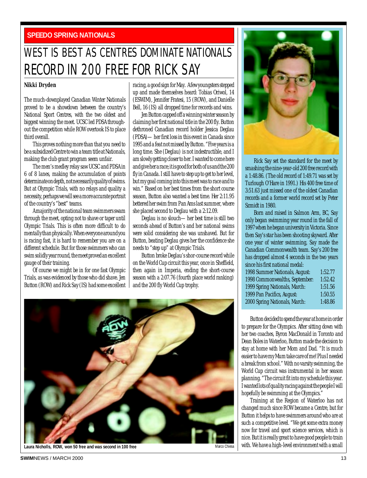### <span id="page-12-0"></span>**SPEEDO SPRING NATIONALS**

## WEST IS BEST AS CENTRES DOMINATE NATIONALS RECORD IN 200 FREE FOR RICK SAY

### **Nikki Dryden**

The much-downplayed Canadian Winter Nationals proved to be a showdown between the country's National Sport Centres, with the two oldest and biggest winning the meet. UCSC led PDSA throughout the competition while ROW overtook IS to place third overall.

This proves nothing more than that you need to be a subsidized Centre to win a team title at Nationals, making the club grant program seem unfair.

The men's medley relay saw UCSC and PDSA in 6 of 8 lanes, making the accumulation of points determinate on depth, not necessarily quality of swims. But at Olympic Trials, with no relays and quality a necessity, perhaps we will see a more accurate portrait of the country's "best" teams.

A majority of the national team swimmers swam through the meet, opting not to shave or taper until Olympic Trials. This is often more difficult to do mentally than physically. When everyone around you is racing fast, it is hard to remember you are on a different schedule. But for those swimmers who can swim solidly year round, the meet proved an excellent gauge of their training.

Of course we might be in for one fast Olympic Trials, as was evidenced by those who did shave. Jen Button (ROW) and Rick Say (IS) had some excellent racing, a good sign for May. A few youngsters stepped up and made themselves heard: Tobias Oriwol, 14 (ESWIM), Jennifer Fratesi, 15 (ROW), and Danielle Bell, 16 (IS) all dropped time for records and wins.

Jen Button capped off a winning winter season by claiming her first national title in the 200 fly. Button dethroned Canadian record holder Jessica Deglau (PDSA)—her first loss in this event in Canada since 1995 and a feat not missed by Button. "Five years is a long time. She (Deglau) is not indestructible, and I am slowly getting closer to her. I wanted to come here and give her a race; it is good for both of us and the 200 fly in Canada. I still have to step up to get to her level, but my goal coming into this meet was to race and to win." Based on her best times from the short course season, Button also wanted a best time. Her 2:11.95 bettered her swim from Pan Ams last summer, where she placed second to Deglau with a 2:12.09.

Deglau is no slouch—her best time is still two seconds ahead of Button's and her national swims were solid considering she was unshaved. But for Button, beating Deglau gives her the confidence she needs to "step up" at Olympic Trials.

Button broke Deglau's shor-course record while on the World Cup circuit this year, once in Sheffield, then again in Imperia, ending the short-course season with a 2:07.76 (fourth place world ranking) and the 200 fly World Cup trophy.



Laura Nicholls, ROW, won 50 free and was second in 100 free



Rick Say set the standard for the meet by smashing the nine-year-old 200 free record with a 1:48.86. (The old record of 1:49.71 was set by Turlough O'Hare in 1991.) His 400 free time of 3:51.63 just missed one of the oldest Canadian records and a former world record set by Peter Szmidt in 1980.

Born and raised in Salmon Arm, BC, Say only began swimming year round in the fall of 1997 when he began university in Victoria. Since then Say's star has been shooting skyward. After one year of winter swimming, Say made the Canadian Commonwealth team. Say's 200 free has dropped almost 4 seconds in the two years since his first national medal: 1998 Summer Nationals, August: 1:52.77 1998 Commonwealths, September: 1:52.42 1999 Spring Nationals, March: 1:51.56

Button decided to spend the year at home in order to prepare for the Olympics. After sitting down with her two coaches, Byron MacDonald in Toronto and Dean Boles in Waterloo, Button made the decision to stay at home with her Mom and Dad. "It is much easier to have my Mum take care of me! Plus I needed 1999 Pan Pacifics, August: 1:50.55 2000 Spring Nationals, March: 1:48.86

a break from school." With no varsity swimming, the World Cup circuit was instrumental in her season planning. "The circuit fit into my schedule this year. I wanted lots of quality racing against the people I will hopefully be swimming at the Olympics."

Training at the Region of Waterloo has not changed much since ROW became a Centre, but for Button it helps to have swimmers around who are at such a competitive level. "We get some extra money now for travel and sport science services, which is nice. But it is really great to have good people to train with. We have a high-level environment with a small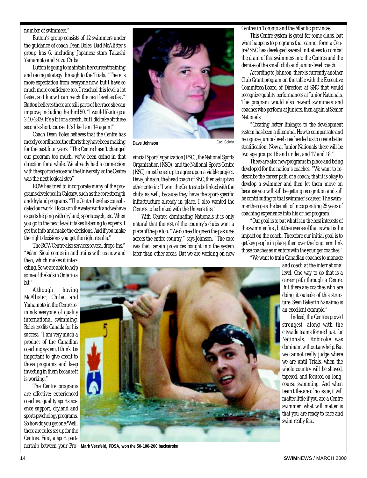### number of swimmers."

Button's group consists of 12 swimmers under the guidance of coach Dean Boles. Bud McAllister's group has 6, including Japanese stars Takashi Yamamoto and Suzu Chiba.

Button is going to maintain her current training and racing strategy through to the Trials. "There is more expectation from everyone now, but I have so much more confidence too. I reached this level a lot faster, so I know I can reach the next level as fast." Button believes there are still parts of her race she can improve, including the third 50. "I would like to go a 2:10-2:09. It's a bit of a stretch, but I did take off three seconds short course. It's like I am 14 again!"

Coach Dean Boles believes that the Centre has merely coordinated the efforts they have been making for the past four years. "The Centre hasn't changed our program too much, we've been going in that direction for a while. We already had a connection with the sport science and the University, so the Centre was the next logical step"

ROW has tried to incorporate many of the programs developed in Calgary, such as the core strength and dryland programs. "The Centre here has consolidated our work. I focus on the water work and we have experts helping with dryland, sports psych, etc. When you go to the next level it takes listening to experts. I get the info and make the decisions. And if you make the right decisions you get the right results."

The ROW Centre also services several drops-ins." "Adam Sioui comes in and trains with us now and

then, which makes it interesting. So we are able to help some of the kids in Ontario a bit."

Although having McAllister, Chiba, and Yamamoto in the Centre reminds everyone of quality international swimming, Boles credits Canada for his success. "I am very much a product of the Canadian coaching system. I think it is important to give credit to those programs and keep investing in them because it is working."

The Centre programs are effective: experienced coaches, quality sports science support, dryland and sports psychology programs. So how do you get one? Well, there are rules set up for the Centres. First, a sport part-



vincial Sport Organization (PSO), the National Sports Organization (NSO), and the National Sports Centre (NSC) must be set up to agree upon a viable project. Dave Johnson, the head coach of SNC, then set up two other criteria: "I want the Centres to be linked with the clubs as well, because they have the sport-specific infrastructure already in place. I also wanted the Centres to be linked with the Universities."

With Centres dominating Nationals it is only natural that the rest of the country's clubs want a piece of the pie too. "We do need to green the pastures across the entire country," says Johnson. "The case was that certain provinces bought into the system later than other areas. But we are working on new Centres in Toronto and the Atlantic provinces."

This Centre system is great for some clubs, but what happens to programs that cannot form a Centre? SNC has developed several initiatives to combat the drain of fast swimmers into the Centres and the demise of the small club and junior-level coach.

According to Johnson, there is currently another Club Grant program on the table with the Executive Committee/Board of Directors at SNC that would recognize quality performances at Junior Nationals. The program would also reward swimmers and coaches who perform at Juniors, then again at Senior Nationals.

"Creating better linkages to the development system has been a dilemma. How to compensate and recognize junior-level coaches led us to create better stratification. Now at Junior Nationals there will be two age groups: 16 and under, and 17 and 18."

There are also new programs in place and being developed for the nation's coaches. "We want to redescribe the career path of a coach; that it is okay to develop a swimmer and then let them move on because you will still be getting recognition and still be contributing to that swimmer's career. The swimmer then gets the benefit of incorporating 25 years of coaching experience into his or her program."

"Our goal is to put what is in the best interests of the swimmer first, but the reverse of that is what is the impact on the coach. Therefore our initial goal is to get key people in place, then over the long term link those coaches as mentors with the younger coaches."

"We want to train Canadian coaches to manage

and coach at the international level. One way to do that is a career path through a Centre. But there are coaches who are doing it outside of this structure. Sean Baker in Nanaimo is an excellent example."

Indeed, the Centres proved strongest, along with the citywide teams formed just for Nationals. Etobicoke was dominant without any help. But we cannot really judge where we are until Trials, when the whole country will be shaved, tapered, and focused on longcourse swimming. And when team titles are of no issue, it will matter little if you are a Centre swimmer; what will matter is that you are ready to race and swim really fast.



nership between your Pro-**Mark Versfeld, PDSA, won the 50-100-200 backstroke**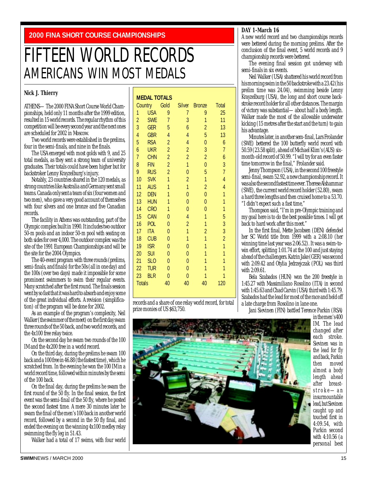### <span id="page-14-0"></span>**2000 FINA SHORT COURSE CHAMPIONSHIPS**

## FIFTEEN WORLD RECORDS AMERICANS WIN MOST MEDALS

### **Nick J. Thierry**

ATHENS—The 2000 FINA Short Course World Championships, held only 11 months after the 1999 edition, resulted in 15 world records. The regular rhythm of this competition will be every second year and the next ones are scheduled for 2002 in Moscow.

Two world records were established in the prelims, four in the semi-finals, and nine in the finals.

The USA emerged with most golds with 9, and 25 total medals, as they sent a strong team of university graduates. Their totals could have been higher but for backstroker Lenny Krayzelburg's injury.

Notably, 23 countries shared in the 120 medals, as strong countries like Australia and Germany sent small teams. Canada only sent a team of six (four women and two men), who gave a very good account of themselves with four silvers and one bronze and five Canadian records.

The facility in Athens was outstanding, part of the Olympic complex built in 1990. It includes two outdoor 50-m pools and an indoor 50-m pool with seating on both sides for over 4,000. The outdoor complex was the site of the 1991 European Championships and will be the site for the 2004 Olympics.

The 40-event program with three rounds (prelims, semi-finals, and finals) for the 50s (all in one day) and the 100s (over two days) made it impossible for some prominent swimmers to swim their regular events. Many scratched after the first round. The finals session went by so fast that it was hard to absorb and enjoy some of the great individual efforts. A revision (simplification) of the program will be done for 2002.

As an example of the program's complexity, Neil Walker (the swimmer of the meet) on the first day swam three rounds of the 50 back, and two world records, and the 4x100 free relay twice.

On the second day he swam two rounds of the 100 IM and the 4x200 free in a world record.

On the third day, during the prelims he swam 100 back and a 100 free in 46.88 (the fastest time), which he scratched from. In the evening he won the 100 IM in a world record time, followed within minutes by the semi of the 100 back.

On the final day, during the prelims he swam the first round of the 50 fly. In the final session, the first event was the semi-final of the 50 fly, where he posted the second fastest time. A mere 30 minutes later he swam the final of the men's 100 back in another world record, followed by a second in the 50 fly final, and ended the evening on the winning 4x100 medley relay swimming the fly leg in 51.43.

Walker had a total of 17 swims, with four world

|                | <b>MEDAL TOTALS</b> |                |                |                |                |
|----------------|---------------------|----------------|----------------|----------------|----------------|
|                | Country             | Gold           | <b>Silver</b>  | <b>Bronze</b>  | Total          |
| 1              | <b>USA</b>          | 9              | 7              | 9              | 25             |
| $\overline{c}$ | <b>SWE</b>          | $\overline{7}$ | 3              | 1              | 11             |
| $\overline{3}$ | <b>GER</b>          | 5              | 6              | $\overline{2}$ | 13             |
| $\overline{4}$ | <b>GBR</b>          | 4              | $\overline{4}$ | 5              | 13             |
| 5              | <b>RSA</b>          | $\overline{2}$ | $\overline{4}$ | $\overline{0}$ | 6              |
| 6              | <b>UKR</b>          | $\overline{2}$ | $\overline{c}$ | 3              | $\overline{7}$ |
| $\overline{1}$ | <b>CHN</b>          | $\overline{2}$ | $\overline{2}$ | $\overline{2}$ | 6              |
| 8              | <b>FIN</b>          | $\overline{2}$ | $\overline{1}$ | $\overline{0}$ | 3              |
| 9              | <b>RUS</b>          | $\overline{2}$ | $\overline{0}$ | 5              | $\overline{7}$ |
| 10             | <b>SVK</b>          | $\overline{1}$ | $\overline{2}$ | 1              | 4              |
| 11             | <b>AUS</b>          | 1              | $\mathbf{1}$   | $\overline{2}$ | 4              |
| 12             | <b>DEN</b>          | 1              | $\overline{0}$ | $\overline{0}$ | 1              |
| 13             | <b>HUN</b>          | 1              | $\overline{0}$ | $\overline{0}$ | 1              |
| 14             | <b>CRO</b>          | 1              | $\overline{0}$ | $\overline{0}$ | 1              |
| 15             | CAN                 | $\overline{0}$ | 4              | 1              | 5              |
| 16             | POL                 | 0              | $\overline{c}$ | 1              | 3              |
| 17             | <b>ITA</b>          | 0              | $\overline{1}$ | $\overline{2}$ | 3              |
| 18             | <b>CUB</b>          | $\overline{0}$ | $\overline{1}$ | 1              | $\overline{2}$ |
| 19             | <b>ISR</b>          | $\overline{0}$ | $\overline{0}$ | 1              | $\overline{1}$ |
| 20             | <b>SUI</b>          | $\overline{0}$ | $\overline{0}$ | 1              | 1              |
| 21             | SL <sub>0</sub>     | 0              | $\overline{0}$ | 1              | 1              |
| 22             | <b>TUR</b>          | 0              | $\overline{0}$ | 1              | 1              |
| 23             | <b>BLR</b>          | 0              | $\overline{0}$ | 1              | 1              |
| <b>Totals</b>  |                     | 40             | 40             | 40             | 120            |

records and a share of one relay world record, for total prize monies of US \$63,750.

### **DAY 1-March 16**

A new world record and two championships records were bettered during the morning prelims. After the conclusion of the final event, 5 world records and 9 championship records were bettered.

The evening final session got underway with semi-finals in six events.

Neil Walker (USA) shattered his world record from his morning swim in the 50 backstroke with a 23.42 (his prelim time was 24.04), swimming beside Lenny Krayzelburg (USA), the long and short course backstroke record holder for all other distances. The margin of victory was substantial—about half a body length. Walker made the most of the allowable underwater kicking (15 metres after the start and the turn) to gain his advantage.

Minutes later, in another sem-final, Lars Frolander (SWE) bettered the 100 butterfly world record with 50.59 (23.58 split), ahead of Michael Klim's (AUS) sixmonth-old record of 50.99. "I will try for an even faster time tomorrow in the final," Frolander said.

Jenny Thompson (USA), in the second 100 freestyle semi-final, swam 52.92, a new championship record. It was also the second fastest time ever. Therese Alshammar (SWE), the current world record holder (52.80), swam a hard three lengths and then cruised home to a 53.70. "I didn't expect such a fast time,"

Thompson said, "I'm in pre-Olympic training and my goal here is to do the best possible times. I will get back to hard work after this meet."

In the first final, Mette Jacobsen (DEN) defended her SC World title from 1999 with a 2:08.10 (her winning time last year was 2:06.52). It was a swim-towin effort, splitting 1:01.74 at the 100 and just staying ahead of the challengers. Katrin Jake (GER) was second with 2:09.42 and Otylia Jedrzejczak (POL) was third with 2:09.61.

Bela Szabados (HUN) won the 200 freestyle in 1:45.27 with Massimiliano Rosolino (ITA) in second with 1:45.63 and Chad Carvin (USA) third with 1:45.79. Szabados had the lead for most of the race and held off a late charge from Rosolino in lane one.

Jani Sievinen (FIN) battled Terence Parkin (RSA)



in the men's 400 IM. The lead changed after each<sup>s</sup> stroke. Sievinen was in the lead for fly and back, Parkin then moved almost a body length ahead after breaststroke—an insurmountable lead, but Sievinen caught up and touched first in 4:09.54, with Parkin second with 4:10.56 (a personal best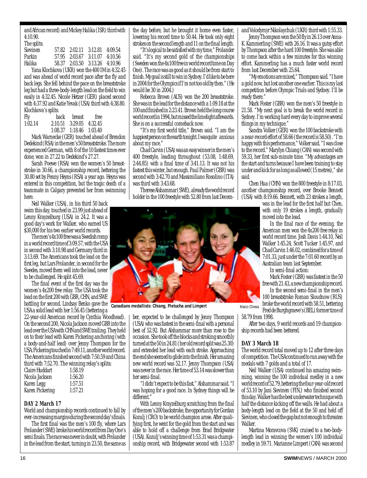and African record) and Mickey Halika (ISR) third with 4:10.90.

| The splits: |  |                               |  |
|-------------|--|-------------------------------|--|
| Sievinen    |  | 57.82 2:02.11 3:12.81 4:09.54 |  |
| Parkin      |  | 57.95 2:03.67 3:11.07 4:10.56 |  |
| Halika      |  | 58.37 2:03.50 3:13.26 4:10.96 |  |

Yana Klochkova (UKR) won the 400 IM in 4:32.45 and was ahead of world record pace after the fly and back legs. She fell behind the pace on the breaststroke leg but had a three-body-length lead on the field to win easily in 4:32.45. Nicole Hetzer (GER) placed second with 4:37.92 and Katie Yevak (USA) third with 4:38.80. Klochkova's splits:

| Fly     | back breast                   | free |  |
|---------|-------------------------------|------|--|
| 1:02.14 | $2:10.51$ $3:29.05$ $4:32.45$ |      |  |
|         | $1:08.37$ $1:18.46$ $1:03.40$ |      |  |

Mark Warnecke (GER) touched ahead of Brendon Dedekind (RSA) in the men's 50 breaststroke. The more experienced German, with 8 of the 10 fastest times ever done, won in 27.22 to Dedekind's 27.27.

Sarah Poewe (RSA) won the women's 50 breaststroke in 30.66, a championship record, bettering the 30.80 set by Penny Heyns (RSA) a year ago. Heyns was entered in this competition, but the tragic death of a teammate in Calgary prevented her from swimming here.

Neil Walker (USA), in his third 50 back swim this day, touched in 23.99 just ahead of Lenny Krayzelburg (USA) in 24.2. It was a good day's work for Walker, who earned US \$30,000 for his two earlier world records.

The men's 4x100 free was a Swedish romp in a world record time of 3:09.57, with the USA in second with 3:10.98 and Germany third in 3:13.69. The Americans took the lead on the first leg, but Lars Frolander, in second for the Swedes, moved them well into the lead, never to be challenged. He split 45.69.

The final event of the first day was the women's 4x200 free relay. The USA took the lead on the first 200 with GBR, CHN, and SWE battling for second. Lindsay Benko gave the **Canadians medallists: Chiang, Pietucha and Limpert** Marco ChiesaUSA a solid lead with her 1:56.45 (bettering a

22-year-old American record by Cynthia Woodhead). On the second 200, Nicola Jackson moved GBR into the lead over the USA with CHN and SWE trailing. They held on to their lead with Karen Pickering anchoring (with a body-and-half lead) over Jenny Thompson for the USA. Pickering touched in 7:49.11, another world record. The Americans finished second with 7:50.59 and China third with 7:52.70. The winning relay's splits:

| 1:58.19 |
|---------|
| 1:56.20 |
| 1:57.51 |
| 1:57.21 |
|         |

### **DAY 2 March 17**

World and championship records continued to fall by ever-increasing margins during the second day's finals.

The first final was the men's 100 fly, where Lars Frolander (SWE) broke his world record from Day One's semi finals. The race was never in doubt, with Frolander in the lead from the start, turning in 23.50, the same as the day before, but he brought it home even faster, lowering his record time to 50.44. He took only eight strokes on the second length and 11 on the final length.

"It's logical to be satisfied with my time," Frolander said. "It's my second gold of the championships (Sweden won the 4x100 free in world record time on Day One). The race was as good as it should be from start to finish. My goal is still to win in Sydney. I'd like to be here in 2004 for the Olympics if I'm not too old by then." (He would be 30 in 2004.)

Rebecca Brown (AUS) won the 200 breaststroke. She was in the lead for the distance with a 1:09.18 at the 100 and finished in 2:23.41. Brown held the long course world record in 1994, but missed the limelight aftewards. She is on a successful comeback now.

"It's my first world title," Brown said. "I am the happiest person on the earth tonight. I was quite anxious about my race."

Chad Carvin (USA) was an easy winner in the men's 400 freestyle, leading throughout (53.08, 1:48.69, 2:44.85) with a final time of 3:41.13. It was not his fastest this winter, but enough. Paul Palmer (GBR) was second with 3:42.70 and Massimiliano Rosolino (ITA) was third with 3:43.68.

Therese Alshammar (SWE), already the world record holder in the 100 freestyle with 52.80 from last Decem-



ber, expected to be challenged by Jenny Thompson (USA) who was fastest in the semi-final with a personal best of 52.92. But Alshammar more than rose to the occasion. She took off the blocks and stroking smoothly turned at the 50 in 24.81 (her old record split was 25.30) and extended her lead with each stroke. Approaching the end she seemed to glide into the finish. Her amazing new world record was 52.17. Jenny Thompson (USA) was never in the race. Her time of 53.14 was slower than her semi-final.

"I didn't expect to be this fast," Alshammar said. "I was hoping for a good race. In Sydney things will be different."

With Lenny Krayzelburg scratching from the final of the men's 200 backstroke, the opportunity for Gordan Kozulj (CRO) to be world champion arose. After qualifying first, he went for the gold from the start and was able to hold off a challenge from Brad Bridgwater (USA). Kozulj's winning time of 1:53.31 was a championship record, with Bridgewater second with 1:53.87 and Volodymyr Nikolaychuk (UKR) third with 1:55.33.

Jenny Thompson won the 50 fly in 26.13 over Anna-K. Kammerling (SWE) with 26.16. It was a gutsy effort by Thompson after the hard 100 freestyle. She was able to come back within a few minutes for this winning effort. Kammerling has a much faster world record from last December with 25.64.

"My emotions are mixed," Thompson said. "I have a gold now, but lost another one earlier. This is my last competition before Olympic Trials and Sydney. I'll be ready there."

Mark Foster (GBR) won the men's 50 freestyle in 21.58. "My next goal is to break the world record in Sydney. I'm working hard every day to improve several things in my technique."

Sandra Volker (GER) won the 100 backstroke with a near-record effort of 58.66 (the record is 58.50). "I'm happy with this performance," Volker said. "I was close to the record." Marylyn Chiang (CAN) was second with 59.33, her first sub-minute time. "My advantages are the start and turns because I have been training to stay under and kick for as long as allowed (15 metres)," she said.

Chen Hua (CHN) won the 800 freestyle in 8:17.03, another championship record, over Brooke Bennett (USA) with 8:19.66. Bennett, with 23 strokes a length,

> was in the lead for the first half but Chen, with only 19 strokes a length, gradually moved into the lead.

In the final race of the evening, the American men won the 4x200 free relay in world record time. Josh Davis 1:44.10, Neil Walker 1:45.24, Scott Tucker 1:45.97, and Chad Carvin 1:46.02, combined for a time of 7:01.33, just under the 7:01.60 record by an Australian team last September.

In semi-final action:

Mark Foster (GBR) was fastest in the 50 free with 21.43, a new championship record.

In the second semi-final in the men's 100 breaststroke Roman Sloudnow (RUS)

broke the world record with 58.51, bettering Fred de Burghgraeve's (BEL) former time of

58.79 from 1998.

After two days, 9 world records and 19 championship records had been bettered.

### **DAY 3 March 18**

The world record total moved up to 12 after three days of competition. The USA continued to run away with the medals with 7 golds and a total of 17.

Neil Walker (USA) continued his amazing swimming, winning the 100 individual medley in a new world record of 52.79, bettering the four-year-old record of 53.10 by Jani Sievinen (FIN,) who finished second this day. Walker has the best underwater technique with half the distance kicking off the walls. He had about a body-length lead on the field at the 50 and held off Sievinen, who closed the gap but not enough to threaten Walker.

Martina Moravcova (SVK) cruised to a two-bodylength lead in winning the women's 100 individual medley in 59.71. Marianne Limpert (CAN) was second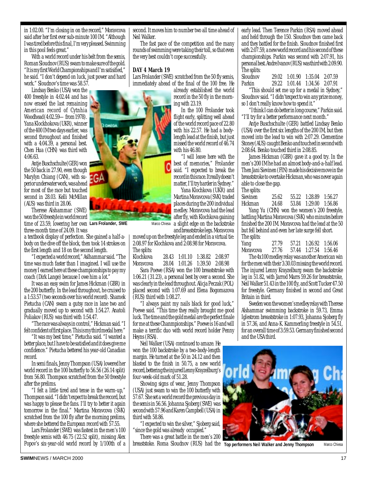in 1:02.00. "I'm closing in on the record," Moravcova said after her first ever sub-minute 100 IM. "Although I was tired before this final, I'm very pleased. Swimming in this pool feels great."

With a world record under his belt from the semis, Roman Sloudnov (RUS) swam to make sure of the gold. "It is my first World Championships and I'm satisified," he said. "I don't depend on luck, just power and hard work." Sloudnov's time was 58.57.

Lindsay Benko (USA) won the 400 freestyle in 4:02.44 and has now erased the last remaining American record of Cytnhia Woodhead (4:02.59—from 1978). Yana Klockhokova (UKR), winner of the 400 IM two days earlier, was second throughout and finished with a 4:04.39, a personal best. Chen Hua (CHN) was third with 4:06.63.

Antje Buschschulte (GER) won the 50 back in 27.90, even though Marylyn Chiang (CAN), with superior underwater work, was ahead for most of the race but touched second in 28.03. Kelli McMillan (AUS) was third in 28.06.

Therese Alshammar (SWE) won the 50 freestyle in world record three-month time of 24.09. It was

a textbook display of perfection. She gained a half-abody on the dive off the block, then took 14 strokes on the first length and 18 on the second length.

"I expected a world record," Aslhammar said. "The time was much faster than I imagined. I will use the money I earned here at these championships to pay my coach (Dirk Lange) because I owe him a lot."

It was an easy swim for James Hickman (GBR) in the 200 butterfly. In the lead throughout, he cruised to a 1:53.57 (two seconds over his world record). Shamek Pietucha (CAN) swam a gutsy race in lane two and gradually moved up to second with 1:54.27. Anatoli Poliakov (RUS) was third with 1:54.47.

"The race was always in control," Hickman said. "I felt confident of first place. This is my third medal here."

"It was my best time," Pietucha said. "I wanted a better place, but I have to be satisfied and it does give me confidence." Pietucha bettered his year-old Canadian record.

In semi finals, Jenny Thompson (USA) lowered her world record in the 100 butterfly to 56.56 (26.14 split) from 56.80. Thompson scratched from the 50 freestyle after the prelims.

"I felt a little tired and tense in the warm-up," Thompson said. "I didn't expect to break the record, but was happy to please the fans. I'll try to better it again tomorrow in the final." Martina Moravcova (SVK) scratched from the 100 fly after the morning prelims, where she bettered the European record with 57.55.

Lars Frolander (SWE) was fastest in the men's 100 freestyle semis with 46.75 (22.52 split), missing Alex Popov's six-year-old world record by 1/100th of a second. It moves him to number two all time ahead of Neil Walker.

The fast pace of the competition and the many rounds of swimming were taking their toll, so that even the very best couldn't cope successfully.

### **DAY 4 March 19**

Lars Frolander (SWE) scratched from the 50 fly semis, immediately ahead of the final of the 100 free. He

already established the world record in the 50 fly in the morning with 23.19.

In the 100 Frolander took flight early, splitting well ahead of the world record pace of 22.80 with his 22.57. He had a bodylength lead at the finish, but just missed the world record of 46.74 with his 46.80.

"I will leave here with the best of memories," Frolander said. "I expected to break the record in this race. It really doesn't matter, I'll try harder in Sydney."

Yana Klochkova (UKR) and Martina Moravcova (SVK) traded places during the 200 individual medley. Moravcova had the lead after fly, with Klochkova gaining a slight edge on the backstroke

and breaststroke legs. Moravcova

moved up on the freestyle leg and ended in a virtual tie: 2:08.97 for Klochkova and 2:08.98 for Moravcova. The splits:

| Klochkova                                                                                                                                                                                                                                                                                                                                    |  | 28.43 1:01.10 1:38.82 2:08.97 |  |
|----------------------------------------------------------------------------------------------------------------------------------------------------------------------------------------------------------------------------------------------------------------------------------------------------------------------------------------------|--|-------------------------------|--|
| <b>Moravcova</b>                                                                                                                                                                                                                                                                                                                             |  | 28.04 1:01.26 1:39.50 2:08.98 |  |
| $C_{\rm{max}} = \sqrt{D} C_1$ and $D_{\rm{max}} = \sqrt{D}$ and $D_{\rm{max}} = \sqrt{D}$ and $D_{\rm{max}} = \sqrt{D}$ and $D_{\rm{max}} = \sqrt{D}$ and $D_{\rm{max}} = \sqrt{D}$ and $D_{\rm{max}} = \sqrt{D}$ and $D_{\rm{max}} = \sqrt{D}$ and $D_{\rm{max}} = \sqrt{D}$ and $D_{\rm{max}} = \sqrt{D}$ and $D_{\rm{max}} = \sqrt{D}$ an |  |                               |  |

Sara Poewe (RSA) won the 100 breaststroke with 1:06.21 (31.23), a personal best by over a second. She was clearly in the lead throughout. Alicja Peczak (POL) placed second with 1:07.69 and Elena Bogomazova (RUS) third with 1:08.27.

"I always paint my nails black for good luck," Poewe said. "This time they really brought me good luck. The time and the gold medal are the perfect finale for me at these Chanmpionships." Poewe is 16 and will make a terrific duo with world record holder Penny Heyns (RSA).

Neil Walker (USA) continued to amaze. He won the 100 backstroke by a two-body-length margin. He turned at the 50 in 24.12 and then blasted to the finish in 50.75, a new world record, bettering the injured Lenny Krayzelburg's four-week-old mark of 51.28.

Showing signs of wear, Jenny Thompson (USA) just swam to win the 100 butterfly with 57.67. She set a world record the previous day in the semis in 56.56. Johanna Sjoberg (SWE) was second with 57.96 and Karen Campbell (USA) in third with 58.86.

"I expected to win the silver," Sjoberg said, "since the gold was already occupied."

There was a great battle in the men's 200

early lead. Then Terence Parkin (RSA) moved ahead and held through the 150. Sloudnov then came back and they battled for the finish. Sloudnov finished first with 2:07.59, a new world record and his second of these championships. Parkin was second with 2:07.91, his personal best. Andre Ivanov (RUS) was third with 2:09.90. The splits:<br>Sloudnov

Sloudnov 29.02 1:01.90 1:35.04 2:07.59<br>Parkin 29.22 1:01.44 1:34.56 2:07.91 Parkin 29.22 1:01.44 1:34.56 2:07.91

"This should set me up for a medal in Sydney," Sloudnov said. "I didn'texpect to win any prize money, so I don't really know how to spend it."

"I think I can do better in long course," Parkin said. "I'll try for a better performance next month."

Antje Buschschulte (GER) battled Lindsay Benko (USA) over the first six lengths of the 200 IM, but then moved into the lead to win with 2:07.29. Clementine Stoney (AUS) caught Benko and touched in second with 2:08.64. Benko touched third in 2:08.85.

James Hickman (GBR) gave it a good try. In the men's 200 IM he had an almost body-and-a-half lead. Then Jani Sievinen (FIN) made his decisive move in the breaststroke to overtake Hickman,who was never again able to close the gap.

The splits:

| Sievinen | 25.62 | 55.22 1:28.89 1:56.27 |  |
|----------|-------|-----------------------|--|
| Hickman  | 24.68 | 53.84 1:29.00 1:56.86 |  |

Yang Yu (CHN) won the women's 200 freestyle, battling Martina Moravcova (SVK) who minutes before finished the 200 IM. Moravcova had the lead at the 50 but fell behind and even her late surge fell short. The splits:

| Moravcova<br>27.76 57.44 1:27.54 1:56.46 | Yang | 27.79 57.21 1:26.92 1:56.06 |  |
|------------------------------------------|------|-----------------------------|--|
|                                          |      |                             |  |

The 4x100 medley relay was another American win for the men with their 3:30.03 missing the world record. The injured Lenny Krayzelburg swam the backstroke leg in 51.82, with Jarrod Marrs 59.26 for breaststroke, Neil Walker 51.43 in the 100 fly, and Scott Tucker 47.50 for freestyle. Germany finished in second and Great Britain in third.

Sweden won the women's medley relay with Therese Alshammar swimming backstroke in 59.73, Emma Iglestrom breaststroke in 1:07.93, Johanna Sjoberg fly in 57.36, and Anna-K. Kammerling freestyle in 54.51, for an overall time of 3:59.53. Germany finished second and the USA third.



breaststoke. Roma Sloudnov (RUS) had the **Top performers Neil Walker and Jenny Thompson** Marco Chiesa

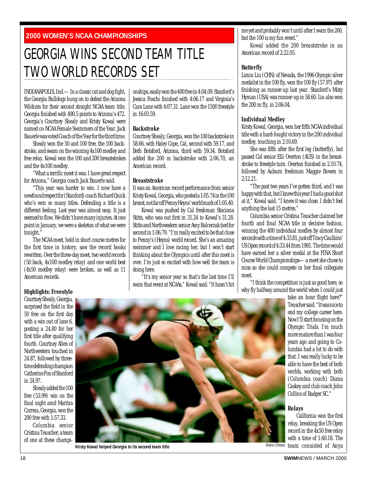<span id="page-17-0"></span>**2000 WOMEN'S NCAA CHAMPIONSHIPS**

## GEORGIA WINS SECOND TEAM TITLE TWO WORLD RECORDS SET

INDIANAPOLIS, Ind.—In a classic cat and dog fight, the Georgia Bulldogs hung on to defeat the Arizona Wildcats for their second straight NCAA team title. Georgia finished with 490.5 points to Arizona's 472. Georgia's Courtney Shealy and Kristy Kowal were named co-NCAA Female Swimmers of the Year. Jack Bauerle was voted Coach of the Year for the third time.

Shealy won the 50 and 100 free, the 100 backstroke, and swam on the winning 4x100 medley and free relay. Kowal won the 100 and 200 breaststrokes and the 4x100 medley.

"What a terrific meet it was. I have great respect for Arizona," Georgia coach Jack Bauerle said.

"This year was harder to win. I now have a newfound respect for (Stanford) coach Richard Quick who's won so many titles. Defending a title is a different feeling. Last year was almost easy. It just seemed to flow. We didn't have many injuries. At one point in January, we were a skeleton of what we were tonight."

The NCAA meet, held in short course metres for the first time in history, saw the record books rewritten. Over the three-day meet, two world records (50 back, 4x100 medley relay) and one world best (4x50 medley relay) were broken, as well as 11 American records.

### **Highlights: Freestyle**

Courtney Shealy, Georgia, surprised the field in the 50 free on the first day with a win out of lane 6, posting a 24.80 for her first title after qualifying fourth. Courtney Allen of Northwestern touched in 24.87, followed by threetime defending champion Catherine Fox of Stanford in 24.97.

Shealy added the 100 free (53.99) win on the final night amd Maritza Correia, Georgia, won the 200 free with 1:57.33.

Columbia senior Cristina Teuscher, a team of one at these championships, easily won the 400 free in 4:04.09. Stanford's Jessica Foschi finished with 4:06.17 and Virginia's Cara Lane with 4:07.31. Lane won the 1500 freestyle in 16:03.59.

### **Backstroke**

Courtney Shealy, Georgia, won the 100 backstroke in 58.66, with Haley Cope, Cal, second with 59.17, and Beth Botsford, Arizona, third with 59.34. Botsford added the 200 m backstroke with 2:06.70, an American record.

### **Breaststroke**

It was an American record performance from senior Kristy Kowal, Georgia, who posted a 1:05.74 in the 100 breast, not far off Penny Heyns' world mark of 1:05.40.

Kowal was pushed by Cal freshman Staciana Stitts, who was out first in 31.24 to Kowal's 31.28. Stitts and Northwestern senior Amy Balcerzak tied for second in 1:06.79. "I'm really excited to be that close to Penny's (Heyns) world record. She's an amazing swimmer and I love racing her, but I won't start thinking about the Olympics until after this meet is over. I'm just so excited with how well the team is doing here.

"It's my senior year so that's the last time I'll swim that event at NCAAs," Kowal said. "It hasn't hit me yet and probably won't until after I swim the 200, but the 100 is my fun event."

Kowal added the 200 breaststroke in an American record of 2:22.05.

### **Butterfly**

Limin Liu (CHN) of Nevada, the 1996 Olympic silver medalist in the 100 fly, won the 100 fly (57.97) after finishing as runner-up last year. Stanford's Misty Hyman (USA) was runner-up in 58.60. Liu also won the 200 m fly, in 2:06.04.

### **Individual Medley**

Kristy Kowal, Georgia, won her fifth NCAA individual title with a hard-fought victory in the 200 individual medley, touching in 2:10.69.

She was fifth after the first leg (butterfly), but passed Cal senior Elli Overton (AUS) in the breaststroke to freestyle turn. Overton finished in 2:10.74, followed by Auburn freshman Maggie Bowen in 2:12.21.

"The past two years I've gotten third, and I was happy with that, but I knew this year I had a good shot at it," Kowal said. "I knew it was close. I didn't feel anything the last 15 metres."

Columbia senior Cristina Teuscher claimed her fourth and final NCAA title in decisive fashion, winning the 400 individual medley by almost four seconds with a time of 4:33.81, just off Tracy Caulkins' US Open record of 4:33.44 from 1981. The time would have earned her a silver medal at the FINA Short Course World Championships—a meet she chose to miss so she could compete in her final collegiate meet.

"I think the competition is just as good here, so why fly halfway around the world when I could just



take an hour flight here?" Teuscher said. "It was nice to end my college career here. Now I'll start focusing on the Olympic Trials. I'm much more mature than I was four years ago and going to Columbia had a lot to do with that. I was really lucky to be able to have the best of both worlds, working with both (Columbia coach) Diana Caskey and club coach John Collins of Badger SC."

### **Relays**

California won the first relay, breaking the US Open record in the 4x50 free relay with a time of 1:40.18. The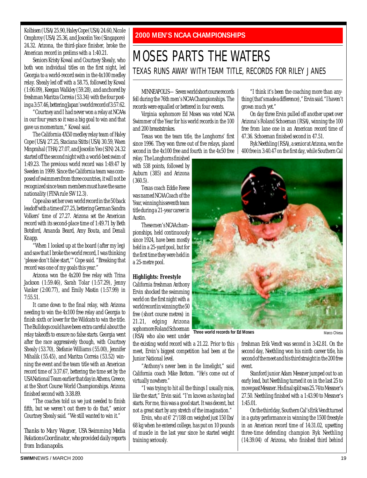<span id="page-18-0"></span>Kolbisen (USA) 25.90, Haley Cope (USA) 24.60, Nicole Omphroy (USA) 25.36, and Joscelin Yeo (Singapore) 24.32. Arizona, the third-place finisher, broke the American record in prelims with a 1:40.21.

Seniors Kristy Kowal and Courtney Shealy, who both won individual titles on the first night, led Georgia to a world-record swim in the 4x100 medley relay. Shealy led off with a 58.75, followed by Kowal (1:06.09), Keegan Walkley (59.28), and anchored by freshman Maritza Correia (53.34) with the four posting a 3:57.46, bettering Japan's world record of 3:57.62.

"Courtney and I had never won a relay at NCAAs in our four years so it was a big goal to win and that gave us momentum," Kowal said.

The California 4X50 medley relay team of Haley Cope (USA) 27.25, Staciana Stitts (USA) 30.59, Waen Minprahal (THA) 27.07, and Joscelin Yeo (SIN) 24.32 started off the second night with a world-best swim of 1:49.23. The previous world record was 1:49.47 by Sweden in 1999. Since the California team was composed of swimmers from three countries, it will not be recognized since team members must have the same nationality (FINA rule SW 12.3).

Cope also set her own world record in the 50 back leadoff with a time of 27.25, bettering German Sandra Volkers' time of 27.27. Arizona set the American record with its second-place time of 1:49.71 by Beth Botsford, Amanda Beard, Amy Bouta, and Denali Knapp.

"When I looked up at the board (after my leg) and saw that I broke the world record, I was thinking 'please don't false start,'" Cope said. "Breaking that record was one of my goals this year."

Arizona won the 4x200 free relay with Trina Jackson (1:59.46), Sarah Tolar (1:57.29), Jenny Vanker (2:00.77), and Emily Mastin (1:57.99) in 7:55.51.

It came down to the final relay, with Arizona needing to win the 4x100 free relay and Georgia to finish sixth or lower for the Wildcats to win the title. The Bulldogs could have been extra careful about the relay takeoffs to ensure no false starts. Georgia went after the race aggressively though, with Courtney Shealy (53.70), Stefanie Williams (55.00), Jennifer Mihalik (55.45), and Maritza Correia (53.52) winning the event and the team title with an American record time of 3:37.67, bettering the time set by the USA National Team earlier that day in Athens, Greece, at the Short Course World Championships. Arizona finished second with 3:38.89.

"The coaches told us we just needed to finish fifth, but we weren't out there to do that," senior Courtney Shealy said. "We still wanted to win it."

*Thanks to Mary Wagner, USA Swimming Media Relations Coordinator, who provided daily reports from Indianapolis.*

### **2000 MEN'S NCAA CHAMPIONSHIPS**

### MOSES PARTS THE WATERS TEXAS RUNS AWAY WITH TEAM TITLE, RECORDS FOR RILEY JANES

MINNEAPOLIS—Seven world short course records fell during the 76th men's NCAA Championships. The records were equalled or bettered in four events.

Virginia sophomore Ed Moses was voted NCAA Swimmer of the Year for his world records in the 100 and 200 breaststrokes.

Texas won the team title, the Longhorns' first since 1996. They won three out of five relays, placed second in the 4x100 free and fourth in the 4x50 free

relay. The Longhorns finished with 538 points, followed by Auburn (385) and Arizona (360.5).

Texas coach Eddie Reese was named NCAA Coach of the Year, winning his seventh team title during a 21-year career in Austin.

These men's NCAA championships, held continuously since 1924, have been mostly held in a 25-yard pool, but for the first time they were held in a 25-metre pool.

### **Highlights: Freestyle**

California freshman Anthony Ervin shocked the swimming world on the first night with a world record in winning the 50 free (short course metres) in 21.21, edging Arizona sophomore Roland Schoeman (RSA) who also went under

the existing world record with a 21.22. Prior to this meet, Ervin's biggest competition had been at the Junior National level.

"Anthony's never been in the limelight," said California coach Mike Bottom. "He's come out of virtually nowhere."

"I was trying to hit all the things I usually miss, like the start," Ervin said. "I'm known as having bad starts. For me, this was a good start. It was decent, but not a great start by any stretch of the imagination."

Ervin, who at 6' 2"/188 cm weighed just 150 lbs/ 68 kg when he entered college, has put on 10 pounds of muscle in the last year since he started weight training seriously.

"I think it's been the coaching more than anything (that's made a difference)," Ervin said. "I haven't grown much yet."

On day three Ervin pulled off another upset over Arizona's Roland Schoeman (RSA), winning the 100 free from lane one in an American record time of 47.36. Schoeman finished second in 47.51.

Ryk Neethling (RSA), a senior at Arizona, won the 400 free in 3:40.47 on the first day, while Southern Cal



**Three world records for Ed Moses** Marco Chiesa

freshman Erik Vendt was second in 3:42.81. On the second day, Neethling won his ninth career title, his second of the meet and his third straight in the 200 free event.

Stanford junior Adam Messner jumped out to an early lead, but Neethling turned it on in the last 25 to move past Messner. His final split was 25.74 to Messner's 27.50. Neethling finished with a 1:43.90 to Messner's 1:45.01.

On the third day, Southern Cal's Erik Vendt turned in a gutsy performance in winning the 1500 freestyle in an American record time of 14:31.02, upsetting three-time defending champion Ryk Neethling (14:39.04) of Arizona, who finished third behind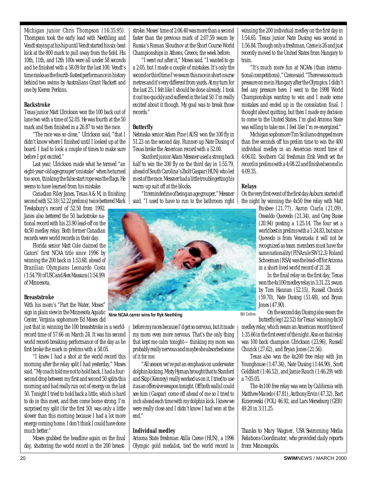Michigan junior Chris Thompson (14:35.95). Thompson took the early lead with Neethling and Vendt staying at his hip until Vendt started his six-beat kick at the 800 mark to pull away from the field. His 10th, 11th, and 12th 100s were all under 58 seconds and he finished with a 58.09 for the last 100. Vendt's time ranks as the fourth-fastest performance in history behind two swims by Australians Grant Hackett and one by Kieren Perkins.

### **Backstroke**

Texas junior Matt Ulrickson won the 100 back out of lane two with a time of 52.05. He was fourth at the 50 mark and then finished in a 26.87 to win the race.

The race was so close," Ulrickson said, "that I didn't know where I finished until I looked up at the board. I had to look a couple of times to make sure before I got excited."

Last year, Ulrickson made what he termed "an eight-year-old age grouper's mistake" when he turned too soon, thinking the false start rope was the flags. He seems to have learned from his mistake.

Canadian Riley Janes, Texas A & M, in finishing second with 52.18 (52.22 prelims) twice bettered Mark

Tewksbury's record of 52.50 from 1992. Janes also bettered the 50 backstroke national record with his 23.90 lead-off on the 4x50 medley relay. Both former Canadian records were world records in their day.

Florida senior Matt Cole claimed the Gators' first NCAA title since 1996 by winning the 200 back in 1:53.68, ahead of Brazilian Olympians Leonardo Costa (1:54.79) of USC and Alex Massura (1:54.99) of Minnesota.

### **Breaststroke**

With his mom's "Part the Water, Moses" sign in plain view in the Minnesota Aquatic <sub>Nine</sub> NCAA carrer wins for Ryk Neethling Bill Collins Bill Collins

Center, Virginia sophomore Ed Moses did just that in winning the 100 breaststroke in a worldrecord time of 57.66 on March 24. It was his second world record-breaking performance of the day as he first broke the mark in prelims with a 58.05.

"I knew I had a shot at the world record this morning after the relay split I had yesterday," Moses said. "My coach told me not to hold back. I had a foursecond drop between my first and second 50 splits this morning and had really run out of energy on the last 50. Tonight I tried to hold back a little, which is hard to do in this meet, and then come home strong. I'm surprised my split (for the first 50) was only a little slower than this morning because I had a lot more energy coming home. I don't think I could have done much better."

Moses grabbed the headline again on the final day, shattering the world record in the 200 breaststroke. Moses' time of 2:06.40 was more than a second faster than the previous mark of 2:07.59 swum by Russia's Roman Sloudnov at the Short Course World Championships in Athens, Greece, the week before.

"I went out after it," Moses said. "I wanted to go a 2:05, but I made a couple of mistakes. It's only the second or third time I've swum this race in short course metres and it's very different from yards. At my turn for the last 25, I felt like I should be done already. I took it out too quickly and suffered in the last 50. I'm really excited about it though. My goal was to break those records."

### **Butterfly**

Nebraska senior Adam Pine (AUS) won the 100 fly in 51.23 on the second day. Runner-up Nate Dusing of Texas broke the American record with a 52.00.

Stanford junior Adam Messner used a strong back half to win the 200 fly on the third day in 1:55.79, ahead of South Carolina's Zsolt Gaspar (HUN) who led most of the race. Messner had a little trouble getting his warm-up suit off at the blocks.

"It reminded me of being an age grouper," Messner said. "I used to have to run to the bathroom right



before my races because I'd get so nervous, but it made my mom even more nervous. That's the only thing that kept me calm tonight—thinking my mom was probably really nervous and maybe she absorbed some of it for me.

"All season we've put an emphasis on underwater dolphin kicking. Misty Hyman brought that to Stanford and Skip (Kenney) really worked us on it. I tried to use it as an offensive weapon tonight. Off both walls I could see him (Gaspar) come off ahead of me so I tried to inch ahead each time with my dolphin kick. I knew we were really close and I didn't know I had won at the end."

### **Individual medley**

Arizona State freshman Atilla Czene (HUN), a 1996 Olympic gold medalist, tied the world record in winning the 200 individual medley on the first day in 1:54.65. Texas junior Nate Dusing was second in 1:56.84. Though only a freshman, Czene is 26 and just recently moved to the United States from Hungary to train.

"It's much more fun at NCAAs (than international competitions)," Czene said. "There was so much pressure on me in Hungary after the Olympics. I didn't feel any pressure here. I went to the 1998 World Championships wanting to win and I made some mistakes and ended up in the consolation final. I thought about quitting, but then I made my decision to come to the United States. I'm glad Arizona State was willing to take me. I feel like I'm re-energized."

Michigan sophomore Tim Siciliano dropped more than five seconds off his prelim time to win the 400 individual medley in an American record time of 4:06.02. Southern Cal freshman Erik Vendt set the record in prelims with a 4:08.22 and finished second in 4:09.35.

### **Relays**

On the very first event of the first day Auburn started off the night by winning the 4x50 free relay with Matt

> Busbee (21.77), Aaron Ciarla (21.09), Oswaldo Quevedo (21.34), and Greg Busse (20.94) posting a 1:25.14. The four set a world best in prelims with a 1:24.83, but since Quevedo is from Venezuela it will not be recognized as team members must have the same nationality (FINA rule SW 12.3) Roland Schoeman (RSA) was the lead-off for Arizona in a short-lived world record of 21.28.

> In the final relay on the first day, Texas won the 4x100 medley relay in 3:31.23, swum by Tom Hannan (52.15), Russell Chozick (59.70), Nate Dusing (51.48), and Bryan Jones (47.90).

On the second day Dusing also swam the butterfly leg (22.52) for Texas' winning 4x50

medley relay, which swam an American record time of 1:35.66 in the first event of the night. Also on that relay was 100 back champion Ulrickson (23.96), Russell Chozick (27.62), and Bryan Jones (21.56).

Texas also won the 4x200 free relay with Jon Younghouse (1:47.34), Nate Dusing (1:44.90), Scott Goldblatt (1:46.52), and Jamie Rauch (1:46.29) with a 7:05.05.

The 4x100 free relay was won by California with Matthew Macedo (47.81), Anthony Ervin (47.32), Bart Kizierowski (POL) 46.92, and Lars Merseburg (GER) 49.20 in 3:11.25.

*Thanks to Mary Wagner, USA Swimming Media Relations Coordinator, who provided daily reports from Minneapolis.*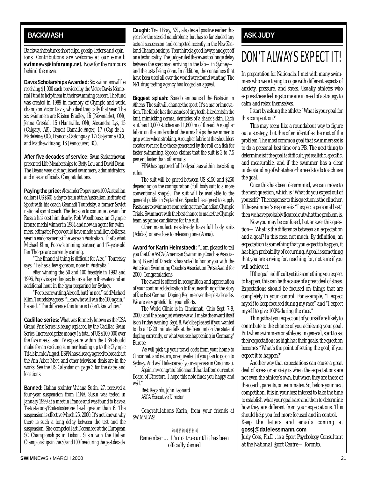### <span id="page-20-0"></span>**BACKWASH**

*Backwash features short clips, gossip, letters and opinions. Contributions are welcome at our e-mail:* **swimnews@inforamp.net.** *Now for the rumours behind the news.*

**Davis Scholarships Awarded:**Six swimmers will be receiving \$1,000 each provided by the Victor Davis Memorial Fund to help them in their swimming careers. The fund was created in 1989 in memory of Olympic and world champion Victor Davis, who died tragically that year. The six swimmers are Kristen Bradley, 16 (Newmarket, ON), Jenna Gresdal, 15 (Huntsville, ON), Alexandra Lys, 15 (Calgary, AB), Benoit Banville-Auger, 17 (Cap-de-la-Madeleine, QC), Francois Castonguay, 17 (St-Jerome, QC), and Matthew Huang, 16 (Vancouver, BC).

**After five decades of service:**Swim Saskatchewan presented Life Memberships to Betty Lou and David Dean. The Deans were distinguished swimmers, administrators, and master officials. Congratulations.

**Paying the price:**Alexander Popov pays 100 Australian dollars (US \$60) a day to train at the Australian Institute of Sport with his coach Gennadi Touretsky, a former Soviet national sprint coach. The decision to continue to swim for Russia has cost him dearly. Rob Woodhouse, an Olympic bronze medal winner in 1984 and now an agent for swimmers, estimates Popov could have made a million dollars a year in endorsements if he were an Australian. That's what Michael Klim, Popov's training partner, and 17-year-old Ian Thorpe are currently earning.

"The financial thing is difficult for Alex," Touretsky says. "He has a few sponsors, none in Australia."

After winning the 50 and 100 freestyle in 1992 and 1996, Popov is spending six hours a day in the water and an additional hour in the gym preparing for Sydney.

"People are writing Alex off, but I'm not," said Michael Klim. Touretsky agrees. "I know he will win the 100 again," he said. "The difference this time is I don't know how."

**Cadillac series:** What was formerly known as the USA Grand Prix Series is being replaced by the Cadillac Swim Series. Increased prize money (a total of US \$100,000 over the five meets) and TV exposure within the USA should make for an exciting summer leading up to the Olympic Trials in mid August. ESPN has already agreed to broadcast the Ann Arbor Meet, and other television deals are in the works. See the US Calendar on page 3 for the dates and locations.

**Banned:** Italian sprinter Viviana Susin, 27, received a four-year suspension from FINA. Susin was tested in January 1999 at a meet in France and was found to have a Testosterone/Epitestosterone level greater than 6. The suspension is effective March 25, 2000. It's not known why there is such a long delay between the test and the suspension. She competed last December at the European SC Championships in Lisbon. Susin won the Italian Championships in the 50 and 100 free during the past decade.

**Caught:** Trent Bray, NZL, also tested positive earlier this year for the steroid nandrolone, but has so far eluded any actual suspension and competed recently in the New Zealand Championships. Trent hired a good lawyer and got off on a technicality. The judge ruled there was too long a delay between the specimen arriving in the lab—in Sydney and the tests being done. In addition, the containers that have been used all over the world were found wanting! The NZL drug testing agency has lodged an appeal.

**Biggest splash:** Speedo announced the Fastskin in Athens. The suit will change the sport. It's a major innovation. The fabric has thousands of tiny teeth-like dents in the knit, mimicking dermal denticles of a shark's skin. Each suit has 13,000 stitches and 1,800 m of thread. A rougher fabric on the underside of the arms helps the swimmer to grip water when stroking. A rougher fabric at the shoulders creates vortices like those generated by the roll of a fish for faster swimming. Speedo claims that the suit is 3 to 7.5 percent faster than other suits.

FINA has approved full body suits as within its existing rules.

The suit will be priced between US \$150 and \$250 depending on the configuration (full body suit to a more conventional shape). The suit will be available to the general public in September. Speedo has agreed to supply Fastskins to swimmers competing at the Canadian Olympic Trials. Swimmers with the best chance to make the Olympic team as prime candidates for the suit.

Other manufacturersalready have full body suits (Adidas) or are close to releasing one (Arena).

**Award for Karin Helmstaedt:** "I am pleased to tell you that the ASCA (American Swimming Coaches Association) Board of Directors has voted to honor you with the American Swimming Coaches Association Press Award for 2000. Congratulations!

The award is offered in recognition and appreciation of your continued dedication to the unearthing of the story of the East German Doping Regime over the past decades. We are very grateful for your efforts.

The World Clinic is in Cincinnati, Ohio Sept. 7-9, 2000, and the banquet where we will make the award itself is on Friday evening, Sept. 8. We'd be pleased if you wanted to do a 10-20 minute talk at the banquet on the state of doping currently, or what you see happening in Germany/ Europe.

We will pick up your travel costs from your home to Cincinnati and return, or equivalent if you plan to go on to Sydney. And we'll take care of your expenses in Cincinnati.

Again, my congratulations and thanks from our entire Board of Directors. I hope this note finds you happy and well."

Best Regards, John Leonard ASCA Executive Director

Congratulations Karin, from your friends at SWIMNEWS!

✌✌✌✌✌✌✌✌ *Remember … It's not true until it has been officially denied*

### **ASK JUDY**

## DON'T ALWAYS EXPECT IT!

In preparation for Nationals, I met with many swimmers who were trying to cope with different aspects of anxiety, pressure, and stress. Usually athletes who express these feelings to me are in need of a strategy to calm and relax themselves.

I start by asking the athlete "What is your goal for this competition?"

This may seem like a roundabout way to figure out a strategy, but this often identifies the root of the problem. The most common goal that swimmers set is to do a personal best time or a PB. The next thing to determine is if the goal is difficult, yet realistic, specific, and measurable, and if the swimmer has a clear understanding of what she or he needs to do to achieve the goal.

Once this has been determined, we can move to the next question, which is "What do you expect out of yourself?" The response to this question is the clincher. If the swimmer's response is "I expect a personal best" then we have probably figured out what the problem is.

Now you may be confused, but answer this question—What is the difference between an expectation and a goal? In this case, not much. By definition, an *expectation*is something that you expect to happen, it has high probability of occurring. A *goal* is something that you are striving for, reaching for, not sure if you will achieve it.

If the goal is difficult yet it is something you expect to happen, this can be the cause of a great deal of stress. Expectations should be focused on things that are completely in your control. For example, "I expect myself to keep focused during my race" and "I expect myself to give 100% during the race."

Things that you expect out of yourself are likely to contribute to the chance of you achieving your goal. But when swimmers or athletes, in general, start to set their expectations as high has their goals, the question becomes "What's the point of setting the goal, if you expect it to happen?"

Another way that expectations can cause a great deal of stress or anxiety is when the expectations are not even the athlete's own, but when they are those of the coach, parents, or teammates. So, before your next competition, it is in your best interest to take the time to establish what your goals are and then to determine how they are different from your expectations. This should help you feel more focused and in control. Keep the letters and emails coming at

**gossj@dalelessmann.com** *Judy Goss, Ph.D., is a Sport Psychology Consultant at the National Sport Centre—Toronto.*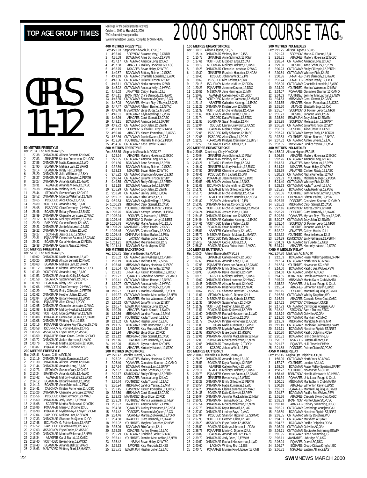| GIRLS |  |
|-------|--|
| 11-12 |  |

### **50 METRES FREESTYLE**

|                                            | Rec: 26.34                          | 50 METRES FREESTYLE<br>Lori Melien, AAC, 85     |                                                                                                                                                                                                                                            | 80<br>Red                               |
|--------------------------------------------|-------------------------------------|-------------------------------------------------|--------------------------------------------------------------------------------------------------------------------------------------------------------------------------------------------------------------------------------------------|-----------------------------------------|
| 1                                          | 27.38                               |                                                 | ONTAGMAR Allison Bennett, 12, NYAC                                                                                                                                                                                                         | 1                                       |
| $\frac{2}{3}$                              | 27.83                               |                                                 | JRNATFEB Kirsten Pomerleau, 12, UCSC                                                                                                                                                                                                       | 2                                       |
| 4                                          | 27.86<br>27.90                      |                                                 | ONTAGMAR Nadia Kumentas, 12, WD<br>BCAGMAR Melissa Lam, 12, SPART                                                                                                                                                                          | 3<br>4                                  |
| 5                                          | 28.14                               |                                                 | BCAGMAR Kirsty Teit, 12, PGB                                                                                                                                                                                                               |                                         |
| $\frac{6}{7}$                              | 28.20                               |                                                 | DONTAGMAR Tulia Wilkinson, 12, SKY<br>ONTAGMAR Emily Gillespie, 12, PERTH<br>ONTAGMAR Amanda Kelly, 12, HWAC<br>ONTAGMAR Manda Maxey, 12, CASC<br>ONTAGMAR Whitney Rich, 12, CNDR<br>SFOYNOV Suzanne Vary, 12, CADR<br>ONTAGMAR Whitney Ri | 567                                     |
|                                            | 28.27<br>28.27                      |                                                 |                                                                                                                                                                                                                                            |                                         |
| 8<br>9                                     | 28.31                               |                                                 |                                                                                                                                                                                                                                            | 8<br>9                                  |
| 10                                         | 28.38                               |                                                 |                                                                                                                                                                                                                                            | 10                                      |
| 11                                         | 28.44                               |                                                 |                                                                                                                                                                                                                                            | 11                                      |
| 12                                         | 28.52                               |                                                 | ONTAGMAR Monica Wakeman, 12, NEW                                                                                                                                                                                                           | $\begin{array}{c} 12 \\ 13 \end{array}$ |
| 13<br>14                                   | 28.65<br>28.89                      |                                                 | PCSCDEC Alice Chow 11 PCSC                                                                                                                                                                                                                 |                                         |
|                                            | 28.95                               |                                                 |                                                                                                                                                                                                                                            | 14<br>15                                |
| $\frac{15}{16}$                            | 28.96                               |                                                 | YOUTHDEC Amanda Long, 12, LAC<br>PCSCDEC Clare Dermody, 12, HWAC<br>BCAGMAR Brittany Reimer, 12, SKSC                                                                                                                                      | 16                                      |
| 17                                         | 28.99<br>29.12                      |                                                 | ONTAGMAR Chantelle Lonsdale, 12, WAC                                                                                                                                                                                                       | 17                                      |
| 18<br>19                                   | 29.20                               |                                                 | MBSKMAR Mallory Hoekstra, 12, EKSC<br>RAPIDDEC Carleen Ready, 12, LASO                                                                                                                                                                     | 18<br>19                                |
| 20                                         | 29.21                               |                                                 | ONTAGMAR Jamie MacLeod, 12, USC                                                                                                                                                                                                            | 20                                      |
| 21                                         | 29.22                               |                                                 | ONTAGMAR Heather Julien, 12, LAC                                                                                                                                                                                                           | 21                                      |
| 22<br>23                                   | 29.27<br>29.31<br>29.32             |                                                 | SCARFEB Jessica Lau, 12, SCAR<br>POAAAFEB Genevieve Saumur, 12, CAMO<br>BCAGMAR Carla Henderson, 12, PDSA                                                                                                                                  | 22                                      |
| 24                                         |                                     |                                                 |                                                                                                                                                                                                                                            | 23<br>24                                |
| 25                                         | 29.38                               |                                                 | ONTAGMAR Ogechi Abara, 12, RHAC                                                                                                                                                                                                            | 25                                      |
|                                            |                                     | <b>100 METRES FREESTYLE</b>                     |                                                                                                                                                                                                                                            | 10                                      |
| 1                                          | Rec: 57.36<br>1:00.02               | Lori Melien, AAC, 85                            | ONTAGMAR Nadia Kumentas, 12, WD                                                                                                                                                                                                            | Rec<br>1                                |
|                                            | 1:00.25                             |                                                 | JRNATFEB Allison Bennett, 12, NYAC                                                                                                                                                                                                         |                                         |
| $\begin{array}{c} 2 \\ 3 \\ 4 \end{array}$ | 1:00.63<br>1:01.12                  |                                                 | BCAGMAR Melissa Lam, 12, SPART                                                                                                                                                                                                             | 2<br>3<br>4                             |
|                                            | 1:01.39                             |                                                 | JRNATFEB Kirsten Pomerleau, 12, UCSC                                                                                                                                                                                                       |                                         |
| 567                                        | 1:01.53                             |                                                 | YOUTHDEC Amanda Long, 12, LAC                                                                                                                                                                                                              | 5                                       |
|                                            | 1:01.58                             |                                                 | ONTAGMAR Amanda Kelly, 12, HWAC<br>SFOYNOV Suzanne Vary, 12, CNDR<br>BCAGMAR Kirsty Teit, 12, PGB                                                                                                                                          | $\frac{6}{7}$                           |
| 8                                          | 1:01.99                             |                                                 |                                                                                                                                                                                                                                            | 8                                       |
| 9<br>10                                    | $1:02.06$<br>$1:02.29$<br>$1:02.62$ |                                                 | HWACOCT Clare Dermody, 12, HWAC<br>TDJAN Emily Gillespie, 12, PERTH                                                                                                                                                                        | 9<br>10                                 |
| $\begin{array}{c} 11 \\ 12 \end{array}$    |                                     |                                                 | ONTAGMAR Heather Julien, 12, LAC                                                                                                                                                                                                           | 11                                      |
|                                            | 1:02.84                             |                                                 | BCAGMAR Brittany Reimer, 12, SKSC<br>POAAAFEB Alice Chow, 11, PCSC                                                                                                                                                                         | 12                                      |
| 13<br>14                                   | 1:02.94<br>1:02.95                  |                                                 | ONTAGMAR Chantelle Lonsdale, 12, WAC                                                                                                                                                                                                       | 13                                      |
| 15                                         | 1:02.98                             |                                                 | MBSKMAR Mallory Hoekstra, 12, EKSC                                                                                                                                                                                                         | 14<br>15                                |
| $\begin{array}{c} 16 \\ 17 \end{array}$    | 1:03.02                             |                                                 | YOUTHDEC Monica Wakeman, 12, NEW                                                                                                                                                                                                           | 16                                      |
|                                            | 1:03.08                             |                                                 | POAAAFEB Genevieve Saumur, 12, CAMO<br>ONTAGMAR Whitney Rich, 12, ISS                                                                                                                                                                      | 17                                      |
| 18<br>19                                   | 1:03.08<br>1:03.16                  |                                                 | POAAAFEB Chrystele Roy-l'Ecuyer, 15, CNB                                                                                                                                                                                                   | 18<br>19                                |
| 20                                         | 1:03.58                             |                                                 | ISCUPNOV G. Poirier-Leroy, 12, NRST<br>MSSACNOV Elyse Dudar, 12, MSSAC                                                                                                                                                                     | 20                                      |
| 21                                         | 1:03.58                             |                                                 |                                                                                                                                                                                                                                            | 21                                      |
| 22<br>23                                   | 1:03.59<br>1:03.72                  |                                                 | PQAAAFEB Sarah Caron-Cantin, 12, CNCI<br>ONTAGMAR Jackie Morrison, 11, NYAC                                                                                                                                                                | 22<br>23                                |
| 24                                         | 1:03.76                             |                                                 | SCARFEB Martha Ziolkowski, 12, YORK                                                                                                                                                                                                        | 24                                      |
| 25                                         | 1:03.87                             |                                                 | POAAAFEB Marie-C. Dionne, 12, UL                                                                                                                                                                                                           | 25                                      |
|                                            | Rec: 2:05.41                        | 200 METRES FREESTYLE<br>Shauna Collins, ROD, 90 |                                                                                                                                                                                                                                            | $\overline{2}0$                         |
| 1                                          | 2:11.19                             |                                                 | ONTAGMAR Nadia Kumentas, 12, WD                                                                                                                                                                                                            | Red<br>1                                |
| $\frac{2}{3}$                              | 2:11.30                             |                                                 | ONTAGMAR Allison Bennett, 12, NYAC                                                                                                                                                                                                         | $\frac{2}{3}$                           |
|                                            | 2:11.44                             |                                                 | ONTAGMAR Amanda Long, 12, LAC                                                                                                                                                                                                              |                                         |
| $\frac{4}{5}$                              | 2:12.73<br>2:13.24                  |                                                 | SFOYNOV Suzanne Vary, 12, CNDR<br>BRANTNOV Amanda Kelly, 12, HWAC                                                                                                                                                                          | 4567                                    |
| $\frac{6}{7}$                              | 2:13.42                             |                                                 | ABAGFEB Mallory Hoekstra, 12, EKSC<br>BCAGMAR Brittany Reimer, 12, SKSC                                                                                                                                                                    |                                         |
|                                            | 2:14.12                             |                                                 |                                                                                                                                                                                                                                            |                                         |
| 8<br>9                                     | 2:14.13<br>2:14.41                  |                                                 | BCAGMAR Anne Schmuck, 12, PSW<br>CASCNOV Kirsten Pomerleau, 11, UCSC                                                                                                                                                                       | 8<br>9                                  |
| 10                                         | 2:15.26                             |                                                 |                                                                                                                                                                                                                                            | 10                                      |
| 11                                         | 2:15.56                             |                                                 |                                                                                                                                                                                                                                            | 11                                      |
| $\begin{array}{c} 12 \\ 13 \end{array}$    | 2:15.60<br>2:16.68                  |                                                 | CASONOV NUSCILITY UNITS CONTROL DISPUTATION<br>PCSCDEC Clare Dermody, 12, HWAC<br>NTAGMAR Jody Jelen, 12, ESWIM<br>SCARFEB Martha Ziolkowski, 12, YORK<br>POAAAFEB Martie-C. Dionne, 12, UL                                                | $\begin{array}{c} 12 \\ 13 \end{array}$ |
| 14                                         | 2:16.86                             |                                                 |                                                                                                                                                                                                                                            | 14                                      |
| 15                                         | 2:16.90                             |                                                 | PQAAAFEB Myriam Roy-L'Ecuyer, 12, CNB                                                                                                                                                                                                      | 15                                      |
| 16                                         | 2:17.04                             |                                                 | RAPIDDEC Melissa Lam, 12, SPART                                                                                                                                                                                                            | 16                                      |
| 17<br>18                                   | 2:17.33<br>2:17.48                  |                                                 | ONTAGMAR Shannon McQueen, 12, GO                                                                                                                                                                                                           | 17                                      |
| 19                                         |                                     |                                                 | ISCUPNOV G. Poirier-Leroy, 12, NRST<br>RAPIDDEC Carleen Ready, 12, LASC<br>MSSACNOV Elyse Dudar, 12, MSSAC                                                                                                                                 | 18<br>19                                |
| 20                                         | 2:17.52<br>2:17.63                  |                                                 |                                                                                                                                                                                                                                            | 20                                      |
| 21<br>22                                   | 2:17.69<br>2:18.34                  |                                                 | ONTAGMAR Monica Wakeman, 12, NEW<br>ABAGFEB Carol Starratt, 12, CASC                                                                                                                                                                       | 21                                      |
| 23                                         | 2:18.40                             |                                                 |                                                                                                                                                                                                                                            | $\overline{22}$<br>$\overline{23}$      |
| $\frac{24}{25}$                            | 2:18.43                             |                                                 | YOUTHDEC Bevan Haley, 12, WTSC<br>BCAGMAR Amanda Bell, 12, SPART                                                                                                                                                                           | 24                                      |
|                                            | 2:18.63                             |                                                 | MANTADEC Whitney Reed, 12, MANTA                                                                                                                                                                                                           | 25                                      |

|                     |                               | TAG is financially supported by                             | Swimming/Natation Canada. Compiled by SWIMNEWS                                                                                                                                                                                                                                          |
|---------------------|-------------------------------|-------------------------------------------------------------|-----------------------------------------------------------------------------------------------------------------------------------------------------------------------------------------------------------------------------------------------------------------------------------------|
|                     |                               | <b>400 METRES FREESTYLE</b>                                 |                                                                                                                                                                                                                                                                                         |
| 1                   | Rec: 4:23.93<br>4:36.46       |                                                             | Stephanie Shewchuk, PCSC, 87                                                                                                                                                                                                                                                            |
| $\overline{a}$      | 4:36.58                       |                                                             |                                                                                                                                                                                                                                                                                         |
| 3<br>4              | 4:37.17<br>4:37.88            |                                                             |                                                                                                                                                                                                                                                                                         |
| 5<br>6              | 4:38.75<br>4:40.87            |                                                             | SEDIVIOUS SURVICULATION (STATISTIC SEDIVIDUS DE BOATA DE BOATA AMB SURVICULATION (STATISTIC MARCHAR AMB SURVICULATION (STATISTIC MARCHAR BOATA DE NORTALISTIC MARCHAR BOATA DE PORTANT AND SURVICULATION (STATISTIC MARCHAR BO                                                          |
| 7                   | 4:41.19                       |                                                             | ONTAGMAR Chantelle Lonsdale, 12, WAC                                                                                                                                                                                                                                                    |
| 8<br>9              | 4:43.06<br>4:45.11            |                                                             | ONTAGMAR Julia Wilkinson, 12, SKY<br>ONTAGMAR Nadia Kumentas, 12, WD                                                                                                                                                                                                                    |
| 10                  | 4:45.22                       |                                                             | ONTAGMAR Amanda Kelly, 12, HWAC                                                                                                                                                                                                                                                         |
| 11<br>12            | 4:46.02<br>4:46.11            |                                                             | JRNATFEB Caitlyn Harris,12,LL<br>BRANTNOV Clare Dermody, 12, HWAC                                                                                                                                                                                                                       |
| 13<br>14            | 4:46.35<br>4:47.08            |                                                             | ONTAGMAR Shannon McQueen, 12, GO<br>PQAAAFEB Myriam Roy-L'Ecuyer,12,CNB                                                                                                                                                                                                                 |
| 15                  | 4:47.47                       |                                                             | ONTAGMAR Allison Bennett, 12, NYAC                                                                                                                                                                                                                                                      |
| 16<br>17            | 4:48.48<br>4:48.81            |                                                             | MSSACNOV Elyse Dudar, 12, MSSAC<br>BCAGMAR Káyla Rawlings, 12, PSW                                                                                                                                                                                                                      |
| 18<br>19            | 4:48.99<br>4:49.11            |                                                             | ABAGFEB Carol Starratt, 12, CASC<br>BCAGMAR Amanda Bell, 12, SPART                                                                                                                                                                                                                      |
| 20                  | 4:49.72                       |                                                             | ONTAGMAR Jody Jelen, 12, ESWIM<br>ISCUPNOV G. Poirier-Leroy, 12, NRST                                                                                                                                                                                                                   |
| 21<br>22            | 4:50.13<br>4:50.40            |                                                             | ABAGFEB Kirsten Pomerleau, 12, UCSC                                                                                                                                                                                                                                                     |
| 23<br>24            | 4:52.86<br>4:53.30            |                                                             | ONTAGMAR Jackie Sweers, 12, CAJ<br>YOUTHDEC Michelle Mange, 12, PDSA                                                                                                                                                                                                                    |
| 25                  | 4:54.36                       |                                                             | ONTAGMAR Katie Lawrie, 12, AAC                                                                                                                                                                                                                                                          |
|                     | Rec: 8:55.85                  | 800 METRES FREESTYLE                                        | Stephanie Shewchuk, PCSC, 87                                                                                                                                                                                                                                                            |
| 1                   | 9:25.24<br>9:29.95            |                                                             | ABAGFEB Mallory Hoekstra, 12, EKSC<br>ONTAGMAR Amanda Long, 12, LAC                                                                                                                                                                                                                     |
| $\overline{a}$<br>3 | 9:31.86                       | В٥                                                          |                                                                                                                                                                                                                                                                                         |
| 4<br>5              | 9:32.69<br>9:33.13            |                                                             | <b>CAGMAR Anne Schmuck, 12, PSW<br/>CAGMAR Brittany Reimer, 12, SKSC<br/>NSAGFEB Bevan Haley, 12, WTSC</b>                                                                                                                                                                              |
| 6<br>7              | 9:45.22                       |                                                             | ONTAGMAR Shannon McQueen, 12, GO<br>ONTAGMAR Julia Wilkinson, 12, SKY<br>ONTAGMAR Emily Gillespie, 12, PERTH<br>BCAGMAR Amanda Bell, 12, SPART                                                                                                                                          |
| 8                   | 9:48.44<br>9:49.55            |                                                             |                                                                                                                                                                                                                                                                                         |
| 9<br>10             | 9:51.18<br>9:56.99            |                                                             |                                                                                                                                                                                                                                                                                         |
| 11                  | 9:58.20                       |                                                             | ONTAGMAR Jody Jelen,12,ESWIM<br>ONTAGMAR Emiley Jellie,12,ROW                                                                                                                                                                                                                           |
| 12<br>13            | 9:59.07<br>9:59.63            |                                                             | BCAGMAR Erin Carlyle,12,LL<br>BCAGMAR Kayla Rawlings,12,PSW                                                                                                                                                                                                                             |
| 14<br>15            | 10:00.29<br>10:03.10          |                                                             | MBSKMAR Carol Starratt, 12, CASC<br>YOUTHDEC Michelle Mange, 12, PDSA                                                                                                                                                                                                                   |
| 16                  | 10:03.70                      |                                                             | BCAGMAR Kathryn Johnson, 11, PDSA                                                                                                                                                                                                                                                       |
| 17<br>18            | 10:03.94<br>10:06.46          |                                                             | EOSAFEB G. Hansforth,11,EBSC<br>ISCUPNOV G. Poirier-Leroy, 12, NRST                                                                                                                                                                                                                     |
| 19                  | 10:06.78                      |                                                             | POAAAFEB Marie Arsenault-C.<br>,12,UL                                                                                                                                                                                                                                                   |
| 20<br>21            | 10:07.29<br>10:07.45          |                                                             | MANTADEC Caitlyn Harris, 12, SKSC<br>PQAAAFEB Chelsea Cleary, 12, DDO<br>CHENAJAN Brittani Barber, 12, PSW                                                                                                                                                                              |
| 22<br>23            | 10:08.48<br>10:08.81          |                                                             | LACNOV Heather Julien,12,LAC                                                                                                                                                                                                                                                            |
| 24                  | 10:11.21                      |                                                             | BCAGMAR Melanie Nelson, 12, IS                                                                                                                                                                                                                                                          |
| 25                  | 10:11.44                      | <b>100 METRES BACKSTROKE</b>                                | BCAGMAR Sarah Mayzes, 12, IS                                                                                                                                                                                                                                                            |
| 1                   | Rec: 1:05.71<br>1:06.52       |                                                             | Stephanie Brueschke,MAC,94<br>ONTAGMAR Emily Gillespie, 12, PERTH                                                                                                                                                                                                                       |
| $\overline{a}$      |                               |                                                             |                                                                                                                                                                                                                                                                                         |
|                     | 1:08.19                       |                                                             | BCAGMAR Melissa Lam, 12, SPART                                                                                                                                                                                                                                                          |
| 3<br>4              | 1:08.48<br>1:08.54            |                                                             | MBSKMAR Mallory Hoekstra, 12, EKSC<br>ONTAGMAR Nadia Kumentas, 12, WD                                                                                                                                                                                                                   |
| 5                   | 1:09.11                       |                                                             | JRNATFEB Kirsten Pomerleau, 12, UCSC                                                                                                                                                                                                                                                    |
| 6<br>7              | 1:09.27<br>1:09.41            |                                                             |                                                                                                                                                                                                                                                                                         |
| 8<br>9              | 1:10.07                       |                                                             |                                                                                                                                                                                                                                                                                         |
| 10                  | 1:10.09<br>1:10.27            |                                                             | <b>POAAFEB Genevieve Saumur, 12, CAMO<br/> ONTAGMAR Allison Bennett, 12, NYAC<br/> ONTAGMAR Annand Kelly, 12, HWAC<br/> BCAGMAR Anne Schnuck, 12, PSW<br/> SCARFEB Martha Ziolkowski, 12, YORK<br/> SCARFEB Martha Ziolkowski, 12, YORK<br/> SCARFEB Mar</b>                            |
| 11<br>12            | 1:10.37<br>1:10.47            |                                                             | ONTAGMAR Jennifer MacLachlan, 12, NEW<br>SCARFEB Monica Wakeman, 12, NEW                                                                                                                                                                                                                |
| 13<br>14            | 1:10.62                       |                                                             |                                                                                                                                                                                                                                                                                         |
| 15                  | 1:10.77<br>1.10.79            | ABAGFEB                                                     | ONTAGMAR Julia Wilkinson, 12, SKY<br>ESWIMJAN Amanda Long, 12, LAC<br>≫WD\<br>Stacle Karach, FT,                                                                                                                                                                                        |
| 16<br>17            | 1:10.86<br>1:11.17            |                                                             | MBSKMAR Landice Yestrau, 12, MM<br>YOUTHDEC Kayla Truswell, 12, LAC                                                                                                                                                                                                                     |
| 18                  | 1:11.52                       |                                                             | ONTAGMAR Heather Julien, 12, LAC                                                                                                                                                                                                                                                        |
| 19<br>20            | 1:11.55<br>1:11.64            |                                                             | BCAGMAR Carla Henderson, 12, PDSA<br>NWOFEB Katy Murdoch, 12, KSS                                                                                                                                                                                                                       |
| 21<br>22            | 1:11.94<br>1:12.12            |                                                             | ABAGFEB Elyse Silzer, 12, ROD<br>MBSKMAR Carol Starratt, 12, CASC                                                                                                                                                                                                                       |
| 23                  | 1:12.16                       |                                                             | OAKJAN Clare Dermody, 12, HWAC                                                                                                                                                                                                                                                          |
| 24<br>25            | 1:12.20<br>1:12.20            |                                                             | UTJAN21 Alyssa Hubert, 12, CYPS<br>ABAGFEB Kimberly Kabesh, 12, STSC                                                                                                                                                                                                                    |
|                     | Rec: 2:20.47                  | <b>200 METRES BACKSTROKE</b><br>Jennifer Fratesi, SSMAC, 97 |                                                                                                                                                                                                                                                                                         |
| 1                   | 2:25.92                       |                                                             | JRNATFEB Mallory Hoekstra, 12, EKSC                                                                                                                                                                                                                                                     |
| $\frac{2}{3}$       | 2:26.40<br>2:27.54            |                                                             | PQAAAFEB Genevieve Saumur, 12, CAMO<br>BCAGMAR Melissa Lam, 12, SPART                                                                                                                                                                                                                   |
| 4<br>5              | 2:27.62<br>2:29.17            |                                                             | BCAGMAR Anne Schmuck, 12, PSW                                                                                                                                                                                                                                                           |
| 6                   | 2:29.90                       |                                                             |                                                                                                                                                                                                                                                                                         |
| 7<br>8              | 2:30.74<br>2:30.94            |                                                             | KBMSCNOV Emily Gillespie, 12, PERTH<br>OSACFEB Amanda Long, 12, LAC<br>YOUTHDEC Kayla Truswell, 12, LAC<br>MBSKMAR Landice Yestrau, 12, MM                                                                                                                                              |
| 9<br>10             |                               |                                                             |                                                                                                                                                                                                                                                                                         |
| 11                  | 2:32.45<br>2:32.50<br>2:32.72 |                                                             |                                                                                                                                                                                                                                                                                         |
| 12<br>13            | 2:33.03                       |                                                             |                                                                                                                                                                                                                                                                                         |
| 14                  | 2:33.97<br>2:34.38            |                                                             |                                                                                                                                                                                                                                                                                         |
| 15<br>16            | 2:34.42<br>2:34.46            |                                                             | MUSSKAMAR Canadie Yestrait, 12,000<br>CASCNOV Kirsten Pomerleau, 11, UCSC<br>MBSKMAR Carol Starralt, 12, CASC<br>MANITADEC Elyse Silzer, 12, ROD<br>YOUTHDEC Monnica Kelly, 12, HWACOCO<br>POAAAFEB Audrey Portelance, 12, CNSJ<br>CCSCDEC Shann<br>SCARFEB Martha Ziolkowski, 12, YORK |
| 17<br>18            | 2:34.60                       |                                                             |                                                                                                                                                                                                                                                                                         |
| 19                  | 2:35.02<br>2:35.06            |                                                             | HWACOCT Clare Dermody, 12, HWAC<br>YOUTHDEC Meghan Croucher, 12, NEW<br>BCAGMAR Erin Carlyle, 12, LL                                                                                                                                                                                    |
| 20<br>21            | 2:35.25<br>2:35.29            |                                                             | OSACFEB Ashley Eykens,12,LAC<br>ONTAGMAR Christine Sadler, 12, MAC                                                                                                                                                                                                                      |
| 22<br>23<br>24      | 2:35.41<br>2:35.42<br>2:35.63 |                                                             | YOUTHDEC Jennifer MacLachlan,12,NEW<br>NBJAN Bevan Haley, 12, WTSC<br>NWOFEB Katy Murdoch, 12, KSS                                                                                                                                                                                      |

Rankings for the period (results received) October 1, 1999 **to March 30**, 2000

# <span id="page-21-0"></span>TOP AGE GROUP TIMES **READING YOU BE DESIGN (RESULTS COLUMBER COURSE TAG**

|                            |                         | 100 METRES BREASTSTROKE   |                                                                                                         |                     | 200 METRES                  |
|----------------------------|-------------------------|---------------------------|---------------------------------------------------------------------------------------------------------|---------------------|-----------------------------|
| 1                          | Rec: 1:10.11<br>1:15.14 | Allison Higson, ESC, 85   | ONTAGMAR Whitney Rich, 12, ISS                                                                          | 1                   | Rec: 2:19.25<br>2:21.23     |
| $\overline{c}$             | 1:15.73                 |                           | JRNATFEB Anne Schmuck, 12, PSW                                                                          | 2                   | 2:26.31                     |
| 3<br>4                     | 1:17.61                 |                           | YOUTHDEC Elizabeth Engs, 12, CAJ                                                                        | 3<br>4              | 2:26.34                     |
| 5                          | 1:19.19<br>1:19.26      |                           | MBSKMAR Mallory Hoekstra, 12, EKSC<br>ONTAGMAR Chantelle Lonsdale, 12, WAC                              |                     | 2:29.00<br>2:30.23          |
| 6                          | 1:19.30                 |                           | JRNATFEB Elizabeth Hendrick, 12, NCSA                                                                   | 5<br>6              | 2:30.64                     |
| 7<br>8                     | 1:19.46<br>1:19.69      |                           | KCSDEC Johanna Wick, 12, PN<br>PCSCDEC Kim Labbett, 12, OAK                                             | 7<br>8              | 2:30.86<br>2:31.24          |
| 9                          | 1:20.15                 |                           | ISCUPNOV Michelle Miller, 12, PDSA                                                                      | 9                   | 2:32.90                     |
| 10                         | 1:20.23                 |                           | POAAAFEB Jasmine Kastner, 12, DDO                                                                       | 10                  | 2:34.00                     |
| 11<br>12                   | 1:20.51<br>1:20.68      |                           | MBSKMAR Jane Harrington, 11, MM<br>ABAGFEB Carleen Ready, 12, LASC                                      | 11<br>12            | 2:34.07<br>2:34.63          |
| 13                         | 1:21.02                 |                           | YOUTHDEC Michelle Claessens, 12, MMST<br>ABAGFEB Catherine Kasongo, 11, EKSC                            | 13                  | 2:34.63                     |
| 14<br>15                   | 1:21.13                 |                           |                                                                                                         | 14<br>15            | 2:34.65                     |
| 16                         | 1:21.27<br>1:21.32      |                           | ONTAGMAR Kristen Low, 12, MSSAC<br>YOUTHDEC Michelle Mange, 12, PDSA<br>KBMSCNOV Andrea Zarins, 12, NKB | 16                  | 2:35.20<br>2:35.67          |
| 17                         | 1:21.63                 |                           |                                                                                                         | 17                  | 2:35.71                     |
| 18<br>19                   | 1:21.74<br>1:21.85      |                           | OSCDEC Dana Williams, 12, STSC<br>BCAGMAR Sarah Minaker, 12, PN                                         | 18<br>19            | 2:35.80<br>2:35.98          |
| $\frac{1}{2}$              | 1:22.04                 |                           | OSCDEC Lauren Crawford, 12, UCSC                                                                        | 20                  | 2:36.38                     |
| 21                         | 1:22.04                 |                           | BCAGMAR Melanie Nelson, 12, IS                                                                          | 21                  | 2:36.63                     |
| 22<br>23                   | 1:22.05<br>1:22.08      |                           | PCSCDEC Kelly Salvador, 12, TMSC<br>PCSCDEC Alice Chow, 11, PCSC                                        | 22<br>23            | 2:37.23<br>2:37.53          |
| 24                         | 1:22.28                 |                           | NORACJAN Kristyna Cleminson, 12, BYST                                                                   | 24                  | 2:37.82                     |
| 25                         | 1:22.50                 | 200 METRES BREASTSTROKE   | SFOYNOV Cecile Dufour, 12, UL                                                                           | 25                  | 2:37.85<br>400 METRES       |
|                            | Rec: 2:30.55            | Courtenay Chuy, HYACK, 98 |                                                                                                         |                     | Rec: 4:55.03                |
| 1                          | 2:40.94                 |                           | JRNATFEB Anne Schmuck,12,PSW                                                                            | 1                   | 5:06.88                     |
| $\overline{c}$<br>3        | 2:41.88<br>2:43.21      |                           | ONTAGMAR Whitney Rich, 12, ISS<br>UTJAN21 Elizabeth Engs, 12, CAJ                                       | 2<br>3              | 5:07.76<br>5:13.63          |
| 4                          | 2:46.47                 |                           | JRNATFEB Mallory Hoekstra,12,EKSC                                                                       | 4                   | 5:14.78                     |
| 5                          | 2:47.82                 |                           | JRNATFEB Chantelle Lonsdale, 12, WAC                                                                    | 5                   | 5:15.99                     |
| 6<br>7                     | 2:48.41<br>2:49.56      |                           | PCSCDEC Kim Labbett, 12, OAK<br>POAAAFEB Jasmine Kastner, 12, DDO                                       | 6<br>7              | 5:20.33<br>5:23.83          |
| 8                          | 2:50.53                 |                           | KBMSCNOV Andrea Zarins, 12, NKB                                                                         | 8                   | 5:24.40                     |
| 9                          | 2:51.09                 |                           | ISCUPNOV Michelle Miller, 12, PDSA                                                                      | 9                   | 5:25.63                     |
| 10<br>11                   | 2:51.36<br>2:51.76      |                           | EOSAFEB Emily Gillespie, 12, PERTH<br>JRNATFEB Michelle Mange, 12, PDSA                                 | 10<br>11            | 5:25.95<br>5:26.06          |
| 12                         | 2:51.78                 |                           | ABAGFEB Elizabeth Hendrick, 12, NCSA                                                                    | 12                  | 5:26.11                     |
| 13                         | 2:51.82                 |                           | PGBNOV Johanna Wick, 12, PN                                                                             | 13                  | 5:26.15                     |
| 14<br>15                   | 2:52.03<br>2:53.97      |                           | ONTAGMAR Ivanna Corovic, 12, OAK<br>YOUTHDEC Michelle Claessens, 12, MMST                               | 14<br>15            | 5:26.82<br>5:27.16          |
| 16                         | 2:54.24                 |                           |                                                                                                         | 16                  | 5:28.29                     |
| 17                         | 2:54.46                 |                           | ONTAGMAR Jessica Plata, 11, OAK<br>ONTAGMAR Kristen Low, 12, MSSAC                                      | 17                  | 5:29.56                     |
| 18<br>19                   | 2:54.54<br>2:54.61      |                           | MBSKMAR Catherine Kasongo, 12, EKSC<br>YOUTHDEC Melanie Nelson, 12, IS                                  | 18<br>19            | 5:30.17<br>5:32.04          |
| $\overline{20}$            | 2:54.99                 |                           | BCAGMAR Sarah Minaker, 12, PN                                                                           | 20                  | 5:32.06                     |
|                            | 2:55.51                 |                           | ABAGFEB Carleen Ready, 12, LASC                                                                         | 21                  | 5:32.22                     |
| $\frac{21}{22}$            | 2:55.72                 |                           | MBSKMAR Kendall McLean, 11, MANTA                                                                       | 22<br>23            | 5:32.32<br>5:34.29          |
| 24                         | 2:55.79<br>2:56.13      |                           | PCSCDEC Kelly Salvador, 12, TMSC<br>SFOYNOV Cecile Dufour, 12, UL                                       | 24                  | 5:34.69                     |
| 25                         | 2:56.39                 |                           | BCAGMAR Kaela Richardson, 11, VKSC                                                                      | 25                  | 5:34.74                     |
|                            |                         | 100 METRES BUTTERFLY      | Rec: 1:05.24 Allison Barriscale, KMSC, 89                                                               |                     | 4X50 M MED<br>Rec: 2:07.70  |
| 1                          | 1:06.63                 |                           | JRNATFEB Carleen Ready, 12, LASC                                                                        | 1                   | 2:12.53                     |
| $\overline{c}$<br>3        | 1:07.63                 |                           | ONTAGMAR Amanda Long, 12, LAC                                                                           | $\overline{a}$<br>3 | 2:12.64                     |
| 4                          | 1:07.96<br>1:08.27      |                           | PQAAAFEB Genevieve Saumur, 12, CAMO<br>ONTAGMAR Emily Gillespie, 12, PERTH                              | 4                   | 2:12.84<br>2:14.00          |
| 5                          | 1:08.90                 |                           | BCAGMAR Kayla Rawlings, 12, PSW                                                                         | 5                   | 2:14.60                     |
| 6<br>7                     | 1:09.76<br>1:10.02      |                           | KCSDEC Mallory Hoekstra, 12, EKSC<br>ONTAGMAR Claire Lawrence, 12, HWAC                                 | 6<br>7              | 2:14.85<br>2:15.25          |
| 8                          | 1:10.45                 |                           | ONTAGMAR Allison Bennett, 12, NYAC                                                                      | 8                   | 2:15.32                     |
| 9                          | 1:10.51                 |                           | ONTAGMAR Kristine Bunker, 12, NYAC                                                                      | 9                   | 2:15.54                     |
| 10<br>11                   | 1:10.67                 |                           | PCSCDEC Shannon Hazelton, 12, SSMAC                                                                     | 10<br>11            | 2:16.15<br>2:16.56          |
| 12                         | 1:11.01<br>1:11.10      |                           | SFOYNOV Marie-C. Dionne, 12, UL<br>MBSKMAR Kimberly Kabesh, 12, STSC                                    | 12                  | 2:16.99                     |
| 13                         | 1:11.36                 |                           | SFOYNOV Suzanne Vary, 12, CNDR<br>YOUTHDEC Heather Julien, 12, LAC                                      | 13                  | 2:17.62                     |
| 14                         | 1:11.39<br>1:11.51      |                           |                                                                                                         | 14<br>15            | 2:17.73                     |
| 15<br>16                   | 1:11.60                 |                           | BCAGMAR Katie Kotlowski, 12, PSW<br>ONTAGMAR Rachael Kloosterman, 11, WD                                | 16                  | 2:18.42<br>2:18.74          |
| 17                         | 1:11.76                 |                           | BRANTNOV Laura Connor, 12, OAK<br>CASCNOV Kirsten Pomerleau, 11, UCSC                                   | 17                  | 2:19.00                     |
| 18<br>19                   | 1:11.77<br>1:11.88      |                           | TDJAN Nadia Kumentas, 12, WISC                                                                          | 18<br>19            | 2:19.09<br>2:19.49          |
| 20                         | 1:11.91                 |                           | ONTAGMAR Myekah Payne, 12, BRANT                                                                        | 20                  | 2:19.71                     |
| 21                         | 1:11.93                 |                           | MSSACNOV Elyse Dudar, 12, MSSAC<br>ONTAGMAR Jennifer MacLachlan, 12, NEW                                | 21                  | 2:20.30                     |
| 22<br>23                   | 1:12.01<br>1:12.05      |                           | ESWIMJAN Monica Wakeman, 12, NEW                                                                        | 22<br>23            | 2:20.31<br>2:20.37          |
| 24                         | 1:12.08                 |                           | ONTAGMAR Tawnya Rudy,12,TORCH                                                                           | 24                  | 2:21.17                     |
| 25                         | 1:12.21                 |                           | KCSDEC Johanna Wick,12,PN                                                                               | 25                  | 2:21.88                     |
|                            | Rec: 2:18.09            | 200 METRES BUTTERFLY      | Michelle Coulombe, CNMN, 78                                                                             |                     | 4X50 M FREI<br>Rec: 1:53.45 |
| 1                          | 2:28.28                 |                           | ONTAGMAR Amanda Long, 12, LAC                                                                           | ı                   | 1:56.00                     |
| $\overline{2}$<br>3        | 2:28.53<br>2:28.57      |                           | BCAGMAR Kayla Rawlings,12,PSW                                                                           | 2<br>3              | 1:57.77<br>1:58.05          |
| 4                          | 2:29.11                 |                           | ABAGFEB Carleen Ready, 12, LASC<br>ABAGFEB Mallory Hoekstra,12,EKSC                                     | 4                   | 1:58.22                     |
| 5                          | 2:30.73                 |                           | PQAAAFEB Genevieve Saumur, 12, CAMO                                                                     | 5                   | 1:58.48                     |
| 6<br>7                     | 2:30.85<br>2:33.29      |                           | JRNATFEB Bevan Haley,12,WTSC<br>ONTAGMAR Emily Gillespie, 12, PERTH                                     | 6<br>7              | 1:59.34<br>2:00.01          |
| 8                          | 2:33.54                 |                           | ONTAGMAR Nadia Kumentas, 12, WD                                                                         | 8                   | 2:00.18                     |
| 9                          | 2:34.25                 |                           | ONTAGMAR Claire Lawrence, 12, HWAC                                                                      | 9                   | 2:01.01                     |
| 10<br>11                   | 2:34.35<br>2:35.94      |                           | BCAGMAR Katie Kotlowski, 12, PSW<br>ONTAGMAR Jennifer MacLachlan, 12, NEW                               | 10<br>11            | 2:01.67<br>2:01.76          |
| 12                         | 2:36.30                 |                           | ONTAGMAR Tawnya Rudy, 12, TORCH                                                                         | 12                  | 2:02.33                     |
| 13                         | 2:37.54                 |                           | ONTAGMAR Monica Wakeman, 12, NEW                                                                        | 13                  | 2:02.40                     |
| 14<br>15                   | 2:37.73<br>2:37.82      |                           | ONTAGMAR Kayla Truswell, 12, LAC                                                                        | 14<br>15            | 2:02.91<br>2:03.50          |
| 16                         | 2:37.94                 |                           | ONTAGMAR Lindsay Bays, 12, AAC<br>PCSCDEC Shannon Hazelton, 12, SSMAC                                   | 16                  | 2:03.55                     |
| 17                         | 2:37.95                 |                           | YOUTHDEC Heather Julien, 12, LAC                                                                        | 17                  | 2:04.51                     |
| 18<br>19                   | 2:38.20<br>2:38.59      |                           | MSSACNOV Elyse Dudar, 12, MSSAC                                                                         | 18<br>19            | 2:04.57<br>2:05.29          |
|                            | 2:38.75                 |                           | BCAGMAR Kathryn Johnson, 11, PDSA<br>PQAAAFEB Marie-C. Dionne, 12, UL                                   | 20                  | 2:05.71                     |
| 20<br>21<br>22<br>23<br>24 | 2:38.89                 |                           | BCAGMAR Amanda Bell 12, SPART                                                                           | 21                  | 2:05.95                     |
|                            | 2:39.79<br>2:40.59      |                           | ONTAGMAR Jody Jelen, 12, ESWIM<br>ONTAGMAR Rachael Kloosterman, 11, WD                                  | 22<br>23            | 2:06.11<br>2:06.24          |
|                            |                         |                           | LACNOV Whitney Rich, 11, ISS                                                                            | 24                  | 2:06.27                     |
|                            | 2:40.60                 |                           |                                                                                                         |                     |                             |

|                     |                              |                         | ®                                                                                                                                                        |
|---------------------|------------------------------|-------------------------|----------------------------------------------------------------------------------------------------------------------------------------------------------|
|                     |                              | 200 METRES IND.MEDLEY   |                                                                                                                                                          |
| 1                   | Rec: 2:19.25<br>2:21.23      | Allison Higson,ESC,85   | SFOYNOV Marie-C. Dionne,12,UL                                                                                                                            |
| $\overline{a}$<br>3 | 2:26.31<br>2:26.34           |                         | ABAGFEB Mallory Hoekstra, 12, EKSC<br>ONTAGMAR Amanda Long, 12, LAC                                                                                      |
| 4<br>5              | 2:29.00<br>2:30.23           |                         | KCSDEC Anne Schmuck,12,PSW<br>ONTAGMAR Emily Gillespie, 12, PERTH                                                                                        |
| 6<br>7              | 2:30.64                      |                         | ONTAGMAR Whitney Rich, 12, ISS                                                                                                                           |
| 8                   | 2:30.86<br>2:31.24           |                         | JRNATFEB Clare Dermody, 12, HWAC<br>JRNATFEB Carleen Ready, 12, LASC                                                                                     |
| 9<br>10             | 2:32.90<br>2:34.00           |                         | ONTAGMAR Chantelle Lonsdale, 12, WAC<br>YOUTHDEC Monica Wakeman,12,NEW                                                                                   |
| 11<br>12            | 2:34.07<br>2:34.63           | YOUTHDEC                | PQAAAFEB Genevieve Saumur, 12, CAMO<br>Jennifer MacLachlan, 12, NEW                                                                                      |
| 13<br>14            | 2:34.63<br>2:34.65           |                         | MBSKMAR Carol Starratt, 12, CASC<br>ABAGFEB Kirsten Pomerleau, 12, UCSC                                                                                  |
| 15                  | 2:35.20                      |                         | UTJAN21 Elizabeth Engs, 12, CAJ                                                                                                                          |
| 16<br>17            | 2:35.67<br>2:35.71           |                         | ISCUPNOV G. Poirier-Leroy, 12, NRST<br>KCSDEC Johanna Wick, 12, PN                                                                                       |
| 18<br>19            | 2:35.80<br>2:35.98           |                         | ESWIMJAN Jody Jelen, 12, ESWIM<br>ISCUPNOV Melissa Lam, 12, SPART                                                                                        |
| 20<br>21            | 2:36.38<br>2:36.63           | PCSCDEC                 | ONTAGMAR Julia Wilkinson, 12, SKY<br>Alice Chow, 11, PCSC                                                                                                |
| 22                  | 2:37.23<br>2:37.53           |                         | ONTAGMAR Tawnya Rudy, 12, TORCH<br>YOUTHDEC Allison Bennett, 12, NYAC                                                                                    |
| 23<br>24            | 2:37.82                      |                         | ONTAGMAR Ashley Eykens, 12, LAC<br>MBSKMAR Landice Yestrau, 12, MM                                                                                       |
| 25                  | 2:37.85                      | 400 METRES IND.MEDLEY   |                                                                                                                                                          |
| 1                   | Rec: 4:55.03<br>5:06.88      | Allison Higson, ESC, 85 | ABAGFEB Mallory Hoekstra, 12, EKSC                                                                                                                       |
| 2<br>$\overline{3}$ | 5:07.76<br>5:13.63           |                         | ONTAGMAR Amanda Long, 12, LAC                                                                                                                            |
| 4                   | 5:14.78                      |                         | JRNATFEB Anne Schmuck, 12, PSW<br>NSAGFEB Bevan Haley,12,WTSC                                                                                            |
| 5<br>6              | 5:15.99<br>5:20.33           |                         | JRNATFEB Carleen Ready, 12, LASC<br>ONTAGMAR Nadia Kumentas, 12, WD                                                                                      |
| 7<br>8              | 5:23.83<br>5:24.40           |                         | YOUTHDEC Michelle Mange, 12, PDSA<br>ONTAGMAR Whitney Rich, 12, ISS                                                                                      |
| 9<br>10             | 5:25.63<br>5:25.95           |                         | ONTAGMAR Kayla Truswell, 12, LAC<br>BCAGMAR Kayla Rawlings, 12, PSW                                                                                      |
| 11                  | 5:26.06                      |                         | YOUTHDEC Jennifer MacLachlan, 12, NEW<br>CHENAJAN Brittani Barber, 12, PSW                                                                               |
| 12<br>13            | 5:26.11<br>5:26.15           |                         | PCSCDEC Genevieve Saumur, 12, CAMO                                                                                                                       |
| 14<br>15            | 5:26.82<br>5:27.16           |                         | MBSKMAR Carol Starratt, 12, CASC<br>KBMSCNOV Andrea Zarins, 12, NKB                                                                                      |
| 16<br>17            | 5:28.29<br>5:29.56           |                         | PCSCDEC Clare Dermody, 12, HWAC<br>PQAAAFEB Myriam Roy-L'Ecuyer,12,CNB                                                                                   |
| 18<br>19            | 5:30.17<br>5:32.04           |                         | ONTAGMAR Jody Jelen, 12, ESWIM                                                                                                                           |
| 20                  | 5:32.06                      |                         | ISCUPNOV G. Poirier-Leroy, 12, NRST<br>KCSDEC Johanna Wick, 12, PN                                                                                       |
| 21<br>22            | 5:32.22<br>5:32.32           |                         | JRNATFEB Caitlyn Harris, 12, LL<br>YOUTHDEC Melanie Nelson, 12, IS                                                                                       |
| 23<br>24            | 5:34.29<br>5:34.69           |                         | KBMSCNOV Emily Gillespie, 12, PERTH<br>ONTAGMAR Tara Baxter, 12, NKB                                                                                     |
| 25                  | 5:34.74                      | 4X50 M MEDLEY RELAY     | ABAGFEB Kimberly Kabesh, 12, STSC                                                                                                                        |
| 1                   | Rec: 2:07.70<br>2:12.53      |                         | Markham AC, MAC, 94<br>BCAGMAR Fraser Valley Spartans, SPART<br>ONTAGMAR North York AC, NYAC<br>YOUTHDEC Newmarket SC, NEW<br>COUTHDEC Newmarket SC, NEW |
| $\frac{2}{3}$       | 2:12.64                      |                         |                                                                                                                                                          |
| 4                   | 2:12.84<br>2:14.00           |                         | <b>BCAGMAR Pacific Sea Wolves, PSW</b>                                                                                                                   |
| 5<br>6              | 2:14.60<br>2:14.85           |                         | ONTAGMAR London AC,LAC<br>BRANTNOV Hamilt-Wentworth AC, HWAC                                                                                             |
| 7<br>8              | 2:15.25<br>2:15.32           |                         | MBSKMAR Manta Swim Club, MANTA<br>PQAAAFEB Univ.Laval Rouge & Or,UL                                                                                      |
| 9<br>10             | 2:15.54<br>2:16.15           |                         | ABAGFEB Edmonton Keyano,EKSC<br>PCSCDEC Montreal Aquatique, CAMO                                                                                         |
| 11<br>12            | 2:16.56<br>2:16.99           |                         | ONTAGMAR Whitby Dolphins, WD<br>ABAGFEB Cascade Swim Club, CASC                                                                                          |
| 13                  | 2:17.62                      |                         | SFOYNOV CN Beauport, CNCB                                                                                                                                |
| 14<br>15            | 2:17.73<br>2:18.42           |                         | ONTAGMAR Cambridge Aquajets, CAJ<br>BTSCNOV Barrie Trojans, BTSC                                                                                         |
| 16<br>17            | 2:18.74<br>2:19.00           |                         | ONTAGMAR Oakville AC, OAK<br>ONTAGMAR Markham AC, MAC                                                                                                    |
| 18<br>19            | 2:19.09<br>2:19.49           |                         | MBSKMAR Manitoba Marlins,MM<br>ONTAGMAR Etobicoke Swimming, ESWIM                                                                                        |
| 20<br>21            | 2:19.71                      |                         | BCAGMAR Nanaimo Riptide ST, NRST                                                                                                                         |
| 22                  | 2:20.30<br>2:20.31           |                         | BCAGMAR Pacific Dolphins, PDSA<br><b>BCAGMAR Island Swimming,IS</b>                                                                                      |
| 23<br>24            | 2:20.37<br>2:21.17           |                         | NSAGFEB Eastern Alliance, EAST<br>POAAFEB Hull Phoenix, PHENX                                                                                            |
| 25                  | 2:21.88<br>4X50 M FREE RELAY |                         | PCSCDEC Pointe Claire SC, PCSC                                                                                                                           |
| 1                   | Rec: 1:53.45<br>1:56.00      |                         | Regina Opt.Dolphins, ROD, 90<br>ONTAGMAR North York AC, NYAC                                                                                             |
| $\frac{2}{3}$       | 1:57.77<br>1:58.05           | YOUTHDEC                | London AC, LAC                                                                                                                                           |
| 4                   | 1:58.22                      |                         | BCAGMAR Fraser Valley Spartans, SPART<br>YOUTHDEC Newmarket SC, NEW                                                                                      |
| 5<br>$\frac{6}{7}$  | 1:58.48<br>1:59.34           |                         | BRANTNOV Hamilt-Wentworth AC, HWAC<br>PQAAAFEB Univ.Laval Rouge & Or,UL                                                                                  |
| 8                   | 2:00.01<br>2:00.18           |                         | MBSKMAR Manta Swim Club, MANTA<br>ABAGFEB Edmonton Keyano, EKSC                                                                                          |
| 9<br>10             | 2:01.01<br>2:01.67           |                         | POAAAFEB Montreal Aquatique, CAMO<br>BCAGMAR Pacific Sea Wolves, PSW                                                                                     |
| 11                  | 2:01.76                      |                         | ABAGFEB Cascade Swim Club, CASC                                                                                                                          |
| 12<br>13            | 2:02.33<br>2:02.40           |                         | BRANTNOV Pointe Claire SC, PCSC<br>ABAGFEB Calgary Swimming, UCSC                                                                                        |
| 14<br>15            | 2:02.91<br>2:03.50           |                         | ONTAGMAR Cambridge Aquajets, CAJ<br>BCAGMAR Nanaimo Riptide ST, NRST                                                                                     |
| 16<br>17            | 2:03.55<br>2:04.51           |                         | <b>ONTAGMAR Whitby Dolphins, WD</b><br>ONTAGMAR Markham AC, MAC                                                                                          |
| 18<br>19            | 2:04.57<br>2:05.29           |                         | BCAGMAR Pacific Dolphins, PDSA<br>ONTAGMAR Oakville AC, OAK                                                                                              |
| 20                  | 2:05.71                      |                         | ONTAGMAR Etobicoke Swimming, ESWIM                                                                                                                       |
| 21<br>22            | 2:05.95<br>2:06.11           |                         | BCAGMAR Island Swimming, IS<br>MANTADEC Uxbridge SC,USC                                                                                                  |
| 23<br>24            | 2:06.24<br>2:06.27           |                         | POAAFEB Dorval SC, DSC<br>EOSAFEB Glouc-Ottawa Kingfish, GO                                                                                              |
| 25                  | 2:06.31                      |                         | NSAGFEB Eastern Alliance, EAST                                                                                                                           |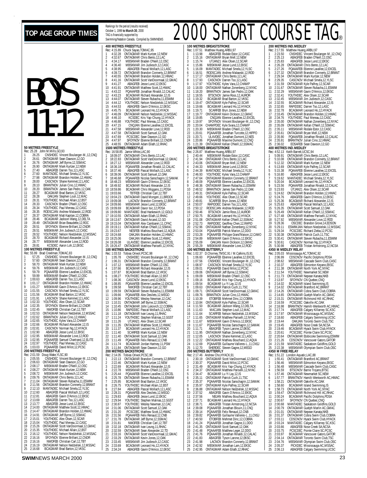|                                                                                                           | Rankings for the period (results received)                                  |  |
|-----------------------------------------------------------------------------------------------------------|-----------------------------------------------------------------------------|--|
| <b>TOP AGE GROUP TIMES</b>                                                                                | October 1, 1999 to March 30, 2000                                           |  |
|                                                                                                           | TAG is financially supported by                                             |  |
|                                                                                                           | Swimming/Natation Canada. Compiled b                                        |  |
|                                                                                                           |                                                                             |  |
|                                                                                                           | <b>400 METRES FREESTYLE</b>                                                 |  |
|                                                                                                           | Rec: 4:15.89<br>Chuck Sayao, TOMA                                           |  |
|                                                                                                           | 4:32.28<br>ONTAGMAR Mark<br>1                                               |  |
|                                                                                                           | 2<br>4:32.67<br>ONTAGMAR Chris                                              |  |
|                                                                                                           | 3<br>4:34.17<br>MBSKMAR Brade                                               |  |
|                                                                                                           | 4<br>4:36.40<br>MBSKMAR Jim Jı                                              |  |
|                                                                                                           | <b>ABAGFEB Pasca</b><br>5<br>4:38.95                                        |  |
|                                                                                                           | 6<br>4:39.72<br>ONTAGMAR Brand                                              |  |
|                                                                                                           | 7<br>4:40.55<br>ONTAGMAR Brand                                              |  |
|                                                                                                           | 8<br>4:41.16<br>ONTAGMAR Scott                                              |  |
|                                                                                                           | 9<br>4:41.27<br>ABAGFEB Jesse                                               |  |
|                                                                                                           | 10<br>4:41.91<br><b>ONTAGMAR Matth</b>                                      |  |
| BOYS                                                                                                      | 11<br>4:43.22<br>PQAAAFEB Jonatl                                            |  |
|                                                                                                           | 12<br>BCAGMAR Richa<br>4:43.23                                              |  |
|                                                                                                           | 13<br>4:44.07<br><b>ONTAGMAR Stever</b>                                     |  |
|                                                                                                           | 14<br>4:44.12<br>YOUTHDEC Nelso                                             |  |
|                                                                                                           | 15<br>4:44.53<br>ABAGFEB Gavin                                              |  |
| 12                                                                                                        | 16<br>4:45.75<br><b>BCAGMAR Leona</b>                                       |  |
|                                                                                                           | 17<br>4:46.09<br>ONTAGMAR Nelso                                             |  |
|                                                                                                           | <b>KCSDEC Kris Y</b>                                                        |  |
|                                                                                                           | 18<br>4:46.10                                                               |  |
|                                                                                                           | YOUTHDEC Paul I<br>19<br>4:46.88                                            |  |
|                                                                                                           | CNQJAN Etienr<br>20<br>4:47.15                                              |  |
|                                                                                                           | 4:47.58<br>21<br>MBSKMAR Alexa                                              |  |
|                                                                                                           | 22<br>4:47.58<br><b>ONTAGMAR Scott</b>                                      |  |
|                                                                                                           | PCSCDEC Sean<br>23<br>4:47.69                                               |  |
|                                                                                                           | 24<br>4:47.97<br>SFOYNOV Etienr                                             |  |
|                                                                                                           | 25<br>4:48.55<br>ONTAGMAR Adam                                              |  |
| <b>50 METRES FREESTYLE</b>                                                                                | 1500 METRES FREESTYLE                                                       |  |
| Rec: 25.28 John M.Mills.GO.93<br>26.25                                                                    | Jamie White, LAC, 9<br>Rec: 16:58.85                                        |  |
| CNSHDEC Vincent Boulanger-M., 12, CNQ<br>1                                                                | <b>ONTAGMAR Chris</b><br>1<br>18:09.07                                      |  |
| 2<br>ONTAGMAR Sean Dawson, 12, GO<br>26.61                                                                | 2<br>18:22.83<br><b>ONTAGMAR Scott</b>                                      |  |
| 3<br>ONTAGMAR Jeff Byrne, 12, SSMAC<br>26.76                                                              | 3<br>18:27.12<br><b>MBSKMAR Alexar</b>                                      |  |
| 4<br>26.90<br>ONTAGMAR Mark Kurtzer, 12, NEW                                                              | 4<br>18:36.18<br>POAAAFEB Jonatl                                            |  |
| 5<br>27.40<br>ABAGFEB Darren Tso, 12, LASC                                                                | 5<br>18:37.46<br>ABAGFEB Pasca                                              |  |
| MANTADEC Michael Smela, 12, YLSC<br>6<br>27.60                                                            | 18:39.06<br>6<br><b>ONTAGMAR Scott</b>                                      |  |
| ONTAGMAR Brandon Holden, 12, HWAC<br>7<br>27.98                                                           | 7<br>18:46.68<br>PQAAAFEB Nicola                                            |  |
| 8<br>CASCNOV Shane Kemmet, 12, LASC<br>28.00                                                              | 8<br>18:48.23<br>MBSKMAR Gavin                                              |  |
| BRANTNOV Julian Cino, 12, HWAC<br>9<br>28.10                                                              | 9<br>18:49.92<br><b>BCAGMAR Richa</b>                                       |  |
| BRANTNOV James San Pedro, 12, OAK<br>10<br>28.20                                                          | 10 18:59.86<br><b>BCAGMAR Chris</b>                                         |  |
| 28.27<br>BCAGMAR Brad Barton, 12, VKSC<br>11                                                              | <b>TBTFEB Christ</b><br>11 19:03.66                                         |  |
| 28.28<br>12<br>OAKJAN Stephen Louli, 12, MAC                                                              | 12 19:04.23<br>ONTAGMAR David                                               |  |
| 13<br>28.31<br>YOUTHDEC Michael Allain, 12, BST                                                           | 13 19:09.08<br>LACNOV Brand                                                 |  |
| 14<br>28.33<br>CASCNOV Braden O'Neill, 12, OSC                                                            | 14 19:09.66<br><b>MBSKMAR</b> Jesse                                         |  |
| 15<br>28.34<br>YOUTHDEC Paul Mereau,12,CASC                                                               | 15 19:09.69<br><b>BCAGMAR Davor</b>                                         |  |
| 28.35<br>16<br>RODSCJAN Andrew Malawski, 12, ROD                                                          | 16 19:09.80<br>MANTADEC Brad I                                              |  |
| 17<br>28.37<br>ONTAGMAR Matt Kapitan, 12, COBRA                                                           | 17 19:10.55<br>ONTAGMAR Adam                                                |  |
| 18<br>28.46<br>BCAGMAR Jackson Wang, 12, DELTA                                                            | 18 19:13.67<br>ONTAGMAR David                                               |  |
| 19<br>28.49<br>ONTAGMAR Brian Beaudette, 12, ROC                                                          | 19 19:15.04<br>ONTAGMAR Alex (                                              |  |
| 20<br>28.51<br>SFOYNOV Etienne Brillant, 12, CNDR                                                         | 20 19:19.11<br>ONTAGMAR Kellar                                              |  |
| 21<br>28.51<br>MBSKMAR Jim Judiesch, 12, CASC                                                             |                                                                             |  |
| 22<br>YOUTHDEC Nelson Niedzielski, 12, MSSAC<br>28.52                                                     | 21 19:23.67<br>NESFEB Mathi                                                 |  |
|                                                                                                           | 22 19:24.68<br>OAKJAN Brand                                                 |  |
| 23<br>28.70<br>BCAGMAR Richard Alexander, 12, IS                                                          | 23 19:25.06<br>OAKJAN Matth                                                 |  |
| 24<br>28.77<br>MBSKMAR Alexander Love, 12, ROD                                                            | 24 19:26.08<br><b>ULAVDEC Etienr</b>                                        |  |
| 25<br>28.81<br>KCSDEC Aaron Loh, 12, EKSC                                                                 | 25 19:26.47<br><b>ONTAGMAR Matth</b>                                        |  |
| <b>100 METRES FREESTYLE</b><br>Rec: 55.99 Brad Creelman, TOMAC, 83                                        | 100 METRES BACKSTROKE                                                       |  |
| 57.25<br>CNSHDEC Vincent Boulanger-M., 12, CNQ<br>1                                                       | Tobias Oriwol, PCSO<br>Rec: 1:03.53<br>1:05.78<br><b>CNSHDEC Vince</b><br>1 |  |
| 2<br>57.60<br>ONTAGMAR Sean Dawson, 12, GO                                                                | $\overline{a}$<br>ONTAGMAR Brand<br>1:06.31                                 |  |
| 3<br>58.70<br>ONTAGMAR Mark Kurtzer, 12, NEW                                                              | 3<br>1:07.12<br>MBSKMAR Brade                                               |  |
| 4<br>59.76<br>MBSKMAR Jim Judiesch, 12, CASC                                                              | 4<br>1:07.66<br><b>BCAGMAR Richa</b>                                        |  |
| 5<br>59.79<br>PQAAAFEB Etienne Lavallee, 12, EXCEL                                                        | 5<br>1:07.87<br>BCAGMAR Brad I                                              |  |
| 6<br>59.99<br>MBSKMAR Braden O'Neill, 12, OSC                                                             | 6<br>1:08.27<br>YOUTHDEC Micha                                              |  |
| 7<br>1:00.63<br>ABAGFEB Darren Tso, 12, LASC                                                              | 7<br><b>CASCNOV Jesse</b><br>1:08.36                                        |  |
| 8<br>ONTAGMAR Brandon Holden, 12, HWAC<br>1:01.17                                                         | 8<br>1:08.85<br>PQAAAFEB Etienr                                             |  |
| 9<br>1:01.27<br>MBSKMAR Gavin D'Amico, 12, EKSC                                                           | 9<br>1:09.58<br>NWOFEB Christ                                               |  |
| CASCNOV Michael Smela, 12, YLSC<br>1:01.55<br>10                                                          | 10<br>1:09.59<br><b>ONTAGMAR Stever</b>                                     |  |
| 11<br>1:01.56                                                                                             | 11<br>1:09.66<br>PQAAAFEB Alex D                                            |  |
| BCAGMAR Brad Barton, 12, VKSC<br>LASCNOV Shane Kemmet, 12, LASC<br>12<br>1:01.91                          | YOUTHDEC Wesle<br>12<br>1:09.96                                             |  |
| 13<br>1:02.33                                                                                             | ONTAGMAR Jeff B<br>13<br>1:10.31                                            |  |
| YOUTHDEC Alex Olsen, 12, SCAR<br>SFOYNOV Etienne Brillant, 12, CNDR<br>14<br>1:02.35                      | 14<br>1:10.45<br>ONTAGMAR John                                              |  |
| 15<br>1:02.45<br>NWOFEB Christian Carl, 12, TBT                                                           | 15<br>1:10.86<br>RAPIDDEC Pasca                                             |  |
| 16<br>1:02.53<br>ONTAGMAR Nelson Nedzielski, 12, MSSAC                                                    | 16<br>ONTAGMAR Ivan L<br>1:11.18                                            |  |
| 17<br>1:02.62                                                                                             | 17<br>1:11.24<br>YOUTHDEC Steph                                             |  |
| BRANTNOV Julian Cino, 12, HWAC<br>YOUTHDEC Kyles Vara, 12, CHAMP<br>18<br>1:02.65                         | 18<br>UTJAN21 Alex (<br>1:11.26                                             |  |
| 19<br>1:02.66<br>BCAGMAR Richard Alexander, 12, IS                                                        | 19<br>1:11.35<br><b>ONTAGMAR Matth</b>                                      |  |
| 20<br>1:02.81<br>CASCNOV Norman Ng, 12, HYACK                                                             | 20<br>1:11.37<br><b>BCAGMAR Leona</b>                                       |  |
| 21<br>1:02.90<br>ABAGFEB Jesse Lund, 12, EKSC                                                             | 21<br>1:11.40<br>SCARFEB Mark                                               |  |
| 22<br>1:02.95<br>MBSKMAR Alexander Love, 12, ROD                                                          | 22<br>1:11.40<br>ONTAGMAR Scott                                             |  |
| 23<br>1:02.95<br>PQAAAFEB Samuel Chartrand, 12, ELITE                                                     | 23<br>1:11.49<br>POAAAFEB Felix I                                           |  |
| 24<br>1:02.97<br>YOUTHDEC Paul Mereau, 12, CASC                                                           | 24<br>1:11.74<br>BCAGMAR Jorda                                              |  |
| 25<br>PQAAAFEB David Milot, 12, PCSC<br>1:03.03                                                           | 25<br>ONTAGMAR Sean<br>1:11.84                                              |  |
| <b>200 METRES FREESTYLE</b>                                                                               | 200 METRES BACKSTROKE                                                       |  |
| Rec: 2:01.59 Doug Wake, YLSC, 90<br>1<br>2:05.55<br>CNSHDEC Vincent Boulanger-M.,12,CNQ                   | Rec: 2:14.05 Tobias Oriwol, PCSC<br>1                                       |  |
| 2<br>ONTAGMAR Sean Dawson.12.GO<br>2:06.63                                                                | ONTAGMAR Brand<br>2:22.13                                                   |  |
| 3<br>2:08.17<br>MBSKMAR Braden O'Neill, 12, OSC                                                           | 2:22.46<br>2<br>ONTAGMAR Mark<br>3<br>2:22.69<br>BCAGMAR Richa              |  |
| 4<br>2:08.27<br>ONTAGMAR Mark Kurtzer, 12, NEW                                                            | 4<br>2:22.78<br><b>MBSKMAR Brade</b>                                        |  |
| 5<br>2:08.72<br>MBSKMAR Jim Judiesch, 12, CASC                                                            | 5<br>2:25.44<br>POAAAFEB Etienr                                             |  |
| 6<br>ONTAGMAR Chris Bento, 12, LAC<br>2:09.76                                                             | 2:25.78<br>6<br><b>ONTAGMAR Stever</b>                                      |  |
| 7<br>ONTAGMAR Steven Rubacha, 11, ESWIM<br>2:11.04                                                        | 7<br>2:25.95<br><b>BCAGMAR Brad I</b>                                       |  |
| 8<br>ONTAGMAR Brandon Connerty, 12, BRANT<br>2:11.56                                                      | YOUTHDEC Micha<br>8<br>2:26.75                                              |  |
| MANTADEC Michael Smela, 12, YLSC<br>9<br>2:12.10                                                          | 9<br>2:27.84<br><b>ABAGFEB Pasca</b>                                        |  |
| 10<br>ABAGFEB Pascal Wollach, 12, LASC<br>2:12.60                                                         | 10<br>2:28.31<br>PQAAAFEB Alex D                                            |  |
| 11<br>2:12.81<br>ABAGFEB Gavin D'Amico, 12, EKSC                                                          | 11<br>2:29.83<br>ABAGFEB Jesse                                              |  |
| 12<br>ABAGFEB Darren Tso, 12, LASC<br>2:13.69                                                             | 12<br>2:29.94                                                               |  |
| ABAGFEB Jesse Lund, 12, EKSC<br>13<br>2:13.77                                                             | YOUTHDEC Steph<br>YOUTHDEC Wesle<br>13<br>2:30.87                           |  |
| ONTAGMAR Matthew Scott, 12, HWAC<br>14<br>2:14.00                                                         | 14<br>2:31.06<br>ONTAGMAR Scott                                             |  |
| 15<br>ONTAGMAR Brandon Holden, 12, HWAC<br>2:14.47                                                        | 15<br>2:31.20<br><b>PCSCDEC Matth</b>                                       |  |
| 16<br>2:14.91<br>ONTAGMAR Jeff Byrne, 12, SSMAC                                                           | 16<br>2:31.56<br>PQAAAFEB Felix I                                           |  |
| 17<br>2:15.01                                                                                             | 17<br>2:31.78<br>ONTAGMAR Jeff B                                            |  |
| YOUTHDEC Alex Ólsen, 12, SCAR<br>YOUTHDEC Paul Mereau, 12, CASC<br>18<br>2:15.04                          | 18<br>2:31.81<br>NWOFEB Christ                                              |  |
| 19<br>2:15.26<br>ONTAGMAR Scott VanDoormaal, 12, GMAC                                                     | 19<br>ONTAGMAR Ivan L<br>2:32.18                                            |  |
| 20<br>2:15.35<br>YOUTHDEC Michael Allain, 12, BST                                                         | 20<br>2:32.59<br>ONTAGMAR Sean.                                             |  |
| 21<br>2:16.12<br>YOUTHDEC Nelson Niedzielski, 12, MSSAC                                                   | 21<br><b>ONTAGMAR Scott</b><br>2:33.16                                      |  |
| 22<br>2:16.16<br>SFOYNOV Etienne Brillant, 12, CNDR                                                       | 22<br>2:33.29<br>ONTAGMAR Kevin                                             |  |
| 23<br>2:16.16<br>NWOFEB Christian Carl, 12, TBT<br>24<br>2:16.19<br>ONTAGMAR Nelson Nedzielski, 12, MSSAC | 23<br>2:33.45<br>MBSKMAR Jim Ji<br>24<br>2:33.69<br><b>BCAGMAR Leona</b>    |  |

|                                                 |                         | TAG is financially supported by                                       | Swimming/Natation Canada. Compiled by SWIMNEWS                                                                                             |
|-------------------------------------------------|-------------------------|-----------------------------------------------------------------------|--------------------------------------------------------------------------------------------------------------------------------------------|
|                                                 |                         |                                                                       |                                                                                                                                            |
|                                                 | Rec: 4:15.89            | 400 METRES FREESTYLE                                                  |                                                                                                                                            |
| 1                                               | 4:32.28                 |                                                                       | Chuck Sayao, TOMAC, 95<br>ONTAGMAR Mark Kurtzer, 12, NEW                                                                                   |
| $\overline{c}$<br>3                             | 4:32.67<br>4:34.17      |                                                                       | ONTAGMAR Chris Bento, 12, LAC<br>MBSKMAR Braden O'Neill, 12, OSC                                                                           |
| 4                                               | 4:36.40                 |                                                                       | MBSKMAR Jim Judiesch, 12, CASC<br>ABAGFEB Pascal Wollach, 12, LASC                                                                         |
| 5<br>6                                          | 4:38.95<br>4:39.72      |                                                                       | ONTAGMAR Brandon Connerty, 12, BRANT                                                                                                       |
| 7                                               | 4:40.55                 |                                                                       | ONTAGMAR Brandon Holden, 12, HWAC                                                                                                          |
| 8<br>9                                          | 4:41.16<br>4:41.27      |                                                                       | ONTAGMAR Scott VanDoormaal, 12, GMAC<br>ABAGFEB Jesse Lund,12,EKSC                                                                         |
| 10                                              | 4:41.91                 |                                                                       | ONTAGMAR Matthew Scott, 12, HWAC                                                                                                           |
| 11<br>12                                        | 4:43.22<br>4:43.23      |                                                                       | PQAAAFEB Jonathan Rinaldi, 12, CALAC<br>BCAGMAR Richard Alexander, 12, IS                                                                  |
| 13<br>14                                        | 4:44.07<br>4:44.12      |                                                                       | ONTAGMAR Steven Rubacha, 11, ESWIM<br>YOUTHDEC Nelson Niedzielski,12,MSSAC                                                                 |
| 15                                              | 4:44.53                 |                                                                       | ABAGFEB Gavin D'Amico, 12, EKSC                                                                                                            |
| 16<br>17                                        | 4:45.75<br>4:46.09      |                                                                       | BCAGMAR Leonard Ho, 12, HYACK<br>ONTAGMAR Nelson Nedzielski, 12, MSSAC                                                                     |
| 18                                              | 4:46.10                 |                                                                       |                                                                                                                                            |
| 19<br>20                                        | 4:46.88                 |                                                                       | KCSDEC Kris Yap-Chung, 12, HYACK<br>YOUTHDEC Paul Mereau, 12, CASC                                                                         |
| 21                                              | 4:47.15<br>4:47.58      |                                                                       | CNQJAN Etienne Lavallee, 12, EXCEL<br>MBSKMAR Alexander Love, 12, ROD                                                                      |
| 22<br>23                                        | 4:47.58                 |                                                                       | ONTAGMAR Scott Samuel, 12, OAK<br>PCSCDEC Sean Dawson, 12, GO<br>SFOYNOV Etienne Brillant, 12, CNDR<br>ONTAGMAR Adam Eilath, 12, RHAC      |
| 24                                              | 4:47.69<br>4:47.97      |                                                                       |                                                                                                                                            |
| 25                                              | 4:48.55                 | 1500 METRES FREESTYLE                                                 |                                                                                                                                            |
|                                                 | Rec: 16:58.85           | Jamie White, LAC, 90                                                  |                                                                                                                                            |
| $\frac{1}{2}$                                   | 18:09.07                |                                                                       | ONTAGMAR Chris Bento, 12, LAC<br>ONTAGMAR Scott VanDoormaal, 12, GMAC                                                                      |
| 3                                               | 18:22.83<br>18:27.12    |                                                                       | MBSKMAR Alexander Love, 12, ROD                                                                                                            |
| 4                                               | 18:36.18                |                                                                       | PQAAAFEB Jonathan Rinaldi, 12, CALAC                                                                                                       |
| 5<br>6                                          | 18:37.46<br>18:39.06    |                                                                       | ABAGFEB Pascal Wollach, 12, LASC<br>ONTAGMAR Scott Samuel, 12, OAK                                                                         |
| 7                                               | 18:46.68                |                                                                       | POAAAFEB Nicolas Sanschagrin, 12, SAMAK                                                                                                    |
| 8<br>9                                          | 18:48.23<br>18:49.92    |                                                                       | MBSKMAR Gavin D'Amico, 12, EKSC<br>BCAGMAR Richard Alexander, 12, IS                                                                       |
|                                                 | 10 18:59.86             |                                                                       | BCAGMAR Chris Wiggans, 11, PDSA                                                                                                            |
| 11<br>12                                        | 19:03.66<br>19:04.23    |                                                                       | TBTFEB Christian Carl, 12, TBT<br>ONTAGMAR David Mongeri, 11, BROCK                                                                        |
| 13                                              | 19:09.08                |                                                                       | LACNOV Brandon Connerty, 12, BRANT                                                                                                         |
| 14<br>15                                        | 19:09.66<br>19:09.69    |                                                                       | MBSKMAR Jesse Lund, 12, EKSC<br>BCAGMAR Davor Isic, 12, PDSA                                                                               |
| 16                                              | 19:09.80                |                                                                       | MANTADEC Brad Hankewich, 12, GOLD                                                                                                          |
| 17<br>18                                        | 19:10.55<br>19:13.67    |                                                                       | ONTAGMAR Adam Eilath, 12, RHAC<br>ONTAGMAR David Arcand, 12, GO                                                                            |
| 19                                              | 19:15.04                |                                                                       | ONTAGMAR Alex Cambareri, 11, CPAC                                                                                                          |
| 20<br>21                                        | 19:19.11<br>19:23.67    |                                                                       | ONTAGMAR Kellan O'Neill, 12, SSMAC<br>NESFEB Mathieu Bouchard, 12, AQUA                                                                    |
| 22                                              | 19:24.68                |                                                                       | OAKJAN Brandon Holden, 12, HWAC                                                                                                            |
| 23                                              | 19:25.06                |                                                                       | OAKJAN Matthew Scott, 12, HWAC                                                                                                             |
|                                                 |                         |                                                                       |                                                                                                                                            |
| 24                                              | 19:26.08                |                                                                       | ULAVDEC Etienne Lavallee, 12, EXCEL<br>ONTAGMAR Matthew Pariselli, 12, NYAC                                                                |
|                                                 |                         |                                                                       |                                                                                                                                            |
| 1                                               | Rec: 1:03.53<br>1:05.78 | 25 19:26.47 UNINUTED 100 METRES BACKSTROKE<br>Tobias Oriwol, PCSC, 98 | CNSHDEC Vincent Boulanger-M., 12, CNQ                                                                                                      |
|                                                 | 1:06.31                 |                                                                       | ONTAGMAR Brandon Connerty, 12, BRANT                                                                                                       |
| $\frac{2}{3}$<br>4                              | 1:07.12<br>1:07.66      |                                                                       |                                                                                                                                            |
| 5                                               | 1:07.87                 |                                                                       | MBSKMAR Braden O'Neill, 12, OSC<br>BCAGMAR Richard Alexander, 12, IS<br>BCAGMAR Brad Barton, 12, VKSC                                      |
| 6<br>7                                          | 1:08.27<br>1:08.36      |                                                                       | YOUTHDEC Michael Allain,12,BST                                                                                                             |
| 8                                               | 1:08.85                 |                                                                       | CASCNOV Jesse Lund, 12, EKSC<br>PQAAAFEB Etienne Lavallee, 12, EXCEL                                                                       |
| 9<br>10                                         | 1:09.58<br>1:09.59      |                                                                       | NWOFEB Christian Carl, 12, TBT<br>ONTAGMAR Steven Rubacha, 11, ESWIM                                                                       |
| 11                                              | 1:09.66                 |                                                                       | POAAAFEB Alex Desilets, 12, MEGO                                                                                                           |
| 12<br>13                                        | 1:09.96<br>1:10.31      |                                                                       | YOUTHDEC Wesley Newman, 12, CAC<br>ONTAGMAR Jeff Byrne, 12, SSMAC                                                                          |
| 14                                              | 1:10.45                 |                                                                       | ONTAGMAR John Lukovich, 12, COBRA                                                                                                          |
| 15<br>16                                        | 1:10.86<br>1:11.18      |                                                                       | RAPIDDEC Pascal Wollach, 12, LASC<br>ONTAGMAR Ivan Leung, 11, RHAC                                                                         |
| 17                                              | 1:11.24                 |                                                                       | YOUTHDEC Stephen Malinas, 12, GGST                                                                                                         |
| 18<br>19                                        | 1:11.26<br>1:11.35      |                                                                       | UTJAN21 Alex Olsen, 12, SCAR<br>ONTAGMAR Matthew Scott, 12, HWAC                                                                           |
| 20                                              | 1:11.37                 |                                                                       | BCAGMAR Leonard Ho, 12, HYACK                                                                                                              |
| 21<br>$\overline{22}$                           | 1:11.40<br>1:11.40      |                                                                       | SCARFEB Mark Kurtzer,12,NEW<br>ONTAGMAR Scott Samuel, 12, OAK                                                                              |
| 23                                              | 1:11.49                 |                                                                       | POAAAFEB Felix Renaud, 12, CNB                                                                                                             |
| 24<br>25                                        | 1:11.74<br>1:11.84      |                                                                       | BCAGMAR Jordan Hartney, 11, PSW<br>ONTAGMAR Sean Dawson, 12, GO                                                                            |
|                                                 |                         | 200 METRES BACKSTROKE                                                 |                                                                                                                                            |
|                                                 | Rec: 2:14.05<br>2:22.13 | Tobias Oriwol, PCSC, 98                                               | ONTAGMAR Brandon Connerty, 12, BRANT                                                                                                       |
|                                                 | 2:22.46                 |                                                                       | ONTAGMAR Mark Kurtzer, 12, NEW                                                                                                             |
| $\begin{array}{c} 1 \\ 2 \\ 3 \end{array}$<br>4 | 2:22.69<br>2:22.78      |                                                                       | BCAGMAR Richard Alexander, 12, IS<br>MBSKMAR Braden O'Neill, 12, OSC                                                                       |
| 5                                               | 2:25.44                 |                                                                       | PQAAAFEB Etienne Lavallee, 12, EXCEL                                                                                                       |
| 6<br>7                                          | 2:25.78                 |                                                                       |                                                                                                                                            |
| 8                                               | 2:25.95<br>2:26.75      |                                                                       | ONTAGMAR Steven Rubacha, 11, ESWIM<br>BCAGMAR Brad Barton, 12, VKSC<br>VOUTUDEC Michael Allain 12, DCT<br>YOUTHDEC Michael Allain, 12, BST |
| 9<br>10                                         | 2:27.84<br>2:28.31      |                                                                       | ABAGFEB Pascal Wollach, 12, LASC<br>PQAAAFEB Alex Desilets, 12, MEGO                                                                       |
| 11                                              | 2:29.83                 |                                                                       | ABAGFEB Jesse Lund, 12, EKSC                                                                                                               |
| 12<br>13                                        | 2:29.94<br>2:30.87      |                                                                       | YOUTHDEC Stephen Malinas, 12, GGST                                                                                                         |
| 14                                              | 2:31.06                 |                                                                       | YOUTHDEC Wesley Newman, 12, CAC<br>ONTAGMAR Scott Samuel, 12, OAK                                                                          |
| 15<br>16                                        | 2:31.20<br>2:31.56      |                                                                       | PCSCDEC Matthew Scott, 12, HWAC<br>PQAAAFEB Felix Renaud, 12, CNB                                                                          |
| 17                                              | 2:31.78                 |                                                                       | ONTAGMAR Jeff Byrne, 12, SSMAC                                                                                                             |
| 18<br>19                                        | 2:31.81<br>2:32.18      |                                                                       | NWOFEB Christian Carl, 12, TBT<br>ONTAGMAR Ivan Leung, 11, RHAC                                                                            |
| 20                                              | 2:32.59                 |                                                                       | ONTAGMAR Sean Alexander, 12, TD                                                                                                            |
| 21<br>22                                        | 2:33.16<br>2:33.29      |                                                                       | ONTAGMAR Scott VanDoormaal, 12, GMAC<br>ONTAGMAR Kevin Jones, 12, OAK                                                                      |
| 23<br>24                                        | 2:33.45<br>2:33.69      |                                                                       | MBSKMAR Jim Judiesch, 12, CASC<br>BCAGMAR Leonard Ho, 12, HYACK                                                                            |

|                     |                               |                                                    | HURI                                                                                                                                  |
|---------------------|-------------------------------|----------------------------------------------------|---------------------------------------------------------------------------------------------------------------------------------------|
|                     |                               |                                                    |                                                                                                                                       |
|                     | Rec: 1:07.51                  | 100 METRES BREASTSTROKE<br>Matthew Huang, ARBU, 97 |                                                                                                                                       |
| 1<br>2              | 1:13.98                       |                                                    | ABAGFEB Rodale Estor, 12, CASC<br>ONTAGMAR Bryan Mell, 12, NEW                                                                        |
| 3                   | 1:15.16<br>1:15.74            |                                                    |                                                                                                                                       |
| 4<br>5              | 1:15.86<br>1:16.09            |                                                    | UTJAN21 Alex Olsen, 12, SCAR<br>MBSKMAR Jesse Lund, 12, EKSC<br>MANTADEC Michael Smela, 12, YLSC<br>RODSCJAN Andrew Malawski, 12, ROD |
| 6                   | 1:16.51                       |                                                    |                                                                                                                                       |
| 7<br>8              | 1:17.17<br>1:17.93            |                                                    | ONTAGMAR Chris Bento,12,LAC                                                                                                           |
| 9<br>10             | 1:17.97<br>1:18.00            |                                                    | CASCNOV Darren Tso, 12, LASC<br>YOUTHDEC Kyles Vara, 12, CHAMP<br>ONTAGMAR Nathan Zonenberg, 12, NYAC                                 |
| 11                  | 1:18.20                       |                                                    | BRANTNOV James San Pedro, 12, OAK<br>BTSCNOV Jamie Ross, 12, AUROR                                                                    |
| 12<br>13            | 1:18.55<br>1:19.32            |                                                    | BCAGMAR Brad Barton, 12, VKSC                                                                                                         |
| 14                  | 1:19.47                       |                                                    | ONTAGMAR Kyle Palfrey, 12, SCAR                                                                                                       |
| 15<br>16            | 1:19.66<br>1:19.71            |                                                    | BCAGMAR Leonard Ho, 12, HYACK<br>SCARFEB Bryn Jones,12,NEW                                                                            |
| 17<br>18            | 1:19.77<br>1:19.85            |                                                    | ONTAGMAR Kevin Dickson,12,GMAC<br>CNQJAN Etienne Lavallee, 12, EXCEL                                                                  |
| 19                  | 1:19.97                       |                                                    | SFOYNOV Vincent Boulanger-M., 12, CNQ                                                                                                 |
| 20<br>21            | 1:20.04<br>1:20.30            |                                                    | CHAMPDEC Kyle Svara, 12, CHAMP<br>MBSKMAR Braden O'Neill, 12, OSC                                                                     |
| 22<br>23            | 1:20.61                       |                                                    | PQAAAFEB Jonathan Turcotte, 12, HIPPO                                                                                                 |
| 24                  | 1:20.71<br>1:20.86            | ULAVDEC                                            | Jonathan Dumont, 12, NES<br>POAAAFEB Maxime Dumont, 12, CNO                                                                           |
| 25                  | 1:21.39                       | 200 METRES BREASTSTROKE                            | ONTAGMAR Kellan O'Neill, 12, SSMAC                                                                                                    |
|                     | Rec: 2:26.87                  | Matthew Huang, ARBU, 97                            |                                                                                                                                       |
| 1<br>2              | 2:40.44<br>2:41.94            |                                                    | MBSKMAR Rodale Estor, 12, CASC<br>ONTAGMAR Chris Bento, 12, LAC                                                                       |
| 3                   | 2:43.06                       |                                                    | ONTAGMAR Bryan Mell, 12, NEW                                                                                                          |
| 4<br>5              | 2:44.33<br>2:44.39            |                                                    | MBSKMAR Jesse Lund, 12, EKSC                                                                                                          |
| 6<br>7              | 2:46.93                       |                                                    | MANTADEC Michael Smela, 12, YLSC<br>YOUTHDEC Kyles Vara, 12, CHAMP                                                                    |
| 8                   | 2:47.64<br>2:48.09            |                                                    | <b>ONTAGMAR Brandon Connerty, 12, BRANT</b><br>POAAAFEB Etienne Lavallee, 12, EXCEL<br>ONTAGMAR Steven Rubacha, 11, ESWIM             |
| 9<br>10             | 2:48.36<br>2:48.52            |                                                    |                                                                                                                                       |
| 11                  | 2:49.31                       |                                                    | BRANTNOV James San Pedro, 12, OAK<br>ONTAGMAR Kyle Palfrey, 12, SCAR<br>YOUTHDEC Alex Olsen, 12, SCAR                                 |
| 12<br>13            | 2:49.66<br>2:49.81            |                                                    | SCARFEB Bryn Jones,12,NEW                                                                                                             |
| 14<br>15            | 2:50.07                       |                                                    | RAPIDDEC Darren Tso, 12, LASC                                                                                                         |
| 16                  | 2:50.12<br>2:50.46            |                                                    | RODSCJAN Andrew Malawski, 12, ROD<br>BTSCNOV Jamie Ross, 12, AUROR                                                                    |
| 17<br>18            | 2:50.75<br>2:51.08            |                                                    | BCAGMAR Leonard Ho, 12, HYACK<br>ONTAGMAR Kellan O'Neill, 12, SSMAC                                                                   |
| 19                  | 2:52.73                       |                                                    | RAPIDDEC Geoffrey Chen, 12, RAPID                                                                                                     |
| 20<br>21            | 2:52.96<br>2:53.04            |                                                    | ONTAGMAR Nathan Zonenberg, 12, NYAC<br>PQAAAFEB Patrick Marion, 12, DDO                                                               |
| 22<br>23            | 2:53.28<br>2:54.89            |                                                    | PQAAAFEB Philippe Grand'Maison,12,CAMO                                                                                                |
| 24                  | 2:55.09                       |                                                    | MBSKMAR Gavin D'Amico,12,EKSC<br>OAKJAN Kevin Dickson, 12, GMAC                                                                       |
| 25                  | 2:55.29                       | 100 METRES BUTTERFLY                               | MBSKMAR Alexander Love, 12, ROD                                                                                                       |
|                     | Rec: 1:02.37                  |                                                    | D.Chorney, TMSC, 91 / M.Calkins, IS, 91<br>PQAAAFEB Etienne Lavallee, 12, EXCEL                                                       |
| 1<br>$\overline{a}$ | 1:06.60<br>1:07.56            |                                                    | CNSHDEC Vincent Boulanger-M., 12, CNQ                                                                                                 |
| 3<br>4              | 1:08.97<br>1:09.01            |                                                    | ASCNOV Michael Smela, 12, YLSC                                                                                                        |
| 5                   | 1:09.06                       |                                                    | POAAAFEB David Milot, 12, PCSC<br>ONTAGMAR Jeff Byrne, 12, SSMAC                                                                      |
| 6<br>7              | 1:09.09<br>1:09.16            |                                                    | MBSKMAR Braden O'Neill, 12, OSC<br>BCAGMAR Kris Yap-Chung, 12, HYACK                                                                  |
| 8                   | 1:09.54                       |                                                    | BCAGMAR Lu Yi Lay 12, IS                                                                                                              |
| 9<br>10             | 1:09.63<br>1:09.71            |                                                    | ONTAGMAR Patrick Cuch, 11, TSC                                                                                                        |
| 11<br>12            | 1:09.76<br>1:10.39            |                                                    | ONTAGMAR Scott VanDoormaal, 12, GMAC<br>BRANTNOV Julian Cino, 12, HWAC<br>ETOBFEB Mehmet Dinc, 12, COBRA                              |
| 13                  | 1:10.84                       |                                                    | ONTAGMAR Kyle Palfrey, 12, SCAR                                                                                                       |
| 14<br>15            | 1:11.50<br>1:11.63            |                                                    | BCAGMAR Jackson Wang, 12, DELTA<br>MACJAN Stephen Louli, 12, MAC                                                                      |
| 16<br>17            | 1:11.64<br>1:11.65            |                                                    | SCARFEB Nelson Nedzielski, 13, MSSAC                                                                                                  |
| 18                  | 1:11.67                       |                                                    | ONTAGMAR Matthew Pariselli, 12, NYAC<br>MBSKMAR Gavin D'Amico, 12, EKSC                                                               |
| 19<br>20            | 1:11.61<br>1:11.71            |                                                    | POAAAFEB Nicolas Sanschagrin, 12, SAMAK<br>ABAGFEB Tyson Larone, 12, EKSC                                                             |
| 21                  | 1:11.95                       |                                                    | ONTAGMAR Nathan Zonenberg,12,NYAC                                                                                                     |
| 22<br>23            | 1:12.05<br>1:12.22            |                                                    | LASCNOV Shane Kemmet,12,LASC<br>ONTAGMAR Mathieu Bouchard, 12, AQUA                                                                   |
| 24<br>25            | 1:12.69<br>1:12.70            |                                                    | PQAAAFEB Guillaume Vallieres-L.,11,CNSJ<br>SHERDEC Steven Gagne, 12, MEGO                                                             |
|                     |                               | 200 METRES BUTTERFLY                               |                                                                                                                                       |
| 1                   | Rec: 2:17.46                  | Andrew Cho, HYACK, 91                              |                                                                                                                                       |
| 2                   |                               |                                                    |                                                                                                                                       |
|                     | 2:30.19<br>2:30.37            |                                                    | ONTAGMAR Scott VanDoormaal, 12, GMAC<br>PQAAAFEB David Milot, 12, PCSC                                                                |
| 3<br>4              | 2:31.49<br>2:34.37            |                                                    | BCAGMAR Kris Yap-Chung, 12, HYACK<br>ONTAGMAR Matthew Pariselli, 12, NYAC                                                             |
| 5                   | 2:34.47                       |                                                    | BCAGMAR Lu Yi Lay, 12, IS                                                                                                             |
| 6<br>7              | 2:35.11<br>2:35.37            |                                                    | ONTAGMAR Patrick Cuch, 11, TSC<br>POAAAFEB Nicolas Sanschagrin, 12, SAMAK                                                             |
| 8<br>9              | 2:35.97<br>2:36.88            |                                                    | ONTAGMAR Kyle Palfrey, 12, SCAR                                                                                                       |
| 10                  | 2:37.52                       |                                                    | ONTAGMAR Nelson Nedzielski, 12, MSSAC<br>ABAGFEB Gavin D'Amico, 12, EKSC                                                              |
| 11<br>12            | 2:37.56<br>2:37.71            |                                                    | NBJAN Mathieu Bouchard, 12, AQUA                                                                                                      |
| 13                  | 2:38.71                       |                                                    | BCAGMAR Leonard Ho, 12, HYACK<br>ABAGFEB Tristan Armstrong, 12, NCSA                                                                  |
| 14<br>15            | 2:39.08<br>2:39.14            |                                                    | PQAAAFEB Jonathan Blouin,11,CNQ<br>PQAAAFEB Felix Renaud,12,CNB                                                                       |
| 16<br>17            | 2:39.82<br>2:40.50            |                                                    | PQAAAFEB Guillaume Vallieres-L.<br>,11,CNSJ<br>ETOBFEB Mehmet Dinc, 12, COBRA                                                         |
| 18                  | 2:41.24                       |                                                    | PQAAAFEB Jonathan Gagne, 11, DDO                                                                                                      |
| 19<br>20            | 2:41.35<br>2:41.48            |                                                    | ONTAGMAR Scott Samuel, 12, OAK<br>PQAAAFEB Matthew Leger, 12, DDO                                                                     |
| 21                  | 2:41.76                       |                                                    | PQAAAFEB Jonathan Rinaldi, 12, CALAC                                                                                                  |
| 22<br>23<br>24      | 2:41.83<br>2:41.98<br>2:42.92 |                                                    | ABAGFEB Tyson Larone, 12, EKSC<br>LACNOV Brandon Connerty, 12, BRANT<br>MBSKMAR Jonathan Lam,12,EKSC                                  |

# **2000 SHORT COURSE TAG®**

| Rec: 2:17.55                                | 200 METRES IND.MEDLEY<br>Matthew Huang, ARBU, 97                                                                                                   |
|---------------------------------------------|----------------------------------------------------------------------------------------------------------------------------------------------------|
| 2:23.50<br>1                                | CNSHDEC Vincent Boulanger-M., 12, CNQ                                                                                                              |
| $\overline{a}$<br>2:25.13<br>3<br>2:25.83   | ABAGFEB Braden O'Neill, 12, OSC<br>ABAGFEB Jesse Lund, 12, EKSC                                                                                    |
| 4<br>2:26.28                                | ONTAGMAR Chris Bento, 12, LAC                                                                                                                      |
| 5<br>2:27.26<br>6<br>2:27.32                | PQAAAFEB Etienne Lavallee, 12, EXCEL<br>ONTAGMAR Brandon Connerty, 12, BRANT                                                                       |
| 7<br>2:29.34                                | ONTAGMAR Mark Kurtzer, 12, NEW                                                                                                                     |
| 8<br>2:29.35<br>9<br>2:31.59                | CASCNOV Michael Smela,12,YLSC<br>ONTAGMAR Kyle Palfrey, 12, SCAR                                                                                   |
| 10<br>2:31.67                               | ONTAGMAR Steven Rubacha, 11, ESWIM                                                                                                                 |
| 11<br>2:32.29<br>12<br>2:32.41              | MBSKMAR Gavin D'Amico, 12, EKSC                                                                                                                    |
| 13<br>2:32.45                               | YOUTHDEC Alex Olsen, 12, SCAR<br>MBSKMAR Jim Judiesch, 12, CASC                                                                                    |
| 2:32.55<br>14                               | BCAGMAR Richard Alexander, 12, IS                                                                                                                  |
| 15<br>2:32.65<br>16<br>2:32.78              | RAPIDDEC Darren Tso, 12, LASC<br>BCAGMAR Leonard Ho, 12, HYACK                                                                                     |
| 17<br>2:33.45                               | ONTAGMAR Brandon Holden, 12, HWAC                                                                                                                  |
| 2:34.76<br>18<br>2:35.00<br>19              | YOUTHDEC Paul Mereau, 12, CASC<br>ONTAGMAR Nathan Zonenberg, 12, NYAC<br>ONTAGMAR Kellan O'Neill, 12, SSMAC<br>ANDCAMAR Relation O'Neill, 12, CASC |
| 2:35.09<br>20                               |                                                                                                                                                    |
| 21<br>2:35.11<br>22<br>2:35.61              | MBSKMAR Rodale Estor, 12, CASC<br>ONTAGMAR Bryan Mell, 12, NEW                                                                                     |
| 23<br>2:35.90                               |                                                                                                                                                    |
| 24<br>2:35.91<br>25<br>2:36.02              | PQAAAFEB Jonathan Rinaldi, 12, CALAC<br>BRANTNOV Julian Cino, 12, HWAC<br>EOSAFEB Sean Dawson, 12, GO                                              |
|                                             | 400 METRES IND.MEDLEY                                                                                                                              |
| Rec: 4:52.13<br>1<br>5:09.91                | Keith Barrett, UCSC, 94<br>ONTAGMAR Chris Bento, 12, LAC                                                                                           |
| 2<br>5:10.08                                | ONTAGMAR Brandon Connerty, 12, BRANT                                                                                                               |
| 3<br>5:12.32<br>4<br>5:13.69                | ONTAGMAR Mark Kurtzer, 12, NEW<br>ONTAGMAR Kyle Palfrey, 12, SCAR                                                                                  |
| 5<br>5:15.38                                | PQAAAFEB Etienne Lavallee, 12, EXCEL                                                                                                               |
| 6<br>5:16.80<br>7<br>5:19.62                | ABAGFEB Jesse Lund, 12, EKSC<br>MANTADEC Michael Smela, 12, YLSC                                                                                   |
| 8<br>5:20.04                                | BCAGMAR Leonard Ho, 12, HYACK                                                                                                                      |
| 9<br>5:23.56<br>5:23.93                     | PQAAAFEB Jonathan Rinaldi, 12, CALAC                                                                                                               |
| 10<br>11<br>5:24.62                         | UTJAN21 Alex Olsen, 12, SCAR<br>ONTAGMAR Brandon Holden, 12, HWAC                                                                                  |
| 12<br>5:24.76                               | ABAGFEB Gavin D'Amico, 12, EKSC                                                                                                                    |
| 13<br>5:25.36<br>14<br>5:25.63              | BCAGMAR Richard Alexander, 12, IS<br>ABAGFEB Pascal Wollach, 12, LASC                                                                              |
| 15<br>5:26.35                               | ONTAGMAR Scott Samuel, 12, OAK                                                                                                                     |
| 16<br>5:26.49<br>17<br>5:27.48              | ONTAGMAR Kellan O'Neill, 12, SSMAC<br>ONTAGMAR Matthew Pariselli, 12, NYAC                                                                         |
| 5:27.92<br>18                               | MBSKMAR Alexander Love, 12, ROD                                                                                                                    |
| 19<br>5:28.36<br>20<br>5:29.11              | Brandon Grove, 14, EDSON<br>OSCDEC<br>ESWIMJAN Nelson Niedzielski, 12, MSSAC                                                                       |
| 21<br>5:29.34                               | PCSCDEC Richard Zieba, 12, PCSC                                                                                                                    |
| $\overline{22}$<br>5:30.38<br>23<br>5:30.41 | ONTAGMAR Patrick Cuch, 11, TSC                                                                                                                     |
| 24<br>5:30.61                               | ONTAGMAR Steven Rubacha, 11, ESWIM<br>CASCNOV Norman Ng, 12, HYACK<br>ABAGFEB Tristan Armstrong, 12, NCSA                                          |
| 25<br>5:30.98                               | 4X50 M MEDLEY RELAY                                                                                                                                |
| Rec: 2:05.03<br>1                           | Mississauga AC, TOMAC, 92<br>CDSCNOV Pacific Dolphins, PDSA                                                                                        |
| 2:06.99<br>2:08.62                          | MBSKMAR Cascade Swim Club,CASC                                                                                                                     |
| $\frac{2}{3}$<br>2:10.37<br>4               | ABAGFEB Edmonton Keyano,EKSC                                                                                                                       |
| 2:11.38<br>5<br>2:11.54                     | ONTAGMAR North York AC,NYAC<br>YOUTHDEC Newmarket SC, NEW                                                                                          |
| 6<br>2:11.73<br>2:13.97                     | ONTAGMAR Nepean Kanata, NKB                                                                                                                        |
| 7<br>8<br>2:14.02                           | SFOYNOV CN Quebec,CNQ<br><b>BCAGMAR Island Swimming,IS</b>                                                                                         |
| 9<br>2:14.02                                | ONTAGMAR Brantford AC, BRANT                                                                                                                       |
| 10<br>2:14.26<br>11<br>2:14.65              | ONTAGMAR Cobra Swim Club, COBRA<br>ONTAGMAR Guelph Marlin AC, GMAC                                                                                 |
| 12<br>2:15.31                               | ONTAGMAR Richmond Hill AC, RHAC                                                                                                                    |
| 13<br>2:16.59<br>14<br>2:16.98              | PCSCDEC Oakville AC, OAK<br>BRANTNOV Hamilt-Wentworth AC, HWAC                                                                                     |
| 15<br>2:17.74                               | ABAGFEB Calgary Killarney SC, KSC                                                                                                                  |
| 16<br>2:17.97<br>17<br>2:18.60              | ONTAGMAR Mississauga AC, MSSAC                                                                                                                     |
| 2:19.44<br>18                               | ABAGFEB Calgary Swimming, UCSC<br>OAKJAN Toronto Swim Club, TSC                                                                                    |
| 19<br>2:19.45<br>20<br>2:19.46              | ABAGFEB Nose Creek SA, NCSA<br>BCAGMAR Hyack Swim Club, HYACK                                                                                      |
| 21<br>2:20.61                               | PCSCDEC Pointe Claire SC, PCSC                                                                                                                     |
| 22<br>2:20.64<br>23<br>2:21.26              | ONTAGMAR Etobicoke Swimming, ESWIM<br>CDSCNOV Vancouver Gators, GATOR                                                                              |
| 24<br>2:21.59<br>2:22.38                    | MANTADEC Saskatoon Goldfins, GOLD                                                                                                                  |
| 25<br>4X50 M FREE RELAY                     | MBSKMAR Olympian Swim Club, OSC                                                                                                                    |
| Rec: 1:51.22                                | London Aquatic, LAC, 88                                                                                                                            |
| 1<br>1:55.41<br>2<br>1:56.46                | ONTAGMAR Brantford AC, BRANT<br>MBSKMAR Edmonton Keyano, EKSC<br>MBSKMAR Cascade Swim Club, CASC<br>BTSCNOV Barrie Trojans, BTSC                   |
| 3<br>1:56.48                                |                                                                                                                                                    |
| 4<br>1:56.59<br>5<br>1:57.46                |                                                                                                                                                    |
| 6<br>1:57.77                                | ONTAGMAR Newmarket SC, NEW<br>BRANTNOV Hamilt-Wentworth AC, HWAC                                                                                   |
| 7<br>1:58.21<br>8<br>1:58.60                | ONTAGMAR Oakville AC, OAK<br>BCAGMAR Island Swimming, IS                                                                                           |
| 9<br>1:58.73                                | ONTAGMAR North York AC, NYAC                                                                                                                       |
| 10<br>1:59.47<br>11<br>2:00.24              | ONTAGMAR Richmond Hill AC, RHAC<br>BCAGMAR Pacific Dolphins, PDSA                                                                                  |
| 12<br>2:00.67                               | SFOYNOV CN Quebec, CNQ<br>MANTADEC Saskatoon Goldfins, GOLD                                                                                        |
| 13<br>2:00.68<br>14<br>2:00.79              | ONTAGMAR Guelph Marlin AC, GMAC                                                                                                                    |
| 15<br>2:01.01                               | ONTAGMAR Nepean Kanata, NKB                                                                                                                        |
| 16<br>2:01.37<br>17<br>2:03.11              | ONTAGMAR Cobra Swim Club,COBRA<br>CDSCNOV Hyack Swim Club, HYACK                                                                                   |
| 18<br>2:03.24                               | MANTADEC Calgary Killarney SC,KSC                                                                                                                  |
| 19<br>2:03.66<br>20<br>2:03.75              | ABAGFEB Nose Creek SA, NCSA<br>PCSCDEC Pointe Claire SC, PCSC                                                                                      |
| 21<br>2:03.97                               | BCAGMAR Vancouver Gators, GATOR                                                                                                                    |
| 22<br>2:04.14<br>23<br>2:04.76              | ONTAGMAR Toronto Swim Club, TSC<br>MBSKMAR Olympian Swim Club, OSC                                                                                 |
| 24<br>2:05.37<br>25                         | PICKDEC Mississauga AC, MSSAC                                                                                                                      |
| 2:06.13                                     | ABAGFEB Calgary Swimming, UCSC                                                                                                                     |

### **SWIM**NEWS MARCH 2000 23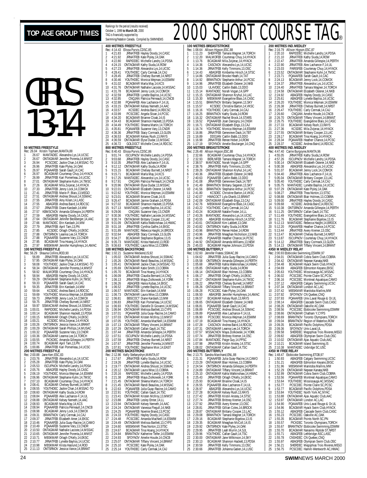Rankings for the period (results received) October 1, 1999 **to March 30**, 2000 TAG is financially supported by ed by SWIMNEWS

# TOP AGE GROUP TIMES **EXARGAGING THE PERIOD (FIGURE GROUP TIMES**

|                     |                              |                                                            |                                                                                                           | ı<br>$\frac{2}{3}$<br>4<br>5<br>6 |
|---------------------|------------------------------|------------------------------------------------------------|-----------------------------------------------------------------------------------------------------------|-----------------------------------|
|                     |                              |                                                            |                                                                                                           | 7<br>8<br>9<br>10                 |
|                     | <br>ד                        |                                                            |                                                                                                           | 11<br>12<br>13<br>14              |
|                     |                              |                                                            |                                                                                                           | 15<br>16<br>17                    |
|                     |                              |                                                            |                                                                                                           | 18<br>19<br>20<br>21<br>22        |
|                     |                              | 50 METRES FREESTYLE                                        |                                                                                                           | 23<br>24<br>25<br>80              |
| 1<br>$\overline{2}$ | Rec: 26.04<br>26.67<br>26.67 | Kristin Topham, MANTA, 88                                  | MANTÁDEC Alexandra Lys, 14, UCSC                                                                          | Rec<br>1<br>2                     |
| 3<br>4              | 26.94<br>26.96               |                                                            | ONTAGMAR Jennifer Porenta, 14, MMST<br>PCSCDEC Jackie Chan, 14, MSSAC-TO<br>JRNATFEB Kate Plyley, 14, OAK | 3<br>4                            |
| 5                   | 26.97                        |                                                            | PQAAAFEB Sarah Gault, 14, CAC                                                                             | 5                                 |
| 6                   | 26.97                        |                                                            | BCAGMAR Courtenay Chuy, 14, HYACK                                                                         | 6                                 |
| 7<br>8<br>9         | 26.99<br>27.01               |                                                            | JRNATFEB Kari Pomerleau, 14, UCSC<br>ONTAGMAR Stephanie Kuhn,14,TMSC                                      | 7<br>8                            |
| 10                  | 27.26<br>27.33               |                                                            | BCAGMAR Mila Zvijerac, 14, HYACK<br>JRNATFEB Jenny Lock, 14, COMOX                                        | 9<br>10                           |
| 11<br>12<br>13      | 27.41<br>27.51<br>27.55      |                                                            | JRNATFEB Marié-P. Blais, 13, MEGO<br>ONTAGMAR Andrea Shoust, 14, SSMAC                                    | 11<br>12<br>13                    |
| 14<br>15            | 27.55<br>27.57               |                                                            | JRNATFEB Amy Kilam, 14, LASC<br>ABAGFEB Andrea Baird, 14, RDCSC<br>JRNATFEB Diane Kardash,14,MM           | 14<br>15                          |
| 16                  | 27.57                        |                                                            | KBMSCNOV Amanda Gillespie, 14, PERTH                                                                      | 16                                |
| 17                  | 27.59                        |                                                            | ABAGFEB Hayley Doody, 14, CASC                                                                            | 17                                |
| 18                  | 27.64                        |                                                            | ONTAGMAR Jennifer Beckberger, 14, AAC                                                                     | 18                                |
| 19                  | 27.66                        |                                                            | MANTADEC Erin Kardash,14,MM                                                                               | 19                                |
| 20                  | 27.79                        |                                                            | JRNATFEB April Tam, 13, PN                                                                                | 20                                |
| 21                  | 27.85                        |                                                            | KCSDEC Orlagh O'Kelly, 14, EKSC                                                                           | 21                                |
| 22                  | 27.88                        |                                                            | ONTSRNOV Leanna Lee,14,TORCH                                                                              | 22                                |
| 23                  | 27.88                        |                                                            | PQAAAFEB Suzanne Vary, 13, CNDR                                                                           | 23                                |
| 24                  | 27.95                        |                                                            | BCAGMAR Tina Hoang, 14, HYACK                                                                             | 24                                |
| 25                  | 27.97                        |                                                            | MBSKMAR Jennifer Humphreys, 14, AMAC                                                                      | 25                                |
|                     |                              | 100 METRES FREESTYLE<br>Rec: 56.29 Shauna Collins, ROD, 90 |                                                                                                           | 10<br>Rec                         |
| 1                   | 56.89                        |                                                            | JRNATFEB Alexandra Lys, 14, UCSC                                                                          | 1                                 |
| $\overline{c}$      | 57.95                        |                                                            | ONTAGMAR Kate Plyley, 14, OAK                                                                             | $\overline{c}$                    |
| 3<br>4              | 58.08<br>58.34               |                                                            | YOUTHDEC Jackie Chan, 14, MSSAC-TO<br>ONTAGMAR Jennifer Porenta, 14, MMST                                 | 3<br>4                            |
| 5                   | 58.92                        |                                                            | MALMOFEB Courtenay Chuy,14,HYACK                                                                          | 5                                 |
| 6                   | 58.94                        |                                                            | ABAGFEB Hayley Doody, 14, CASC                                                                            | 6                                 |
| 7                   | 59.29                        |                                                            | ONTAGMAR Stephanie Kuhn,14,TMSC                                                                           | 7                                 |
| 8                   | 59.33                        |                                                            | POAAAFEB Sarah Gault, 14, CAC                                                                             | 8                                 |
| 9                   | 59.35                        |                                                            | JRNATFEB Erin Kardash, 14, MM                                                                             | 9                                 |
| 10                  | 59.64                        |                                                            | KCSDEC Andrea Baird, 14, RDCSC                                                                            | 10                                |
| 11                  | 59.69                        |                                                            | YOUTHDEC Monica Wejman,14,ESWIM                                                                           | 11                                |
| 12                  | 59.73                        |                                                            | JRNATFEB Jenny Lock, 14, COMOX                                                                            | 12                                |
| 13                  | 59.75                        |                                                            | JRNATFEB Chelsey Burnett,14,NRST                                                                          | 13                                |
| 14                  | 59.97                        |                                                            | SSMACMAR Andrea Shoust, 14, SSMAC                                                                         | 14                                |
| 15                  | 1:00.01                      |                                                            | RAPIDDEC Michelle Landry, 14, PDSA                                                                        | 15                                |
| 16                  | 1:00.14                      |                                                            | BCAGMAR Shannon Hackett, 13, PDSA                                                                         | 16                                |
| 17                  | 1:00.15                      |                                                            | MBSKMAR Orlagh O'Kelly, 14, EKSC                                                                          | 17                                |
| 18                  | 1:00.21                      |                                                            | KCSDEC Mila Zvijerac,14,HYACK                                                                             | 18                                |
| 19                  | 1:00.26                      |                                                            | ONTSRNOV Jessica Vance, 14, BRANT                                                                         | 19                                |
| 20                  | 1:00.29                      |                                                            | ONTAGMAR Sarah Phillips, 14, MUSAC                                                                        | 20                                |
| 21                  | 1:00.32                      |                                                            | PQAAAFEB Suzanne Vary, 13, CNDR                                                                           | 21                                |
| 22                  | 1:00.36                      |                                                            | ONTAGMAR Leanna Lee,14,TORCH                                                                              | 22                                |
| 23                  | 1:00.55                      |                                                            | PICKDEC Amanda Gillespie, 14, PERTH                                                                       | 23                                |
| 24                  | 1:00.74                      |                                                            | BCAGMAR April Tam, 13, PN                                                                                 | 24                                |
| 25                  | 1:00.86                      |                                                            | JRNATFEB Kari Pomerleau, 14, UCSC                                                                         | 25                                |
|                     | Rec: 2:00.88                 | 200 METRES FREESTYLE<br>Jane Kerr, ESC, 83                 |                                                                                                           | 20<br>Red                         |
| 1<br>$\overline{a}$ | 2:03.76<br>2:05.28           |                                                            | JRNATFEB Alexandra Lys, 14, UCSC<br>JRNATFEB Kate Plyley, 14, OAK                                         | 1                                 |
| 3                   | 2:05.53                      |                                                            | ISCUPNOV Michelle Landry, 14, PDSA                                                                        | $\frac{2}{3}$                     |
| 4                   | 2:05.76                      |                                                            | ABAGFEB Hayley Doody, 14, CASC                                                                            | 4                                 |
| 5<br>6              | 2:06.19<br>2:06.96           |                                                            | YOUTHDEC Monica Wejman, 14, ESWIM<br>ONTAGMAR Stephanie Kuhn, 14, TMSC                                    | 5<br>6                            |
| 7<br>8              | 2:07.10<br>2:08.41           |                                                            | BCAGMAR Courtenay Chuy, 14, HYACK                                                                         | 7<br>8                            |
| 9<br>10             | 2:08.55<br>2:08.60           |                                                            | BCAGMAR Chelsey Burnett, 14, NRST<br>YOUTHDEC Jackie Chan, 14, MSSAC-TO<br>ONTAGMAR Kathy Siuda, 14, ROW  | 9<br>10                           |
| 11                  | 2:08.84                      |                                                            | PQAAAFEB Alex Lachance-F, 14, UL                                                                          | 11                                |
| 12                  | 2:08.88                      |                                                            | ONTAGMAR Kelsey Nemeth,14,AAC                                                                             | 12                                |
| 13                  | 2:08.93                      |                                                            | BCAGMAR Marla May, 14, KCS                                                                                | 13                                |
| 14                  | 2:08.94                      |                                                            | PQAAAFEB Patricia Perreault, 14, CNCB                                                                     | 14                                |
| 15                  | 2:08.98                      |                                                            | BCAGMAR Jenny Lock, 14, COMOX                                                                             | 15                                |
| 16                  | 2:09.31                      |                                                            | BRANTNOV Carly Cermak, 14, CAJ                                                                            | 16                                |
| 17                  | 2:09.37                      |                                                            | JRNATFEB Elizabeth Amer,14,EKSC                                                                           | 17                                |
| 18                  | 2:10.46                      |                                                            | PQAAAFEB Julia Guay-Racine,14,CAMO                                                                        | 18                                |
| 19                  | 2:10.49                      |                                                            | PQAAAFEB Suzanne Vary, 13, CNDR                                                                           | 19                                |
| 20                  | 2:10.50                      |                                                            | ONTAGMAR Nathalie Lacoste, 14, MSSAC                                                                      | 20                                |
| 21                  | 2:10.65                      |                                                            | ONTAGMAR Jennifer Porenta, 14, MMST                                                                       | 21                                |
| 22                  | 2:10.71                      |                                                            | MBSKMAR Orlagh O'Kelly,14,EKSC                                                                            | 22                                |
| 23                  | 2:10.77                      |                                                            | JRNATFEB Lynette Bayliss,14,UCSC                                                                          | 23                                |
| 24                  | 2:10.98                      |                                                            | MBSKMAR Krista Haslund, 14, ROD                                                                           | 24                                |
| 25                  | 2:11.13                      |                                                            | ONTSRNOV Jessica Vance, 14, BRANT                                                                         | 25                                |
|                     |                              |                                                            |                                                                                                           |                                   |

|                                                             |                         |                                                  | ominimigrivatation canava. Compileu og ominimento                                                                                                                                                                                                            |
|-------------------------------------------------------------|-------------------------|--------------------------------------------------|--------------------------------------------------------------------------------------------------------------------------------------------------------------------------------------------------------------------------------------------------------------|
|                                                             |                         | 400 METRES FREESTYLE                             |                                                                                                                                                                                                                                                              |
|                                                             | Rec: 4:14.43            | Elissa Purvis, CDSC, 85                          |                                                                                                                                                                                                                                                              |
| 1                                                           | 4:21.83<br>4:21.92      |                                                  |                                                                                                                                                                                                                                                              |
| $\frac{2}{3}$                                               | 4:22.80                 |                                                  | JRNATFEB Hayley Doody, 14, CASC<br>JRNATFEB Kate Plyley, 14, OAK<br>RAPIDDEC Michelle Landry, 14, PDSA                                                                                                                                                       |
| 4                                                           | 4:24.15                 |                                                  | ONTAGMAR Kathy Siuda, 14, ROW                                                                                                                                                                                                                                |
| 5                                                           | 4:27.23                 |                                                  | JRNATFEB Alexandra Lys, 14, UCSC<br>YOUTHDEC Carly Cermak, 14, CAJ<br>JRNATFEB Chelsey Burnett, 14, NRST                                                                                                                                                     |
| 6<br>7                                                      | 4:28.41                 |                                                  |                                                                                                                                                                                                                                                              |
| 8                                                           | 4:28.45<br>4:30.46      |                                                  | JYRIVALITED Chensey Burnett, 14, NRST<br>VOUTHDEC Monica Wejman, 14, ESWIM<br>BCAGMAR Marla May, 14, KCS<br>ONTAGMAR Nathalie Lacoste, 14, MSSAC<br>DRTAGMAR Penny Lock, 14, COMOX<br>JRNATFEB Lynette Bayliss, 14, UCSC<br>POAAAFEB Alex Lachan             |
| 9                                                           | 4:31.02                 |                                                  |                                                                                                                                                                                                                                                              |
| 10                                                          | $4:31.76$<br>$4:31.78$  |                                                  |                                                                                                                                                                                                                                                              |
| 11                                                          |                         |                                                  |                                                                                                                                                                                                                                                              |
| $\frac{12}{2}$<br>13                                        | 4:32.59                 |                                                  |                                                                                                                                                                                                                                                              |
| 14                                                          | 4:32.85<br>4:32.88      |                                                  |                                                                                                                                                                                                                                                              |
| 15                                                          | 4:33.15                 |                                                  |                                                                                                                                                                                                                                                              |
| 16                                                          | 4:33.57                 |                                                  | KCSDEC Andrea Baird, 14, RDCSC<br>PCSCDEC Angela Sloan, 14, PCSC<br>BCAGMAR Brianne Cloak, 14, IS                                                                                                                                                            |
| 17<br>18                                                    | 4:33.99                 |                                                  |                                                                                                                                                                                                                                                              |
| 19                                                          | 4:34.20<br>4:34.43      |                                                  |                                                                                                                                                                                                                                                              |
| 20                                                          | 4:34.49                 |                                                  | BCAGMAR Shannon Hackett, 13, PDSA<br>YOUTHDEC Sheena Martin, 14, TORCH<br>PQAAAFEB Suzanne Vary, 13, CNDR                                                                                                                                                    |
| 21                                                          | 4:35.81                 |                                                  |                                                                                                                                                                                                                                                              |
| 22<br>23                                                    | 4:36.36                 |                                                  | JRNATFEB Stacy Cormack, 13, GLEN                                                                                                                                                                                                                             |
|                                                             | 4:36.53<br>4:36.59      |                                                  | BCAGMAR Kelsey Rush, 13, RAYS<br>ONTAGMAR Elyse Dudar,13,MSSAC                                                                                                                                                                                               |
| 24<br>25                                                    | 4:36.72                 |                                                  | GOLDOCT Michelle Cove, 14, RDCSC                                                                                                                                                                                                                             |
|                                                             |                         | 800 METRES FREESTYLE                             |                                                                                                                                                                                                                                                              |
| 1                                                           | Rec: 8:40.43            | Elissa Purvis, CDSC, 86                          | ISCUPNOV Michelle Landry, 14, PDSA                                                                                                                                                                                                                           |
| $\overline{c}$                                              | 9:01.74<br>9:03.68      |                                                  | JRNATFEB Hayley Doody, 14, CASC                                                                                                                                                                                                                              |
| 3                                                           | 9:10.35                 |                                                  | JRNATFEB Alex Lachance-F,14,UL                                                                                                                                                                                                                               |
| 4                                                           | 9:12.12                 |                                                  | ONTAGMAR Kathy Siuda, 14, ROW                                                                                                                                                                                                                                |
| 5                                                           | 9:15.15                 |                                                  | BCAGMAR Chelsey Burnett, 14, NRST                                                                                                                                                                                                                            |
| 6<br>7                                                      | 9:15.71<br>9:17.25      |                                                  | BCAGMAR Marla May, 14, KCS<br>MANTADEC Alexandra Lys, 14, UCSC                                                                                                                                                                                               |
| 8                                                           | 9:17.91                 |                                                  | CNQJAN Patricia Perreault, 14, CNCB                                                                                                                                                                                                                          |
| 9                                                           | 9:20.96                 |                                                  | ONTAGMAR Elyse Dudar, 13, MSSAC                                                                                                                                                                                                                              |
| 10                                                          | 9:22.01                 |                                                  | ONTAGMAR Elizabeth Osterer, 14, NKB                                                                                                                                                                                                                          |
| 11                                                          | 9:22.62<br>9:23.01      |                                                  | YOUTHDEC Monica Wejman, 14, ESWIM<br>BCAGMAR Brianne Cloak, 14, IS                                                                                                                                                                                           |
| 12<br>13<br>14                                              | 9:26.47                 |                                                  |                                                                                                                                                                                                                                                              |
|                                                             | 9:27.02                 |                                                  |                                                                                                                                                                                                                                                              |
| $\frac{15}{2}$                                              | 9:27.13                 |                                                  |                                                                                                                                                                                                                                                              |
| $\frac{16}{2}$<br>17                                        | 9:29.06                 |                                                  |                                                                                                                                                                                                                                                              |
| 18                                                          | $9:30.36$<br>$9:30.74$  |                                                  | <b>BCAGMAR Jaimie Graham, 14, PDSA<br/>BCAGMAR Shannon Hackett, 13, PDSA<br/>MANTADEC Lynette Bayliss, 14, UCSC<br/>VOUTHDEC Lynette Bayliss, 14, UCSC<br/>VOUTHDEC Nathalie Lacoste, 14, MSSAC<br/>ONTAGMAR Britiany Cooper, 13, LACC<br/>ONTAGMAR Brit</b> |
| $\frac{1}{2}$                                               | 9:31.09                 |                                                  | ONTAGMAR Kahla Walkinshaw, 14, HWAC                                                                                                                                                                                                                          |
| $\begin{array}{c}\n 20 \\  21 \\  \hline\n 0\n \end{array}$ | 9:31.18                 |                                                  | JRNATFEB Cynthia Galfre, 14, EKSC<br>MANTADEC Rebecca Haight, 14, BROCK<br>ABAGFEB Stacy Cormack, 13, GLEN                                                                                                                                                   |
| $^{22}$                                                     | 9:31.89<br>9:32.64      |                                                  |                                                                                                                                                                                                                                                              |
| 23                                                          | 9:34.27                 |                                                  | BCAGMAR Stephanie Bigelow, 13, IS                                                                                                                                                                                                                            |
| 24                                                          | 9:35.73                 |                                                  |                                                                                                                                                                                                                                                              |
|                                                             |                         |                                                  |                                                                                                                                                                                                                                                              |
| 25                                                          | 9:36.63                 |                                                  | MANTADEC Krista Haslund, 13, ROD<br>YOUTHDEC Laura Wise, 13, COBRA                                                                                                                                                                                           |
|                                                             | Rec: 1:02.21            | 100 METRES BACKSTROKE<br>Suzanne Weckend, IS, 92 |                                                                                                                                                                                                                                                              |
| 1                                                           | 1:05.02                 |                                                  | ONTAGMAR Andrea Shoust, 14, SSMAC                                                                                                                                                                                                                            |
| $\overline{c}$                                              | 1:05.26                 |                                                  | ONTAGMAR Randi Beaulieu, 14, MSSAC                                                                                                                                                                                                                           |
| 3                                                           | 1:05.41                 |                                                  | ONTAGMAR Jackie Chan, 14, MSSAC-TO                                                                                                                                                                                                                           |
| 4<br>5                                                      | 1:05.69<br>1:05.70      |                                                  | ONTAGMAR Katie Smith, 13, COBRA<br>BCAGMAR Tina Hoang, 14, HYACK                                                                                                                                                                                             |
| 6                                                           | 1:06.09                 |                                                  | JRNATFEB Claudia Bernard, 14, CNQ                                                                                                                                                                                                                            |
| 7                                                           | 1:06.13                 |                                                  | JRNATFEB Maya Ziolkowski, 14, YORK                                                                                                                                                                                                                           |
| 8                                                           | 1:06.26                 |                                                  | ABAGFEB Hania Kubas, 14, EKSC                                                                                                                                                                                                                                |
| 9                                                           | 1:06.52<br>1:06.57      |                                                  |                                                                                                                                                                                                                                                              |
| $\frac{1}{10}$<br>11                                        | 1:06.73                 |                                                  | JRNATFEB Lynette Bayliss, 14, UCSC<br>MANTADEC Erin Kardash, 14, MM                                                                                                                                                                                          |
| 12                                                          | 1:06.81                 |                                                  | ONTAGMAR Laura Wise, 13, COBRA<br>BBSCOCT Diane Kardash, 13, MM                                                                                                                                                                                              |
| 13                                                          | 1:06.83                 |                                                  | JRNATFEB Kari Pomerleau, 14, UCSC                                                                                                                                                                                                                            |
| 14<br>15                                                    | 1:06.93<br>1:06.94      |                                                  | Danielle Di Giovanni, 14, MSSAC                                                                                                                                                                                                                              |
| 16                                                          | 1:07.01                 |                                                  | YOUTHDEC Danielle Di Giovanni, 14, M<br>ONTAGMAR Melissa Bartlett, 13, CYPS<br>POAAAFEB Julia Guay-Racine, 14, CAMO                                                                                                                                          |
| 17                                                          | 1:07.03                 |                                                  |                                                                                                                                                                                                                                                              |
| 18                                                          | 1:07.05                 |                                                  |                                                                                                                                                                                                                                                              |
| $\frac{19}{20}$                                             | 1:07.13<br>1:07.29      |                                                  |                                                                                                                                                                                                                                                              |
| 21                                                          | 1:07.44                 |                                                  | <b>POPAPER JOIN SCIENCE, AND ANN AND STATE OF A STATE STATE OF A STATE OF A STATE OF A STATE OF A STATE OF A STATE OF A STATE OF A STATE OF A STATE OF A STATE OF A STATE OF A STATE OF A STATE OF A STATE OF A STATE OF A STATE</b>                         |
| $\frac{22}{1}$                                              | 1:07.51                 |                                                  | ISCUPNOV Michelle Landry, 14, PDSA                                                                                                                                                                                                                           |
|                                                             | 1:07.59<br>1:07.67      |                                                  | JRNATFEB Chelsey Burnett, 14, NRST                                                                                                                                                                                                                           |
| 23<br>24<br>25                                              | 1:07.81                 |                                                  | JRNATFEB Jennifer Porenta, 14, MMST<br>YOUTHDEC Stephanie Moir, 14, EAST                                                                                                                                                                                     |
|                                                             |                         | 200 METRES BACKSTROKE                            |                                                                                                                                                                                                                                                              |
|                                                             | Rec: 2:12.86<br>2:17.67 |                                                  | Kelly Stefanyshyn, MANTA, 97<br>JRNATFEB Kathy Siuda, 14, ROW                                                                                                                                                                                                |
| 1<br>$\overline{c}$                                         | 2:19.26                 |                                                  | JRNATFEB Lynette Bayliss,14,UCSC                                                                                                                                                                                                                             |
| 3                                                           | 2:19.77                 |                                                  | ONTAGMAR Andrea Shoust, 14, SSMAC                                                                                                                                                                                                                            |
| 4                                                           | 2:20.12                 |                                                  | ONTAGMAR Laura Wise, 13, COBRA                                                                                                                                                                                                                               |
| 5<br>6                                                      | 2:20.16                 |                                                  | RAPIDDEC Michelle Landry, 14, PDSA                                                                                                                                                                                                                           |
| 7                                                           | 2:21.38<br>2:21.45      |                                                  | JRNATFEB Maya Ziolkowski,14,YORK<br>ONTAGMAR Sheena Martin, 14, TORCH                                                                                                                                                                                        |
| 8                                                           | 2:21.45                 |                                                  | ONTAGMAR Randi Beaulieu, 14, MSSAC                                                                                                                                                                                                                           |
| 9                                                           | 2:22.63                 |                                                  | PQAAAFEB Julia Guay-Racine, 14, CAMO                                                                                                                                                                                                                         |
| 10<br>11                                                    | 2:22.91<br>2:23.41      |                                                  | YOUTHDEC Callan Gault, 14, TSC                                                                                                                                                                                                                               |
| 12                                                          | 2:23.88                 |                                                  | ONTAGMAR Kristen McIlroy, 13, MMST<br>JRNATFEB Lesley Emter, 14, LL                                                                                                                                                                                          |
| 13                                                          | 2:23.94                 |                                                  | ONTAGMAR Kelsey Nemeth, 14, AAC                                                                                                                                                                                                                              |
| 14                                                          | 2:24.24                 |                                                  | ONTAGMAR Vanessa Flegull, 14, NKB                                                                                                                                                                                                                            |
| 15<br>16                                                    | 2:24.25<br>2:24.33      |                                                  | PQAAAFEB Noemie Brand, 13, PCSC                                                                                                                                                                                                                              |
| 17                                                          | 2:24.48                 |                                                  |                                                                                                                                                                                                                                                              |
|                                                             | 2:24.49                 |                                                  |                                                                                                                                                                                                                                                              |
|                                                             | 2:24.60                 |                                                  |                                                                                                                                                                                                                                                              |
|                                                             | 2:24.67<br>2:24.84      |                                                  |                                                                                                                                                                                                                                                              |
|                                                             | 2:24.93                 |                                                  |                                                                                                                                                                                                                                                              |
| 18<br>19<br>20<br>21<br>22<br>23<br>24                      | 2:25.07<br>2:25.10      |                                                  | PUAAAFEB Noeme Brand, 13, PCSC<br>COUTHEON CHAPED MORT PROCESS<br>PCSCDEC Amanda MacNeill, 14, ESWIM<br>MIXIGNAR Melissa Barlett, 13, CYPS<br>MBSKMAR Thea Norton, 13, STSC<br>BCAGMAR Tina Hoang, 14, HYACK<br>SPANTNOV Katherine Teler, 14, ES             |

|                             |                         | 100 METRES BREASTSTROKE                                                                                        |                                                                                                                                                       |
|-----------------------------|-------------------------|----------------------------------------------------------------------------------------------------------------|-------------------------------------------------------------------------------------------------------------------------------------------------------|
| 1                           | Rec: 1:08.64<br>1:11.23 | Allison Higson, ESC, 88                                                                                        | SHEFFFEB Tamara Wagner, 14, TORCH                                                                                                                     |
| 2<br>3                      | 1:12.20<br>1:13.76      |                                                                                                                | MALMOFEB Courtenay Chuy, 14, HYACK                                                                                                                    |
| 4                           | 1:14.36                 |                                                                                                                | BCAGMAR Mila Zvijerac, 14, HYACK<br>CASCNOV Alexandra Lys, 14, UCSC                                                                                   |
| 5<br>6                      | 1:14.36<br>1:14.43      |                                                                                                                | JRNATFEB Kelly Timmons, 13, OSC<br>ABAGFEB Kimberley Hirsch, 14, STSC                                                                                 |
| 7                           | 1:14.86                 |                                                                                                                | ONTAGMAR Brooke Heath, 14, TAT                                                                                                                        |
| 8<br>9                      | 1:14.92<br>1:14.96      |                                                                                                                | BRANTNOV Stephanie Arthur, 14, PCSC<br>JRNATFEB Elizabeth Osterer, 14, NKB                                                                            |
| 10                          | 1:15.03                 | ULAVDEC                                                                                                        | Caitlin Babb, 13, DDO                                                                                                                                 |
| 11<br>12                    | 1:15.14<br>1:15.15      |                                                                                                                | MANTADEC Norah Vogan, 14, GPP<br>ONTAGMAR Shannon Kryhul, 14, LAC                                                                                     |
| 13<br>14                    | 1:15.30<br>1:15.51      |                                                                                                                | MBSKMAR Evangeline Blais, 14, CASC                                                                                                                    |
| 15                          | 1:15.57                 |                                                                                                                | BRANTNOV Brittany Segeren, 13, SKY<br>KCSDEC Christine Barton, 14, VKSC                                                                               |
| 16<br>17                    | 1:16.16<br>1:16.25      |                                                                                                                | YOUTHDEC Carly Cermak, 14, CAJ<br>BRANTNOV Kathy Siuda, 14, ROW                                                                                       |
| 18                          | 1:16.32                 |                                                                                                                | ONTAGMAR Rachel Brock, 14, STARS                                                                                                                      |
| 19                          | 1:16.52<br>1:16.71      |                                                                                                                | POAAAFEB Joan Darsigny, 14, CNSH                                                                                                                      |
| 20<br>21<br>$\overline{22}$ | 1:16.74                 |                                                                                                                | ONTAGMAR Elizabeth Engs, 13, CAJ<br>YOUTHDEC Monica Wejman, 14, ESWIM<br>JRNATFEB Genevieve Dack, 14, TBT                                             |
|                             | 1:16.86                 |                                                                                                                | DDOJAN Caitlin Babb, 13, DDO                                                                                                                          |
|                             |                         |                                                                                                                | JRNATFEB Renee Hober, 14, ROW<br>Amelie Boulanger, 14, CNQ                                                                                            |
|                             |                         | 23 1:16.89 DDOJAN Caitlin<br>24 1:16.98 JRNATFEB Renee<br>25 1:17.19 SFOYNOV Amelia<br>200 METRES BREASTSTROKE |                                                                                                                                                       |
|                             | Rec: 2:26.48<br>2:32.66 | Allison Higson, ESC, 88                                                                                        |                                                                                                                                                       |
| 1<br>2<br>3                 | 2:32.93                 |                                                                                                                | BCAGMAR Courtenay Chuy, 14, HYACK<br>BERLNFEB Tamara Wagner, 14, TORCH<br>MANTADEC Norah Vogan, 14, GPP                                               |
| 4                           | 2:38.57<br>2:38.76      |                                                                                                                | JRNATFEB Kelly Timmons,13,OSC                                                                                                                         |
| 5                           | 2:39.26                 |                                                                                                                | ONTAGMAR Shannon Kryhul, 14, LAC                                                                                                                      |
| 6<br>7                      | 2:40.36<br>2:40.63      |                                                                                                                | JRNATFEB Elizabeth Osterer, 14, NKB<br>PQAAAFEB Caitlin Babb, 13, DDO                                                                                 |
| 8<br>9                      | 2:41.08<br>2:41.49      |                                                                                                                | JRNATFEB Genevieve Dack, 14, TBT<br>BRANTNOV Brittany Segeren, 13, SKY                                                                                |
| 10                          | 2:41.56                 |                                                                                                                | BRANTNOV Stephanie Arthur, 14, PCSC                                                                                                                   |
| 11<br>12                    | 2:41.80<br>2:42.07      |                                                                                                                | KCSDEC Christine Barton, 14, VKSC<br>HWACOCT Lyla Gharib, 13, BRANT                                                                                   |
| 13                          | 2:42.09                 |                                                                                                                | ONTAGMAR Elizabeth Engs, 13, CAJ                                                                                                                      |
| 14<br>15                    | 2:42.76<br>2:43.22      |                                                                                                                | MBSKMAR Evangeline Blais, 14, CASC<br>YOUTHDEC Carly Cermak, 14, CAJ                                                                                  |
| 16<br>17                    | 2:43.24                 |                                                                                                                | BCAGMAR Natalie Foster, 14, LI                                                                                                                        |
| 18                          | 2:43.26<br>2:43.55      |                                                                                                                | MANTADEC Alexandra Lys,14,UCSC<br>ABAGFEB Kimberley Hirsch, 14, STSC                                                                                  |
| 19<br>20                    | 2:43.61<br>2:43.82      |                                                                                                                | ONTAGMAR Kim Labbett, 13, OAK                                                                                                                         |
| 21                          | 2:43.96                 |                                                                                                                | ONTSRNOV Kathy Siuda, 14, ROW<br>BRANTNOV Renee Hober, 14, ROW                                                                                        |
| 22                          | 2:43.96                 |                                                                                                                | JRNATFEB Meaghan Nicholson, 13, NKB                                                                                                                   |
|                             |                         |                                                                                                                | POAAAFEB Heather Chance, 14, PCSC<br>ONTAGMAR Amanda Williams, 13, NEW<br>BCAGMAR Haylee Johnson, 13, PDSA                                            |
|                             |                         | 23 2:44.85 POAAAFEB H<br>24 2:44.92 ONTAGMAR A<br>25 2:45.03 BCAGMAR H<br><b>100 METRES HOTTER FOR</b>         |                                                                                                                                                       |
|                             | Rec: 1:02.60            | Jennifer Fratesi, SSMAC, 99                                                                                    |                                                                                                                                                       |
| 1                           |                         |                                                                                                                |                                                                                                                                                       |
| $\overline{c}$              | 1:04.62<br>1:05.58      |                                                                                                                | JRNATFEB Julia Guay-Racine, 14, CAMO<br>ONTSRNOV Amanda Gillespie, 14, PERTH                                                                          |
| 3<br>4                      | 1:05.68<br>1:05.85      |                                                                                                                | JRNATFEB Kahla Walkinshaw,14,HWAC<br>ONTAGMAR Kathy Siuda, 14, ROW                                                                                    |
| 5                           | 1:06.14                 |                                                                                                                | ONTAGMAR Blair Holmes, 13, COBRA                                                                                                                      |
| 6<br>7                      | 1:06.17<br>1:06.17      |                                                                                                                | JRNATFEB Orlagh O'Kelly, 14, EKSC<br>ONTAGMAR Stephanie Kuhn, 14, TMSC                                                                                |
| 8<br>9                      | 1:06.22                 |                                                                                                                |                                                                                                                                                       |
| 10                          | 1:06.26<br>1:06.28      |                                                                                                                | JRNATFEB Chelsey Burnett, 14, NRST<br>ONTAGMAR Tiffany Vincent, 14, BRANT<br>PCSCDEC Kate Plyley, 14, OAK                                             |
| 11<br>12                    | 1:06.50<br>1:06.57      |                                                                                                                | ABAGFEB Jennifer Humphreys,14,AMAC<br>BCAGMAR Kelsey Rush, 13, RAYS                                                                                   |
| 13                          | 1:06.65                 |                                                                                                                | ONTAGMAR Elizabeth Osterer, 14, NKB                                                                                                                   |
| 14<br>15                    | 1:06.81<br>1:06.89      |                                                                                                                | PQAAAFEB Sarah Gault, 14, CAC<br>PCSCDEC Andrea Shoust 14.5<br>SMAC                                                                                   |
| 16<br>17                    | 1:06.89<br>1:06.90      |                                                                                                                | PQAAAFEB Alex Lachance-F,14,UL                                                                                                                        |
| 18                          | 1:07.19                 |                                                                                                                | PCSCDEC Monica Wejman, 14, ESWIM<br>BCAGMAR Tina Hoang, 14, HYACK                                                                                     |
| 19<br>$\overline{20}$       | 1:07.28<br>1:07.31      |                                                                                                                | CASCNOV Andrea Baird, 14, RDCSC<br>ONTAGMAR Leanna Lee, 14, TORCH                                                                                     |
| 21                          | 1:07.57                 |                                                                                                                | MSSACNOV Maya Ziolkowski, 14, YORK                                                                                                                    |
| 22<br>23                    | 1:07.74<br>1:07.84      | MANTADEC                                                                                                       | <b>JRNATFEB Brittney Kremer, 14, OSC</b><br>Paige Guy, 14, PPSC                                                                                       |
| 24<br>25                    | 1:07.98                 |                                                                                                                | JRNATFEB Krištin Aństey,14,STSC                                                                                                                       |
|                             | 1:08.02                 | 200 METRES BUTTERFLY                                                                                           | ONTAGMAR Callan Gault, 14, TSC                                                                                                                        |
| 1                           | Rec: 2:13.75<br>2:21.31 | Sandra Marchand, ENL, 88                                                                                       | PQAAAFEB Julia Guay-Racine, 14, CAMO                                                                                                                  |
|                             | 2:23.29                 |                                                                                                                | ONTAGMAR Blair Holmes, 13, COBRA                                                                                                                      |
| $\frac{2}{3}$<br>4          | 2:24.54<br>2:24.89      |                                                                                                                |                                                                                                                                                       |
| 5<br>6                      | 2:25.10<br>2:25.43      |                                                                                                                | ONTSRNOV Amanda Gillespie, 14, PERTH<br>ONTAGMAR Tiffany Vincent, 14, BRANT<br>ONTAGMAR Kahla Walkinshaw, 14, HWAC<br>JRNATFEB Orlagh O'Kelly,14,EKSC |
| 7                           | 2:25.93                 |                                                                                                                | BCAGMAR Brianne Cloak, 14, IS                                                                                                                         |
| 8<br>9                      | 2:26.55<br>2:26.97      |                                                                                                                | POAAAFEB Alex Lachance-F,14,UL<br>ABAGFEB Alexandra Lys, 14, UCSC                                                                                     |
| 10                          | 2:27.28                 |                                                                                                                | BCAGMAR Kelsey Rush, 13, RAYS                                                                                                                         |
| 11<br>12                    | 2:27.42<br>2:27.74      |                                                                                                                | JRNATFEB Kristin Anstey, 14, STSC<br>JRNATFEB Brittney Kremer, 14, USC                                                                                |
| 13<br>14                    | 2:27.92<br>2:28.81      |                                                                                                                | JRNATFEB Avery Kremer, 13, OSC<br>JRNATFEB Gillian Coles, 14, BROCK                                                                                   |
| 15                          | 2:28.87                 |                                                                                                                | ONTAGMAR Brittany Cooper, 13, LAC                                                                                                                     |
| 16<br>17                    | 2:29.08<br>2:29.16      |                                                                                                                | BRANTNOV Tamara Wagner, 14, TORCH<br>BCAGMAR Stephanie Bigelow, 13, IS                                                                                |
| 18<br>19                    | 2:29.35<br>2:29.92      |                                                                                                                | BCAGMAR Meaghan McColl, 14, IS                                                                                                                        |
| 20                          | 2:29.95                 |                                                                                                                | ONTSRNOV Kate Plyley, 14, OAK<br>JRNATFEB Leah Murrin,14,SJL                                                                                          |
| 21<br>22                    | 2:29.96<br>2:30.00      |                                                                                                                | YOUTHDEC Callan Gault, 14, TSC<br>ONTAGMAR Jane Wilkinson, 14, SKY                                                                                    |
| 23<br>24                    | 2:30.13<br>2:30.59      |                                                                                                                | BCAGMAR Shannon Hackett, 13, PDSA<br>JRNATFEB Kelly Timmons, 13, OSC                                                                                  |

|                     |                    | 200 METRES IND.MEDLEY   |                                                                                                                                                                                                                       |
|---------------------|--------------------|-------------------------|-----------------------------------------------------------------------------------------------------------------------------------------------------------------------------------------------------------------------|
|                     | Rec: 2:16.79       | Allison Higson, ESC, 87 |                                                                                                                                                                                                                       |
| 1<br>$\overline{c}$ | 2:20.10<br>2:21.10 |                         | RAPIDDEC Michelle Landry, 14, PDSA<br>JRNATFEB Kathy Siuda, 14, ROW                                                                                                                                                   |
| 3                   | 2:22.47            |                         | JRNATFEB Amanda Gillespie, 14, PERTH                                                                                                                                                                                  |
| 4                   | 2:22.90            |                         | JRNATFEB Alex Lachance-F, 14, UL                                                                                                                                                                                      |
| 5                   | 2:23.03            |                         | PARISFEB Courtenay Chuy, 14, HYACK<br>ONTAGMAR Stephanie Kuhn, 14, TMSC<br>POAAAFEB Sarah Gault, 14, CAC<br>POACMAD Jamu Lack 14, COMOY                                                                               |
| 6                   | 2:23.52            |                         |                                                                                                                                                                                                                       |
| 7<br>8              | 2:23.71            |                         |                                                                                                                                                                                                                       |
| 9                   | 2:24.13<br>2:24.37 |                         | <b>BCAGMAR Jenny Lock, 14, COMOX<br/>JRNATFEB Alexandra Lys, 14, UCSC<br/>JRNATFEB Tamara Wagner, 14, TORCH</b>                                                                                                       |
| 10                  | 2:24.40            |                         |                                                                                                                                                                                                                       |
| 11                  | 2:24.58            |                         | ONTAGMAR Elizabeth Osterer, 14, NKB                                                                                                                                                                                   |
| 12                  | 2:24.92            |                         | ABAGFEB Hayley Doody,14,CASC                                                                                                                                                                                          |
| 13<br>14            | 2:25.61            |                         | ABAGFEB Lynette Bayliss, 14, UCSC<br>YOUTHDEC Monica Wejman, 14, ESWIM                                                                                                                                                |
| 15                  | 2:26.20<br>2:26.38 |                         | JRNATFEB Chelsey Burnett,14,NRST                                                                                                                                                                                      |
| 16                  | 2:26.47            |                         | YOUTHDEC Carly Cermak, 14, CAJ                                                                                                                                                                                        |
| 17                  | 2:26.60            |                         | CNQJAN Amelie Houde, 14, CNCB                                                                                                                                                                                         |
| 18<br>19            | 2:26.70            |                         | ONTAGMAR Tiffany Vincent, 14, BRANT                                                                                                                                                                                   |
| 20                  | 2:26.75<br>2:27.33 |                         | YOUTHDEC Evangeline Blais, 14, CASC                                                                                                                                                                                   |
| 21                  | 2:27.36            |                         | BCAGMAR Kelsey Rush, 13, RAYS<br>KCSDEC Mila Zvijerac, 14, HYACK                                                                                                                                                      |
| 22                  | 2:27.55            |                         | ONTAGMAR Brittany Cooper, 13, LAC                                                                                                                                                                                     |
| 23                  | 2:28.17            |                         | BCAGMAR Tina Hoang, 14, HYACK                                                                                                                                                                                         |
| 24<br>25            | 2:28.34            |                         | PQAAAFEB Heather Chance, 14, PCSC                                                                                                                                                                                     |
|                     | 2:28.37            | 400 METRES IND.MEDLEY   | KCSDEC Andrea Baird,14,RDCSC                                                                                                                                                                                          |
|                     | Rec: 4:47.40       |                         | Carrie Burgoyne, MANTA, 96                                                                                                                                                                                            |
| 1                   | 4:55.05            |                         | JRNATFEB Kathy Siuda,14,ROW                                                                                                                                                                                           |
| $\frac{2}{3}$       | 4:57.26            |                         | ISCUPNOV Michelle Landry, 14, PDSA                                                                                                                                                                                    |
| $\overline{4}$      | 5:00.14<br>5:00.38 |                         | ONTAGMAR Elizabeth Osterer, 14, NKB                                                                                                                                                                                   |
| 5                   | 5:01.07            |                         | ABAGFEB Alexandra Lys, 14, UCSO                                                                                                                                                                                       |
| 6                   | 5:04.40            |                         | BCAGMAR Jenny Lock, 14, COMOX<br>JRNATFEB Alex Lachance-F, 14, UL                                                                                                                                                     |
| 7                   | 5:05.04            |                         | ONTAGMAR Brittany Cooper, 13, LAC<br>YOUTHDEC Carly Cermak, 14, CAJ                                                                                                                                                   |
| 8                   | 5:05.40            |                         |                                                                                                                                                                                                                       |
| 9<br>10             | 5:05.75            |                         | <b>UNITADEC Carly Germak, 14, CAJ</b><br>MANTADEC Lynette Bayliss, 14, UCSC<br>ONTAGMAR Kate Plyley, 14, OAK<br>JRNATFEB Thea Norton, 13, STSC<br>ONTAGMAR Blair Holmes, 13, COBRA<br>NTAGMAR Blair Holmes, 13, COBRA |
| 11                  | 5:07.29<br>5:08.27 |                         |                                                                                                                                                                                                                       |
| 12                  | 5:08.88            |                         |                                                                                                                                                                                                                       |
| 13                  | 5:09.00            |                         | JRNATFEB Hayley Doody, 14, CASC<br>KCSDEC Andrea Baird, 14, RDCSC                                                                                                                                                     |
| 14                  | 5:09.68            |                         |                                                                                                                                                                                                                       |
| 15<br>16            | 5:10.38<br>5:11.25 |                         | ONTSRNOV Amanda Gillespie, 14, PERTH                                                                                                                                                                                  |
| 17                  | 5:11.49            |                         | ONTSRNOV Callan Gault, 14, TSC<br>YOUTHDEC Evangeline Blais, 14, CASC                                                                                                                                                 |
| 18                  | 5:11.76            |                         | BCAGMAR Stephanie Bigelow, 13, IS                                                                                                                                                                                     |
| 19                  | 5:12.13            |                         | MANTADEC Rebecca Haight, 14, BROCK                                                                                                                                                                                    |
| 20                  | 5:12.20            |                         | PQAAAFEB Heather Chance, 14, PCSC                                                                                                                                                                                     |
| 21<br>22            | 5:13.44<br>5:13.47 |                         | JRNATFEB Avery Kremer,13,0SC<br>BCAGMAR Chelsey Burnett, 14, NRST                                                                                                                                                     |
| 23                  | 5:13.87            |                         | ISCUPNOV Courtenay Chuy, 14, HYACK                                                                                                                                                                                    |
| 24                  | 5:14.12            |                         | JRNATFEB Stacy Cormack,13,GLEN                                                                                                                                                                                        |
| 25                  | 5:14.13            |                         | ONTAGMAR Tiffany Vincent, 14, BRANT                                                                                                                                                                                   |
|                     |                    | 4X50 M MEDLEY RELAY     | Rec: 2:00.93 Etobicoke Swimming, ESWIM, 97                                                                                                                                                                            |
| 1                   | 2:04.01            |                         | ONTAGMAR Cobra Swim Club,COBRA                                                                                                                                                                                        |
| $\overline{2}$      | 2:04.42            |                         | ONTAGMAR Nepean Kanata,NKB                                                                                                                                                                                            |
| 3                   | 2:04.48            |                         | BCAGMAR Hyack Swim Club, HYACK                                                                                                                                                                                        |
| 4                   | 2:04.69            |                         | ABAGFEB Edmonton Keyano,EKSC                                                                                                                                                                                          |
| 5<br>6              | 2:05.63<br>2:06.02 |                         | YOUTHDEC Mississauga AC,MSSAC<br>PCSCDEC Pointe Claire SC, PCSC                                                                                                                                                       |
| $\overline{\jmath}$ | 2:06.16            |                         | PCSCDEC Montreal Aquatique,CAMO                                                                                                                                                                                       |
| 8                   | 2:07.12<br>2:07.34 |                         | ABAGFEB Calgary Swimming, UCSC<br>ONTAGMAR London AC, LAC                                                                                                                                                             |
| 9                   |                    |                         |                                                                                                                                                                                                                       |
| 10                  | 2:07.42            |                         | MBSKMAR Manitoba Marlins, MM                                                                                                                                                                                          |
| 11<br>12            | 2:07.92<br>2:07.93 |                         | SFOYNOV CN Quebec, CNQ                                                                                                                                                                                                |
| 13                  | 2:08.14            |                         | POAAAFEB Univ.Laval Rouge & Or, UL<br>ABAGFEB Cascade Swim Club,CASC                                                                                                                                                  |
| 14                  | 2:08.26            |                         |                                                                                                                                                                                                                       |
| 15                  | 2:08.56            |                         |                                                                                                                                                                                                                       |
| 16<br>17            | 2:08.66            |                         | ONTAGMAR Oakville AC, OAK<br>PCSCDEC Etobicoke Swimming, ESWIM<br>ONTAGMAR Chatham Y, CYPS<br>BRANTNOV Toronto Olympians, TORCH                                                                                       |
| 18                  | 2:08.69<br>2:09.04 |                         | BRANTNOV Region of Waterloo, ROW                                                                                                                                                                                      |
| 19                  |                    |                         | BCAGMAR Pacific Dolphins, PDSA                                                                                                                                                                                        |
| 20                  | 2:09.35<br>2:09.36 |                         | SFOYNOV Univ.Laval,UL<br>SHERDEC Megophias Trois Rivieres,MEGO                                                                                                                                                        |
| 21                  | 2:09.58            |                         |                                                                                                                                                                                                                       |
| 22<br>23            | 2:09.82            |                         | ABAGFEB Olympian Swim Club, OSC<br>ONTAGMAR Ajax Aquatic Club, AAC                                                                                                                                                    |
| 24                  | 2:10.02<br>2:10.21 |                         | <b>BCAGMAR Island Swimming, IS</b>                                                                                                                                                                                    |
| 25                  | 2:10.38            |                         | MANTADEC Uxbridge SC,USC                                                                                                                                                                                              |
|                     |                    | 4X50 M FREE RELAY       |                                                                                                                                                                                                                       |
| 1                   | Rec: 1:48.47       |                         | Etobicoke Swimming, ETOB, 97                                                                                                                                                                                          |
| $\overline{2}$      | 1:50.93<br>1:51.21 |                         | ABAGFEB Calgary Swimming,UCSC<br>ABAGFEB Edmonton Keyano, EKSC                                                                                                                                                        |
| 3                   | 1:51.96            |                         | MBSKMAR Manitoba Marlins, MM                                                                                                                                                                                          |
| 4                   | 1:52.29            |                         | ONTAGMAR Nepean Kanata, NKB                                                                                                                                                                                           |
| 5                   | 1:52.99            |                         | ONTAGMAR Cobra Swim Club, COBRA                                                                                                                                                                                       |
| $\overline{6}$<br>7 | 1:53.56            |                         | POAAAFEB Montreal Aquatique, CAMO<br>YOUTHDEC Mississauga AC, MSSAC                                                                                                                                                   |
| 8                   | 1:53.64<br>1:53.77 |                         | PCSCDEC Pointe Claire SC, PCSC                                                                                                                                                                                        |
| 9                   | 1:53.77            |                         | BCAGMAR Pacific Dolphins, PDSA                                                                                                                                                                                        |
| 10                  | 1:53.84            |                         | YOUTHDEC North York AC, NYAC<br>ONTAGMAR Ajax Aquatic Club, AAC                                                                                                                                                       |
| 11                  | 1:53.88            |                         |                                                                                                                                                                                                                       |
| 12<br>13            | 1:53.97<br>1:54.90 |                         | ONTAGMAR London AC,LAC<br>PQAAAFEB Univ.Laval Rouge & Or,UL                                                                                                                                                           |
| 14                  | 1:54.96            |                         | BCAGMAR Hyack Swim Club, HYACK                                                                                                                                                                                        |
| 15                  | 1:55.12            |                         | ABAGFEB Cascade Swim Club, CASC                                                                                                                                                                                       |
| 16                  | 1:55.23            |                         | PCSCDEC Oakville AC, OAK                                                                                                                                                                                              |
| 17<br>18            | 1:55.35            |                         | BCAGMAR Points North SC, PN                                                                                                                                                                                           |
| 19                  | 1:55.57<br>1:55.67 |                         | PICKDEC Toronto Olympians, TORCH<br>BRANTNOV Etobicoke Swimming, ESWIM                                                                                                                                                |
| 20                  | 1:55.70            |                         | <b>BCAGMAR Nanaimo Riptide ST, NRST</b>                                                                                                                                                                               |
| 21                  | 1:55.71            |                         | ABAGFEB Lethbridge ASC,LASC                                                                                                                                                                                           |
| 22                  | 1:55.78            | CNSHDEC                 | CN Quebec, CNQ                                                                                                                                                                                                        |
| 23<br>24            | 1:55.97<br>1:56.21 |                         | ABAGFEB Olympian Swim Club,OSC<br>SHERDEC Megophias Trois Rivieres, MEGO                                                                                                                                              |
| 25                  | 1:56.75            |                         | PCSCDEC Hamilt-Wentworth AC, HWAC                                                                                                                                                                                     |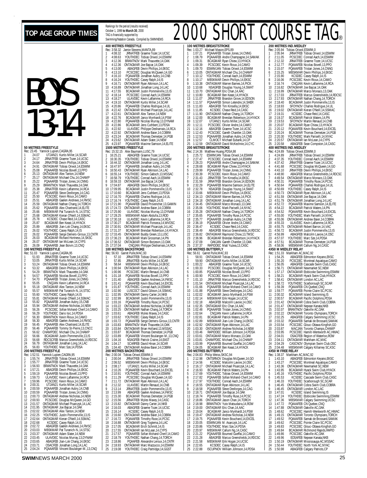|                                                                                                                                      | Rankings for the period (results received)                                                                                                                                                                                                                                                                                                                                                                                                                                                                                                                                                                                                                                                                                                                                                                                                                                                                                                                                                                                                                                                                                                                                                             |
|--------------------------------------------------------------------------------------------------------------------------------------|--------------------------------------------------------------------------------------------------------------------------------------------------------------------------------------------------------------------------------------------------------------------------------------------------------------------------------------------------------------------------------------------------------------------------------------------------------------------------------------------------------------------------------------------------------------------------------------------------------------------------------------------------------------------------------------------------------------------------------------------------------------------------------------------------------------------------------------------------------------------------------------------------------------------------------------------------------------------------------------------------------------------------------------------------------------------------------------------------------------------------------------------------------------------------------------------------------|
| <b>TOP AGE GROUP TIMES</b>                                                                                                           | October 1, 1999 to March 30, 2000<br>TAG is financially supported by                                                                                                                                                                                                                                                                                                                                                                                                                                                                                                                                                                                                                                                                                                                                                                                                                                                                                                                                                                                                                                                                                                                                   |
|                                                                                                                                      | Swimming/Natation Canada. Compiled by SWIMNEWS                                                                                                                                                                                                                                                                                                                                                                                                                                                                                                                                                                                                                                                                                                                                                                                                                                                                                                                                                                                                                                                                                                                                                         |
| BOYS                                                                                                                                 | 400 METRES FREESTYLE<br>Rec: 3:58.32 Jamie Stevens, MANTA, 89<br>1<br>4:08.32<br>JRNATFEB Graeme Tozer, 14, UCSC<br>YOUTHDEC Tobias Oriwol, 14, ESWIM<br>4:08.63<br>2<br>3<br>4:12.36<br>BRANTNOV Mark Thauvette, 14, OAK<br>4<br>4:12.36<br>ONTAGMAR Joe Bajcar, 14, OAK<br>5<br>4:13.00<br>ABAGFEB Devin Phillips, 14, EKSC<br>6<br>4:13.10<br>PCSCDEC Douglas McQueen, 14, GO<br>7<br>4:16.10<br>PQAAAFEB Jonathan Aubry, 14, CNB<br>8<br>4:16.24<br>YOUTHDEC Casey Ralph, 14, IS<br>9<br>4:16.71<br>ONTAGMAR Ryan Atkinson, 14, LAC<br>10<br>4:16.89<br>ONTAGMAR Jonathan Long, 14, LAC<br>4:17.55<br>11<br>BCAGMAR Justin Pommerville, 13, IS<br>12<br>4:18.14<br>PCSCDEC Conrad Aach, 14, ESWIM<br>13<br>4:18.27<br>ULAVDEC Kevin Laflamme, 14, RCA<br>14<br>4:19.10<br>ONTAGMAR Kurtis Miller, 14, SCAR<br>15<br>4:20.86<br>PQAAAFEB Charles Rodrigue, 14, UL<br>4:22.42<br>ONTAGMAR Michael Pisarczyk, 14, LAC<br>16<br>4:22.61<br>ONTAGMAR Alex Tanton, 14, NEW<br>17<br>4:22.76<br>18<br>BCAGMAR Janco Mynhardt, 14, PSW<br>19<br>4:22.80<br>PQAAAFEB Nicolas Murray, 13, DYNAM<br>20<br>4:22.86<br>BCAGMAR Jens Cuthbert, 13, PDSA<br>ULAVDEC Philippe Desharnais, 14, RCA<br>21<br>4:22.92 |
|                                                                                                                                      | 22<br>4:22.92<br>ONTAGMAR Andrew Baier, 14, COBRA<br>23<br>4:23.24<br>BCAGMAR Thomas Demetzer, 14, PGB                                                                                                                                                                                                                                                                                                                                                                                                                                                                                                                                                                                                                                                                                                                                                                                                                                                                                                                                                                                                                                                                                                 |
|                                                                                                                                      | 24<br>4:23.62<br>ONTAGMAR Adam Slater, 14, NEW                                                                                                                                                                                                                                                                                                                                                                                                                                                                                                                                                                                                                                                                                                                                                                                                                                                                                                                                                                                                                                                                                                                                                         |
| 50 METRES FREESTYLE                                                                                                                  | 25<br>4:23.97<br>PQAAAFEB Maxime Samson, 14, ELITE<br><b>1500 METRES FREESTYLE</b>                                                                                                                                                                                                                                                                                                                                                                                                                                                                                                                                                                                                                                                                                                                                                                                                                                                                                                                                                                                                                                                                                                                     |
| Rec: 23.45 Yannick Lupien, CAGRA, 95<br>24.07<br>UTJAN21 Kurtis Miller, 14, SCAR<br>1                                                | Rec: 15:32.15 Alex Baumann, LUSC, 79<br>16:25.21<br>1<br>ABAGFEB Graeme Tozer, 14, UCSC                                                                                                                                                                                                                                                                                                                                                                                                                                                                                                                                                                                                                                                                                                                                                                                                                                                                                                                                                                                                                                                                                                                |
| $\overline{2}$<br>24.17<br>JRNATFEB Graeme Tozer, 14, UCSC<br>3<br>24.64                                                             | YOUTHDEC Tobias Oriwol, 14, ESWIM<br>2<br>16:30.35<br>3<br>16:44.32<br>ONTAGMAR Jonathan Long, 14, LAC                                                                                                                                                                                                                                                                                                                                                                                                                                                                                                                                                                                                                                                                                                                                                                                                                                                                                                                                                                                                                                                                                                 |
| JRNATFEB Devin Phillips, 14, EKSC<br>4<br>24.91<br>ONTAGMAR Tobias Oriwol, 14, ESWIM                                                 | 4<br>16:47.97<br>PQAAAFEB Jonathan Aubry, 14, CNB                                                                                                                                                                                                                                                                                                                                                                                                                                                                                                                                                                                                                                                                                                                                                                                                                                                                                                                                                                                                                                                                                                                                                      |
| 5<br>25.08<br>PQAAAFEB Nicolas Bovell, 13, PPO<br>25.13<br>ONTAGMAR Alex Tanton, 14, NEW<br>6                                        | 5<br>16:50.43<br>ONTAGMAR Ryan Atkinson, 14, LAC<br>16:55.14<br>6                                                                                                                                                                                                                                                                                                                                                                                                                                                                                                                                                                                                                                                                                                                                                                                                                                                                                                                                                                                                                                                                                                                                      |
| 7<br>25.17<br>ONTAGMAR Michael Chu, 14, CHAMP<br>8<br>25.22<br>PQAAAFEB Tristan Jones, 14, CNNG                                      | YOUTHDEC SÍmon Gabsch, 13, MSSAC<br>YOUTHDEC Conrad Aach, 14, ESWIM<br>7<br>16:58.79<br>8<br>16:59.33<br>ONTAGMAR Joe Bajcar, 14, OAK                                                                                                                                                                                                                                                                                                                                                                                                                                                                                                                                                                                                                                                                                                                                                                                                                                                                                                                                                                                                                                                                  |
| 9<br>25.29<br>BRANTNOV Mark Thauvette, 14, OAK                                                                                       | Q<br>17:04.87<br>ABAGFEB Devin Phillips, 14, EKSC                                                                                                                                                                                                                                                                                                                                                                                                                                                                                                                                                                                                                                                                                                                                                                                                                                                                                                                                                                                                                                                                                                                                                      |
| 10<br>25.38<br>JRNATFEB Kevin Laflamme, 14, RCA<br>11<br>25.47<br>PQAAAFEB Steve Desforges, 14, CAG                                  | 10 17:09.95<br>BCAGMAR Justin Pommerville, 13, IS<br>11 17:10.60<br>BCAGMAR Jens Cuthbert, 13, PDSA                                                                                                                                                                                                                                                                                                                                                                                                                                                                                                                                                                                                                                                                                                                                                                                                                                                                                                                                                                                                                                                                                                    |
| 12<br>25.50<br>PCSCDEC Kevin Rioux, 14, CAMO<br>13<br>25.51<br>ABAGFEB Gaelen Andrews, 14, FMSC                                      | 12 17:16.70<br>POAAAFEB Charles Rodrigue, 14, UL<br>13 17:16.74<br>YOUTHDEC Casey Ralph, 14, IS                                                                                                                                                                                                                                                                                                                                                                                                                                                                                                                                                                                                                                                                                                                                                                                                                                                                                                                                                                                                                                                                                                        |
| 14<br>25.59<br>ONTAGMAR Nathan Chang, 14, TORCH<br>15<br>25.62                                                                       | 14 17:21.90<br>PQAAAFEB David Provencher, 13, GAMIN                                                                                                                                                                                                                                                                                                                                                                                                                                                                                                                                                                                                                                                                                                                                                                                                                                                                                                                                                                                                                                                                                                                                                    |
| PQAAAFEB Alex Chartrand, 14, ELITE<br>25.66<br>16<br>MBSKMAR Pat Turanich-N., 14, STSC                                               | 15 17:24.72<br>ONTAGMAR Andrew Baier, 14, COBRA<br>16<br>17:25.90<br>ULAVDEC Nicolas Murray, 13, DYNAM                                                                                                                                                                                                                                                                                                                                                                                                                                                                                                                                                                                                                                                                                                                                                                                                                                                                                                                                                                                                                                                                                                 |
| 17<br>25.68<br>ONTAGMAR Kieran O'Neill, 14, SSMAC<br>18<br>25.78<br>KCSDEC Chase Reid, 14, CASC                                      | 17 17:28.25<br>MBSKMAR Adam Abdulla,13,ROD<br>18 17:30.18<br>ULAVDEC Kevin Laflamme, 14, RCA                                                                                                                                                                                                                                                                                                                                                                                                                                                                                                                                                                                                                                                                                                                                                                                                                                                                                                                                                                                                                                                                                                           |
| 19<br>25.87<br>BCAGMAR Ben Keast, 14, HYACK<br>20<br>25.89<br>ABAGFEB Jian-Lok Chang, 14, EKSC                                       | 19 17:30.27<br>BCAGMAR Patrick Fonseca, 14, WVOSC<br>20 17:30.91<br>ONTAGMAR Michael Pisarczyk, 14, LAC                                                                                                                                                                                                                                                                                                                                                                                                                                                                                                                                                                                                                                                                                                                                                                                                                                                                                                                                                                                                                                                                                                |
| 21<br>26.02<br>YOUTHDEC Casey Ralph, 14, IS<br>22                                                                                    | 21 17:31.37<br>BCAGMAR Brendan Robertson, 14, HYACK                                                                                                                                                                                                                                                                                                                                                                                                                                                                                                                                                                                                                                                                                                                                                                                                                                                                                                                                                                                                                                                                                                                                                    |
| PQAAAFEB Serge Demers-Giroux, 13, CNTR<br>26.02<br>23<br>26.03<br>BCAGMAR Richard Hortness, 14, SKSC                                 | 22 17:33.45<br>ONTAGMAR Buddy Green, 13, LUSC<br>23 17:36.23<br>BCAGMAR Mark Grossman, 14, PN                                                                                                                                                                                                                                                                                                                                                                                                                                                                                                                                                                                                                                                                                                                                                                                                                                                                                                                                                                                                                                                                                                          |
| 24<br>26.07<br>ONTAGMAR Ian McLean, 14, CYPS<br>25<br>26.09<br>PQAAAFEB Jean Boivin, 13, CNQ                                         | 24 17:36.52<br>ONTAGMAR Simon Borjeson, 13, OAK<br>25 17:37.04<br>CNQJAN Philippe Desharnais, 14, RCA                                                                                                                                                                                                                                                                                                                                                                                                                                                                                                                                                                                                                                                                                                                                                                                                                                                                                                                                                                                                                                                                                                  |
| 100 METRES FREESTYLE<br>Rec: 51.03 Yannick Lupien, CAGRA, 95                                                                         | 100 METRES BACKSTROKE<br>Rec: 56.93 Garret Pulle, MAC, 93                                                                                                                                                                                                                                                                                                                                                                                                                                                                                                                                                                                                                                                                                                                                                                                                                                                                                                                                                                                                                                                                                                                                              |
| 1<br>51.93<br>JRNATFEB Graeme Tozer, 14, UCSC                                                                                        | 1<br>57.10<br>JRNATFEB Tobias Oriwol, 14, ESWIM                                                                                                                                                                                                                                                                                                                                                                                                                                                                                                                                                                                                                                                                                                                                                                                                                                                                                                                                                                                                                                                                                                                                                        |
| $\overline{c}$<br>53.05<br>JRNATFEB Kurtis Miller, 14, SCAR<br>3<br>53.24<br>ONTAGMAR Tobias Oriwol, 14, ESWIM                       | 2<br>57.85<br>JRNATFEB Kurtis Miller, 14, SCAR<br>3<br>58.64<br>MBSKMAR Devin Phillips, 14, EKSC                                                                                                                                                                                                                                                                                                                                                                                                                                                                                                                                                                                                                                                                                                                                                                                                                                                                                                                                                                                                                                                                                                       |
| 4<br>53.32<br>ABAGFEB Devin Phillips, 14, EKSC<br>5<br>54.29<br>BRANTNOV Mark Thauvette, 14, OAK                                     | 4<br>1:00.94<br>ONTAGMAR Ryan Atkinson, 14, LAC<br>5<br>1:00.96<br>PCSCDEC Martin Renaud, 14, CNB                                                                                                                                                                                                                                                                                                                                                                                                                                                                                                                                                                                                                                                                                                                                                                                                                                                                                                                                                                                                                                                                                                      |
| 6<br>54.57<br>PQAAAFEB Nicolas Bovell, 13, PPO<br>7<br>54.70<br>POAAAFEB Tristan Jones, 14, CNNG                                     | 6<br>1:01.18<br>PQAAAFEB Nicolas Bovell, 13, PPO<br>7<br>1:01.40<br>ABAGFEB Gaelen Andrews, 14, FMSC                                                                                                                                                                                                                                                                                                                                                                                                                                                                                                                                                                                                                                                                                                                                                                                                                                                                                                                                                                                                                                                                                                   |
| 8<br>55.05<br>CNQJAN Kevin Laflamme, 14, RCA                                                                                         | 8<br>1:01.41<br>PQAAAFEB Kevin Bouchard, 14, EXCEL                                                                                                                                                                                                                                                                                                                                                                                                                                                                                                                                                                                                                                                                                                                                                                                                                                                                                                                                                                                                                                                                                                                                                     |
| 9<br>55.18<br>ONTAGMAR Alex Tanton, 14, NEW<br>55.57<br>MBSKMAR Pat Turanich-N., 14, STSC<br>10                                      | 9<br>1:01.87<br>YOUTHDEC Conrad Aach, 14, ESWIM<br>10<br>1:02.90<br>LUSCOCT David Gibson, 14, SSMAC                                                                                                                                                                                                                                                                                                                                                                                                                                                                                                                                                                                                                                                                                                                                                                                                                                                                                                                                                                                                                                                                                                    |
| 11<br>55.60<br>YOUTHDEC Casey Ralph, 14, IS<br>UN IAGMAR Kieran O'Neill, 14, SSMAC<br>55.81<br>12                                    | 11<br>1:02.95<br>ONTAGMAR Danny Carter, 14, NKB<br>1:02.99<br>12<br>BCAGMAR JUStin Pommerville, 13,15                                                                                                                                                                                                                                                                                                                                                                                                                                                                                                                                                                                                                                                                                                                                                                                                                                                                                                                                                                                                                                                                                                  |
| 13<br>55.82<br>PQAAAFEB Jonathan Aubry, 15, CNB<br>55.94<br>ONTAGMAR Andrew Nicholas, 14, NEW<br>14                                  | 13<br>1:03.16<br>PQAAAFEB Timothy Ruse, 14, PCSC<br>1:03.22<br>14<br>ONTAGMAR Andrew Nicholas, 14, NEW                                                                                                                                                                                                                                                                                                                                                                                                                                                                                                                                                                                                                                                                                                                                                                                                                                                                                                                                                                                                                                                                                                 |
| 15<br>56.26<br>PCSCDEC Sofian Mohand-Cherif, 14, CAMO<br>YOUTHDEC Dario Isic, 14, PDSA                                               | 15 1:03.25<br>ONTAGMAR Nathan Chang, 14, TORCH<br>ABAGFEB Myles Maxey, 14, CASC                                                                                                                                                                                                                                                                                                                                                                                                                                                                                                                                                                                                                                                                                                                                                                                                                                                                                                                                                                                                                                                                                                                        |
| 56.29<br>16<br>56.30<br>BRANTNOV Kevin Rioux, 14, CAMO<br>17                                                                         | 16 1:03.61<br>17<br>1:03.62<br>YOUTHDEC Casey Ralph, 14, IS                                                                                                                                                                                                                                                                                                                                                                                                                                                                                                                                                                                                                                                                                                                                                                                                                                                                                                                                                                                                                                                                                                                                            |
| 56.30<br>18<br>ABAGFEB Gaelen Andrews, 14, FMSC<br>19<br>56.45<br>PQAAAFEB Alex Chartrand, 14, ELITE                                 | 18 1:03.72<br>PQAAAFEB Serge Demers-Giroux, 13, CNTR<br>19<br>BRANTNOV Mark Thauvette, 14, OAK<br>1:03.83                                                                                                                                                                                                                                                                                                                                                                                                                                                                                                                                                                                                                                                                                                                                                                                                                                                                                                                                                                                                                                                                                              |
| 20<br>56.46<br>PQAAAFEB Tommy St-Pierre, 13, CNCC<br>56.62 CHAMPDEC Michael Chu, 14, CHAMP<br>21                                     | 20 1:03.84<br>ONTAGMAR Brian Holland, 13, MSSAC<br>21<br>1:03.87<br>BCAGMAR Thomas Demetzer, 14, PGB                                                                                                                                                                                                                                                                                                                                                                                                                                                                                                                                                                                                                                                                                                                                                                                                                                                                                                                                                                                                                                                                                                   |
| 22<br>56.66<br>BCAGMAR Justin Pommerville, 13, IS<br>23<br>56.68<br>RDCSCFEB Marcus Greenshields, 14, RDCSC                          | 22<br>1:03.89<br>PQAAAFEB Vincent Boulanger-M., 13, CNQ<br>23<br>1:04.16                                                                                                                                                                                                                                                                                                                                                                                                                                                                                                                                                                                                                                                                                                                                                                                                                                                                                                                                                                                                                                                                                                                               |
| 24<br>56.79<br>ONTAGMAR Jonathan Long, 14, LAC                                                                                       | NSAGFEB Patrick Craine, 14, EAST<br>24<br>1:04.17<br>SCARFEB David Hinan, 14, SCAR                                                                                                                                                                                                                                                                                                                                                                                                                                                                                                                                                                                                                                                                                                                                                                                                                                                                                                                                                                                                                                                                                                                     |
| 25<br>56.83<br>YOUTHDEC Marc Sze, 14, PDSA<br>200 METRES FREESTYLE                                                                   | 25 1:04.40<br>ONTAGMAR Andrew Baier, 14, COBRA<br>200 METRES BACKSTROKE                                                                                                                                                                                                                                                                                                                                                                                                                                                                                                                                                                                                                                                                                                                                                                                                                                                                                                                                                                                                                                                                                                                                |
| Rec: 1:52.51 Yannick Lupien, CAGRA, 95<br>1:55.74<br>JRNATFEB Tobias Oriwol, 14, ESWIM<br>1                                          | Rec: 2:00.04 Tobias Oriwol, ESWIM, 0<br>JRNATFEB Tobias Oriwol, 14, ESWIM<br>1<br>2:00.04                                                                                                                                                                                                                                                                                                                                                                                                                                                                                                                                                                                                                                                                                                                                                                                                                                                                                                                                                                                                                                                                                                              |
| $\overline{\mathbf{c}}$<br>1:55.77<br>JRNATFEB Graeme Tozer, 14, UCSC<br>3<br>1:56.93<br>BRANTNOV Mark Thauvette, 14, OAK            | $\overline{2}$<br>MBSKMAR Devin Phillips, 14, EKSC<br>2:06.52<br>3<br>2:08.17<br>UTJAN21 Kurtis Miller, 14, SCAR                                                                                                                                                                                                                                                                                                                                                                                                                                                                                                                                                                                                                                                                                                                                                                                                                                                                                                                                                                                                                                                                                       |
| 1:57.21<br>4<br>ABAGFEB Devin Phillips, 14, EKSC                                                                                     | 4<br>2:10.26<br>PQAAAFEB Kevin Bouchard, 14, EXCEL                                                                                                                                                                                                                                                                                                                                                                                                                                                                                                                                                                                                                                                                                                                                                                                                                                                                                                                                                                                                                                                                                                                                                     |
| 5<br>POAAAFEB Nicolas Bovell, 13, PPO<br>1:59.19<br>ULAVDEC Kevin Laflamme, 14, RCA<br>PCSCDEC Kevin Rioux, 14, CAMO<br>1:59.73<br>6 | 5<br>YOUTHDEC Conrad Aach, 14, ESWIM<br>2:10.91<br>6<br>2:11.29                                                                                                                                                                                                                                                                                                                                                                                                                                                                                                                                                                                                                                                                                                                                                                                                                                                                                                                                                                                                                                                                                                                                        |
| 7<br>1:59.96<br>8<br>2:00.31<br>UTJAN21 Kurtis Miller, 14, SCAR                                                                      | PCSCDEC Douglas McQueen, 14, GO<br>ONTAGMAR Ryan Atkinson, 14, LAC<br>ULAVDEC Martin Renaud, 14, CNB<br>$\overline{7}$<br>2:11.72<br>8<br>2:12.32                                                                                                                                                                                                                                                                                                                                                                                                                                                                                                                                                                                                                                                                                                                                                                                                                                                                                                                                                                                                                                                      |
| 9<br>2:00.59<br>PQAAAFEB Jonathan Aubry, 14, CNB<br>PQAAAFEB Tristan Jones, 14, CNNG<br>10<br>2:00.59                                | 9<br>2:13.14<br>JRNATFEB Justin Pommerville, 13, IS<br>10<br>2:13.99<br>ABAGFEB Gaelen Andrews, 14, FMSC                                                                                                                                                                                                                                                                                                                                                                                                                                                                                                                                                                                                                                                                                                                                                                                                                                                                                                                                                                                                                                                                                               |
| 11<br>2:00.73<br>ONTAGMAR Andrew Nicholas, 14, NEW                                                                                   | 2:15.30<br>BCAGMAR Thomas Demetzer, 14, PGB<br>11                                                                                                                                                                                                                                                                                                                                                                                                                                                                                                                                                                                                                                                                                                                                                                                                                                                                                                                                                                                                                                                                                                                                                      |
| 2:00.93<br>PCSCDEC Douglas McQueen, 14, GO<br>12<br>13<br>2:01.57<br>ONTAGMAR Michael Pisarczyk, 14, LAC                             | 2:15.56<br>JRNATFEB Myles Maxey, 14, CASC<br>12<br>13<br>2:15.82<br>ONTAGMAR Dánny Carter, 14, NKB                                                                                                                                                                                                                                                                                                                                                                                                                                                                                                                                                                                                                                                                                                                                                                                                                                                                                                                                                                                                                                                                                                     |
| 2:01.95<br>ONTAGMAR Joe Bajcar, 14, OAK<br>14<br>15 2:02.02<br>ONTAGMAR Alex Tanton, 14, NEW                                         | 14<br>2:16.03<br>ABAGFEB Graeme Tozer, 14, UCSC<br>15<br>2:16.14<br>KCSDEC Casey Ralph, 14, IS                                                                                                                                                                                                                                                                                                                                                                                                                                                                                                                                                                                                                                                                                                                                                                                                                                                                                                                                                                                                                                                                                                         |
| 16 2:02.25<br>YOUTHDEC Justin Pommerville, 13, IS                                                                                    | 16 2:16.60<br>ONTAGMAR Andrew Baier, 14, COBRA                                                                                                                                                                                                                                                                                                                                                                                                                                                                                                                                                                                                                                                                                                                                                                                                                                                                                                                                                                                                                                                                                                                                                         |
| 17<br>2:02.64<br>ONTAGMAR Kieran O'Neill, 14, SSMAC<br>18 2:02.68<br>KCSDEC Casey Ralph,14,IS                                        | 2:16.72<br>17<br>PQAAAFEB Timothy Ruse, 14, PCSC<br>18 2:16.88<br>ONTAGMAR Greg Togtema, 14, LAC                                                                                                                                                                                                                                                                                                                                                                                                                                                                                                                                                                                                                                                                                                                                                                                                                                                                                                                                                                                                                                                                                                       |
| 19 2:02.72<br>ABAGFEB Gaelen Andrews, 14, FMSC<br>20 2:03.03<br>MBSKMAR Pat Turanich-N., 14, STSC                                    | 19 2:17.05<br>BCAGMAR Erich Schmitt, 14, IS<br>20 2:17.55<br>ONTAGMAR Ian McLean, 14, CYPS                                                                                                                                                                                                                                                                                                                                                                                                                                                                                                                                                                                                                                                                                                                                                                                                                                                                                                                                                                                                                                                                                                             |
| 21<br>2:03.37<br>ONTAGMAR Adam Slater, 14, NEW<br>22 2:03.45<br>ULAVDEC Nicolas Murray, 13, DYNAM                                    | 21<br>2:17.57<br>PQAAAFEB Sofian Mohand-Cherif, 14, CAMO<br>2:18.79<br>YOUTHDEC Nathan Chang, 14, TORCH<br>22                                                                                                                                                                                                                                                                                                                                                                                                                                                                                                                                                                                                                                                                                                                                                                                                                                                                                                                                                                                                                                                                                          |
| 23 2:03.65<br>ABAGFEB Jian-Lok Chang, 14, EKSC                                                                                       | 23<br>2:18.86<br>PQAAFEB Alexandre Leroux, 14, CNTR                                                                                                                                                                                                                                                                                                                                                                                                                                                                                                                                                                                                                                                                                                                                                                                                                                                                                                                                                                                                                                                                                                                                                    |
| 24 2:03.71<br>OSACFEB Jonathan Long, 14, LAC                                                                                         | 24 2:18.93 ONTAGMAR Marc Mazzucco, 14, ESWIM                                                                                                                                                                                                                                                                                                                                                                                                                                                                                                                                                                                                                                                                                                                                                                                                                                                                                                                                                                                                                                                                                                                                                           |

## **2000 SHORT COURSE TAG®**

|                                | 100 METRES BREASTSTROKE                                                                                                                                                                                                                |  |
|--------------------------------|----------------------------------------------------------------------------------------------------------------------------------------------------------------------------------------------------------------------------------------|--|
| Rec: 1:03.27                   | Michael Mason, EPS, 89                                                                                                                                                                                                                 |  |
| 1:07.21<br>1                   | PQAAAFEB Tristan Jones, 14, CNNG                                                                                                                                                                                                       |  |
| $\overline{a}$<br>1:08.79      | POAAAFEB Andre Champagne, 14, SAMAK                                                                                                                                                                                                    |  |
| 3<br>1:09.31                   | BCAGMAR Ryan Chiew, 13, HYACK                                                                                                                                                                                                          |  |
| 4<br>1:09.39                   | PCSCDEC Kevin Rioux, 14, CAMO                                                                                                                                                                                                          |  |
| 5<br>1:09.70                   | ESWIMJAN Tobias Oriwol, 14, ESWIM                                                                                                                                                                                                      |  |
| 6<br>1:10.05<br>7              | ONTAGMAR Michael Chu, 14, CHAMP                                                                                                                                                                                                        |  |
| 1:10.12<br>8                   | YOUTHDEC Conrad Aach, 14, ESWIM<br>MOSKMAR Devin Phillips, 14, EKSC<br>ONTAGMAR Warren Barnes, 14, PICK<br>NSAGFEB Douglas Young, 14, SWAT                                                                                             |  |
| 1:10.17<br>9<br>1:10.38        |                                                                                                                                                                                                                                        |  |
| 10<br>1:10.68                  |                                                                                                                                                                                                                                        |  |
| 11<br>1:10.70                  | ONTAGMAR Eric Chan, 14, AAC                                                                                                                                                                                                            |  |
| 12<br>1:10.80                  | BCAGMAR Ben Keast, 14, HYACK                                                                                                                                                                                                           |  |
| 13<br>1:11.07                  | JRNATFEB Brandon Grove, 14, EDSON                                                                                                                                                                                                      |  |
| 14<br>1:11.57                  | PQAAAFEB Simon Letendre, 14, SHER<br>ABAGFEB Tim Kinsella, 14, EKSC                                                                                                                                                                    |  |
| 15<br>1:11.83                  |                                                                                                                                                                                                                                        |  |
| 16<br>1:11.85                  | KCSDEC Chase Reid, 14, CASC                                                                                                                                                                                                            |  |
| 1:11.90<br>17                  | ONTAGMAR Nathan Chang, 14, TORCH                                                                                                                                                                                                       |  |
| 18<br>1:12.00                  | BCAGMAR Brendan Robertson, 14, HYACK                                                                                                                                                                                                   |  |
| 19<br>1:12.07                  | UTJAN21 Kurtis Miller, 14, SCAR                                                                                                                                                                                                        |  |
| 20<br>1:12.11                  | PCSCDEC Olivier Andre, 14, CAMO                                                                                                                                                                                                        |  |
| 21<br>1:12.16<br>22<br>1:12.43 | ABAGFEB Graeme Tozer, 14, UCSC<br>PCSCDEC Gareth Chantler, 13, OAK                                                                                                                                                                     |  |
| 23<br>1:12.53                  | PQAAAFEB Jonathan Aubry, 14, CNB                                                                                                                                                                                                       |  |
| 24<br>1:12.57                  | CLMOCT Michael Eubank, 14, CP                                                                                                                                                                                                          |  |
| 25<br>1:12.59                  | ONTAGMAR David McKechnie, 14, CYC                                                                                                                                                                                                      |  |
|                                | <b>200 METRES BREASTSTROKE</b>                                                                                                                                                                                                         |  |
| Rec: 2:14.36                   | Matthew Huang, PDSA, 98                                                                                                                                                                                                                |  |
| 1<br>2:25.72                   | ESWIMJAN Tobias Oriwol, 14, ESWIM                                                                                                                                                                                                      |  |
| $\frac{2}{3}$<br>2:27.47       | PCSCDEC Conrad Aach, 14, ESWIM                                                                                                                                                                                                         |  |
| 2:28.23                        | PQAAAFEB Andre Champagne, 14, SAMAK                                                                                                                                                                                                    |  |
| 4<br>2:28.68                   | BCAGMAR Ryan Chiew, 13, HYACK                                                                                                                                                                                                          |  |
| 5<br>2:29.99                   | POAAAFEB Tristan Jones, 14, CNNG                                                                                                                                                                                                       |  |
| 6<br>2:30.39<br>7              | PCSCDEC Kevin Rioux, 14, CAMO<br>JRNATFEB Tim Kinsella, 14, EKSC                                                                                                                                                                       |  |
| 2:31.43<br>8                   | JRNATFEB Brandon Grove, 14, EDSON                                                                                                                                                                                                      |  |
| 2:31.59<br>9<br>2:32.29        |                                                                                                                                                                                                                                        |  |
| 2:32.78<br>10                  | POAAAFEB Maxime Samson, 14, ELITE<br>NSAGFEB Douglas Young, 14, SWAT                                                                                                                                                                   |  |
| 11                             |                                                                                                                                                                                                                                        |  |
| 12                             |                                                                                                                                                                                                                                        |  |
| 13                             |                                                                                                                                                                                                                                        |  |
| 14                             |                                                                                                                                                                                                                                        |  |
| 15                             |                                                                                                                                                                                                                                        |  |
| 16                             | 2:32.78<br>$2.33.66$ MBSKMAR Devin Phillips, 14 EKSC<br>$2.33.66$ MBSKMAR Devin Phillips, 14 EKSC<br>$2.34.13$ ONTAGMAR Jonathan Long, 14, LAC<br>$2.34.45$ ONTAGMAR Jonathan Chang, 14, DAK<br>$2.35.06$ YOUTHDEC Mark Pariselli, 14, |  |
| 17<br>2:35.65                  | PQAAAFEB Timothy Ruse, 14, PCSC<br>PQAAAFEB Jonathan Aubry, 14, CNB                                                                                                                                                                    |  |
| 18<br>2:35.77                  |                                                                                                                                                                                                                                        |  |
| 19<br>2:36.19<br>20            | PQAAAFEB Olivier Andre, 14, CAMO                                                                                                                                                                                                       |  |
| 2:36.47<br>21<br>2:36.49       | KCSDEC Chase Reid, 14, CASC<br>ABAGFEB Marcus Greenshields, 14, RDCSC                                                                                                                                                                  |  |
| 22<br>2:36.82                  | ONTAGMAR Raymond Chow, 13, TMSC                                                                                                                                                                                                        |  |
| 23<br>2:36.96                  | BCAGMAR Brendan Robertson, 14, HYACK                                                                                                                                                                                                   |  |
| 24<br>2:37.09                  | OAKJAN Gareth Chantler, 13, OAK                                                                                                                                                                                                        |  |
| 25<br>2:37.37                  | RAPIDDEC Matt Yuzwa, 13, CASC                                                                                                                                                                                                          |  |
|                                | <b>100 METRES BUTTERFLY</b>                                                                                                                                                                                                            |  |
| Rec: 56.61                     | Garret Pulle, MAC, 93                                                                                                                                                                                                                  |  |
| 1<br>58.91                     | ONTAGMAR Tobias Oriwol, 14, ESWIM                                                                                                                                                                                                      |  |
| 2<br>59.90                     | ONTAGMAR Kurtis Miller, 14, SCAR                                                                                                                                                                                                       |  |
| 3<br>1:00.22                   | ABAGFEB Graeme Tozer, 14, UCSC                                                                                                                                                                                                         |  |
| 4<br>1:00.33                   | PCSCDEC Douglas McQueen, 14, GO                                                                                                                                                                                                        |  |
| 5<br>1:00.85<br>6<br>1:00.90   | PQAAAFEB Nicolas Bovell, 13, PPO<br>PCSCDEC Kevin Rioux, 14, CAMO                                                                                                                                                                      |  |
| 7<br>1:01.10                   | JRNATFEB Marcus Greenshields, 14, RDCSC                                                                                                                                                                                                |  |
|                                |                                                                                                                                                                                                                                        |  |
|                                |                                                                                                                                                                                                                                        |  |
| 8<br>1:01.54<br>9              | ONTAGMAR Michael Pisarczyk, 14, LAC                                                                                                                                                                                                    |  |
| 1:01.66<br>10<br>1:01.88       | PQAAAFEB Sofian Mohand-Cherif, 14, CAMO                                                                                                                                                                                                |  |
| 11<br>1:02.02                  | PQAAAFEB Steve Desforges, 14, CAG                                                                                                                                                                                                      |  |
| 12<br>1:02.14                  |                                                                                                                                                                                                                                        |  |
| 13<br>1:02.18                  | BCAGMAR Janco Mynhardt, 14, PSW<br>MBSKMAR Erik Hogan, 14, UCSC<br>ABAGFEB Malcolm Lavoie, 14, OSC                                                                                                                                     |  |
| 14                             |                                                                                                                                                                                                                                        |  |
| 15                             |                                                                                                                                                                                                                                        |  |
| 16                             | 1.02.35 ONTAGMAR Eric Chan, 14, AAC<br>1.02.48 POAAAFEB Tristan Jones, 14, CNNG<br>1.02.64 CNOJAN Kevin Laflamme, 14, RCA                                                                                                              |  |
| 17<br>ï.∪2.81                  | BCAGMAR Patrick Waters, 14, PN                                                                                                                                                                                                         |  |
| 18<br>1:02.89                  | MBSKMAR Jian-Lok Chang, 14, EKSC                                                                                                                                                                                                       |  |
| 19<br>1:02.92                  | ONTAGMAR Ryan Atkinson, 14, LAC                                                                                                                                                                                                        |  |
| 20<br>1:03.30                  | ONTAGMAR Andrew Nicholas, 14, NEW                                                                                                                                                                                                      |  |
| 21<br>1:03.46<br>22<br>1:03.61 | RAPIDDEC William Johnson, 14, PDSA                                                                                                                                                                                                     |  |
| 23<br>1:03.81                  | ONTAGMAR Marco Monaco, 13, OAK<br>CHAMPDEC Michael Chu, 14, CHAMP                                                                                                                                                                      |  |
| 24<br>1:03.99                  | PQAAAFEB Boumed Gueffai, 14, CAMO                                                                                                                                                                                                      |  |
| 25<br>1:04.05                  | BCAGMAR Ben Keast, 14, HYACK                                                                                                                                                                                                           |  |
|                                | <b>200 METRES BUTTERFLY</b>                                                                                                                                                                                                            |  |
| Rec: 2:04.83                   | Philip Weiss, SKSC, 94                                                                                                                                                                                                                 |  |
| 1<br>2:12.98                   | ONTSRNOV Douglas McQueen, 14, GO                                                                                                                                                                                                       |  |
| 2<br>2:14.56                   | KCSDEC Malcolm Lavoie, 14, OSC                                                                                                                                                                                                         |  |
| 3<br>2:16.17                   | ONTAGMAR Michael Pisarczyk, 14, LAC                                                                                                                                                                                                    |  |
| 4<br>2:16.93<br>5<br>2:17.69   | BCAGMAR Patrick Waters, 14, PN                                                                                                                                                                                                         |  |
| 6<br>2:17.82                   | YOUTHDEC Tobias Oriwol, 14, ESWIM<br>PQAAAFEB Sofian Mohand-Cherif, 14, CAMO                                                                                                                                                           |  |
| 7<br>2:17.97                   | YOUTHDEC Conrad Aach, 14, ESWIM                                                                                                                                                                                                        |  |
| 8<br>2:18.55                   | ONTAGMAR Ryan Atkinson, 14, LAC                                                                                                                                                                                                        |  |
| 9<br>2:18.58                   | POAAAFEB Steve Desforges, 14, CAG                                                                                                                                                                                                      |  |
| 10<br>2:18.71                  |                                                                                                                                                                                                                                        |  |
| 2:18.74<br>11                  |                                                                                                                                                                                                                                        |  |
| 12<br>2:18.86                  |                                                                                                                                                                                                                                        |  |
| 13<br>2:18.98                  | ONTAGMAR Joe Bajcar, 14, OAK<br>POAAAFEB Timothy Ruse, 14, PCSC<br>ONTAGMAR Jason Chan, 14, TORCH<br>BRANTNOV Yuto Matsudaira, 14, ROW                                                                                                 |  |
| 14<br>2:19.00                  | ONTAGMAR Eric Chan, 14, AAC                                                                                                                                                                                                            |  |
| 15<br>2:19.04<br>16            |                                                                                                                                                                                                                                        |  |
| 2:19.47<br>17                  | BCAGMAR Janco Mynhardt, 14, PSW<br>ONTAGMAR Andrew Nicholas, 14, NEW<br>PQAAAFEB Kevin Bouchard, 14, EXCEL                                                                                                                             |  |
| 2:19.75<br>18<br>2:20.05       |                                                                                                                                                                                                                                        |  |
| 19<br>2:20.86                  | ESWIMJAN M. Asarczyk, 14, LAC<br>YOUTHDEC Marc Sze, 14, PDSA                                                                                                                                                                           |  |
| 20<br>2:20.97                  | MBSKMAR Callum Ng, 14, CASC                                                                                                                                                                                                            |  |
| 21<br>2:21.22                  | PQAAAFEB Boumed Gueffai, 14, CAMO                                                                                                                                                                                                      |  |
| 22<br>2:21.28                  | ABAGFEB Marcus Greenshields, 14, RDCSC                                                                                                                                                                                                 |  |
| 23<br>2:21.58<br>24<br>2:22.65 | MBSKMAR Erik Hogan, 14, UCSC<br>KCSDEC Casey Ralph,14,IS                                                                                                                                                                               |  |

25 2:22.88 ISCUPNOV William Johnson,14,PDSA

**200 METRES IND.MEDLEY** Rec: 2:05.94 Tobias Oriwol,ESWIM,0 2:05.94 JRNATFEB Tobias Orivol,14,ESWIM<br>2:11.05 PCSCDEC Conrad Aach.14.ESWIM 2. 2:11.05 PCSCDEC Conrad Aach,14,ESWIM<br>2 2:12.32 JRNATFEB Graeme Tozer,14,UCSC 3 2:12.32 JRNATFEB Graeme Tozer,14,UCSC 4 2:12.77 PQAAAFEB Nicolas Bovell,13,PPO 5 2:15.07 PQAAAFEB Tristan Jones,14,CNNG 6 2:15.25 MBSKMAR Devin Phillips,14,EKSC 7 2:15.90 KCSDEC Casey Ralph,14,IS 8 2:16.06 PCSCDEC Kevin Rioux,14,CAMO 9 2:16.74 CNQJAN Kevin Laflamme,14,RCA 10 2:16.82 ONTAGMAR Joe Bajcar,14,OAK 11 2:16.99 ONTAGMAR Marco Monaco,13,OAK 12 2:17.03 JRNATFEB Marcus Greenshields, 14, RDCSC<br>13 2:17.93 ONTAGMAR Nathan Chang, 14, TORCH<br>14 2:18.40 BCAGMAR Justin Pommerville, 13, IS<br>15 2:18.93 SFOYNOV Charles Rodrigue, 14, UL<br>17 2:19.02 ONTAGMAR Kieran ONeill, 14 18 2:19.37 BCAGMAR Patrick Waters,14,PN 19 2:19.53 SFOYNOV Martin Renaud,14,CNB 20 2:20.07 BCAGMAR Ryan Chiew,13,HYACK<br>21 2:20.12 PQAAAFEB Kevin Bouchard,14,EXCEL<br>22 2:20.24 BCAGMAR Thomas Demetzer,14,PGB<br>23 2:20.30 YOUTHDEC Mark Pariselli,14,NYAC 24 2:20.57 ONTAGMAR Ian McLean,14,CYPS 25 2:20.58 ABAGFEB Sean Compston,14,CASC **400 METRES IND.MEDLEY**<br>Rec: 4:24.89 Tobias Oriwol,ESWIM,0<br>1 4:24.89 JRNATFEB Tobias Oriwol,14,ESWIM 2 4:37.35 YOUTHDEC Conrad Aach,14,ESWIM 3 4:37.42 JRNATFEB Graeme Tozer,14,UCSC 4 4:41.68 PCSCDEC Douglas McQueen, 14, GO<br>5 4:43.10 JRNATEEB Devin Phillips. 14. FKSC 5 4:43.10 JRNATFEB Devin Phillips,14,EKSC 6 4:48.90 ABAGFEB Marcus Greenshields,14,RDCSC 7 4:49.54 ONTAGMAR Marco Monaco,13,OAK 8 4:50.31 PQAAAFEB Timothy Ruse,14,PCSC 9 4:50.64 PQAAAFEB Charles Rodrigue,14,UL 10 4:50.69 YOUTHDEC Casey Ralph,14,IS 11 4:50.73 ONTAGMAR Ryan Atkinson,14,LAC 12 4:51.59 ONTAGMAR Joe Bajcar,14,OAK 13 4:51.79 ONTAGMAR Jonathan Long,14,LAC 14 4:52.72 PQAAAFEB Maxime Samson,14,ELITE 15 4:54.22 BCAGMAR Patrick Waters,14,PN 16 4:54.52 PQAAAFEB Kevin Bouchard,14,EXCEL 17 4:55.00 YOUTHDEC Mark Pariselli,14,NYAC 18 4:55.06 ONTAGMAR Andrew Baier,14,COBRA 19 4:55.33 ULAVDEC Kevin Laflamme,14,RCA 20 4:55.75 ONTAGMAR Robert Barron,14,VAC 21 4:56.72 BCAGMAR Justin Pommerville,13,IS 22 4:56.99 ABAGFEB Malcolm Lavoie,14,OSC 23 4:57.07 YOUTHDEC Marc Sze,14,PDSA<br>24 4:57.51 BCAGMAR Thomas Demetzer,1<br>25 4:58.06 MBSKMAR Callum Ng,14,CAS 24 4:57.51 BCAGMAR Thomas Demetzer,14,PGB 25 4:58.06 MBSKMAR Callum Ng,14,CASC **4X50 M MEDLEY RELAY** Rec: 1:51.33 Markham AC,MAC,92<br>1 1:54.25 ABAGFEB Edmonton Keyano,EKSC 2 1:55.20 PCSCDEC Montreal Aquatique,CAMO 3 1:56.05 ABAGFEB Cascade Swim Club,CASC 4 1:56.71 ONTAGMAR Newmarket SC,NEW 5 1:57.17 ONTAGMAR Etobicoke Swimming,ESWIM 6 1:58.21 BCAGMAR Hyack Swim Club,HYACK 7 1:58.41 ONTAGMAR London AC,LAC 8 1:58.72 YOUTHDEC Scarborough SC,SCAR<br>10 1:59.39 PQAAAFEB CN Quebec,CNQ<br>10 1:59.77 PQAAAFEB Pointe Claire SC,PCSC<br>11 2:00.32 BCAGMAR Island Swimming,IS<br>12 2:00.57 BCAGMAR Pacific Dolphins,PDSA 13 2:01.42 ONTAGMAR Cobra Swim Club,COBRA 14 2:01.47 ONTAGMAR Nepean Kanata,NKB 15 2:02.07 BRANTNOV Oakville AC,OAK 16 2:02.22 ONTAGMAR Toronto Olympians,TORCH 17 2:02.25 ABAGFEB Calgary Swimming,UCSC 18 2:03.32 PQAAAFEB Samak de Brossard,SAMAK 19 2:03.54 PCSCDEC Glouc-Ottawa Kingfish,GO 20 2:03.87 MACJAN Toronto Champs,CHAMP 21 2:03.95 PCSCDEC Hamilt-Wentworth AC, HWAC<br>22 2:04.01 OSACFEB Region of Waterloo, ROW<br>23 2:04.11 ONTAGMAR Markham AC, MAC 22 2:04.01 OSACFEB Region of Waterloo,ROW 23 2:04.11 ONTAGMAR Markham AC,MAC 24 2:04.29 CASCNOV Olympian Swim Club,OSC 25 2:04.48 MBSKMAR Calgary Killarney SC,KSC **4X50 M FREE RELAY**<br> **Rec: 1:38.37 Markham /<br>
1 1:43.10 ABAGF** Rec: 1:38.37 Markham AC,MAC,92<br>1 1:43.10 ABAGFEB Edmonton Keyano,EKSC<br>2 1:43.27 PCSCDEC Montreal Aquatique,CAMO 3 1:43.36 ONTAGMAR Newmarket SC,NEW 4 1:43.95 BCAGMAR Hyack Swim Club,HYACK 5 1:45.16 YOUTHDEC Pacific Dolphins,PDSA 6 1:45.53 KCSDEC Cascade Swim Club,CASC 7 1:46.33 YOUTHDEC Scarborough SC,SCAR 8 1:46.45 ONTAGMAR Cobra Swim Club,COBRA 9 1:46.45 ONTAGMAR London AC,LAC 10 1:47.01 KCSDEC Island Swimming,IS 11 1:47.24 YOUTHDEC Etobicoke Swimming,ESWIM 12 1:47.36 MBSKMAR Calgary Swimming,UCSC 13 1:47.72 PQAAAFEB CN Quebec,CNQ 14 1:47.88 ONTAGMAR Oakville AC,OAK 15 1:48.62 PCSCDEC Hamilt-Wentworth AC,HWAC 16 1:49.15 ONTAGMAR Toronto Olympians,TORCH 17 1:49.52 PQAAAFEB Samak de Brossard,SAMAK 18 1:49.62 PCSCDEC Pointe Claire SC,PCSC 19 1:49.83 PCSCDEC Glouc-Ottawa Kingfish,GO 20 1:49.84 BCAGMAR Richmond Rapids,RAPID 21 1:49.86 PCSCDEC Oakville AC, OAK<br>22 1:49.96 EOSAFEB Nepean Kanata, N<br>23 1:50.19 ONTAGMAR Mississauga AC, 22 1:49.96 EOSAFEB Nepean Kanata,NKB 23 1:50.19 ONTAGMAR Mississauga AC,MSSAC 24 1:50.44 YOUTHDEC North York AC, NYAC<br>25 1:50.98 ARAGEER Calgary Patriots CP

**SWIM**NEWS MARCH 2000 25

25 2:04.24 PQAAAFEB Vincent Boulanger-M.,13,CNQ

25 2:19.08 YOUTHDEC Craig Partridge,14,GGST

25 1:50.98 ABAGFEB Calgary Patriots,CP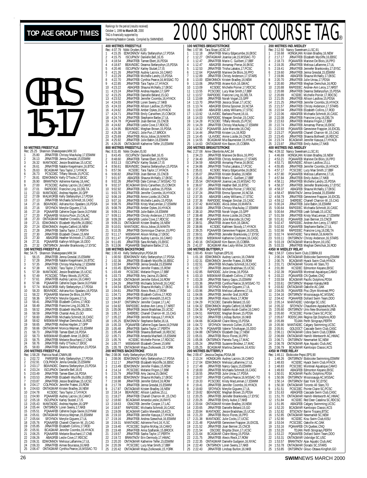|                  |       | GIR                 |                                        |
|------------------|-------|---------------------|----------------------------------------|
|                  |       | 50 METRES FREESTYLE | Rec: 25.25 Shannon Shakespeare, MM, 93 |
| 1                | 25.80 |                     | JRNATFEB Chrissy MacAulay, 17, ESWIM   |
|                  | 26.13 |                     | JRNATFEB Jenna Gresdal, 15, ESWIM      |
| 2<br>3<br>4<br>5 | 26.32 |                     | MANTADEC Jessie Bradshaw, 15, UCSC     |
|                  | 26.61 |                     | JRNATFEB Natalie Kiegelmann, 16, BTSC  |
|                  | 26.63 |                     | BCAGMAR Tara Taylor, 17, HYACK         |
| 6<br>7           | 26.73 |                     | PCSCDEC Tiffany Woods, 15, PCSC        |
|                  | 26.81 |                     | EDMONNOV Kelly O'Toole, 17, EKSC       |
| 8                | 26.90 |                     | BRANTNOV Adrienne Karney, 16, AAC      |
| Q                | 27 UU |                     | PCSCDEC Audrey Lacroix 16 CAMO         |

| 6               | 26.73                            |                          | PCSCDEC Tittany Woods, 15, PCSC                                                                                                                                                      | b                                          |
|-----------------|----------------------------------|--------------------------|--------------------------------------------------------------------------------------------------------------------------------------------------------------------------------------|--------------------------------------------|
| 7<br>8          | 26.81<br>26.90                   |                          | EDMONNOV Kelly O'Toole, 17, EKSC                                                                                                                                                     | 7<br>8                                     |
| 9               | 27.00                            |                          | BRANTNOV Adrienne Karney, 16, AAC<br>PCSCDEC Audrey Lacroix, 16, CAMO                                                                                                                | 9                                          |
| 10              | 27.01                            |                          | RAPIDDEC Francine Ling, 16, DELTA<br>MANTADEC Andrea Hayden, 16, GPP                                                                                                                 | 10                                         |
| 11              | 27.03                            |                          |                                                                                                                                                                                      | 11                                         |
| 12<br>13        | 27.09                            |                          | MALMOFEB Kelly Stefanyshyn, 17, PDSA                                                                                                                                                 | 12<br>13                                   |
| 14              |                                  |                          |                                                                                                                                                                                      | 14                                         |
| 15              | 27.13<br>27.16<br>27.16<br>27.19 |                          | JRNATFEB Michaela Schmidt, 16, CASC<br>BEAVNDEC Adriana Koc-Spadaro, 16, PDSA<br>SFOYNOV Merylie Giguere, 17, UL                                                                     | 15                                         |
| 16              |                                  |                          | PQAAAFEB Catherine Dugas-Savoie,16,DYNAM                                                                                                                                             | 16                                         |
| 17<br>18        |                                  |                          |                                                                                                                                                                                      | 17<br>18                                   |
| 19              |                                  |                          |                                                                                                                                                                                      | 19                                         |
| 20              | 27.20<br>27.20<br>27.21<br>27.24 |                          | POAAAFEB Victoria Poon, 15, CALAC<br>ONTAGMAR Heather Crowdis, 16, AAC<br>EDMONNOV Elizabeth Wycliffe, 16, EBSC<br>EDMONNOV Angela Catford, 16, NEW<br>NAMED Angela Catford, 16, NEW | 20                                         |
| 21              | 27.28                            |                          | JRNATFEB Sasha Taylor, 17, PERTH                                                                                                                                                     | 21                                         |
| 22<br>23        | 27.30                            |                          | JRNATFEB Elizabeth Cleven, 15, MM<br>ABAGFEB Heather McIntosh, 17, LEDUC                                                                                                             | 22<br>23                                   |
| 24              | 27.30<br>27.31                   |                          | PQAAAFEB Kathryn Milligan, 16, DDO                                                                                                                                                   | 24                                         |
| 25              | 27.32                            |                          | ONTSRNOV Jennefer Brankovsky, 17, EYSC                                                                                                                                               | 25                                         |
|                 |                                  | 100 METRES FREESTYLE     |                                                                                                                                                                                      | 100                                        |
| 1               | 56.15                            |                          | Rec: 54.75 Shannon Shakespeare, MM, 94<br>JRNATFEB Jenna Gresdal, 15, ESWIM                                                                                                          | Rec:                                       |
| $\overline{a}$  | 57.28                            |                          | JRNATFEB Natalie Kiegelmann, 16, BTSC                                                                                                                                                | 1<br>$\overline{a}$                        |
| 3               | 57.35                            |                          | JRNATFEB Chrissy MacAulay, 17, ESWIM                                                                                                                                                 | $\frac{3}{4}$                              |
| 4               | 57.38                            |                          | KCSDEC Tara Taylor, 17, HYACK                                                                                                                                                        |                                            |
| 5<br>6          | 57.39<br>57.49                   |                          | MANTADEC Jessie Bradshaw, 15, UCSC<br>PCSCDEC Tiffany Woods, 15, PCSC                                                                                                                | 567                                        |
| 7               | 57.61                            |                          | JRNATFEB Audrey Lacroix, 16, CAMO                                                                                                                                                    |                                            |
| 8               | 57.66                            |                          | PQAAAFEB Catherine Dugas-Savoie,16,DYNAM                                                                                                                                             | 8                                          |
| 9               | 57.74                            |                          | MALMOFEB Kelly Stefanyshyn, 17, PDSA                                                                                                                                                 | 9                                          |
| 10              | 58.20                            |                          | BEAVNDEC Adriana Koc-Spadaro, 16, PDSA                                                                                                                                               | 10                                         |
| 11<br>12        | 58.22<br>58.36                   |                          | PQAAAFEB Marieve De Blois, 16, PPO<br>SFOYNOV Merylie Giguere, 17, UL                                                                                                                | 11<br>12                                   |
| 13              | 58.41                            |                          | JRNATFEB Elizabeth Collins, 17, ROD                                                                                                                                                  | 13                                         |
| 14              | 58.49                            |                          | JRNATFEB Francine Ling, 16, DELTA                                                                                                                                                    | 14                                         |
| 15              | 58.52                            |                          | JRNATFEB Elizabeth Wycliffe, 16, EBSC                                                                                                                                                | 15                                         |
| 16<br>17        | 58.59<br>58.60                   |                          | JRNATFEB Chantal Ares, 15, GO<br>JRNATFEB Michaela Schmidt, 16, CASC                                                                                                                 | 16<br>17                                   |
| 18              | 58.62                            |                          | MBSKMAR Meghan Demchuk, 16, ROD<br>JRNATFEB Andrea Hayden, 17, GPP                                                                                                                   | 18                                         |
| 19              | 58.65                            |                          |                                                                                                                                                                                      | 19                                         |
| 20              | 58.66                            |                          | ONTAGMAR Monica Wejman, 15, ESWIM<br>JRNATFEB Tamee Ebert, 16, PDSA<br>MBSKMAR Elizabeth Amer, 15, EKSC<br>JRNATFEB Melanie Bouchard, 17, CNB                                        | 20<br>21                                   |
| 21<br>22        | 58.73<br>58.73                   |                          |                                                                                                                                                                                      | 22                                         |
| 23              | 58.75                            |                          |                                                                                                                                                                                      | 23                                         |
| 24              | 58.76                            |                          | JRNATFEB Kelly O'Toole, 17, EKSC                                                                                                                                                     | 24                                         |
| 25              | 58.83                            | 200 METRES FREESTYLE     | JRNATFEB Deanna Stefanyshyn,15,PDSA                                                                                                                                                  | 25                                         |
|                 | Rec: 1:58.28                     | Patricia Noall, CNMN, 88 |                                                                                                                                                                                      | 200<br>Rec:                                |
| 1               | 2:02.72                          |                          | PARISFEB Kelly Stefanyshyn, 17, PDSA                                                                                                                                                 | 1                                          |
| $\overline{a}$  | 2:02.91                          |                          | COLPKNOV Jenna Gresdal, 15, ESWIM<br>BEAVNDEC Deanna Stefanyshyn, 15, PDSA                                                                                                           |                                            |
| 3<br>4          | 2:03.17                          |                          | ISCUPNOV Danielle Bell, 16, IS                                                                                                                                                       | $\begin{array}{c} 2 \\ 3 \\ 4 \end{array}$ |
| 5               | 2:03.24<br>2:03.49               |                          | JRNATFEB Tamee Ebert, 16, PDSA                                                                                                                                                       |                                            |
| 6               | 2:03.53                          |                          | JRNATFEB Elizabeth Wycliffe, 16, EBSC                                                                                                                                                | 567                                        |
| 7               | 2:03.87                          |                          | JRNATFEB Jessie Bradshaw, 15, UCSC                                                                                                                                                   |                                            |
| 8<br>9          | 2:04.17                          |                          | COLPKNOV Jennifer Fratesi, 15, ROW<br>ONTAGMAR Kristen Bradley, 16, NEW                                                                                                              | 8<br>9                                     |
| 10              | 2:04.63<br>2:04.78               |                          | KCSDEC Tara Taylor,17,HYACK                                                                                                                                                          | 10                                         |
| 11              | 2:04.90                          |                          | PQAAAFEB Audrey Lacroix, 16, CAMO                                                                                                                                                    | 11                                         |
| 12              | 2:05.18                          |                          | ISCUPNOV Karley Stutzel, 17, IS<br>MANTADEC Andrea Hayden, 16, GPP                                                                                                                   | 12                                         |
| 13<br>14        | 2:05.43                          |                          | ONTSRNOV Loren Sweny, 17, NKB                                                                                                                                                        | 13                                         |
| 15              | 2:05.44<br>2:05.51               |                          | POAAAFEB Catherine Dugas-Savoie, 16, DYNAM                                                                                                                                           | 14<br>15                                   |
| 16              | 2:05.61                          |                          | ONTAGMAR Monica Wejman, 15, ESWIM                                                                                                                                                    | 16                                         |
| 17              | 2:05.64                          |                          | SFOYNOV Merylie Giguere, 17, UL                                                                                                                                                      | 17                                         |
| 18              | 2:05.76                          |                          | POAAAFEB Chanell Charron-W., 15, CAG                                                                                                                                                 | 18                                         |
| 19<br>20        | 2:05.85<br>2:05.91               |                          | JRNATFEB Elizabeth Collins, 17, ROD                                                                                                                                                  | 19<br>20                                   |
| 21              | 2:06.25                          |                          | BCAGMAR Jennifer Coombs, 16, HYACK<br>POAAAFEB Melanie Bouchard, 17, CNB                                                                                                             | 21                                         |
| $\overline{22}$ | 2:06.26                          |                          | ABAGFEB Leslie Cove, 17, RDCSC                                                                                                                                                       | 22                                         |
| 23              | 2:06.31<br>2:06.33               |                          | EDMONNOV Melissa Laflamme, 17, UL<br>JRNATFEB Aimee Bourassa, 16, NKB                                                                                                                | 23                                         |
| 24<br>25        | 2:06.47                          |                          | ONTAGMAR Cynthia Pearce, 16, MSSAC-TO                                                                                                                                                | 24<br>25                                   |
|                 |                                  |                          |                                                                                                                                                                                      |                                            |

|                              |                               | TAG is financially supported by                      | Swimming/Natation Canada. Compiled by SWIMNEWS                                                                                                                                                                                 |
|------------------------------|-------------------------------|------------------------------------------------------|--------------------------------------------------------------------------------------------------------------------------------------------------------------------------------------------------------------------------------|
|                              |                               | <b>400 METRES FREESTYLE</b>                          |                                                                                                                                                                                                                                |
|                              | Rec: 4:07.79                  | Nikki Dryden, IS, 93                                 |                                                                                                                                                                                                                                |
| 1<br>$\overline{\mathbf{c}}$ | 4:15.35<br>4:15.75            |                                                      | EDMONNOV Kelly Stefanyshyn, 17, PDSA<br>ISCUPNOV Danielle Bell, 16, IS                                                                                                                                                         |
| 3<br>4                       | 4:18.54<br>4:18.87            |                                                      | JRNATFEB Tamee Ebert, 16, PDSA<br>BEAVNDEC Deanna Stefanyshyn, 15, PDSA                                                                                                                                                        |
| 5                            | 4:20.46                       |                                                      |                                                                                                                                                                                                                                |
| 6<br>7                       | 4:21.26<br>4:22.29            |                                                      |                                                                                                                                                                                                                                |
| 8                            | 4:22.70                       |                                                      | <b>ESCUPNOV Karley Stutzel, 17, IS<br/> JRNATFEB Audrey Lacroix, 16, CAMO<br/> JRNATFEB Michelle Landry, 15, PDSA<br/> JRNATFEB Cynthia Pearce, 16, MSSAC-TO</b><br>JRNATFEB C <sub>207</sub> Taxley 17, LIVACK                |
| 9<br>10                      | 4:22.85<br>4:23.22            |                                                      | <b>JRNATFEB Tara Taylor, 17, HYACK<br/>ABAGFEB Shauna McNally, 17, EKSC<br/>JRNATFEB Andrea Hayden, 17, GPP</b>                                                                                                                |
| 11                           | 4:23.24                       |                                                      |                                                                                                                                                                                                                                |
| 12<br>13                     | 4:23.25<br>4:23.52            |                                                      | JRNATFEB Danielle Beland, 15, GO<br>JRNATFEB Jennifer Coombs, 16, HYACK                                                                                                                                                        |
| 14<br>15                     | 4:24.03<br>4:24.33            |                                                      | JRNATFEB Loren Sweny, 17, NKB<br>JRNATFEB Allison Laidlow, 15, PDSA                                                                                                                                                            |
| 16                           | 4:24.62                       |                                                      | JRNATFEB Amber Dykes, 16, HYACK                                                                                                                                                                                                |
| 17<br>18                     | 4:24.71<br>4:24.74            |                                                      | JRNATFEB Emily Carwithen, 15, COMOX<br>JRNATFEB Stephanie Barbe,17,UL                                                                                                                                                          |
| 19                           | 4:24.78                       |                                                      | PQAAAFEB Joan Bernier, 15, CNCB                                                                                                                                                                                                |
| 20<br>21                     | 4:24.82<br>4:24.95            |                                                      | JRNATFEB Leslie Cove, 17, RDCSC<br>BEAVNDEC Meghan Brown, 15, PDSA                                                                                                                                                             |
| 22                           | 4:25.38                       |                                                      | UTJAN21 Jolie Pun,17,BROCK                                                                                                                                                                                                     |
| 23<br>24                     | 4:25.69<br>4:25.92            |                                                      | JRNATFEB Alicia Jobse,16,MANTA<br>JRNATFEB Julie Babin, 16, ESWIM                                                                                                                                                              |
| 25                           | 4:26.05                       | 800 METRES FREESTYLE                                 | ONTAGMAR Katherine Telfer, 15, ESWIM                                                                                                                                                                                           |
|                              | Rec: 8:31.65                  | Nikki Dryden, IS, 93                                 |                                                                                                                                                                                                                                |
| 1                            | 8:43.45<br>8:48.60            |                                                      | ISCUPNOV Danielle Bell, 16, IS<br>JRNATFEB Tamee Ebert, 16, PDSA                                                                                                                                                               |
| $\frac{2}{3}$                | 8:53.13                       |                                                      | ISCUPNOV Karley Stutzel, 17, IS                                                                                                                                                                                                |
| 4<br>5                       | 8:56.61<br>8:57.56            |                                                      | BEAVNDEC Deanna Stefanyshyn, 15, PDSA<br>KCSDEC Tara Taylor, 17, HYACK                                                                                                                                                         |
| 6<br>7                       | 9:00.82<br>9:01.97            |                                                      |                                                                                                                                                                                                                                |
| 8                            |                               |                                                      | RUSDEU Tala Tayun, LL (1110)<br>ABAGFEB Shauna McNally, 17, EKSC<br>ABAGFEB Shauna McNally, 17, EKSC<br>JRNATFEB Dale Colman, 17, MSSAC-TO                                                                                     |
| 9<br>10                      | 9:02.26<br>9:02.37<br>9:02.92 |                                                      | BCAGMAR Emily Carwithen, 15, COMOX<br>JRNATFEB Allison Laidlow, 15, PDSA                                                                                                                                                       |
| 11                           | 9:03.70                       |                                                      |                                                                                                                                                                                                                                |
| 12<br>13                     | 9:06.19<br>9:07.16            |                                                      | JRNATFEB Jennifer Coombs, 16, HYACK<br>JRNATFEB Annie Lizotte, 16, CNCB<br>JRNATFEB Michelle Landry, 15, PDSA<br>JRNATFEB Kristy MacLennan, 17, ESWIM                                                                          |
| 14                           | 9:08.76                       |                                                      |                                                                                                                                                                                                                                |
| 15<br>16                     | 9:08.79<br>9:09.11            |                                                      | JRNATFEB Amber Dykes, 16, HYACK<br>JRNATFEB Julie Babin, 16, ESWIM                                                                                                                                                             |
| 17<br>18                     | 9:09.11<br>9:09.28            |                                                      | JRNATFEB Christy Anderson, 17, STARS<br>ABAGFEB Leslie Cove, 17, RDCSC                                                                                                                                                         |
| 19                           | 9:09.31                       |                                                      | ONTAGMAR Kristen Bradley, 16, NEW                                                                                                                                                                                              |
| 20<br>21                     | 9:10.01<br>9:10.35            |                                                      | MANTADEC Alicia Jobse,16,MANTA<br>JRNATFEB Dominique Charron, 15, PPO                                                                                                                                                          |
| 22                           | 9:11.17                       |                                                      | MBSKMAR Alison McKay,17,EKSC                                                                                                                                                                                                   |
| 23<br>24                     | 9:11.47                       |                                                      | POAAAFEB Audrey Lacroix, 16, CAMO                                                                                                                                                                                              |
|                              | 9:11.65                       |                                                      |                                                                                                                                                                                                                                |
| 25                           | 9:13.06                       |                                                      | JRNATFEB Sara McNally,15,EKSC<br>PQAAAFEB Stephanie Barbe, 17, UL                                                                                                                                                              |
|                              | Rec: 1:00.43                  | 100 METRES BACKSTROKE<br>Kelly Stefanyshyn, PDSA, 99 |                                                                                                                                                                                                                                |
| 1<br>2                       | 1:00.50<br>1:02.36            |                                                      | EDMONNOV Kelly Stefanyshyn, 17, PDSA<br>JRNATFEB Elizabeth Wycliffe,16,EBSC                                                                                                                                                    |
| 3                            | 1:02.84                       |                                                      | JRNATFEB Jenna Gresdal,15,ESWIM                                                                                                                                                                                                |
| 4<br>5                       | 1:03.45<br>1:03.49            |                                                      | EDMONNOV Jennifer Fratesi, 15, ROW<br>PCSCDEC Melanie Frigon, 17, BBF                                                                                                                                                          |
| 6                            | 1:03.73                       |                                                      | JRNATFEB Amy Jacina, 15, GMAC                                                                                                                                                                                                  |
| 7<br>8                       | 1:04.00<br>1:04.26            |                                                      | ONTAGMAR Jennifer Esford, 16, ROW                                                                                                                                                                                              |
| 9<br>10                      | 1:04.54<br>1:04.61            |                                                      | JRNATFEB Michaela Schmidt, 16, CASC<br>EDMONNOV Shauna McNally, 17, EKSC<br>JRNATFEB Alexis Rieck, 17, ROW                                                                                                                     |
| 11                           | 1:04.71                       |                                                      | JRNATFEB Elizabeth Collins, 17, ROD                                                                                                                                                                                            |
| 12<br>13                     | 1:04.86<br>1:04.87            |                                                      |                                                                                                                                                                                                                                |
| 14                           | 1:04.92                       |                                                      | JRNATFEB Caitlin Meredith, 15, KCS<br>ONTSRNOV Jennifer Cooper, 17, LAC<br>RAPIDDEC Andree-Ann Leroy, 17, NRST<br>N.                                                                                                           |
| 15<br>16                     | I:05.06<br>1:05.17            |                                                      | JRNATFEB Jessie Bradshaw,<br>15,UC<br>SHERDEC Chanell Charron-W., 15, CAG                                                                                                                                                      |
| 17<br>18                     | 1:05.22                       |                                                      | JRNATFEB Jennifer Kasuya, 17, HYACK                                                                                                                                                                                            |
| 19                           | 1:05.25<br>1:05.33            |                                                      | EDMONNOV Stephanie Barbe, 16, UL<br>PQAAAFEB Catherine Dugas-Savoie, 16, DYNAM                                                                                                                                                 |
| $\frac{1}{20}$<br>21         | 1:05.48<br>1:05.49            |                                                      | JRNATFEB Sasha Taylor, 17, PERTH<br>JRNATFEB Shawna Bothwell, 16, RDCSC                                                                                                                                                        |
| 22                           | 1:05.71                       |                                                      | JRNATFEB Amanda MacNeill, 15, ESWIM                                                                                                                                                                                            |
| 23<br>24                     | 1:05.76<br>1:05.77            |                                                      | KCSDEC Michelle Poirier, 17, RDCSC<br>MBSKMAR Elizabeth Cleven, 15, MM                                                                                                                                                         |
| 25                           | 1:05.78                       | <b>200 METRES BACKSTROKE</b>                         | ONTAGMAR Maya Ziolkowski, 15, YORK                                                                                                                                                                                             |
|                              | Rec: 2:08.06                  | Kelly Stefanyshyn, PDSA, 99                          |                                                                                                                                                                                                                                |
| 1<br>2                       | 2:08.06<br>2:12.17            |                                                      | EDMONNOV Kelly Stefanyshyn, 17, PDSA<br>JRNATFEB Elizabeth Wycliffe,16,EBSC                                                                                                                                                    |
| 3<br>4                       | 2:13.49<br>2:14.14            |                                                      |                                                                                                                                                                                                                                |
| 5                            | 2:15.79                       |                                                      | EDMONNOV Jennifer Fratesi, 15, ROW<br>PCSCDEC Melanie Frigon, 17, BBF<br>JRNATFEB Amy Jacina, 15, GMAC                                                                                                                         |
| 6<br>7                       | 2:16.80<br>2:16.98            |                                                      |                                                                                                                                                                                                                                |
| 8                            | 2:17.78                       |                                                      | EDMONNOV Shauna McNally, 17, EKSC<br>JRNATFEB Jennifer Esford, 16, ROW<br>JRNATFEB Jenna Gresdal, 15, ESWIM                                                                                                                    |
| 9<br>10                      | 2:17.87<br>2:18.14            |                                                      | ONTAGMAR Kristen Bradley, 16, NEW<br>BEAVNDEC Allison Laidlow, 15, LL                                                                                                                                                          |
| 11<br>12                     | 2:18.27<br>2:18.60            |                                                      | JRNATFEB Chanell Charron-W., 15, CNO                                                                                                                                                                                           |
| 13                           | 2:18.63                       |                                                      | BCAGMAR Amanda Leslie, 16, RAYS<br>OSACFEB Jennifer Cooper, 17, LAC                                                                                                                                                            |
| 14<br>15                     | 2:18.87<br>2:19.09            |                                                      | RAPIDDEC Michaela Schmidt, 16, CASC                                                                                                                                                                                            |
| 16                           | 2:19.10                       |                                                      |                                                                                                                                                                                                                                |
| 17<br>18                     | 2:19.16<br>2:19.31            |                                                      |                                                                                                                                                                                                                                |
| 19<br>20                     | 2:19.40<br>2:19.48            |                                                      |                                                                                                                                                                                                                                |
| 21                           | 2:19.57                       |                                                      | EXACULATE DETAINED SCRIPTION BECAULT AND RESERVED UNIVERSE AND SURVATER And MATATED AND THAN THAT AN MATATED POSSIBLE PARAMENT CONTROLL POSSIBLE PARAMENT CONTROLL POSSIBLE PARAMENT CONTROLL POSSIBLE PARAMENT CONTROLL POSSI |
| 22<br>$\frac{23}{5}$<br>24   | 2:19.72<br>2:20.20<br>2:20.39 |                                                      | JRNATFEB Sasha Taylor, 17, PERTH<br>BRANTNOV Erin Dermody, 17, HWAC<br>ONTAGMAR Katherine Telfer, 15, ESWIM<br>PCSCDEC Lucy Mae Smith, 17, BBF                                                                                 |

Rankings for the period (results received) October 1, 1999 **to March 30**, 2000

|                     |                                                   | 100 METRES BREASTSTROKE                                                                                      |                                                                                                                                                                                                                                      |
|---------------------|---------------------------------------------------|--------------------------------------------------------------------------------------------------------------|--------------------------------------------------------------------------------------------------------------------------------------------------------------------------------------------------------------------------------------|
| 1                   | Rec: 1:07.96<br>1:12.18                           | Tara Sloan, UCSC, 97                                                                                         | JRNATFEB Marcy Edgecumbe,16,EKSC                                                                                                                                                                                                     |
| $\overline{c}$      | 1:12.27                                           |                                                                                                              | ONTAGMAR Joanna Lee, 15, MSSAC-TO                                                                                                                                                                                                    |
| 3<br>4              | 1:12.47<br>1:12.47                                |                                                                                                              | JRNATFEB Marie-C. Guilbert, 17, BBF<br>ABAGFEB Annamay Pierse, 16, EKSC                                                                                                                                                              |
| 5                   | 1:12.53                                           |                                                                                                              | JRNATFEB Trisha Lakatos,17,PCSC                                                                                                                                                                                                      |
| 6<br>7              | 1:12.64<br>1:12.89                                |                                                                                                              | PQAAAFEB Marieve De Blois, 16, PPO<br>JRNATFEB Christy Anderson,17,STARS                                                                                                                                                             |
| 8<br>9              | 1:13.00                                           |                                                                                                              | EDMONNOV Kristen Bradley, 16, NEW                                                                                                                                                                                                    |
| 10                  | 1:13.06<br>1:13.09                                | KCSDEC                                                                                                       | JRNATFEB Ariane Kich, 16, GMAC<br>Michelle Poirier, 17, RDCSC                                                                                                                                                                        |
| 11<br>12            | 1:13.55<br>1:13.57                                | PCSCDEC                                                                                                      | Lucy Mae Smith, 17, BBF                                                                                                                                                                                                              |
| 13                  | 1:13.69                                           |                                                                                                              | RAPIDDEC Francine Ling, 16, DELTA<br>JRNATFEB Norah Vogan, 15, GPP                                                                                                                                                                   |
| 14<br>15            | 1:13.70<br>1:13.74                                | <b>JRNATFEB</b>                                                                                              | Jessica Sloan, 17, UCSC<br>ABAGFEB Emma Spooner, 16, NCSA                                                                                                                                                                            |
| 16                  | 1:13.80                                           |                                                                                                              | ABAGFEB Lesley Williams, 17, STSC                                                                                                                                                                                                    |
| 17<br>18            | 1:13.92<br>1:14.03                                | ULAVDEC<br>RAPIDDEC<br>PCSCDEC                                                                               | Barbara Pouret, 16, UL                                                                                                                                                                                                               |
| 19                  | 1:14.28                                           |                                                                                                              | Meagan Sinclair, 15, CASC<br>Tiffany Woods, 15, PCSC                                                                                                                                                                                 |
| $\frac{20}{21}$     | 1:14.29<br>1:14.32                                |                                                                                                              | JRNATFEB Chrissy MacAulay, 17, ESWIM<br>PQAAAFEB Julie Marcotte, 16, CNQ                                                                                                                                                             |
| 21<br>22            | 1:14.44                                           |                                                                                                              | JRNATFEB Kristen Lis, 16, ROD                                                                                                                                                                                                        |
|                     |                                                   | 23 1:14.45 ULAVDEC Annie<br>24 1:14.55 BCAGMAR Mia B<br>25 1:14.63 ONTAGMAR Kim B<br>200 METRES BREASTSTROKE | ULAVDEC Annie Lizotte, 16, CNCB<br>BCAGMAR Mia Baumeister, 15, HYACK                                                                                                                                                                 |
|                     |                                                   |                                                                                                              | ONTAGMAR Kim Bacon, 15, COBRA                                                                                                                                                                                                        |
|                     | Rec: 2:27.08                                      | Anne Ottenbrite, AAC, 84                                                                                     |                                                                                                                                                                                                                                      |
| $\frac{1}{2}$       | 2:34.23<br>2:34.40                                |                                                                                                              | JRNATFEB Marieve De Blois, 16, PPO<br>JRNATFEB Christy Anderson, 17, STARS                                                                                                                                                           |
| 3                   | 2:34.59                                           |                                                                                                              | ABAGFEB Annamay Pierse, 16, EKSC                                                                                                                                                                                                     |
| 4<br>5              | 2:34.86<br>2:35.01                                |                                                                                                              | JRNATFEB Trisha Lakatos, 17, PCSC<br>KCSDEC Marcy Edgecumbe, 16, EKSC                                                                                                                                                                |
| 6                   | 2:35.07                                           |                                                                                                              | JRNATFEB Kristen Bradley, 16, NEW                                                                                                                                                                                                    |
| 7<br>8              | 2:35.41<br>2:35.54                                |                                                                                                              | JRNATFEB Marie-C. Guilbert, 17, BBF<br>ONTAGMAR Joanna Lee, 15, MSSAC-TO                                                                                                                                                             |
| 9<br>10             | 2:36.67<br>2:37.20                                |                                                                                                              | JRNATFEB Heather Bell, 16, BTSC                                                                                                                                                                                                      |
| 11                  | 2:37.24                                           |                                                                                                              | JRNATFEB Michelle Poirier, 17, RDCSC<br>JRNATFEB Emma Spooner, 16, NCSA                                                                                                                                                              |
| 12<br>13            | 2:37.35<br>2:37.36                                |                                                                                                              | ABAGFEB Lesley Williams, 17, STSC<br>RAPIDDEC Meagan Sinclair, 15, CASC                                                                                                                                                              |
| 14                  | 2:37.42                                           |                                                                                                              | MANTADEC Alicia Jobse, 16, MANTA                                                                                                                                                                                                     |
| 15<br>16            | 2:38.00<br>2:38.10                                |                                                                                                              | JRNATFEB Chrissy MacAulay, 17, ESWIM<br>JRNATFEB Norah Vogan, 15, GPP<br>JRNATFEB Annie Lizotte, 16, CNCB                                                                                                                            |
| 17                  | 2:38.48                                           |                                                                                                              |                                                                                                                                                                                                                                      |
| 18<br>19            | 2:38.48                                           |                                                                                                              | POAAAFEB Julie Marcotte, 16, CNO                                                                                                                                                                                                     |
| $\frac{1}{20}$      |                                                   |                                                                                                              |                                                                                                                                                                                                                                      |
| $\overline{22}$     | 2:38.51<br>2:38.86<br>2:39.25<br>2:39.51          |                                                                                                              |                                                                                                                                                                                                                                      |
| 23<br>24<br>25      | 2:39.93                                           |                                                                                                              | <b>FORWATE DUIT MANUFE AT A CONTRACT CONTRACT CONTRACT CONTRACT PROPERTY CONTRACT PROPERTY OF A CONTRACT CONTRACT CONTRACT CONTRACT CONTRACT CONTRACT CONTRACT CONTRACT CONTRACT CONTRACT CONTRACT CONTRACT CONTRACT CONTRACT CO</b> |
|                     | 2:40.16                                           |                                                                                                              |                                                                                                                                                                                                                                      |
|                     | 2:41.07                                           |                                                                                                              |                                                                                                                                                                                                                                      |
|                     |                                                   | 100 METRES BUTTERFLY                                                                                         |                                                                                                                                                                                                                                      |
| 1                   | Rec: 1:00.45<br>1:01.18                           | Kristin Topham, EPS, 91                                                                                      |                                                                                                                                                                                                                                      |
| $\overline{c}$<br>3 | 1:02.31                                           |                                                                                                              | EDMONNOV Audrey Lacroix, 16, CNMM<br>EDMONNOV Jennifer Fratesi, 15, ROW<br>JRNATFEB Michaela Schmidt, 16, CASC                                                                                                                       |
| 4                   | 1:02.51<br>1:02.77                                |                                                                                                              | JRNATFEB_Jessie Bradshaw,15,UCSC                                                                                                                                                                                                     |
| 5<br>6              | 1:02.85<br>1:03.10                                |                                                                                                              | RAPIDDEC Julie Unrau, 16, PDSA<br>MBSKMAR Elizabeth Collins, 17, ROD                                                                                                                                                                 |
| 7                   | 1:03.28                                           |                                                                                                              | JRNATFEB Nancy Gajos, 15, ESWIM                                                                                                                                                                                                      |
| 8<br>9              | 1:03.36<br>1:03.38                                |                                                                                                              | JRNATFEB Cynthia Pearce, 16, MSSAC-TO<br>SFOYNOV Merylie Giguere, 17, UL                                                                                                                                                             |
| 10<br>11            | 1:03.96<br>1:04.06                                |                                                                                                              | JRNATFEB Melissa Laflamme, 17, UL                                                                                                                                                                                                    |
| 12                  | 1:04.08                                           |                                                                                                              | JRNATFEB Jennifer Graf, 16, ROD<br>JRNATFEB Alexis Rieck, 17, ROW                                                                                                                                                                    |
| 13<br>14            | 1:04.29<br>1:04.32                                |                                                                                                              | PCSCDEC Danielle Beland, 15, GO                                                                                                                                                                                                      |
| 15                  | 1:04.36                                           |                                                                                                              | EDMONNOV Angela Catford, 16, NEW<br>PQAAAFEB Isabelle Ascah-Coallier, 16, CAMO                                                                                                                                                       |
| 16<br>17            | 1:04.51<br>1:04.52                                |                                                                                                              | RAPIDDEC Meghan Brown, 15, PDSA<br>JRNATFEB Lindsay Burton, 16, NKB                                                                                                                                                                  |
| 18                  | 1:04.66                                           |                                                                                                              | BCAGMAR Claire Wong, 15, PDSA                                                                                                                                                                                                        |
| 19<br>20            | 1:04.72<br>1:04.79                                | SFOYNOV                                                                                                      | Veronick Cullen, 15, RCA<br>PQAAAFEB Valerie Tcholkayan, 15, DDO                                                                                                                                                                     |
| 21                  | 1:04.88<br>1:05.01                                |                                                                                                              | ONTSRNOV Elizabeth Day, 17, NEW                                                                                                                                                                                                      |
| 22<br>23            | 1:05.06                                           |                                                                                                              | JRNATFEB Rocio Flores, 16, PPO<br>ONTSRNOV Pamela Tung, 17, MAC                                                                                                                                                                      |
| 24<br>25            | 1:05.24<br>1:05.25                                |                                                                                                              | JRNATFEB Suzanne Brodeur, 17, MAC<br>BCAGMAR Martina Zamecnik, 16, KISU                                                                                                                                                              |
|                     |                                                   | 200 METRES BUTTERFLY                                                                                         |                                                                                                                                                                                                                                      |
|                     |                                                   | Jessica Deglau, PDSA, 98                                                                                     | HONGKJAN Audrey Lacroix, 16, CAMO                                                                                                                                                                                                    |
| 3                   | Rec: 2:09.47<br>1 2:13.24<br>2 2:17.04<br>2:17.48 |                                                                                                              | EDMONNOV Melissa Laflamme, 17, UL                                                                                                                                                                                                    |
| 4                   | 2:18.00                                           |                                                                                                              | JRNATFEB Nancy Gajos, 15, ESWIM<br>JRNATFEB Michaela Schmidt, 16, CASC                                                                                                                                                               |
| 5<br>6              | 2:18.55<br>2:19.07                                |                                                                                                              | JRNATFEB Julie Unrau, 17, PDSA<br>JRNATFEB Cynthia Pearce, 16, MSSAC-TO                                                                                                                                                              |
| 7                   | 2:19.33                                           |                                                                                                              | PCSCDEC Kristy MacLennan, 17, ESWIM                                                                                                                                                                                                  |
| 8<br>9              | 2:19.41<br>2:19.60                                |                                                                                                              | JRNATFEB Jennifer Coombs, 16, HYACK<br>SFOYNOV Merylie Giguere, 17, UL                                                                                                                                                               |
| 10<br>11            | 2:19.82                                           |                                                                                                              | BEAVNDEC Meghan Brown, 15, PDSA                                                                                                                                                                                                      |
| 12                  | 2:20.25<br>2:20.26                                |                                                                                                              | JRNATFEB Jennefer Brankovsky, 17, EYSC<br>JRNATFEB Emily Aubie, 17, NKB                                                                                                                                                              |
| 13<br>14            | 2:20.64<br>2:20.65                                |                                                                                                              | ONTAGMAR Kristen Bradley, 16, NEW<br>JRNATFEB Danielle Beland, 15, GO                                                                                                                                                                |
| 15                  | 2:20.84                                           | MANTADEC                                                                                                     | Jessie Bradshaw, 15, UCSC                                                                                                                                                                                                            |
| 16<br>17            | 2:21.20<br>2:21.38                                | MANTADEC                                                                                                     | JRNATFEB Rocio Flores, 16, PPO<br>Julie Cocks, 17, UCSC                                                                                                                                                                              |
| 18                  | 2:21.48                                           |                                                                                                              | POAAAFEB Genevieve Frappier, 16, EXCEL                                                                                                                                                                                               |
| 19<br>20            | 2:21.52<br>2:21.54                                |                                                                                                              | JRNATFEB Joan Bernier, 15, CNCB<br>OSCDEC Brigitta Olson, 17, UCSC                                                                                                                                                                   |
| 21<br>22            | 2:21.64                                           |                                                                                                              |                                                                                                                                                                                                                                      |
| 23<br>24            | 2:21.75<br>2:22.35<br>2:22.40                     |                                                                                                              | BCAGMAR Claire Wong, 15, PDSA<br>JRNATFEB Alexis Rieck, 17, ROW<br>ONTAGMAR Danielle Gudgeon, 16, NYAC<br>ONTSRNOV Loren Sweny, 17, NKB                                                                                              |

# TOP AGE GROUP TIMES **REDISCONS A CONSECTION** (SCRIPPIED AGE) (SCRIPPIED AGE) (SUBSET TAG<sub>®</sub>

|                 |                    | 200 METRES IND.MEDLEY<br>Rec: 2:12.50 Nancy Sweetnam, LLSC, 91 |                                                                                                                                          |
|-----------------|--------------------|----------------------------------------------------------------|------------------------------------------------------------------------------------------------------------------------------------------|
| 1               | 2:16.68            |                                                                | HONGKJAN Kristen Bradley, 16, NEW                                                                                                        |
| $\overline{a}$  | 2:17.17            |                                                                | JRNATFEB Elizabeth Wycliffe,16,EBSC                                                                                                      |
| 3               | 2:18.73            |                                                                | PQAAAFEB Marieve De Blois, 16, PPO                                                                                                       |
| 4<br>5          | 2:19.35            |                                                                | JRNATFEB Melissa Laflamme, 17, UL                                                                                                        |
| 6               | 2:19.41<br>2:19.60 |                                                                | JRNATFEB Jennefer Brankovsky, 17, EYSC<br>JRNATFEB Jenna Gresdal, 15, ESWIM                                                              |
| 7               | 2:19.86            |                                                                | ABAGFEB Shauna McNally, 17, EKSC                                                                                                         |
| 8               | 2:20.70            |                                                                | JRNATFEB Julie Unrau, 17, PDSA                                                                                                           |
| 9               | 2:20.80            |                                                                | JRNATFEB Meghan Demchuk, 16, ROD                                                                                                         |
| 10<br>11        | 2:20.88<br>2:20.88 |                                                                | RAPIDDEC Andree-Ann Leroy, 17, NRST<br>JRNATFEB Deanna Stefanyshyn, 15, PDSA                                                             |
| 12              | 2:20.89            |                                                                |                                                                                                                                          |
| 13              | 2:21.05            |                                                                | KCSDEC Michelle Poirier, 17, RDCSC<br>JRNATFEB Allison Laidlow, 15, PDSA                                                                 |
| 14              | 2:21.25            |                                                                | JRNATFEB Jennifer Coombs, 16, HYACK                                                                                                      |
| 15<br>16        | 2:21.57<br>2:22.04 |                                                                | JRNATFEB Christy Anderson, 17, STARS<br>JRNATFEB Elizabeth Collins, 17, ROD                                                              |
| 17              | 2:22.06            |                                                                | ABAGFEB Michaela Schmidt, 16, CASC                                                                                                       |
| 18              | 2:22.08            |                                                                | TA<br>JRNATFEB Francine Ling, 16, DEL                                                                                                    |
| 19              | 2:22.63            |                                                                | JRNATFEB Melanie Frigon, 17, BBF                                                                                                         |
| 20<br>21        | 2:22.74<br>2:22.93 |                                                                | JRNATFEB Annamay Pierse, 16, EKSC                                                                                                        |
| 22              | 2:23.27            |                                                                | POAAAFEB Genevieve Frappier, 16, EXCEL<br>POAAAFEB Chanell Charron-W., 15, CAG                                                           |
| 23              | 2:23.45            |                                                                | JRNATFEB Shawna Bothwell, 16, RDCSC                                                                                                      |
| 24              | 2:23.74            |                                                                | BCAGMAR Jennifer Kasuya, 17, HYACK<br>JRNATFEB Emily Aubie, 17, NKB                                                                      |
| 25              | 2:23.97            | 400 METRES IND.MEDLEY                                          |                                                                                                                                          |
|                 | Rec: 4:39.32       | Nancy Sweetnam, LLSC, 91                                       |                                                                                                                                          |
| 1               | 4:46.69            |                                                                | HONGKJAN Kristen Bradley, 16, NEW                                                                                                        |
| $\overline{a}$  | 4:53.21            |                                                                | PQAAAFEB Marieve De Blois, 16, PPO                                                                                                       |
| 3<br>4          | 4:53.71<br>4:55.85 |                                                                | BEAVNDEC Allison Laidlow, 15, LL                                                                                                         |
| 5               | 4:57.17            |                                                                | JRNATFEB Jennifer Coombs, 16, HYACK<br>PCSCDEC Lucy Mae Smith, 17, BBF                                                                   |
| 6               | 4:57.80            |                                                                | PQAAAFEB Melissa Laflamme, 17, UL                                                                                                        |
| 7               | 4:57.84            |                                                                | JRNATFEB Emily Aubie, 17, NKB                                                                                                            |
| 8<br>9          | 4:58.11<br>4:58.37 |                                                                | JRNATFEB Michelle Landry, 15, PDSA<br>JRNATFEB Jennefer Brankovsky, 17, EYSC                                                             |
| 10              | 4:58.37            |                                                                | ABAGFEB Shauna McNally,17,EKSC                                                                                                           |
| 11              | 4:58.47            |                                                                | BRANTNOV Jenna Gresdal, 15, ESWIM                                                                                                        |
| 12<br>13        | 4:58.79            |                                                                | JRNATFEB Genevieve Frappier, 16, EXCEL<br>SHERDEC Chanell Charron-W., 15, CAG                                                            |
| 14              | 4:59.12<br>5:00.24 |                                                                | JRNATFEB Julie Babin,16,ESWIM                                                                                                            |
| 15              | 5:00.64            |                                                                | RAPIDDEC Michaela Schmidt, 16, CASC                                                                                                      |
| 16              | 5:00.64            |                                                                | JRNATFEB Leah Schaab, 15, UCSC                                                                                                           |
| 17              | 5:01.59            |                                                                | JRNATFEB Kristy MacLennan, 17, ESWIM                                                                                                     |
| 18<br>19        | 5:01.61<br>5:02.47 |                                                                | POAAAFEB Joan Bernier, 15, CNCB<br>RAPIDDEC Andree-Ann Leroy, 17, NRST<br>POAAAFEB Stephanie Barbe, 17, UL                               |
| 20              | 5:02.63            |                                                                |                                                                                                                                          |
| 21              | 5:02.66            |                                                                | RAPIDDEC Francine Ling, 16, DELTA<br>MANTADEC Terra Welsh, 16, MANTA                                                                     |
| $\overline{22}$ | 5:02.74            |                                                                |                                                                                                                                          |
| 23<br>24        | 5:03.11<br>5:03.19 |                                                                |                                                                                                                                          |
| 25              | 5:03.33            |                                                                | ONTSRNOV Christy Anderson, 16, STARS<br>ONTAGMAR Marcia Bryon, 16, USC<br>JRNATFEB Meghan Demchuk, 16, ROD                               |
|                 |                    | 4X50 M MEDLEY RELAY                                            |                                                                                                                                          |
| 1               |                    |                                                                | Rec: 1:58.37 Cobra Swim Club, COBRA, 93<br>ONTAGMAR Etobicoke Swimming, ESWIM                                                            |
| 2               | 2:00.24<br>2:00.75 |                                                                | BCAGMAR Hyack Swim Club, HYACK                                                                                                           |
| 3               | 2:01.71            |                                                                | ONTAGMAR Toronto All Stars, TO<br>KCSDEC Edmonton Keyano, EKSC                                                                           |
| 4               | 2:01.80            |                                                                |                                                                                                                                          |
| 5<br>6          | 2:02.39<br>2:03.22 |                                                                | POAAAFEB Montreal Aquatique, CAMO<br>PQAAAFEB CN Quebec,CNQ                                                                              |
| 7               | 2:03.59            |                                                                | <b>BCAGMAR Pacific Dolphins, PDSA</b>                                                                                                    |
| 8               | 2:03.61            |                                                                | ONTSRNOV Mepean Kanata, NKB                                                                                                              |
| 9               | 2:03.82            |                                                                | ONTAGMAR Oakville AC, OAK                                                                                                                |
| 10<br>11        | 2:04.05<br>2:04.16 |                                                                | PQAAAFEB Pisc.Olym Montreal, PPO<br>ONTSRNOV Mississauga AC, MSSAC                                                                       |
| 12              | 2:04.42            |                                                                | PQAAAFEB Dollard Swim Team, DDO                                                                                                          |
| 13              | 2:05.14            |                                                                | MANTADEC Uxbridge SC,USC                                                                                                                 |
| 14<br>15        | 2:05.32            |                                                                | SFOYNOV Chaudiere-Appalache, RCA<br>ONTSRNOV Univ.New Brunswick,UNB                                                                      |
| 16              | 2:05.60<br>2:05.60 |                                                                | <b>PCSCDEC Pointe Claire SC, PCSC</b>                                                                                                    |
| 17              | 2:05.67            |                                                                | RODSCJAN Regina Opt.Dolphins,RO                                                                                                          |
| 18              | 2:05.89            |                                                                | TDJAN Perth Stingrays, PERTH                                                                                                             |
| 19<br>20        | 2:05.90<br>2:05.91 |                                                                | MANTADEC Calgary Swimming,UCSC<br>GOLDOCT Cascade Swim Club, CASC                                                                        |
| 21              | 2:06.11            |                                                                | ONTAGMAR Cobra Swim Club, COBRA                                                                                                          |
| 22              | 2:06.69            |                                                                |                                                                                                                                          |
| 23<br>24        | 2:06.71            |                                                                |                                                                                                                                          |
| 25              | 2:06.78<br>2:06.79 |                                                                | ONTAGMAR Hamilt-Wentworth AC, HWAC<br>ONTSRNOV Newmarket SC, NEW<br>ONTAGMAR Ajax Aquatic Club, AAC<br>- BCAGMAR Kamloops Classic, KCS   |
|                 |                    | 4X50 M FREE RELAY                                              |                                                                                                                                          |
|                 | Rec: 1:46.11       | Etobicoke Pepsi, EPS, 90                                       |                                                                                                                                          |
| 1               | 1:48.26<br>1:48.83 |                                                                | ONTSRNOV Etobicoke Swimming, ESWIM<br>KCSDEC Hyack Swim Club, HYACK<br>PCSCDEC Montreal Aquatique, CAMO<br>ABAGFEB Edmonton Keyano, EKSC |
| $\frac{2}{3}$   | 1:48.83            |                                                                |                                                                                                                                          |
| 4               | 1:49.83            |                                                                |                                                                                                                                          |
| 5               | 1:50.01            |                                                                | BCAGMAR Pacific Dolphins, PDSA                                                                                                           |
| 6<br>7          | 1:50.06<br>1:50.14 |                                                                | ONTSRNOV Mississauga AC, MSSAC<br>ONTSRNOV East York ŠC, EYSC                                                                            |
| 8               | 1:50.30            |                                                                | ONTAGMAR Toronto All Stars, TO<br>PCSCDEC Pointe Claire SC, PCSC                                                                         |
| 9               | 1:51.51            |                                                                |                                                                                                                                          |
| 10              | 1:51.63<br>1:51.70 |                                                                | ABAGFEB Cascade Swim Club, CASC<br>ONTAGMAR Hamilt-Wentworth AC, HWAC                                                                    |
| 11<br>12        | 1:51.84            |                                                                | KCSDEC Red Deer Catalina SC,RDCSC                                                                                                        |
| 13              | 1:51.95            |                                                                | ABAGFEB Calgary Swimming, UCSC                                                                                                           |
| 14              | 1:52.20            |                                                                | BCAGMAR Kamloops Classic, KCS                                                                                                            |
| 15<br>16        | 1:52.82<br>1:52.85 |                                                                | BTSCNOV Barrie Trojans, BTSC<br>ONTAGMAR Newmarket SC, NEW                                                                               |
| 17              | 1:52.90            |                                                                | KCSDEC Kisu Swim Club,KISU                                                                                                               |
| 18              | 1:53.04            |                                                                | PCSCDEC Oakville AC, OAK                                                                                                                 |
| 19<br>20        | 1:53.16            |                                                                | PQAAAFEB CN Quebec, CNQ                                                                                                                  |
| 21              | 1:53.20<br>1:53.22 |                                                                | TDJAN Perth Stingrays, PERTH<br>PQAAAFEB Dollard Swim Team,DDO                                                                           |
| 22              | 1:53.31            |                                                                |                                                                                                                                          |
| 23              | 1:53.57            |                                                                | ONTAGMAR Uxbridge SC,USC<br>BRANTNOV Ajax Aquatic Club,AAC<br>ONTAGMAR Dorado SC,STARS                                                   |
| 24<br>25        | 1:53.78<br>1:53.85 |                                                                | ONTSRNOV Glouc-Ottawa Kingfish, GO                                                                                                       |
|                 |                    |                                                                |                                                                                                                                          |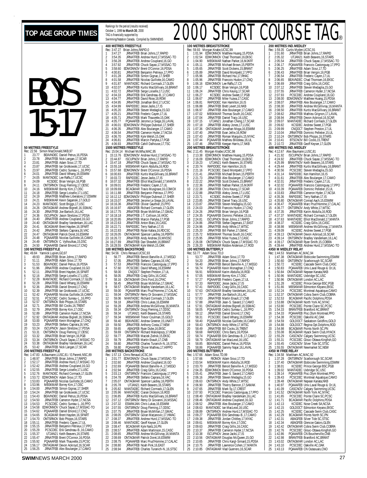|                                                                                                                                               |                                        |                     |                                        | Rankings for the period (results received)                                                                   |  |
|-----------------------------------------------------------------------------------------------------------------------------------------------|----------------------------------------|---------------------|----------------------------------------|--------------------------------------------------------------------------------------------------------------|--|
| <b>TOP AGE GROUP TIMES</b>                                                                                                                    |                                        |                     |                                        | October 1, 1999 to March 30, 2000<br>TAG is financially supported by<br>Swimming/Natation Canada. Compiled b |  |
|                                                                                                                                               |                                        |                     |                                        | <b>400 METRES FREESTYLE</b>                                                                                  |  |
|                                                                                                                                               |                                        | 1                   | 3:47.27                                | Rec: 3:47.27 Brian Johns, RAPID,<br>JRNATFEB Brian<br><b>JRNATFEB Andre</b>                                  |  |
|                                                                                                                                               |                                        | 2<br>3<br>4         | 3:54.35<br>3:56.28<br>3:57.92          | JRNATFEB Andre<br>JRNATFEB Chucl                                                                             |  |
|                                                                                                                                               |                                        | 5                   | 3:58.60                                | <b>EDMONNOV Brent</b>                                                                                        |  |
|                                                                                                                                               |                                        | 6<br>7              | 4:00.81<br>4:01.28                     | JRNATFEB Benja<br><b>JRNATFEB Simor</b>                                                                      |  |
|                                                                                                                                               |                                        | 8<br>9              | 4:01.58<br>4:01.87                     | JRNATFEB Nicola<br>MANTADEC Richa                                                                            |  |
| BOYS                                                                                                                                          |                                        | 10<br>11            | 4:02.07<br>4:02.72                     | <b>JRNATFEB Kurtis</b><br>JRNATFEB Serge                                                                     |  |
|                                                                                                                                               |                                        | 12<br>13            | 4:04.33<br>4:04.77                     | JRNATFEB Erik G<br>JRNATFEB David                                                                            |  |
|                                                                                                                                               |                                        | 14<br>15            | 4:04.95<br>4:04.99                     | JRNATFEB Jonatl<br>RAPIDDEC Jesse                                                                            |  |
|                                                                                                                                               |                                        | 16<br>17<br>18      | 4:05.20<br>4:05.21                     | <b>JRNATFEB Stever</b><br>JRNATFEB Frede                                                                     |  |
| $\bm{\mathsf{T}}$                                                                                                                             |                                        | 19<br>20            | 4:05.71<br>4:05.77                     | JRNATFEB Mark<br>POAAAFEB Jerom                                                                              |  |
|                                                                                                                                               |                                        | 21<br>22            | 4:06.01<br>4:06.35                     | <b>EDMONNOV Philip</b><br>JRNATFEB Alex E                                                                    |  |
|                                                                                                                                               |                                        | 23                  | 4:06.54<br>4:06.70                     | JRNATFEB Came<br>JRNATFEB Kyle \                                                                             |  |
| <b>50 METRES FREESTYLE</b>                                                                                                                    |                                        | 24<br>25            | 4:06.81<br>4:06.93                     | JRNATFEB Marci<br>JRNATFEB Cahill<br><b>1500 METRES FREESTYLE</b>                                            |  |
| Rec: 22.56 Simon MacDonald, NKB, 97<br>1<br>23.77<br>BEAVNDEC Daniel Petrus, 16, PDSA                                                         |                                        | 1                   | 15:13.76                               | Rec: 15:04.14 Michael McWha, W<br><b>EDMONNOV Andre</b>                                                      |  |
| 2<br>23.78<br>JRNATFEB Nick Langan, 17, SCAR<br>3<br>23.81<br>JRNATFEB Adam Sioui, 17, TD                                                     |                                        | 2<br>3              | 15:44.87<br>15:47.18                   | <b>ISCUPNOV Brian</b><br><b>JRNATFEB Chuck</b>                                                               |  |
| 4<br>23.87<br>JRNATFEB Ian Grotkowski, 17, UCSC<br>5<br>23.97<br>JRNATFEB Cedric Sureau-L., 16, PPO                                           |                                        | 4<br>5              | 15:55.18<br>15:57.68                   | MBSKMAR Karim<br><b>EDMONNOV Brent</b>                                                                       |  |
| 6<br>24.01<br>JRNATFEB David Whang, 16, ESWIM<br>7<br>24.05                                                                                   |                                        | 6<br>7              | 16:00.83<br>16:03.72                   | <b>JRNATFEB Kurtis</b><br>RAPIDDEC Jesse                                                                     |  |
| MANTADEC Lee Raffa,17,UCSC<br>KCSDEC Brian Verigin, 16, PGB<br>8<br>24.09<br>9<br>ONTSRNOV Doug Fleming, 17, ODSC<br>24.11                    |                                        | 8<br>9              | 16:07.32                               | JRNATFEB Elliot<br>JRNATFEB Frede                                                                            |  |
| 10<br>MBSKMAR Borrey Kim, 17, OSC<br>24.16<br>24.18<br>JRNATFEB Serge Loiselle, 17, LUSC<br>11                                                |                                        |                     | 16:09.01<br>10 16:09.69                | <b>BCAGMAR Travis</b>                                                                                        |  |
| 12<br>24.19                                                                                                                                   | JRNATFEB Matthew Liberatore, 17, ESWIM | 12                  | 11 16:11.88<br>16:12.12                | JRNATFEB Benja<br><b>EDMONNOV Philip</b>                                                                     |  |
| 13<br>24.21<br>MBSKMAR Kevin Saganski, 17, GOLD<br>MANTADEC Scott Briggs, 17, USC<br>ONTAGMAR Andrew Bignell, 16, SSMAC<br>24.23<br>14<br>15  |                                        |                     | 13 16:15.07<br>14 16:16.36             | JRNATFEB Jerom<br>JRNATFEB Olivie                                                                            |  |
| 24.26<br>16<br>24.30<br>JRNATFEB Joe Bartoch, 16, LAC                                                                                         |                                        |                     | 15 16:16.97<br>16 16:17.75             | ABAGFEB Richa<br>JRNATFEB Bryan                                                                              |  |
| ISCUPNOV Jason Strelzow, 17, PDSA<br>17<br>24.36<br>18<br>24.40<br>JRNATFEB Andrew Coupland, 16, GO<br>19<br>24.40                            |                                        | 17                  | 16:18.18<br>18 16:20.95                | JRNATFEB J.T. C<br>JRNATFEB Marci                                                                            |  |
| ONTAGMAR Bradley Vanderkam, 16, LAC<br>20<br>24.41<br>BCAGMAR Brent Hayden, 16, SPART<br>21<br>24.42<br>JRNATFEB Stefano Caprara, 16, VAC     |                                        | 21.                 | 19 16:22.63<br>20 16:22.71<br>16:22.83 | JRNATFEB Anton<br>RAPIDDEC Terry<br>JRNATFEB Rylan                                                           |  |
| 22<br>24.47<br>ONTAGMAR Patrick Doret, 16, ESWIM<br>23<br>24.48<br>PQAAAFEB Nicolas Guillotte, 16, CAMO                                       |                                        |                     | 22 16:26.05<br>23 16:26.72             | <b>ONTAGMAR Spend</b><br>JRNATFEB Andy                                                                       |  |
| 24<br>24.49<br>ONTSRNOV C. Vythoulkas, 15, DSC<br>25<br>24.50<br>PQAAAFEB Daniel Emond, 17, CNQ                                               |                                        |                     | 24 16:27.89<br>25 16:28.55             | JRNATFEB Dan <sup>'</sup> S<br><b>ONTAGMAR Kyle \</b>                                                        |  |
| 100 METRES FREESTYLE<br>Rec: 49.84 Yannick Lupien, GO, 97                                                                                     |                                        |                     |                                        | <b>100 METRES BACKSTROKE</b><br>Rec: 54.56 Chris Renaud, UCSC,                                               |  |
| 1<br>49.93<br>JRNATFEB Brian Johns, 17, RAPID<br>2<br>51.11<br>JRNATFEB Adam Sioui,17,TD                                                      |                                        | 1<br>$\overline{c}$ | 56.77<br>57.05                         | JRNATFEB Benoi<br><b>JRNATFEB Stefar</b>                                                                     |  |
| 3<br>51.53<br>BEAVNDEC Daniel Petrus, 16, PDSA<br>4<br>51.96<br>JRNATFEB Andrew Coupland, 16, GO                                              |                                        | 3<br>4              | 57.53<br>57.60                         | JRNATFEB Franc<br><b>PCSCDEC David</b>                                                                       |  |
| 5<br>52.11<br>JRNATFEB Brent Hayden, 16, SPART<br>6<br>52.16<br>JRNATFEB Serge Loiselle, 17, LUSC                                             |                                        | 5<br>6              | 58.00<br>58.05                         | CNQOCT Steph<br>JRNATFEB Craig                                                                               |  |
| 7<br>MANTADEC Richard Cormack, 17, GLEN<br>52.28<br>8<br>52.28<br>JRNATFEB David Whang, 16, ESWIM                                             |                                        | 7<br>8              | 58.16<br>58.45                         | <b>ONTAGMAR Chris</b><br>JRNATFEB Bryan                                                                      |  |
| 9<br>52.36<br>JRNATFEB Daniel Emond, 17, CNQ<br>10<br>52.39<br>JRNATFEB Ian Grotkowski, 17, UCSC                                              |                                        | 9<br>10             | 58.57<br>59.00                         | ONTAGMAR Bradle<br>PQAAAFEB Marc                                                                             |  |
| 11<br>52.42<br>PQAAAFEB Nicolas Guillotte, 16, CAMO<br>12<br>52.51<br>PCSCDEC Cedric Sureau-L., 16, PPO                                       |                                        | 11<br>12            | 59.04<br>59.06                         | <b>ONTSRNOV Remy</b><br>MANTADEC Richa                                                                       |  |
| ONTSRNOV Bob Phipps, 16, STARS<br>13<br>52.57<br>52.71<br>JRNATFEB Bill Cocks, 16, TRENT<br>14                                                |                                        | 13<br>14            | 59.18<br>59.28                         | JRNATFEB Chris<br>JRNATFEB Andre                                                                             |  |
| 15<br>52.79<br>JRNATFEB Borrey Kim, 17, OSC<br>16<br>52.89<br>JRNATFEB Cameron Hyder, 17, NCSA                                                |                                        | 15<br>16            | 59.34<br>59.34                         | <b>ONTSRNOV Doug</b><br>UTJAN21 Keith                                                                        |  |
| ONTAGMAR Andrew Bignell, 16, SSMAC<br>17<br>52.92<br>18<br>53.00<br>PQAAAFEB Kevin Monaghan,17,CNQ                                            |                                        | 17<br>18            | 59.34<br>59.40                         | <b>MBSKMAR Trevo</b><br><b>BEAVNDEC Andre</b>                                                                |  |
| 19<br>JRNATFEB Stefano Caprara, 16, VAC<br>53.23<br>ISCUPNOV Jason Streizow, 17, PDSA<br>20<br>53.24                                          |                                        | 19<br>20            | 59.50<br>59.65                         | JRNATFEB Antho<br>ABAGFEB Ryan                                                                               |  |
| ONTSRNOV Doug Fleming, 17, ODSC<br>21<br>53.31<br>22<br>53.32<br>JRNATFEB Brian Verigin, 16, PGB                                              |                                        | 21<br>22            | 59.69<br>59.77                         | <b>ONTSRNOV Richa</b><br>JRNATFEB Macie                                                                      |  |
| 23<br>53.34<br>ONTSRNOV Chuck Sayao, 17, MSSAC-TO<br>24<br>53.38<br>ONTAGMAR Bradley Vanderkam, 16, LAC                                       |                                        | 23<br>24            | 59.79<br>59.80                         | <b>JRNATFEB Martir</b><br>JRNATFEB Charl                                                                     |  |
| 25<br>53.42<br>JRNATFEB Nick Langan, 17, SCAR<br>200 METRES FREESTYLE                                                                         |                                        | 25                  | 59.80                                  | PQAAAFEB Olivie<br><b>200 METRES BACKSTROKE</b>                                                              |  |
| Rec: 1:47.83 A.Baumann,LUSC,81 / E.Parenti,NSC,89<br>1:48.97<br>JRNATFEB Brian Johns, 17, RAPID<br>1                                          |                                        | 1                   | 2:01.77                                | Rec: 1:57.13 Chris Renaud, UCSC<br><b>EDMONNOV Chuck</b>                                                     |  |
| 2<br>1:52.17<br>JRNATFEB Andrew Hurd, 17, MSSAC-TO<br>3<br>1:52.42<br>JRNATFEB Andrew Coupland, 16, GO                                        |                                        | 2<br>3              | 2:02.60<br>2:02.69                     | JRNATFEB Andre<br>PQAAAFEB Benoi                                                                             |  |
| 4<br>1:52.55<br>JRNATFEB Serge Loiselle, 17, LUSC<br>5<br>1:52.76<br>MANTADEC Richard Cormack, 17, GLEN                                       |                                        | 4<br>5              | 2:02.94<br>2:03.13                     | JRNATFEB Craig<br><b>ONTSRNOV Franc</b>                                                                      |  |
| 6<br>EDMONNOV Adam Sioui,17,TD<br>1:53.72<br>7<br>PQAAAFEB Nicolas Guillotte, 16, CAMO<br>1:53.83                                             |                                        | 6<br>7              | 2:04.78<br>2:05.07                     | JRNATFEB Stefar<br><b>ONTAGMAR Spend</b>                                                                     |  |
| 8<br>1:53.96<br>MBSKMAR Borrey Kim, 17, OSC<br>9<br>1:54.00<br>JRNATFEB Simon Gignac, 17, SHER<br>10<br>1:54.24                               |                                        | 8<br>9              | 2:05.78<br>2:05.82                     | UTJAN21 Keith<br>MANTADEC Richa                                                                              |  |
| JRNATFEB Ian Grotkowski, 17, UCSC<br>11<br>1:54.43<br>BEAVNDEC Daniel Petrus, 16, PDSA<br>12<br>1:54.50<br>JRNATFEB Cameron Hyder, 17, NCSA   |                                        | 10<br>11<br>12      | 2:05.96<br>2:06.85<br>2:07.12          | MANTADEC Ciarar<br><b>JRNATFEB Kurtis</b><br><b>ONTSRNOV Remy</b>                                            |  |
| 13<br>PCSCDEC Cedric Sureau-L., 16, PPO<br>1:54.53<br>14<br>1:54.58<br>EDMONNOV Chuck Sayao, 17, MSSAC-TO                                     |                                        | 13<br>14            | 2:07.32<br>2:07.55                     | <b>ESWIMJAN Chris</b><br><b>ONTSRNOV Doug</b>                                                                |  |
| 15<br>1:54.62<br>PQAAAFEB Daniel Emond, 17, CNQ<br>BCAGMAR Brent Hayden, 16, SPART<br>16<br>1:54.65                                           |                                        | 15<br>16            | 2:07.75<br>2:08.05                     | JRNATFEB Bryan<br><b>ONTSRNOV Goran</b>                                                                      |  |
| 17<br>ONTSRNOV Bob Phipps, 16, STARS<br>1:54.70<br>18<br>1:55.11<br>JRNATFEB Frederic Cayen, 17, UL                                           |                                        | 17<br>18            | 2:08.37<br>2:08.46                     | JRNATFEB Andre                                                                                               |  |
| 19<br>JRNATFEB Benjamin Petrieux, 17, PPO<br>1:55.15<br>20<br>1:55.29                                                                         |                                        | 19<br>20            | 2:08.47<br>2:08.57                     | MANTADEC Geoff<br>BCAGMAR Kyle<br>JRNATFEB Adam                                                              |  |
| PCSCDEC Erik Gendreau-B., 16, CAMO<br>UTJAN21 Keith Beavers, 16, STARS<br>21<br>1:55.37<br>22<br>JRNATFEB Brent O'Connor, 16, PDSA<br>1:55.47 |                                        | 21<br>22            | 2:08.65<br>2:08.69                     | JRNATFEB Andre<br><b>ONTAGMAR Patric</b>                                                                     |  |
| 23<br>1:55.92<br>POAAAFEB Mark Thauvette, 15, PCSC<br>24<br>1:56.17<br>ONTAGMAR Devon Ackroyd, 16, SCAR                                       |                                        | 23<br>24            | 2:08.75<br>2:08.80                     | PQAAAFEB Marc<br>JRNATFEB Noah                                                                               |  |
| 25<br>1:56.25<br>JRNATFEB Alex Boulanger, 17, CAMO                                                                                            |                                        | 25                  | 2:08.94                                | JRNATFEB Charle                                                                                              |  |

| $0.000011, 1777$ to maturi Jo, 2000<br>TAG is financially supported by |                                        |                                                                                                    |                                                                                                                                                                                                                                      |  |
|------------------------------------------------------------------------|----------------------------------------|----------------------------------------------------------------------------------------------------|--------------------------------------------------------------------------------------------------------------------------------------------------------------------------------------------------------------------------------------|--|
|                                                                        |                                        |                                                                                                    | Swimming/Natation Canada. Compiled by SWIMNEWS                                                                                                                                                                                       |  |
|                                                                        | Rec: 3:47.27                           | <b>400 METRES FREESTYLE</b><br>Brian Johns, RAPID, 0                                               |                                                                                                                                                                                                                                      |  |
| $\frac{1}{2}$                                                          | 3:47.27                                |                                                                                                    | JRNATFEB Brian Johns, 17, RAPID                                                                                                                                                                                                      |  |
| 3                                                                      | 3:54.35<br>3:56.28                     |                                                                                                    | JRNATFEB Andrew Hurd, 17, MSSAC-TO<br>JRNATFEB Andrew Coupland, 16, GO                                                                                                                                                               |  |
| 4                                                                      | 3:57.92                                |                                                                                                    | JRNATFEB Chuck Sayao, 17, MSSAC-TO                                                                                                                                                                                                   |  |
| 5<br>6                                                                 | 3:58.60<br>4:00.81                     |                                                                                                    | EDMONNOV Brent O'Connor, 16, PDSA<br>JRNATFEB Benjamin Petrieux, 17, PPO                                                                                                                                                             |  |
| 7                                                                      | 4:01.28                                |                                                                                                    | JRNATFEB Simon Gignac, 17, SHER                                                                                                                                                                                                      |  |
| 8<br>9                                                                 | 4:01.58<br>4:01.87                     |                                                                                                    | JRNATFEB Nicolas Guillotte, 16, CAMO<br>MANTADEC Richard Cormack, 17, GLEN                                                                                                                                                           |  |
| 10                                                                     | 4:02.07                                |                                                                                                    | JRNATFEB Kurtis MacGillivary, 16, BRANT                                                                                                                                                                                              |  |
| 11<br>12                                                               | 4:02.72<br>4:04.33                     |                                                                                                    | JRNATFEB Serge Loiselle, 17, LUSC<br>JRNATFEB Erik Gendreau-B., 17, CAMO                                                                                                                                                             |  |
| 13                                                                     | 4:04.77                                |                                                                                                    | JRNATFEB David Rose, 18, ROW                                                                                                                                                                                                         |  |
| 14<br>15                                                               | 4:04.95<br>4:04.99                     |                                                                                                    | JRNATFEB Jonathan Bird, 17, UCSC<br>RAPIDDEC Jesse Jacks, 17, IS                                                                                                                                                                     |  |
| 16                                                                     | 4:05.20                                |                                                                                                    | JRNATFEB Steven Medaglia 15,GO<br>JRNATFEB Frederic Cayen 17,UL                                                                                                                                                                      |  |
| 17<br>18                                                               | 4:05.21<br>4:05.71                     |                                                                                                    | JRNATFEB Mark Thauvette, 15, OAK                                                                                                                                                                                                     |  |
| 19                                                                     | 4:05.77                                |                                                                                                    | POAAAFEB Jerome Le Siege, 16, LAVAL                                                                                                                                                                                                  |  |
| 20<br>21                                                               | 4:06.01<br>4:06.35                     |                                                                                                    | EDMONNOV Philippe Dubreuil, 17, SHER<br>JRNATFEB Alex Boulanger, 17, CAMO<br>JRNATFEB Cameron Hyder, 17, NCSA                                                                                                                        |  |
| $\overline{22}$                                                        | 4:06.54                                |                                                                                                    |                                                                                                                                                                                                                                      |  |
|                                                                        |                                        | 23 4:06.70 JRNATFEB Ky<br>24 4:06.81 JRNATFEB M<br>25 4:06.93 JRNATFEB C2<br>1500 METRES FREESTYLE | JRNATFEB Kyle Welsh, 15, OAK<br>JRNATFEB Marcin Partyka, 17, PGB                                                                                                                                                                     |  |
|                                                                        |                                        |                                                                                                    | JRNATFEB Cahill Dalhouse,17,TSC                                                                                                                                                                                                      |  |
|                                                                        | Rec: 15:04.14                          | Michael McWha, WAC, 95                                                                             |                                                                                                                                                                                                                                      |  |
| 1                                                                      | 15:13.76                               |                                                                                                    | EDMONNOV Andrew Hurd, 17, MSSAC-TO<br>ISCUPNOV Brian Johns, 17, RAPID                                                                                                                                                                |  |
| $\overline{\mathbf{c}}$<br>3                                           | 15:44.87<br>15:47.18                   |                                                                                                    | JRNATFEB Chuck Sayao, 17, MSSAC-TO                                                                                                                                                                                                   |  |
| 4                                                                      | 15:55.18                               |                                                                                                    | MBSKMAR Karim Abdulla, 16, ROD                                                                                                                                                                                                       |  |
| 5<br>6                                                                 | 15:57.68<br>16:00.83                   |                                                                                                    | EDMONNOV Brent O'Connor, 16, PDSA<br>JRNATFEB Kurtis MacGillivary, 16, BRANT                                                                                                                                                         |  |
| 7                                                                      | 16:03.72                               |                                                                                                    | RAPIDDEC Jesse Jacks, 1 / , IS                                                                                                                                                                                                       |  |
| 8<br>9                                                                 | 16:07.32<br>16:09.01                   |                                                                                                    | JRNATFEB Elliot MacDonald, 17, MANTA<br>JRNATFEB Frederic Cayen, 17, UL                                                                                                                                                              |  |
| 11                                                                     | 10 16:09.69<br>16:11.88                |                                                                                                    | BCAGMAR Travis Musgrave, 16, COMOX<br>JRNATFEB Benjamin Petrieux,17,PPO                                                                                                                                                              |  |
|                                                                        | 12 16:12.12                            |                                                                                                    | EDMONNOV Philippe Dubreuil, 17, SHER                                                                                                                                                                                                 |  |
|                                                                        | 13 16:15.07<br>14 16:16.36             |                                                                                                    | JRNATFEB Jerome Le Siege, 16, LAVAL<br>JRNATFEB Olivier Gauthier, 15, PPO                                                                                                                                                            |  |
|                                                                        | 15 16:16.97                            |                                                                                                    | ABAGFEB Richard Cormack, 17, GLEN                                                                                                                                                                                                    |  |
| 17                                                                     | 16 16:17.75<br>16:18.18                |                                                                                                    | JRNATFEB Bryan McMillan, 17, GMAC<br>JRNATFEB J.T. Collison, 16, VKSC                                                                                                                                                                |  |
|                                                                        | 18 16:20.95                            |                                                                                                    | JRNATFEB Marcin Partyka, 17, PGB                                                                                                                                                                                                     |  |
|                                                                        | 19 16:22.63<br>20 16:22.71             | RAPIDDEC                                                                                           | JRNATFEB Anton Blais, 16, CASC<br>Terry Nathan, 17, IS                                                                                                                                                                               |  |
| 21                                                                     | 16:22.83<br>22 16:26.05                |                                                                                                    | JRNATFEB Rylan Kafara, 16, RDCSC                                                                                                                                                                                                     |  |
| 23                                                                     | 16:26.72                               |                                                                                                    | ONTAGMAR Spencer Laidley, 16, PERTH<br>JRNATFEB Andy Andrew, 16, WVOSC<br>JRNATFEB Dan Shewfelt, 16, BRANT                                                                                                                           |  |
|                                                                        | 24 16:27.89<br>25 16:28.55<br>16:28.55 |                                                                                                    | ONTAGMAR Kyle Welsh, 15, OAK                                                                                                                                                                                                         |  |
|                                                                        |                                        | <b>100 METRES BACKSTROKE</b>                                                                       |                                                                                                                                                                                                                                      |  |
|                                                                        | Rec: 54.56<br>56.77                    | Chris Renaud, UCSC, 93                                                                             |                                                                                                                                                                                                                                      |  |
| $\frac{1}{2}$<br>3                                                     | 57.05<br>57.53                         |                                                                                                    | JRNATFEB Benoit Banville-A., 17, MEGO<br>JRNATFEB Stefano Caprara, 16, VAC<br>JRNATFEB Francois Castonguay 17, PPO                                                                                                                   |  |
| 4                                                                      | 57.60                                  |                                                                                                    | PCSCDEC David Whang, 16, ESWIM<br>CNQOCT Stephen Preston, 17, UL                                                                                                                                                                     |  |
| 5<br>6                                                                 | 58.00<br>58.05                         |                                                                                                    | JRNATFEB Craig Gillis, 16, CASC                                                                                                                                                                                                      |  |
| 7                                                                      | 58.16                                  |                                                                                                    | ONTAGMAR Chris Ford, 16, CPAC                                                                                                                                                                                                        |  |
| 8<br>9                                                                 | 58.45<br>58.57                         |                                                                                                    | JRNATFEB Bryan McMillan,17,GMAC<br>ONTAGMAR Bradley Vanderkam, 16, LAC                                                                                                                                                               |  |
| 10                                                                     | 59.00                                  |                                                                                                    | POAAAFEB Marc Prud'Homme, 17, CALAC                                                                                                                                                                                                  |  |
| 11<br>12                                                               | 59.04<br>59.06                         |                                                                                                    | ONTSRNOV Remy Di Giovanni, 17, MSSAC<br>ONTSRNOV Remy Di Giovanni, i 7,MSS<br>MANTADEC Richard Cormack,17,GLEN                                                                                                                       |  |
| 13<br>14                                                               | 59.18<br>59.28                         |                                                                                                    | JRNATFEB Chris Lukas, 16, ESWIM                                                                                                                                                                                                      |  |
| 15                                                                     | 59.34                                  |                                                                                                    | JRNATFEB Andrew McGillivray, 16, MANTA<br>ONTSRNOV Doug Fleming, 17, ODSC                                                                                                                                                            |  |
| 16<br>17                                                               | 59.34<br>59.34                         |                                                                                                    | UTJAN21 Keith Beavers, 16, STARS<br>MBSKMAR Trevor Coulman, 15, GOLD                                                                                                                                                                 |  |
| 18                                                                     | 59.40                                  |                                                                                                    | BEAVNDEC Andrew Greener, 15, UNATT<br>JRNATFEB Anthony Costa, 17, NEW                                                                                                                                                                |  |
| 19<br>20                                                               | 59.50<br>59.65                         |                                                                                                    | ABAGFEB Ryan Dube, 16, EKSC                                                                                                                                                                                                          |  |
| 21<br>22                                                               | 59.69<br>59.77                         |                                                                                                    | ONTSRNOV Richard Malolepszy, 17, ROW                                                                                                                                                                                                 |  |
| 23                                                                     | 59.79                                  |                                                                                                    | JRNATFEB Maciek Zielnik, 15, ÉKSC<br>JRNATFEB Martin Enault, 17, CNB                                                                                                                                                                 |  |
| 24<br>25                                                               | 59.80<br>59.80                         |                                                                                                    | JRNATFEB Charles Turanich-N., 16, STSC<br>PQAAAFEB Olivier Mathieu, 17, HIPPO                                                                                                                                                        |  |
|                                                                        |                                        | 200 METRES BACKSTROKE                                                                              |                                                                                                                                                                                                                                      |  |
|                                                                        | Rec: 1:57.13<br>1       2:01.77        | Chris Renaud, UCSC, 94                                                                             |                                                                                                                                                                                                                                      |  |
| $\frac{2}{3}$                                                          | 2:02.60                                |                                                                                                    | CHIMONNOV Chuck Sayao, 17, MSSAC-TO<br>JRNATFEB Andrew Coupland, 16, GO<br>POAAAFEB Benoit Banville-A, 17, MEGO<br>JRNATFEB Craig Gillis, 16, CASC<br>ONTSRNOV Francois Castonguay, 17, PPO<br>ONTSRNOV Francois Castonguay, 17, PPO |  |
| 4                                                                      | 2:02.69<br>2:02.94                     |                                                                                                    |                                                                                                                                                                                                                                      |  |
| 5<br>6                                                                 | 2:03.13<br>2:04.78                     |                                                                                                    | JRNATFEB Stefano Caprara, 16, VAC                                                                                                                                                                                                    |  |
| 7                                                                      | 2:05.07                                |                                                                                                    |                                                                                                                                                                                                                                      |  |
| 8<br>9                                                                 | 2:05.78<br>2:05.82                     |                                                                                                    | ONTAGMAR Spencer Laidley, 16, PERTH<br>UTJAN21 Keith Beavers, 16, STARS<br>MANTADEC Richard Cormack, 17, GLEN                                                                                                                        |  |
| 10                                                                     | 2:05.96                                |                                                                                                    | MANTADEC Ciaran Dickson, 16, ROD                                                                                                                                                                                                     |  |
| 11<br>12                                                               | 2:06.85<br>2:07.12                     |                                                                                                    | JRNATFEB Kurtis MacGillivary, 16, BRANT<br>ONTSRNOV Remy Di Giovanni, 16, MSSAC                                                                                                                                                      |  |
| 13                                                                     | 2:07.32                                |                                                                                                    | ESWIMJAN Chris Lukas, 16, ESWIM                                                                                                                                                                                                      |  |
| 14<br>15                                                               | 2:07.55<br>2:07.75                     |                                                                                                    | ONTSRNOV Doug Fleming, 17, ODSC<br>JRNATFEB Bryan McMillan,17,GMAC                                                                                                                                                                   |  |
| 16                                                                     | 2:08.05                                |                                                                                                    | ONTSRNOV Goran Marjanovic, 17, HWAC                                                                                                                                                                                                  |  |
| 17<br>18                                                               | 2:08.37<br>2:08.46                     |                                                                                                    | JRNATFEB Andrew Hurd, 17, MSSAC-TO<br>MANTADEC Geoff Keyser, 17, GLEN                                                                                                                                                                |  |
| 19<br>20                                                               | 2:08.47<br>2:08.57                     |                                                                                                    | BCAGMAR Kyle Nartz, 16, PN<br>JRNATFEB Adam Martinson, 15, CASC                                                                                                                                                                      |  |
| 21                                                                     | 2:08.65                                |                                                                                                    | JRNATFEB Andrew McGillivray, 16, MANTA                                                                                                                                                                                               |  |
| 22<br>23                                                               | 2:08.69<br>2:08.75                     |                                                                                                    | ONTAGMAR Patrick Doret, 16, ESWIM<br>PQAAAFEB Marc Prud'Homme, 17, CALAC                                                                                                                                                             |  |
| 24<br>25                                                               | 2:08.80<br>2:08.94                     |                                                                                                    | JRNATFEB Noah Pink, 16, EAST<br>JRNATFEB Charles Turanich-N., 16, STSC                                                                                                                                                               |  |
|                                                                        |                                        |                                                                                                    |                                                                                                                                                                                                                                      |  |

|                      |                               | 100 METRES BREASTSTROKE                    |                                                                                                                                     |
|----------------------|-------------------------------|--------------------------------------------|-------------------------------------------------------------------------------------------------------------------------------------|
| 1                    | 1:01.94                       | Rec: 59.93 Morgan Knabe, UCSC, 99          | EDMONNOV Matthew Huang, 15, PDSA                                                                                                    |
| $\overline{c}$<br>3  | 1:02.54<br>1:04.90            |                                            | EDMONNOV Chad Thomsen, 16, EKSO<br>MBSKMAR Nathan Parker, 16, MJKFF                                                                 |
| 4<br>5               | 1:05.11                       |                                            | JRNATFEB Michael Brown, 15, PERTH<br>JRNATFEB Scott Dickens, 15, BRANT                                                              |
| 6                    | 1:05.65<br>1:05.89            |                                            | JRNATFEB David Montpetit, 17, PPO                                                                                                   |
| 7<br>8               | 1:05.96<br>1:05.96            |                                            | JRNATFEB Richard Hui, 17, RHAC<br>JRNATFEB Francois Hudon, 17, CNQ                                                                  |
| 9                    | 1:06.16                       |                                            | EDMONNOV Lee Raffa, 17, CS<br>KCSDEC Brian Verigin, 16, PGB                                                                         |
| 10<br>11             | 1:06.17<br>1:06.24            |                                            | JRNATFEB Chris Keung, 17, SCAR<br>KCSDEC Andrew Sweet, 17, PGB                                                                      |
| $\frac{12}{2}$<br>13 | 1:06.27<br>1:06.67            |                                            | JRNATFEB Mike Yuzwa,17,CASC                                                                                                         |
| 14<br>15             | 1:06.81<br>1:06.88            |                                            | RAPIDDEC Ken Hamilton, 16, IS<br>JRNATFEB Brett Levert, 16, NKB                                                                     |
| 16                   | 1:06.97                       |                                            | JRNATFEB Alex Boulanger, 17, CAMO                                                                                                   |
| 17<br>18             | 1:07.02<br>1:07.04            |                                            | MBSKMAR Thomas South, 16, CASC<br>JRNATFEB Daniel Tracy, 16, USC                                                                    |
| 19<br>20             | 1:07.15<br>1:07.18            |                                            | UTJAN21 Jonathan Cheng, 17, SCAR<br>JRNATFEB Aleksy Jones, 17, LUSC                                                                 |
| $^{21}$              | 1:07.36                       |                                            | ONTAGMAR Jonathan Moga, 16, ESWIM                                                                                                   |
| 22<br>23             | 1:07.40<br>1:07.43            |                                            | JRNATFEB Evan Jellie, 16, ROW<br>JRNATFEB Roman Margulis, 15, NYAC                                                                  |
| 24<br>25             | 1:07.44<br>1:07.46            |                                            | PQAAAFEB Mathieu Bilodeau, 16, UL<br>JRNATFEB Keegan Harris, 17, NKB                                                                |
|                      |                               | 200 METRES BREASTSTROKE                    |                                                                                                                                     |
|                      | Rec: 2:11.45<br>1 2:13.38     | Morgan Knabe, UCSC, 98                     | EDMONNOV Matthew Huang, 15, PDSA                                                                                                    |
| $\overline{c}$<br>3  | 2:19.23                       |                                            | 2:16.09 EDMONNOV Chad Thomsen, 16, EKSC<br>UTJAN21 Keith Beavers, 16, STARS                                                         |
| 4                    | 2:20.74                       |                                            | RAPIDDEC Ken Hamilton, 16, IS<br>PCSCDEC David Montpetit, 17, PPO                                                                   |
| 5<br>6               | 2:21.16                       |                                            | JRNATFEB Michael Brown, 15, PERTH                                                                                                   |
| 7<br>8               | 2:21.41<br>2:21.73<br>2:22.22 |                                            | JRNATFEB Alex Boulanger, 17, CAMO<br><b>JRNATFEB Scott Dickens, 15, BRANT</b>                                                       |
| 9                    | 2:22.36<br>2:22.38            |                                            | JRNATFEB Nathan Parker, 15, MJKFF<br>JRNATFEB Chris Keung, 17, SCAR                                                                 |
| 10<br>$\frac{11}{2}$ | 2:22.88                       |                                            |                                                                                                                                     |
| $^{12}$<br>13        | 2:23.71<br>2:23.85            |                                            | JRNATFEB Aleksy Jones, 17, LUSC<br>KCSDEC Andrew Sweet, 17, PGB<br>JRNATFEB Daniel Tracy, 16, USC<br>JRNATFEB Daniel Tracy, 16, USC |
| 14                   | 2:23.87                       |                                            | JRNATFEB Steven Medaglia, 15, GO<br>JRNATFEB Francois Hudon, 17, CNQ                                                                |
| 15<br>16             | 2:24.03<br>2:24.26            |                                            | JRNATFEB Brian Verigin, 16, PGB                                                                                                     |
| 17<br>18             | 2:24.35<br>2:24.81            |                                            | PQAAAFEB Dominic Pelletier, 15, UL<br>ISCUPNOV Brian Johns, 17, RAPID                                                               |
| 19                   | 2:24.86                       |                                            | JRNATFEB Stefan Dagenais, 17, EAST                                                                                                  |
| 20<br>21             | 2:24.96<br>2:25.20            |                                            | JRNATFEB Andy White, 17, WTSC<br>JRNATFEB Bill Parker, 17, GMAC                                                                     |
| 22<br>23             | 2:25.72<br>2:25.95            |                                            | MBSKMAR Thomas South, 16, CASC<br>JRNATFEB Mike Yuzwa, 17, CASC                                                                     |
| 24                   | 2:26.08                       |                                            | ONTSRNOV Chuck Sayao, 17, MSSAC-TO                                                                                                  |
| 25                   | 2:26.20                       | <b>100 METRES BUTTERFLY</b>                | MBSKMAR Robbie Anderson, 17, ROD                                                                                                    |
| 1                    | 53.77                         | Rec: 53.77 Adam Sioui, TD, 0               | JRNATFEB Adam Sioui, 17, TD                                                                                                         |
| 2<br>3               | 54.20<br>56.40                |                                            | JRNATFEB Brian Johns, 17, RAPID<br>JRNATFEB Benoit Banville-A., 17, MEGO                                                            |
| 4<br>5               | 56.74<br>56.91                |                                            | PQAAAFEB Kevin Monaghan, 17, CNQ                                                                                                    |
| 6                    | 57.05                         |                                            | MBSKMAR Karim Abdulla, 16, ROD<br>MBSKMAR Borrey Kim, 17, OSC                                                                       |
| 7<br>8               | 57.27<br>57.33                |                                            | PQAAAFEB Frederic Cayen, 17, UL                                                                                                     |
| 9<br>10              | 57.41<br>57.63                |                                            | RAPIDDEC Jesse Jacks, 17, IS<br>RAPIDDEC Craig Gillis, 16, CASC<br>ONTAGMAR Bradley Vanderkam, 16, LAC                              |
| 11                   | 57.77                         | JRNATFEB                                   | Joe Bartoch, 16, LAC                                                                                                                |
| 12<br>13             | 57.83<br>57.88                |                                            | JRNATFEB Martin Enault, 17, CNB<br>JRNATFEB Jean-S. Savard, 17, CAMO<br>ONTAGMAR Andrew Bignell, 16, SSMAC                          |
| 14<br>15             | 57.91<br>58.05                | POAAAFEB                                   | Cedric Sureau-L<br>Ή                                                                                                                |
| 16                   | 58.12                         |                                            | 10.h<br>JRNATFEB Daniel Emond, 17, CNQ                                                                                              |
| 17<br>18             | 58.31<br>58.40                |                                            | PCSCDEC David Whang, 16, ESWIM<br>PQAAAFEB Nicolas Guillotte, 16, CAMO                                                              |
| 19<br>20             | 58.43<br>58.49                |                                            | ONTSRNOV Andy White, 17, WTSC<br>JRNATFEB Bill Cocks, 16, TRENT                                                                     |
| 21                   | 58.68                         |                                            | RAPIDDEC Chris Barry, 16, PDSA                                                                                                      |
| 22<br>23             | 58.74<br>58.79                |                                            | PQAAAFEB Erik Gendreau-B.,17,CAMO<br>ONTAGMAR Ian MacLeod, 16, USC                                                                  |
| 24<br>25             | 58.85<br>58.86                |                                            | BEAVNDEC Daniel Petrus, 16, PDSA<br>PQAAAFEB Sammy Najar, 16, LAVAL                                                                 |
|                      |                               | 200 METRES BUTTERFLY<br>Adam Sioui, TD, 99 |                                                                                                                                     |
| 1                    | Rec: 1:57.66<br>1:57.66       |                                            | RIONOV Adam Sioui, 17, TD                                                                                                           |
| 2<br>3               | 2:03.54<br>2:03.70            |                                            | MBSKMAR Karim Abdulla, 16, ROD<br>JRNATFEB Benoit Banville-A., 17, MEGO                                                             |
| 4<br>5               | 2:04.35<br>2:05.41            |                                            | EDMONNOV Brent O'Connor, 16, PDSA<br>JRNATFEB Jean-S. Savard, 17, CAMO                                                              |
| 6                    | 2:06.16                       |                                            | JRNATFEB Steven Medaglia, 15, GO                                                                                                    |
| 7<br>8               | 2:06.63<br>2:06.90            |                                            | ONTSRNOV Andy White, 17, WTSC<br>JRNATFEB Thierry Bannon, 17, SAMAK<br>JRNATFEB Mark Sy, 17, CREST                                  |
| 9<br>$\overline{10}$ | 2:07.65<br>2:07.93            |                                            | PCSCDEC Francois Castonguay, 17, PPO                                                                                                |
| 11                   | 2:08.40                       |                                            | ONTAGMAR Bradley Vanderkam, 16, LAC                                                                                                 |
| 12<br>13             | 2:08.46<br>2:08.52            |                                            | ONTAGMAR Andrew Coupland, 16, GO<br>JRNATFEB Alex Boulanger, 17<br>,CAMO                                                            |
| 14                   | 2:08.63<br>2:08.89            |                                            | MANTADEC Ian MacLeod, 16, USC<br>ONTSRNOV Andrew Hurd, 17, MSSAC-TO                                                                 |
| $\frac{15}{16}$      | 2:09.27                       |                                            | POAAAFEB Erik Gendreau-B., 17, CAMO                                                                                                 |
| $\frac{17}{2}$       | 2:09.38<br>2:09.61            |                                            | JRNATFEB Jordan Chittley, 17, NYAC<br>MBSKMAR Borrey Kim, 17, OSC                                                                   |
| 18<br>19<br>20       | 2:09.63<br>2:10.37            |                                            | JRNATFEB Craig Gillis, 16, CASC<br>JRNATFEB Cameron Hyder, 17, NCSA                                                                 |
| 21                   | 2:10.38                       |                                            | ISCUPNOV Jesse Jacks, 17, IS<br>ONTAGMAR Douglas McQueen, 15, GO                                                                    |
| 22<br>23<br>24       | 2:10.56<br>2:10.65            |                                            | JRNATFEB Chris Kargl-Simard, 15, PDSA                                                                                               |
|                      | 2:10.75                       |                                            | JRNATFEB Lawrence Cohen, 17, MANTA                                                                                                  |
| 25                   | 2:10.85                       |                                            | ONTAGMAR Vlad Guerrero, 16, SCAR                                                                                                    |

|            | <b>2000 SHORT COURSE TAG.</b>                                                                             |                                                                                                          |
|------------|-----------------------------------------------------------------------------------------------------------|----------------------------------------------------------------------------------------------------------|
|            |                                                                                                           |                                                                                                          |
|            |                                                                                                           |                                                                                                          |
|            |                                                                                                           |                                                                                                          |
|            | 100 METRES BREASTSTROKE<br>Rec: 59.93 Morgan Knabe, UCSC, 99                                              | 200 METRES IND.MEDLEY<br>Rec: 1:59.35 Curtis Myden, UCSC, 91                                             |
|            | 1<br>1:01.94 EDMONNOV Matthew Huang, 15, PDSA                                                             | 2:01.60<br>JRNATFEB Brian Johns, 17, RAPID<br>1                                                          |
| TO         | 2<br>1:02.54<br>EDMONNOV Chad Thomsen, 16, EKSC<br>3<br>1:04.90<br>MBSKMAR Nathan Parker, 16, MJKFF       | 2<br>2:05.32<br>UTJAN21 Keith Beavers, 16, STARS<br>2:05.54<br>3<br>JRNATFEB Chuck Sayao, 17, MSSAC-TO   |
| TO         | 4<br>1:05.11<br>JRNATFEB Michael Brown, 15, PERTH                                                         | 4<br>2:06.17<br>PQAAAFEB Francois Castonguay, 17, PPO                                                    |
|            | 5<br>1:05.65<br>JRNATFEB Scott Dickens, 15, BRANT                                                         | 5<br>2:06.25<br>JRNATFEB Adam Sioui, 17, TD                                                              |
| )          | 1:05.89<br>6<br>JRNATFEB David Montpetit, 17, PPO<br>7<br>1:05.96<br>JRNATFEB Richard Hui, 17, RHAC       | 2:06.43<br>JRNATFEB Brian Verigin, 16, PGB<br>6<br>2:06.54<br>7<br>JRNATFEB Frederic Cayen, 17, UL       |
| 0          | 8<br>1:05.96<br>JRNATFEB Francois Hudon, 17, CNQ                                                          | 8<br>2:06.65<br>BEAVNDEC Chad Thomsen, 16, EKSC                                                          |
| V<br>ANT   | 9<br>1:06.16<br>EDMONNOV Lee Raffa.17.CS<br>10<br>1:06.17<br>KCSDEC Brian Verigin, 16, PGB                | 9<br>2:06.69<br>JRNATFEB Craig Gillis, 16, CASC<br>JRNATFEB Steven Medaglia, 15, GO<br>10<br>2:07.12     |
|            | 11<br>1:06.24<br>JRNATFEB Chris Keung, 17, SCAR                                                           | 11<br>2:07.55<br>JRNATFEB Cameron Hyder, 17, NCSA                                                        |
| 10         | 1:06.27<br>KCSDEC Andrew Sweet, 17, PGB<br>12<br>1:06.67<br>13<br>JRNATFEB Mike Yuzwa, 17, CASC           | 2:07.93<br>PCSCDEC Andrew Coupland, 16, GO<br>12<br>13<br>2:08.00<br>EDMONNOV Matthew Huang, 15, PDSA    |
|            | RAPIDDEC Ken Hamilton, 16, IS<br>14<br>1:06.81                                                            | 2:08.07<br>14<br>JRNATFEB Alex Boulanger, 17, CAMO                                                       |
|            | 15<br>1:06.88<br>JRNATFEB Brett Levert, 16, NKB<br>1:06.97<br>16                                          | 15<br>2:08.30<br>JRNATFEB Andrew McGillivray, 16, MANTA<br>2:08.50                                       |
|            | JRNATFEB Alex Boulanger, 17, CAMO<br>17<br>1:07.02<br>MBSKMAR Thomas South, 16, CASC                      | JRNATFEB Kurtis MacGillivary, 16, BRANT<br>16<br>JRNATFEB Mathieu Grignon, 17, LAVAL<br>2:08.62<br>17    |
|            | 18<br>1:07.04<br>JRNATFEB Daniel Tracy, 16, USC<br>19                                                     | 2:08.94<br>JRNATFEB Devon Ackroyd, 16, SCAR<br>18<br>19                                                  |
| R          | 1:07.15<br>UTJAN21 Jonathan Cheng, 17, SCAR<br>20<br>1:07.18<br>JRNATFEB Aleksy Jones, 17, LUSC           | MANTADEC Richard Cormack, 17, GLEN<br>2:09.07<br>20<br>2:09.82                                           |
|            | 21<br>1:07.36<br>ONTAGMAR Jonathan Moga, 16, ESWIM                                                        | KCSDEC Andrew Sweet, 17, PGB<br>CNQOCT Stephen Preston, 17, UL<br>21<br>2:09.99                          |
|            | 22<br>1:07.40<br>JRNATFEB Evan Jellie, 16, ROW<br>23<br>1:07.43<br>JRNATFEB Roman Margulis, 15, NYAC      | 22<br>2:10.04<br>JRNATFEB Dominic Pelletier, 15, UL<br>23<br>2:10.24                                     |
|            | 1:07.44<br>24<br>PQAAAFEB Mathieu Bilodeau, 16, UL                                                        | ONTSRNOV Bob Phipps, 16, STARS<br>BTSCNOV Bill Cocks, 15, TRENT<br>24<br>2:10.41                         |
|            | 25<br>1:07.46<br>JRNATFEB Keegan Harris, 17, NKB<br>200 METRES BREASTSTROKE                               | 25<br>2:10.72<br>JRNATFEB Geoff Keyser, 17, GLEN<br>400 METRES IND.MEDLEY                                |
|            | Rec: 2:11.45 Morgan Knabe, UCSC, 98                                                                       | Rec: 4:12.67 Alex Baumann, LUSC, 81                                                                      |
| TO         | EDMONNOV Matthew Huang, 15, PDSA<br>1<br>2:13.38                                                          | 4:21.92<br>ISCUPNOV Brian Johns, 17, RAPID<br>1                                                          |
| TO         | 2:16.09<br>EDMONNOV Chad Thomsen, 16, EKSC<br>2<br>3<br>2:19.23<br>UTJAN21 Keith Beavers, 16, STARS       | 4:24.92<br>2<br>JRNATFEB Chuck Sayao, 17, MSSAC-TO<br>3<br>4:25.99<br>BRANTNOV Keith Beavers, 16, STARS  |
|            | 4<br>2:20.74<br>RAPIDDEC Ken Hamilton, 16, IS                                                             | 4<br>4:29.44<br>JRNATFEB Kurtis MacGillivary, 16, BRANT                                                  |
| ANT        | 5<br>2:21.16<br>PCSCDEC David Montpetit, 17, PPO<br>6<br>2:21.41<br>JRNATFEB Michael Brown, 15, PERTH     | 5<br>4:30.56<br>PCSCDEC Steven Medaglia, 15, GO<br>RAPIDDEC Ken Hamilton, 16, IS<br>4:31.14<br>6         |
|            | 7<br>2:21.73<br>JRNATFEB Alex Boulanger, 17, CAMO                                                         | 7<br>4:31.61<br>JRNATFEB Alex Boulanger, 17, CAMO                                                        |
| ΙTΑ        | 8<br>2:22.22<br>JRNATFEB Scott Dickens, 15, BRANT<br>9<br>2:22.36<br>JRNATFEB Nathan Parker, 15, MJKFF    | 8<br>4:32.01<br>JRNATFEB Frederic Cayen, 17, UL<br>9<br>4:32.02<br>PQAAAFEB Francois Castonguay, 17, PPO |
| 0X         | 10<br>2:22.38<br>JRNATFEB Chris Keung, 17, SCAR                                                           | 4:33.39<br>10<br>POAAAFEB Dominic Pelletier, 15, UL                                                      |
| )<br>R     | 11<br>2:22.88<br>JRNATFEB Aleksy Jones, 17, LUSC<br>12<br>2:23.71                                         | 4:33.83<br>11<br>JRNATFEB Cameron Hyder, 17, NCSA<br>RAPIDDEC Terry Nathan, 17, IS<br>12<br>4:35.36      |
| L          | KCSDEC Andrew Sweet, 17, PGB<br>13<br>2:23.85<br>JRNATFEB Daniel Tracy, 16, USC                           | 13<br>4:35.80<br>ONTAGMAR Conrad Aach, 15, ESWIM                                                         |
|            | 14<br>2:23.87<br>JRNATFEB Steven Medaglia, 15, GO                                                         | 14<br>4:36.47<br>PQAAAFEB Marc Prud'Homme, 17, CALAC                                                     |
|            | 15<br>2:24.03<br>JRNATFEB Francois Hudon, 17, CNQ<br>2:24.26<br>JRNATFEB Brian Verigin, 16, PGB<br>16     | 15<br>4:36.77<br>ONTSRNOV Andy White, 17, WTSC<br>4:37.35<br>JRNATFEB Karim Abdulla, 16, ROD<br>16       |
|            | 2:24.35<br>17<br>PQAAAFEB Dominic Pelletier, 15, UL                                                       | 4:37.37<br>MANTADEC Richard Cormack, 17, GLEN<br>17                                                      |
|            | 2:24.81<br>18<br>ISCUPNOV Brian Johns, 17, RAPID<br>19<br>2:24.86<br>JRNATFEB Stefan Dagenais, 17, EAST   | 4:37.63<br>MANTADEC Elliot MacDonald, 17, MANTA<br>18<br>19<br>4:38.37<br>KCSDEC Craig Gillis, 16, CASC  |
|            | 20<br>2:24.96<br>JRNATFEB Andy White, 17, WTSC                                                            | 20<br>4:38.98<br>MBSKMAR Andrew McGillivray, 17, MANTA                                                   |
|            | 2:25.20<br>JRNATFEB Bill Parker, 17, GMAC<br>21<br>2:25.72<br>MBSKMAR Thomas South, 16, CASC<br>22        | 21<br>4:39.09<br>KCSDEC Andrew Sweet, 17, PGB<br>ONTAGMAR Devon Ackroyd, 16, SCAR<br>4:39.13<br>22       |
|            | 23<br>2:25.95<br>JRNATFEB Mike Yuzwa, 17, CASC                                                            | 4:39.14<br>23<br>ONTSRNOV Bradley Vanderkam, 16, LAC                                                     |
|            | 2:26.08<br>24<br>ONTSRNOV Chuck Sayao, 17, MSSAC-TO<br>25<br>2:26.20<br>MBSKMAR Robbie Anderson, 17, ROD  | 4:39.17<br>ONTAGMAR Ryan Smith, 15, COBRA<br>24<br>4:39.44<br>25<br>JRNATFEB Andrew Hurd,17,MSSAC-TO     |
|            | <b>100 METRES BUTTERFLY</b>                                                                               | 4X50 M MEDLEY RELAY                                                                                      |
| 50         | Rec: 53.77 Adam Sioui, TD, 0<br>53.77<br>1<br>JRNATFEB Adam Sioui,17,TD                                   | Rec: 1:44.53<br>Markham AC, MAC, 94<br>1:47.38<br>1<br>ONTAGMAR Etobicoke Swimming, ESWIM                |
|            | 2<br>54.20<br>JRNATFEB Brian Johns, 17, RAPID                                                             | 2<br>1:50.60<br>ONTSRNOV Scarborough SC, SCAR                                                            |
| PO.        | 3<br>56.40<br>JRNATFEB Benoit Banville-A., 17, MEGO<br>4<br>56.74<br>PQAAAFEB Kevin Monaghan, 17, CNQ     | 3<br>1:50.72<br>KCSDEC Cascade Swim Club, CASC<br>1:50.83<br>POAAAFEB Univ.Laval Rouge & Or,UL<br>4      |
|            | 5<br>56.91<br>MBSKMAR Karim Abdulla, 16, ROD                                                              | 5<br>1:50.84<br>ONTAGMAR Nepean Kanata, NKB                                                              |
|            | 57.05<br>6<br>MBSKMAR Borrey Kim, 17, OSC<br>7                                                            | 1:50.96<br>MANTADEC Uxbridge SC,USC<br>6<br>7                                                            |
|            | 57.27<br>PQAAAFEB Frederic Cayen, 17, UL<br>8<br>57.33<br>RAPIDDEC Jesse Jacks, 17, IS                    | 1:50.96<br>ONTAGMAR London AC, LAC<br>8<br>1:51.28<br>KCSDEC Prince George BSC, PGB                      |
| C          | 9<br>57.41<br>RAPIDDEC Craig Gillis, 16, CASC<br>10                                                       | 9<br>1:51.66<br>MBSKMAR Edmonton Keyano, EKSC<br>10<br>1:52.24                                           |
| LAC<br>SAC | 57.63<br>ONTAGMAR Bradley Vanderkam, 16, LAC<br>57.77<br>JRNATFEB Joe Bartoch.16.LAC<br>11                | PCSCDEC Montreal Aquatique, CAMO<br>11<br>1:52.37<br>ONTAGMAR Cobra Swim Club, COBRA                     |
| V          | 12<br>57.83<br>JRNATFEB Martin Enault, 17, CNB                                                            | 1:52.53<br>BCAGMAR Pacific Dolphins, PDSA<br>12                                                          |
| ANTA       | 13<br>57.88<br>JRNATFEB Jean-S. Savard, 17, CAMO<br>14<br>57.91<br>ONTAGMAR Andrew Bignell, 16, SSMAC     | 1:53.88<br>13<br>ONTAGMAR North York AC, NYAC<br>14<br>1:53.90<br>PCSCDEC Pointe Claire SC, PCSC         |
|            | 15<br>58.05<br>PQAAAFEB Cedric Sureau-L., 16, PPO                                                         | 15<br>1:54.33<br>BRANTFEB Brantford AC, BRANT                                                            |
|            | 16<br>58.12<br>JRNATFEB Daniel Emond, 17, CNQ<br>17<br>58.31<br>PCSCDEC David Whang, 16, ESWIM            | 1:54.33<br>PQAAAFEB Pisc.Olym Montreal,PPO<br>16<br>1:54.38<br>PCSCDEC Oakville AC, OAK<br>17            |
| T          | 18<br>58.40<br>PQAAAFEB Nicolas Guillotte, 16, CAMO                                                       | 1:54.59<br>18<br>GOLDOCT Saskatoon Goldfins, GOLD                                                        |
|            | ONTSRNOV Andy White, 17, WTSC<br>19<br>58.43<br>58.49<br>20<br>JRNATFEB Bill Cocks, 16, TRENT             | 1:54.88<br>GOLDOCT Regina Opt.Dolphins,ROD<br>19<br>20<br>1:54.98<br>BCAGMAR Points North SC, PN         |
| ЭW         | 21<br>58.68<br>RAPIDDEC Chris Barry, 16, PDSA                                                             | 21<br>1:55.08<br>BCAGMAR Hyack Swim Club, HYACK                                                          |
|            | 22<br>58.74<br>POAAAFEB Erik Gendreau-B., 17, CAMO<br>23<br>58.79<br>ONTAGMAR Ian MacLeod, 16, USC        | 1:55.29<br>CASCNOV Calgary Swimming, UCSC<br>22<br>PCSCDEC Glouc-Ottawa Kingfish, GO<br>1:55.31<br>23    |
| TSC        | 58.85<br>BEAVNDEC Daniel Petrus, 16, PDSA<br>24                                                           | CASCNOV Silver Tide SC, STŠC<br>24<br>1:55.45                                                            |
|            | POAAAFEB Sammy Najar, 16, LAVAL<br>25<br>58.86                                                            | 1:55.55<br>ONTAGMAR Newmarket SC, NEW<br>25                                                              |
|            | <b>200 METRES BUTTERFLY</b><br>Rec: 1:57.66 Adam Sioui, TD, 99                                            | 4X50 M FREE RELAY<br>Rec: 1:34.58 Markham AC, MAC, 92                                                    |
| TO         | 1:57.66<br>RIONOV Adam Sioui, 17, TD<br>1                                                                 | 1:37.28<br>1<br>ONTSRNOV Scarborough SC, SCAR                                                            |
| 30         | 2<br>2:03.54<br>MBSKMAR Karim Abdulla, 16, ROD<br>3<br>2:03.70<br>JRNATFEB Benoit Banville-A., 17, MEGO   | 2<br>1:37.40<br>ONTAGMAR Etobicoke Swimming, ESWIM<br>3<br>1:38.01                                       |
|            | 4<br>2:04.35<br>EDMONNOV Brent O'Connor, 16, PDSA                                                         | KCSDEC Prince George BSC,PGB<br>MANTADEC Uxbridge SC,USC<br>4<br>1:39.02                                 |
| PO         | 5<br>2:05.41<br>JRNATFEB Jean-S. Savard, 17, CAMO<br>6<br>2:06.16<br>JRNATFEB Steven Medaglia, 15, GO     | 5<br>1:39.14<br>PQAAAFEB Pisc.Olym Montreal,PPO<br>6<br>1:39.43<br>PCSCDEC Montreal Aquatique, CAMO      |
| ł          | 7<br>2:06.63<br>ONTSRNOV Andy White, 17, WTSC                                                             | 1:39.48<br>7<br>ONTAGMAR Nepean Kanata, NKB                                                              |
| V          | 8<br>2:06.90<br>JRNATFEB Thierry Bannon, 17, SAMAK<br>9<br>2:07.65                                        | 8<br>1:40.97<br>PQAAAFEB Univ.Laval Rouge & Or,UL<br>9<br>1:41.09                                        |
|            | JRNATFEB Mark Sy,17,CREST<br>10<br>2:07.93<br>PCSCDEC Francois Castonguay, 17, PPO                        | CASCNOV Calgary Swimming, UCSC<br>10<br>1:41.52<br>ONTAGMAR North York AC, NYAC                          |
| ANT        | 11<br>2:08.40<br>ONTAGMAR Bradley Vanderkam, 16, LAC                                                      | 1:41.65<br>PCSCDEC Pointe Claire SC, PCSC<br>11                                                          |
| SAC        | 12<br>2:08.46<br>ONTAGMAR Andrew Coupland, 16, GO<br>13<br>2:08.52<br>JRNATFEB Alex Boulanger, 17, CAMO   | 1:41.71<br>BCAGMAR Pacific Dolphins, PDSA<br>12<br>13<br>1:42.13<br>KCSDEC Nose Creek SA, NCSA           |
|            | 14<br>2:08.63<br>MANTADEC Ian MacLeod, 16, USC                                                            | 1:42.15<br>14<br>GOLDOCT Edmonton Keyano, EKSC                                                           |
| АC         | 15<br>2:08.89<br>ONTSRNOV Andrew Hurd, 17, MSSAC-TO<br>16<br>2:09.27<br>PQAAAFEB Erik Gendreau-B.,17,CAMO | 1:42.25<br>15<br>KCSDEC Cascade Swim Club,CASC<br>1:42.29<br>BCAGMAR Points North SC, PN<br>16           |
| TO         | 17<br>2:09.38<br>JRNATFEB Jordan Chittley, 17, NYAC                                                       | 17<br>1:42.31<br>ABAGFEB Silver Tide SC, STSC                                                            |
|            | 18<br>2:09.61<br>MBSKMAR Borrey Kim, 17, OSC<br>19<br>2:09.63<br>JRNATFEB Craig Gillis, 16, CASC          | 1:42.34<br>ABAGFEB Glencoe Gators, GLEN<br>18<br>19<br>1:42.42<br>ONTAGMAR Cobra Swim Club, COBRA        |
|            | 20<br>2:10.37<br>JRNATFEB Cameron Hyder, 17, NCSA                                                         | 20<br>1:42.76<br>PCSCDEC Glouc-Ottawa Kingfish, GO                                                       |
| ANTA       | 21<br>2:10.38<br>ISCUPNOV Jesse Jacks, 17, IS<br>2:10.56<br>22<br>ONTAGMAR Douglas McQueen, 15, GO        | 1:42.86<br>21<br>PQAAAFEB CN Boucherville, CNB<br>1:42.98<br>BRANTFEB Brantford AC, BRANT<br>22          |
| LAC        | 23<br>2:10.65<br>JRNATFEB Chris Kargl-Simard, 15, PDSA                                                    | 1:43.02<br>23<br>ONTAGMAR London AC,LAC                                                                  |
| TSC        | 24<br>2:10.75<br>JRNATFEB Lawrence Cohen, 17, MANTA<br>2:10.85<br>25<br>ONTAGMAR Vlad Guerrero, 16, SCAR  | 1:43.10<br>PCSCDEC Oakville AC, OAK<br>24<br>25<br>1:43.13<br>PQAAAFEB CN Outaouais, CNO                 |
|            |                                                                                                           |                                                                                                          |

### **SWIM**NEWS MARCH 2000 27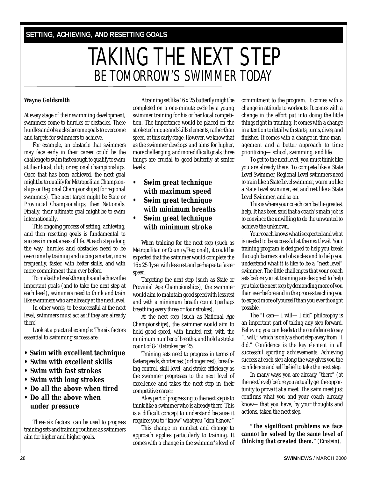### <span id="page-27-0"></span>**SETTING, ACHIEVING, AND RESETTING GOALS**

## TAKING THE NEXT STEP BE TOMORROW'S SWIMMER TODAY

### **Wayne Goldsmith**

At every stage of their swimming development, swimmers come to hurdles or obstacles. These hurdles and obstacles become goals to overcome and targets for swimmers to achieve.

For example, an obstacle that swimmers may face early in their career could be the challenge to swim fast enough to qualify to swim at their local, club, or regional championships. Once that has been achieved, the next goal might be to qualify for Metropolitan Championships or Regional Championships (for regional swimmers). The next target might be State or Provincial Championships, then Nationals. Finally, their ultimate goal might be to swim internationally.

This ongoing process of setting, achieving, and then resetting goals is fundamental to success in most areas of life. At each step along the way, hurdles and obstacles need to be overcome by training and racing smarter, more frequently, faster, with better skills, and with more commitment than ever before.

To make the breakthroughs and achieve the important goals (and to take the next step at each level), swimmers need to think and train like swimmers who are already at the next level.

In other words, to be successful at the next level, swimmers must act as if they are already there!

Look at a practical example: The six factors essential to swimming success are:

- **Swim with excellent technique**
- **Swim with excellent skills**
- **Swim with fast strokes**
- **Swim with long strokes**
- **Do all the above when tired**
- **Do all the above when under pressure**

These six factors can be used to progress training sets and training routines as swimmers aim for higher and higher goals.

A training set like 16 x 25 butterfly might be completed on a one-minute cycle by a young swimmer training for his or her local competition. The importance would be placed on the stroke technique and skills elements, rather than speed, at this early stage. However, we know that as the swimmer develops and aims for higher, more challenging, and more difficult goals, three things are crucial to good butterfly at senior levels:

### **• Swim great technique with maximum speed • Swim great technique with minimum breaths • Swim great technique with minimum stroke**

When training for the next step (such as Metropolitan or Country/Regional), it could be expected that the swimmer would complete the 16 x 25 fly set with less rest and perhaps at a faster speed.

Targeting the next step (such as State or Provinial Age Championships), the swimmer would aim to maintain good speed with less rest and with a minimum breath count (perhaps breathing every three or four strokes).

At the next step (such as National Age Championships), the swimmer would aim to hold good speed, with limited rest, with the minimum number of breaths, and hold a stroke count of 8-10 strokes per 25.

Training sets need to progress in terms of faster speeds, shorter rest (or longer rest), breathing control, skill level, and stroke efficiency as the swimmer progresses to the next level of excellence and takes the next step in their competitive career.

A key part of progressing to the next step is to think like a swimmer who is already there! This is a difficult concept to understand because it requires you to "know" what you "don't know."

This change in mindset and change to approach applies particularly to training. It comes with a change in the swimmer's level of commitment to the program. It comes with a change in attitude to workouts. It comes with a change in the effort put into doing the little things right in training. It comes with a change in attention to detail with starts, turns, dives, and finishes. It comes with a change in time management and a better approach to time prioritizing—school, swimming, and life.

To get to the next level, you must think like you are already there. To compete like a State Level Swimmer, Regional Level swimmers need to train like a State Level swimmer, warm up like a State Level swimmer, eat and rest like a State Level Swimmer, and so on.

This is where your coach can be the greatest help. It has been said that a coach's main job is to convince the unwilling to do the unwanted to achieve the unknown.

Your coach knows what is expected and what is needed to be successful at the next level. Your training program is designed to help you break through barriers and obstacles and to help you understand what it is like to be a "next level" swimmer. The little challenges that your coach sets before you at training are designed to help you take the next step by demanding more of you than ever before and in the process teaching you to expect more of yourself than you ever thought possible.

The "I can—I will—I did" philosophy is an important part of taking any step forward. Believing you can leads to the confidence to say "I will," which is only a short step away from "I did." Confidence is the key element in all successful sporting achievements. Achieving success at each step along the way gives you the confidence and self belief to take the next step.

In many ways you are already "there" (at the next level) before you actually get the opportunity to prove it at a meet. The swim meet just confirms what you and your coach already know—that you have, by your thoughts and actions, taken the next step.

**"The significant problems we face cannot be solved by the same level of thinking that created them."** (Einstein).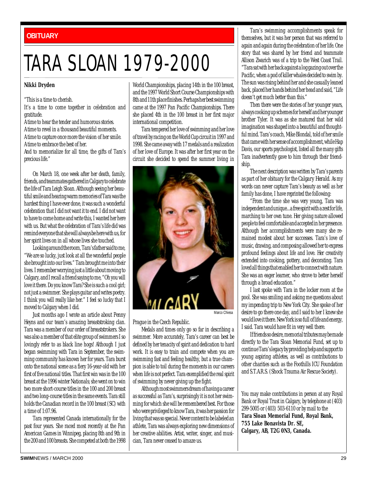### <span id="page-28-0"></span>**OBITUARY**

# TARA SLOAN 1979-2000

### **Nikki Dryden**

"This is a time to cherish.

It's a time to come together in celebration and gratitude.

A time to hear the tender and humorous stories. A time to revel in a thousand beautiful moments. A time to capture once more the vision of her smile. A time to embrace the best of her.

And to memorialize for all time, the gifts of Tara's precious life."

On March 18, one week after her death, family, friends, and teammates gathered in Calgary to celebrate the life of Tara Leigh Sloan. Although seeing her beautiful smile and hearing warm memories of Tara was the hardest thing I have ever done, it was such a wonderful celebration that I did not want it to end. I did not want to have to come home and write this, I wanted her here with us. But what the celebration of Tara's life did was remind everyone that she will always be here with us, for her spirit lives on in all whose lives she touched.

Looking around the room, Tara's father said to me, "We are so lucky, just look at all the wonderful people she brought into our lives." Tara brought me into their lives. I remember worrying just a little about moving to Calgary, and I recall a friend saying to me, "Oh you will love it there. Do you know Tara? She is such a cool girl; not just a swimmer. She plays guitar and writes poetry. I think you will really like her." I feel so lucky that I moved to Calgary when I did.

Just months ago I wrote an article about Penny Heyns and our team's amazing breaststroking clan. Tara was a member of our order of breaststrokers. She was also a member of that elite group of swimmers I so lovingly refer to as black line hogs! Although I just began swimming with Tara in September, the swimming community has known her for years. Tara burst onto the national scene as a fiery 16-year-old with her first of five national titles. That first win was in the 100 breast at the 1996 winter Nationals; she went on to win two more short-course titles in the 100 and 200 breast and two long-course titles in the same events. Tara still holds the Canadian record in the 100 breast (SC) with a time of 1:07.96.

Tara represented Canada internationally for the past four years. She raced most recently at the Pan American Games in Winnipeg, placing 8th and 9th in the 200 and 100 breasts. She competed at both the 1998

World Championships, placing 14th in the 100 breast, and the 1997 World Short Course Championships with 8th and 11th place finishes. Perhaps her best swimming came at the 1997 Pan Pacific Championships. There she placed 4th in the 100 breast in her first major international competition.

Tara tempered her love of swimming and her love of travel by racing on the World Cup circuit in 1997 and 1998. She came away with 17 medals and a realization of her love of Europe. It was after her first year on the circuit she decided to spend the summer living in



Marco Chiesa

Prague in the Czech Republic.

Medals and times only go so far in describing a swimmer. More accurately, Tara's career can best be defined by her tenacity of spirit and dedication to hard work. It is easy to train and compete when you are swimming fast and feeling healthy, but a true champion is able to toil during the moments in our careers when life is not perfect. Tara exemplified the real spirit of swimming by never giving up the fight.

Although most swimmers dream of having a career as successful as Tara's, surprisingly it is not her swimming for which she will be remembered best. For those who were privileged to know Tara, it was her passion for living that was so special. Never content to be labeled an athlete, Tara was always exploring new dimensions of her creative abilities. Artist, writer, singer, and musician, Tara never ceased to amaze us.

Tara's swimming accomplishments speak for themselves, but it was her person that was referred to again and again during the celebration of her life. One story that was shared by her friend and teammate Allison Zwarich was of a trip to the West Coast Trail. "Tara sat with her back against a log gazing out over the Pacific, when a pod of killer whales decided to swim by. The sun was rising behind her and she casually leaned back, placed her hands behind her head and said, "Life doesn't get much better than this."

Then there were the stories of her younger years, always cooking up schemes for herself and her younger brother Tyler. It was as she matured that her wild imagination was shaped into a beautiful and thoughtful mind. Tara's coach, Mike Blondal, told of her smile that came with her sense of accomplishment, while Hap Davis, our sports psychologist, listed all the many gifts Tara inadvertently gave to him through their friendship.

The next description was written by Tara's parents as part of her obituary for the *Calgary Herald*. As my words can never capture Tara's beauty as well as her family has done, I have reprinted the following:

"From the time she was very young, Tara was independent and unique...a free spirit with a zest for life, marching to her own tune. Her giving nature allowed people to feel comfortable and accepted in her presence. Although her accomplishments were many she remained modest about her successes. Tara's love of music, drawing, and composing allowed her to express profound feelings about life and love. Her creativity extended into cooking, pottery, and decorating. Tara loved all things that enabled her to connect with nature. She was an eager learner, who strove to better herself through a broad education."

I last spoke with Tara in the locker room at the pool. She was smiling and asking me questions about my impending trip to New York City. She spoke of her desire to go there one day, and I said to her I knew she would love it there. New York is so full of life and energy, I said. Tara would have fit in very well there.

If friends so desire, memorial tributes may be made directly to the Tara Sloan Memorial Fund, set up to continue Tara's legacy by providing help and support to young aspiring athletes, as well as contributions to other charities such as the Foothills ICU Foundation and S.T.A.R.S. (Shock Trauma Air Rescue Society).

You may make contributions in person at any Royal Bank or Royal Trust in Calgary, by telephone at (403) 299-5005 or (403) 503-6110 or by mail to the **Tara Sloan Memorial Fund, Royal Bank, 755 Lake Bonavista Dr. SE, Calgary, AB, T2G 0N3, Canada.**